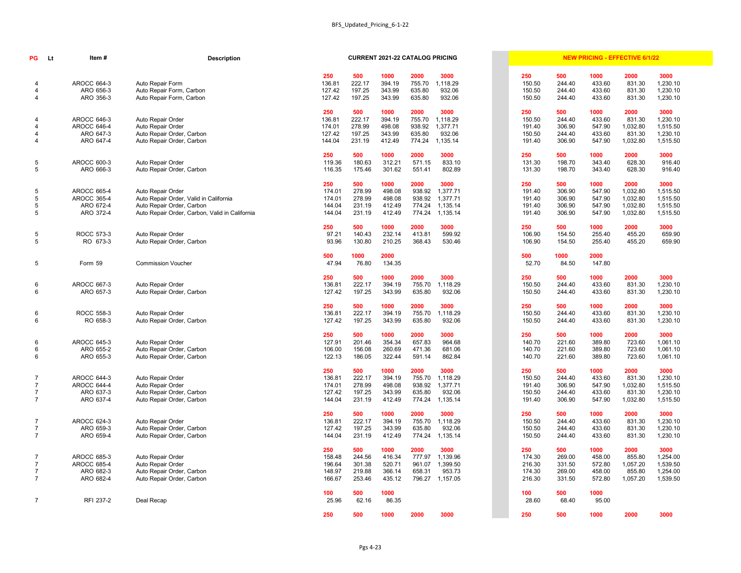| PG                       | Lt | Item#                  | <b>Description</b>                                   |                  |                  | <b>CURRENT 2021-22 CATALOG PRICING</b> |                  |                  |                  |                  |                  | <b>NEW PRICING - EFFECTIVE 6/1/22</b> |                      |
|--------------------------|----|------------------------|------------------------------------------------------|------------------|------------------|----------------------------------------|------------------|------------------|------------------|------------------|------------------|---------------------------------------|----------------------|
| -4                       |    | <b>AROCC 664-3</b>     | Auto Repair Form                                     | 250<br>136.81    | 500<br>222.17    | 1000<br>394.19                         | 2000<br>755.70   | 3000<br>1,118.29 | 250<br>150.50    | 500<br>244.40    | 1000<br>433.60   | 2000<br>831.30                        | 3000<br>1,230.10     |
| -4<br>4                  |    | ARO 656-3<br>ARO 356-3 | Auto Repair Form, Carbon<br>Auto Repair Form, Carbon | 127.42<br>127.42 | 197.25<br>197.25 | 343.99<br>343.99                       | 635.80<br>635.80 | 932.06<br>932.06 | 150.50<br>150.50 | 244.40<br>244.40 | 433.60<br>433.60 | 831.30<br>831.30                      | 1,230.10<br>1,230.10 |
|                          |    |                        |                                                      | 250              | 500              | 1000                                   | 2000             | 3000             | 250              | 500              | 1000             | 2000                                  | 3000                 |
| -4                       |    | <b>AROCC 646-3</b>     | Auto Repair Order                                    | 136.81           | 222.17           | 394.19                                 | 755.70           | 1,118.29         | 150.50           | 244.40           | 433.60           | 831.30                                | 1,230.10             |
| $\overline{\mathcal{A}}$ |    | <b>AROCC 646-4</b>     | Auto Repair Order                                    | 174.01           | 278.99           | 498.08                                 | 938.92           | 1,377.71         | 191.40           | 306.90           | 547.90           | 1,032.80                              | 1,515.50             |
| $\overline{\mathcal{A}}$ |    | ARO 647-3              | Auto Repair Order, Carbon                            | 127.42           | 197.25           | 343.99                                 | 635.80           | 932.06           | 150.50           | 244.40           | 433.60           | 831.30                                | 1,230.10             |
| $\overline{4}$           |    | ARO 647-4              | Auto Repair Order, Carbon                            | 144.04           | 231.19           | 412.49                                 | 774.24           | 1,135.14         | 191.40           | 306.90           | 547.90           | 1,032.80                              | 1,515.50             |
|                          |    |                        |                                                      | 250              | 500              | 1000                                   | 2000             | 3000             | 250              | 500              | 1000             | 2000                                  | 3000                 |
| $5\phantom{.0}$          |    | <b>AROCC 600-3</b>     | Auto Repair Order                                    | 119.36           | 180.63           | 312.21                                 | 571.15           | 833.10           | 131.30           | 198.70           | 343.40           | 628.30                                | 916.40               |
| $5\phantom{.0}$          |    | ARO 666-3              | Auto Repair Order, Carbon                            | 116.35           | 175.46           | 301.62                                 | 551.41           | 802.89           | 131.30           | 198.70           | 343.40           | 628.30                                | 916.40               |
|                          |    |                        |                                                      | 250              | 500              | 1000                                   | 2000             | 3000             | 250              | 500              | 1000             | 2000                                  | 3000                 |
| 5                        |    | <b>AROCC 665-4</b>     | Auto Repair Order                                    | 174.01           | 278.99           | 498.08                                 | 938.92           | 1,377.71         | 191.40           | 306.90           | 547.90           | 1,032.80                              | 1,515.50             |
| $\overline{5}$           |    | <b>AROCC 365-4</b>     | Auto Repair Order, Valid in California               | 174.01           | 278.99           | 498.08                                 | 938.92           | 1,377.71         | 191.40           | 306.90           | 547.90           | 1,032.80                              | 1,515.50             |
| $5\phantom{.0}$          |    | ARO 672-4              | Auto Repair Order, Carbon                            | 144.04           | 231.19           | 412.49                                 | 774.24           | 1,135.14         | 191.40           | 306.90           | 547.90           | 1,032.80                              | 1,515.50             |
| $5\phantom{.0}$          |    | ARO 372-4              | Auto Repair Order, Carbon, Valid in California       | 144.04           | 231.19           | 412.49                                 | 774.24           | 1,135.14         | 191.40           | 306.90           | 547.90           | 1,032.80                              | 1,515.50             |
|                          |    |                        |                                                      | 250              | 500              | 1000                                   | 2000             | 3000             | 250              | 500              | 1000             | 2000                                  | 3000                 |
| $5\phantom{.0}$          |    | ROCC 573-3             | Auto Repair Order                                    | 97.21            | 140.43           | 232.14                                 | 413.81           | 599.92           | 106.90           | 154.50           | 255.40           | 455.20                                | 659.90               |
| 5                        |    | RO 673-3               | Auto Repair Order, Carbon                            | 93.96            | 130.80           | 210.25                                 | 368.43           | 530.46           | 106.90           | 154.50           | 255.40           | 455.20                                | 659.90               |
|                          |    |                        |                                                      | 500              | 1000             | 2000                                   |                  |                  | 500              | 1000             | 2000             |                                       |                      |
| 5                        |    | Form 59                | <b>Commission Voucher</b>                            | 47.94            | 76.80            | 134.35                                 |                  |                  | 52.70            | 84.50            | 147.80           |                                       |                      |
|                          |    |                        |                                                      | 250              | 500              | 1000                                   | 2000             | 3000             | 250              | 500              | 1000             | 2000                                  | 3000                 |
| 6                        |    | <b>AROCC 667-3</b>     | Auto Repair Order                                    | 136.81           | 222.17           | 394.19                                 | 755.70           | 1,118.29         | 150.50           | 244.40           | 433.60           | 831.30                                | 1,230.10             |
| 6                        |    | ARO 657-3              | Auto Repair Order, Carbon                            | 127.42           | 197.25           | 343.99                                 | 635.80           | 932.06           | 150.50           | 244.40           | 433.60           | 831.30                                | 1,230.10             |
|                          |    |                        |                                                      | 250              | 500              | 1000                                   | 2000             | 3000             | 250              | 500              | 1000             | 2000                                  | 3000                 |
| 6                        |    | ROCC 558-3             | Auto Repair Order                                    | 136.81           | 222.17           | 394.19                                 | 755.70           | 1,118.29         | 150.50           | 244.40           | 433.60           | 831.30                                | 1,230.10             |
| 6                        |    | RO 658-3               | Auto Repair Order, Carbon                            | 127.42           | 197.25           | 343.99                                 | 635.80           | 932.06           | 150.50           | 244.40           | 433.60           | 831.30                                | 1,230.10             |
|                          |    |                        |                                                      | 250              | 500              | 1000                                   | 2000             | 3000             | 250              | 500              | 1000             | 2000                                  | 3000                 |
| 6                        |    | <b>AROCC 645-3</b>     | Auto Repair Order                                    | 127.91           | 201.46           | 354.34                                 | 657.83           | 964.68           | 140.70           | 221.60           | 389.80           | 723.60                                | 1,061.10             |
| 6                        |    | ARO 655-2              | Auto Repair Order, Carbon                            | 106.00           | 156.08           | 260.69                                 | 471.36           | 681.06           | 140.70           | 221.60           | 389.80           | 723.60                                | 1,061.10             |
| 6                        |    | ARO 655-3              | Auto Repair Order, Carbon                            | 122.13           | 186.05           | 322.44                                 | 591.14           | 862.84           | 140.70           | 221.60           | 389.80           | 723.60                                | 1,061.10             |
|                          |    |                        |                                                      | 250              | 500              | 1000                                   | 2000             | 3000             | 250              | 500              | 1000             | 2000                                  | 3000                 |
| $\overline{7}$           |    | <b>AROCC 644-3</b>     | Auto Repair Order                                    | 136.81           | 222.17           | 394.19                                 | 755.70           | 1,118.29         | 150.50           | 244.40           | 433.60           | 831.30                                | 1,230.10             |
| $\overline{7}$           |    | <b>AROCC 644-4</b>     | Auto Repair Order                                    | 174.01           | 278.99           | 498.08                                 | 938.92           | 1,377.71         | 191.40           | 306.90           | 547.90           | 1,032.80                              | 1,515.50             |
| $\overline{7}$           |    | ARO 637-3              | Auto Repair Order, Carbon                            | 127.42           | 197.25           | 343.99                                 | 635.80           | 932.06           | 150.50           | 244.40           | 433.60           | 831.30                                | 1,230.10             |
| $\overline{7}$           |    | ARO 637-4              | Auto Repair Order, Carbon                            | 144.04           | 231.19           | 412.49                                 | 774.24           | 1,135.14         | 191.40           | 306.90           | 547.90           | 1,032.80                              | 1,515.50             |
|                          |    |                        |                                                      | 250              | 500              | 1000                                   | 2000             | 3000             | 250              | 500              | 1000             | 2000                                  | 3000                 |
| $\overline{7}$           |    | <b>AROCC 624-3</b>     | Auto Repair Order                                    | 136.81           | 222.17           | 394.19                                 | 755.70           | 1,118.29         | 150.50           | 244.40           | 433.60           | 831.30                                | 1,230.10             |
| $\overline{7}$           |    | ARO 659-3              | Auto Repair Order, Carbon                            | 127.42           | 197.25           | 343.99                                 | 635.80           | 932.06           | 150.50           | 244.40           | 433.60           | 831.30                                | 1,230.10             |
| $\overline{7}$           |    | ARO 659-4              | Auto Repair Order, Carbon                            | 144.04           | 231.19           | 412.49                                 | 774.24           | 1,135.14         | 150.50           | 244.40           | 433.60           | 831.30                                | 1,230.10             |
|                          |    |                        |                                                      | 250              | 500              | 1000                                   | 2000             | 3000             | 250              | 500              | 1000             | 2000                                  | 3000                 |
| -7                       |    | <b>AROCC 685-3</b>     | Auto Repair Order                                    | 158.48           | 244.56           | 416.34                                 | 777.97           | 1,139.96         | 174.30           | 269.00           | 458.00           | 855.80                                | 1,254.00             |
| $\overline{7}$           |    | <b>AROCC 685-4</b>     | Auto Repair Order                                    | 196.64           | 301.38           | 520.71                                 | 961.07           | 1,399.50         | 216.30           | 331.50           | 572.80           | 1,057.20                              | 1,539.50             |
| $\overline{7}$           |    | ARO 682-3              | Auto Repair Order, Carbon                            | 148.97           | 219.88           | 366.14                                 | 658.31           | 953.73           | 174.30           | 269.00           | 458.00           | 855.80                                | 1,254.00             |
| $\overline{7}$           |    | ARO 682-4              | Auto Repair Order, Carbon                            | 166.67           | 253.46           | 435.12                                 | 796.27           | 1,157.05         | 216.30           | 331.50           | 572.80           | 1,057.20                              | 1,539.50             |
|                          |    |                        |                                                      | 100              | 500              | 1000                                   |                  |                  | 100              | 500              | 1000             |                                       |                      |
| $\overline{7}$           |    | RFI 237-2              | Deal Recap                                           | 25.96            | 62.16            | 86.35                                  |                  |                  | 28.60            | 68.40            | 95.00            |                                       |                      |
|                          |    |                        |                                                      | 250              | 500              | 1000                                   | 2000             | 3000             | 250              | 500              | 1000             | 2000                                  | 3000                 |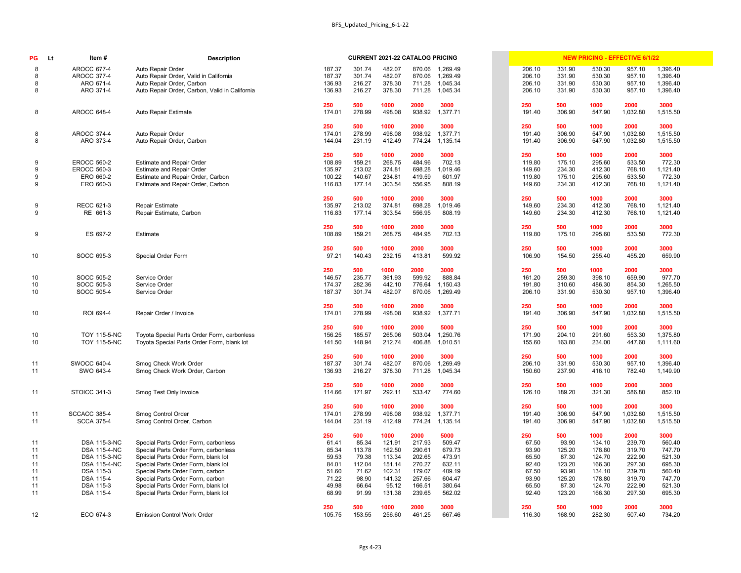| PG | Item#<br><b>Lt</b>  | <b>Description</b>                             |        |        | <b>CURRENT 2021-22 CATALOG PRICING</b> |        |                 |        |        |        | <b>NEW PRICING - EFFECTIVE 6/1/22</b> |          |
|----|---------------------|------------------------------------------------|--------|--------|----------------------------------------|--------|-----------------|--------|--------|--------|---------------------------------------|----------|
| 8  | <b>AROCC 677-4</b>  | Auto Repair Order                              | 187.37 | 301.74 | 482.07                                 | 870.06 | 1,269.49        | 206.10 | 331.90 | 530.30 | 957.10                                | 1,396.40 |
| 8  | <b>AROCC 377-4</b>  | Auto Repair Order, Valid in California         | 187.37 | 301.74 | 482.07                                 | 870.06 | 1,269.49        | 206.10 | 331.90 | 530.30 | 957.10                                | 1,396.40 |
| 8  | ARO 671-4           | Auto Repair Order, Carbon                      | 136.93 | 216.27 | 378.30                                 | 711.28 | 1,045.34        | 206.10 | 331.90 | 530.30 | 957.10                                | 1,396.40 |
| 8  | ARO 371-4           | Auto Repair Order, Carbon, Valid in California | 136.93 | 216.27 | 378.30                                 | 711.28 | 1,045.34        | 206.10 | 331.90 | 530.30 | 957.10                                | 1,396.40 |
|    |                     |                                                | 250    | 500    | 1000                                   | 2000   | 3000            | 250    | 500    | 1000   | 2000                                  | 3000     |
| 8  | <b>AROCC 648-4</b>  | Auto Repair Estimate                           | 174.01 | 278.99 | 498.08                                 | 938.92 | 1,377.71        | 191.40 | 306.90 | 547.90 | 1,032.80                              | 1,515.50 |
|    |                     |                                                | 250    | 500    | 1000                                   | 2000   | 3000            | 250    | 500    | 1000   | 2000                                  | 3000     |
| 8  | <b>AROCC 374-4</b>  | Auto Repair Order                              | 174.01 | 278.99 | 498.08                                 | 938.92 | 1,377.71        | 191.40 | 306.90 | 547.90 | 1,032.80                              | 1,515.50 |
| 8  | ARO 373-4           | Auto Repair Order, Carbon                      | 144.04 | 231.19 | 412.49                                 | 774.24 | 1,135.14        | 191.40 | 306.90 | 547.90 | 1,032.80                              | 1,515.50 |
|    |                     |                                                | 250    | 500    | 1000                                   | 2000   | 3000            | 250    | 500    | 1000   | 2000                                  | 3000     |
| 9  | <b>EROCC 560-2</b>  | <b>Estimate and Repair Order</b>               | 108.89 | 159.21 | 268.75                                 | 484.96 | 702.13          | 119.80 | 175.10 | 295.60 | 533.50                                | 772.30   |
| 9  | <b>EROCC 560-3</b>  | <b>Estimate and Repair Order</b>               | 135.97 | 213.02 | 374.81                                 | 698.28 | 1,019.46        | 149.60 | 234.30 | 412.30 | 768.10                                | 1,121.40 |
| 9  | ERO 660-2           | Estimate and Repair Order, Carbon              | 100.22 | 140.67 | 234.81                                 | 419.59 | 601.97          | 119.80 | 175.10 | 295.60 | 533.50                                | 772.30   |
| 9  | ERO 660-3           | Estimate and Repair Order, Carbon              | 116.83 | 177.14 | 303.54                                 | 556.95 | 808.19          | 149.60 | 234.30 | 412.30 | 768.10                                | 1,121.40 |
|    |                     |                                                | 250    | 500    | 1000                                   | 2000   | 3000            | 250    | 500    | 1000   | 2000                                  | 3000     |
| 9  | <b>RECC 621-3</b>   | <b>Repair Estimate</b>                         | 135.97 | 213.02 | 374.81                                 | 698.28 | 1,019.46        | 149.60 | 234.30 | 412.30 | 768.10                                | 1,121.40 |
| 9  | RE 661-3            | Repair Estimate, Carbon                        | 116.83 | 177.14 | 303.54                                 | 556.95 | 808.19          | 149.60 | 234.30 | 412.30 | 768.10                                | 1,121.40 |
|    |                     |                                                | 250    | 500    | 1000                                   | 2000   | 3000            | 250    | 500    | 1000   | 2000                                  | 3000     |
| 9  | ES 697-2            | Estimate                                       | 108.89 | 159.21 | 268.75                                 | 484.95 | 702.13          | 119.80 | 175.10 | 295.60 | 533.50                                | 772.30   |
|    |                     |                                                | 250    | 500    | 1000                                   | 2000   | 3000            | 250    | 500    | 1000   | 2000                                  | 3000     |
| 10 | SOCC 695-3          | <b>Special Order Form</b>                      | 97.21  | 140.43 | 232.15                                 | 413.81 | 599.92          | 106.90 | 154.50 | 255.40 | 455.20                                | 659.90   |
|    |                     |                                                | 250    | 500    | 1000                                   | 2000   | 3000            | 250    | 500    | 1000   | 2000                                  | 3000     |
| 10 | SOCC 505-2          | Service Order                                  | 146.57 | 235.77 | 361.93                                 | 599.92 | 888.84          | 161.20 | 259.30 | 398.10 | 659.90                                | 977.70   |
| 10 | SOCC 505-3          | Service Order                                  | 174.37 | 282.36 | 442.10                                 | 776.64 | 1,150.43        | 191.80 | 310.60 | 486.30 | 854.30                                | 1,265.50 |
| 10 | SOCC 505-4          | Service Order                                  | 187.37 | 301.74 | 482.07                                 | 870.06 | 1,269.49        | 206.10 | 331.90 | 530.30 | 957.10                                | 1,396.40 |
|    |                     |                                                | 250    | 500    | 1000                                   | 2000   | 3000            | 250    | 500    | 1000   | 2000                                  | 3000     |
| 10 | ROI 694-4           | Repair Order / Invoice                         | 174.01 | 278.99 | 498.08                                 |        | 938.92 1,377.71 | 191.40 | 306.90 | 547.90 | 1,032.80                              | 1,515.50 |
|    |                     |                                                | 250    | 500    | 1000                                   | 2000   | 5000            | 250    | 500    | 1000   | 2000                                  | 3000     |
| 10 | <b>TOY 115-5-NC</b> | Toyota Special Parts Order Form, carbonless    | 156.25 | 185.57 | 265.06                                 | 503.04 | 1,250.76        | 171.90 | 204.10 | 291.60 | 553.30                                | 1,375.80 |
| 10 | <b>TOY 115-5-NC</b> | Toyota Special Parts Order Form, blank lot     | 141.50 | 148.94 | 212.74                                 | 406.88 | 1,010.51        | 155.60 | 163.80 | 234.00 | 447.60                                | 1,111.60 |
|    |                     |                                                | 250    | 500    | 1000                                   | 2000   | 3000            | 250    | 500    | 1000   | 2000                                  | 3000     |
| 11 | <b>SWOCC 640-4</b>  | Smog Check Work Order                          | 187.37 | 301.74 | 482.07                                 | 870.06 | 1,269.49        | 206.10 | 331.90 | 530.30 | 957.10                                | 1,396.40 |
| 11 | SWO 643-4           | Smog Check Work Order, Carbon                  | 136.93 | 216.27 | 378.30                                 | 711.28 | 1,045.34        | 150.60 | 237.90 | 416.10 | 782.40                                | 1,149.90 |
|    |                     |                                                | 250    | 500    | 1000                                   | 2000   | 3000            | 250    | 500    | 1000   | 2000                                  | 3000     |
| 11 | STOICC 341-3        | Smog Test Only Invoice                         | 114.66 | 171.97 | 292.11                                 | 533.47 | 774.60          | 126.10 | 189.20 | 321.30 | 586.80                                | 852.10   |
|    |                     |                                                | 250    | 500    | 1000                                   | 2000   | 3000            | 250    | 500    | 1000   | 2000                                  | 3000     |
| 11 | <b>SCCACC 385-4</b> | Smog Control Order                             | 174.01 | 278.99 | 498.08                                 | 938.92 | 1,377.71        | 191.40 | 306.90 | 547.90 | 1,032.80                              | 1,515.50 |
| 11 | <b>SCCA 375-4</b>   | Smog Control Order, Carbon                     | 144.04 | 231.19 | 412.49                                 | 774.24 | 1,135.14        | 191.40 | 306.90 | 547.90 | 1,032.80                              | 1,515.50 |
|    |                     |                                                | 250    | 500    | 1000                                   | 2000   | 5000            | 250    | 500    | 1000   | 2000                                  | 3000     |
| 11 | <b>DSA 115-3-NC</b> | Special Parts Order Form, carbonless           | 61.41  | 85.34  | 121.91                                 | 217.93 | 509.47          | 67.50  | 93.90  | 134.10 | 239.70                                | 560.40   |
| 11 | <b>DSA 115-4-NC</b> | Special Parts Order Form, carbonless           | 85.34  | 113.78 | 162.50                                 | 290.61 | 679.73          | 93.90  | 125.20 | 178.80 | 319.70                                | 747.70   |
| 11 | DSA 115-3-NC        | Special Parts Order Form, blank lot            | 59.53  | 79.38  | 113.34                                 | 202.65 | 473.91          | 65.50  | 87.30  | 124.70 | 222.90                                | 521.30   |
| 11 | <b>DSA 115-4-NC</b> | Special Parts Order Form, blank lot            | 84.01  | 112.04 | 151.14                                 | 270.27 | 632.11          | 92.40  | 123.20 | 166.30 | 297.30                                | 695.30   |
| 11 | DSA 115-3           | Special Parts Order Form, carbon               | 51.60  | 71.62  | 102.31                                 | 179.07 | 409.19          | 67.50  | 93.90  | 134.10 | 239.70                                | 560.40   |
| 11 | DSA 115-4           | Special Parts Order Form, carbon               | 71.22  | 98.90  | 141.32                                 | 257.66 | 604.47          | 93.90  | 125.20 | 178.80 | 319.70                                | 747.70   |
| 11 | DSA 115-3           | Special Parts Order Form, blank lot            | 49.98  | 66.64  | 95.12                                  | 166.51 | 380.64          | 65.50  | 87.30  | 124.70 | 222.90                                | 521.30   |
| 11 | DSA 115-4           | Special Parts Order Form, blank lot            | 68.99  | 91.99  | 131.38                                 | 239.65 | 562.02          | 92.40  | 123.20 | 166.30 | 297.30                                | 695.30   |
|    |                     |                                                | 250    | 500    | 1000                                   | 2000   | 3000            | 250    | 500    | 1000   | 2000                                  | 3000     |
| 12 | ECO 674-3           | <b>Emission Control Work Order</b>             | 105.75 | 153.55 | 256.60                                 | 461.25 | 667.46          | 116.30 | 168.90 | 282.30 | 507.40                                | 734.20   |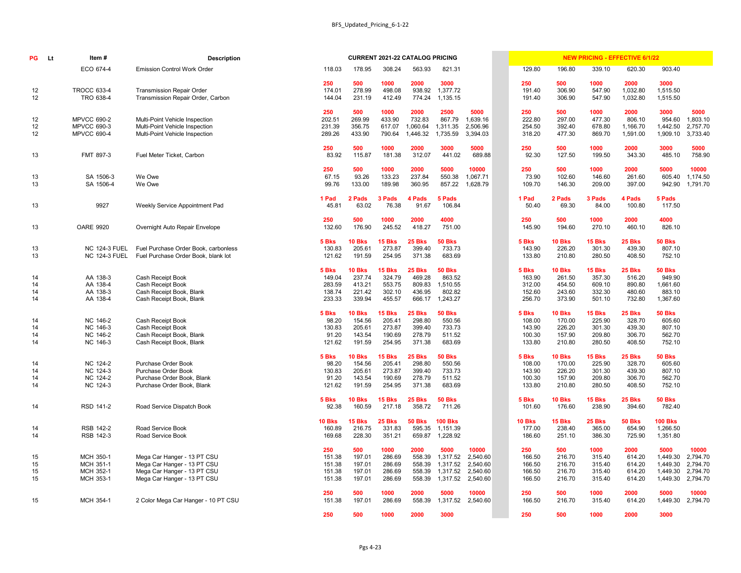| PG | <b>Lt</b> | Item#                | <b>Description</b>                    |               |               | <b>CURRENT 2021-22 CATALOG PRICING</b> |               |                |          |               |               | <b>NEW PRICING - EFFECTIVE 6/1/22</b> |               |                |          |
|----|-----------|----------------------|---------------------------------------|---------------|---------------|----------------------------------------|---------------|----------------|----------|---------------|---------------|---------------------------------------|---------------|----------------|----------|
|    |           | ECO 674-4            | <b>Emission Control Work Order</b>    | 118.03        | 178.95        | 308.24                                 | 563.93        | 821.31         |          | 129.80        | 196.80        | 339.10                                | 620.30        | 903.40         |          |
|    |           |                      |                                       | 250           | 500           | 1000                                   | 2000          | 3000           |          | 250           | 500           | 1000                                  | 2000          | 3000           |          |
| 12 |           | <b>TROCC 633-4</b>   | <b>Transmission Repair Order</b>      | 174.01        | 278.99        | 498.08                                 | 938.92        | 1,377.72       |          | 191.40        | 306.90        | 547.90                                | 1,032.80      | 1,515.50       |          |
| 12 |           | TRO 638-4            | Transmission Repair Order, Carbon     | 144.04        | 231.19        | 412.49                                 | 774.24        | 1,135.15       |          | 191.40        | 306.90        | 547.90                                | 1,032.80      | 1,515.50       |          |
|    |           |                      |                                       |               |               |                                        |               |                |          |               |               |                                       |               |                |          |
|    |           |                      |                                       | 250           | 500           | 1000                                   | 2000          | 2500           | 5000     | 250           | 500           | 1000                                  | 2000          | 3000           | 5000     |
| 12 |           | <b>MPVCC 690-2</b>   | Multi-Point Vehicle Inspection        | 202.51        | 269.99        | 433.90                                 | 732.83        | 867.79         | 1,639.16 | 222.80        | 297.00        | 477.30                                | 806.10        | 954.60         | 1,803.10 |
| 12 |           | <b>MPVCC 690-3</b>   | Multi-Point Vehicle Inspection        | 231.39        | 356.75        | 617.07                                 | 1,060.64      | 1,311.35       | 2,506.96 | 254.50        | 392.40        | 678.80                                | 1,166.70      | 1,442.50       | 2,757.70 |
| 12 |           | <b>MPVCC 690-4</b>   | Multi-Point Vehicle Inspection        | 289.26        | 433.90        | 790.64                                 | 1,446.32      | 1,735.59       | 3,394.03 | 318.20        | 477.30        | 869.70                                | 1,591.00      | 1,909.10       | 3,733.40 |
|    |           |                      |                                       | 250           | 500           | 1000                                   | 2000          | 3000           | 5000     | 250           | 500           | 1000                                  | 2000          | 3000           | 5000     |
| 13 |           | FMT 897-3            | Fuel Meter Ticket, Carbon             | 83.92         | 115.87        | 181.38                                 | 312.07        | 441.02         | 689.88   | 92.30         | 127.50        | 199.50                                | 343.30        | 485.10         | 758.90   |
|    |           |                      |                                       | 250           | 500           | 1000                                   | 2000          | 5000           | 10000    | 250           | 500           | 1000                                  | 2000          | 5000           | 10000    |
| 13 |           | SA 1506-3            | We Owe                                | 67.15         | 93.26         | 133.23                                 | 237.84        | 550.38         | 1,067.71 | 73.90         | 102.60        | 146.60                                | 261.60        | 605.40         | 1,174.50 |
| 13 |           | SA 1506-4            | We Owe                                | 99.76         | 133.00        | 189.98                                 | 360.95        | 857.22         | 1,628.79 | 109.70        | 146.30        | 209.00                                | 397.00        | 942.90         | 1,791.70 |
|    |           |                      |                                       | 1 Pad         | 2 Pads        | 3 Pads                                 | 4 Pads        | 5 Pads         |          | 1 Pad         | 2 Pads        | 3 Pads                                | 4 Pads        | 5 Pads         |          |
| 13 |           | 9927                 | <b>Weekly Service Appointment Pad</b> | 45.81         | 63.02         | 76.38                                  | 91.67         | 106.84         |          | 50.40         | 69.30         | 84.00                                 | 100.80        | 117.50         |          |
|    |           |                      |                                       | 250           | 500           | 1000                                   | 2000          | 4000           |          | 250           | 500           | 1000                                  | 2000          | 4000           |          |
| 13 |           | <b>OARE 9920</b>     | Overnight Auto Repair Envelope        | 132.60        | 176.90        | 245.52                                 | 418.27        | 751.00         |          | 145.90        | 194.60        | 270.10                                | 460.10        | 826.10         |          |
|    |           |                      |                                       | 5 Bks         | <b>10 Bks</b> | <b>15 Bks</b>                          | <b>25 Bks</b> | <b>50 Bks</b>  |          | 5 Bks         | <b>10 Bks</b> | 15 Bks                                | 25 Bks        | <b>50 Bks</b>  |          |
| 13 |           | <b>NC 124-3 FUEL</b> | Fuel Purchase Order Book, carbonless  | 130.83        | 205.61        | 273.87                                 | 399.40        | 733.73         |          | 143.90        | 226.20        | 301.30                                | 439.30        | 807.10         |          |
| 13 |           | <b>NC 124-3 FUEL</b> | Fuel Purchase Order Book, blank lot   | 121.62        | 191.59        | 254.95                                 | 371.38        | 683.69         |          | 133.80        | 210.80        | 280.50                                | 408.50        | 752.10         |          |
|    |           |                      |                                       |               |               |                                        |               |                |          |               |               |                                       |               |                |          |
|    |           |                      |                                       | 5 Bks         | <b>10 Bks</b> | <b>15 Bks</b>                          | <b>25 Bks</b> | <b>50 Bks</b>  |          | 5 Bks         | <b>10 Bks</b> | 15 Bks                                | <b>25 Bks</b> | <b>50 Bks</b>  |          |
| 14 |           | AA 138-3             | Cash Receipt Book                     | 149.04        | 237.74        | 324.79                                 | 469.28        | 863.52         |          | 163.90        | 261.50        | 357.30                                | 516.20        | 949.90         |          |
| 14 |           | AA 138-4             | Cash Receipt Book                     | 283.59        | 413.21        | 553.75                                 | 809.83        | 1,510.55       |          | 312.00        | 454.50        | 609.10                                | 890.80        | 1,661.60       |          |
| 14 |           | AA 138-3             | Cash Receipt Book, Blank              | 138.74        | 221.42        | 302.10                                 | 436.95        | 802.82         |          | 152.60        | 243.60        | 332.30                                | 480.60        | 883.10         |          |
| 14 |           | AA 138-4             | Cash Receipt Book, Blank              | 233.33        | 339.94        | 455.57                                 | 666.17        | 1,243.27       |          | 256.70        | 373.90        | 501.10                                | 732.80        | 1,367.60       |          |
|    |           |                      |                                       | 5 Bks         | <b>10 Bks</b> | <b>15 Bks</b>                          | <b>25 Bks</b> | <b>50 Bks</b>  |          | 5 Bks         | <b>10 Bks</b> | <b>15 Bks</b>                         | <b>25 Bks</b> | <b>50 Bks</b>  |          |
| 14 |           | NC 146-2             | Cash Receipt Book                     | 98.20         | 154.56        | 205.41                                 | 298.80        | 550.56         |          | 108.00        | 170.00        | 225.90                                | 328.70        | 605.60         |          |
| 14 |           | NC 146-3             | Cash Receipt Book                     | 130.83        | 205.61        | 273.87                                 | 399.40        | 733.73         |          | 143.90        | 226.20        | 301.30                                | 439.30        | 807.10         |          |
| 14 |           | <b>NC 146-2</b>      | Cash Receipt Book, Blank              | 91.20         | 143.54        | 190.69                                 | 278.79        | 511.52         |          | 100.30        | 157.90        | 209.80                                | 306.70        | 562.70         |          |
| 14 |           | NC 146-3             | Cash Receipt Book, Blank              | 121.62        | 191.59        | 254.95                                 | 371.38        | 683.69         |          | 133.80        | 210.80        | 280.50                                | 408.50        | 752.10         |          |
|    |           |                      |                                       | 5 Bks         | <b>10 Bks</b> | <b>15 Bks</b>                          | <b>25 Bks</b> | <b>50 Bks</b>  |          | 5 Bks         | <b>10 Bks</b> | 15 Bks                                | <b>25 Bks</b> | <b>50 Bks</b>  |          |
| 14 |           | NC 124-2             | Purchase Order Book                   | 98.20         | 154.56        | 205.41                                 | 298.80        | 550.56         |          | 108.00        | 170.00        | 225.90                                | 328.70        | 605.60         |          |
| 14 |           | NC 124-3             | Purchase Order Book                   | 130.83        | 205.61        | 273.87                                 | 399.40        | 733.73         |          | 143.90        | 226.20        | 301.30                                | 439.30        | 807.10         |          |
| 14 |           | NC 124-2             | Purchase Order Book, Blank            | 91.20         | 143.54        | 190.69                                 | 278.79        | 511.52         |          | 100.30        | 157.90        | 209.80                                | 306.70        | 562.70         |          |
| 14 |           | NC 124-3             | Purchase Order Book, Blank            | 121.62        | 191.59        | 254.95                                 | 371.38        | 683.69         |          | 133.80        | 210.80        | 280.50                                | 408.50        | 752.10         |          |
|    |           |                      |                                       | 5 Bks         | <b>10 Bks</b> | <b>15 Bks</b>                          | <b>25 Bks</b> | <b>50 Bks</b>  |          | 5 Bks         | <b>10 Bks</b> | <b>15 Bks</b>                         | <b>25 Bks</b> | <b>50 Bks</b>  |          |
| 14 |           | RSD 141-2            | Road Service Dispatch Book            | 92.38         | 160.59        | 217.18                                 | 358.72        | 711.26         |          | 101.60        | 176.60        | 238.90                                | 394.60        | 782.40         |          |
|    |           |                      |                                       | <b>10 Bks</b> | 15 Bks        | <b>25 Bks</b>                          | <b>50 Bks</b> | <b>100 Bks</b> |          | <b>10 Bks</b> | <b>15 Bks</b> | <b>25 Bks</b>                         | <b>50 Bks</b> | <b>100 Bks</b> |          |
| 14 |           | RSB 142-2            | Road Service Book                     | 160.89        | 216.75        | 331.83                                 | 595.35        | 1,151.39       |          | 177.00        | 238.40        | 365.00                                | 654.90        | 1,266.50       |          |
| 14 |           | RSB 142-3            | Road Service Book                     | 169.68        | 228.30        | 351.21                                 | 659.87        | 1,228.92       |          | 186.60        | 251.10        | 386.30                                | 725.90        | 1,351.80       |          |
|    |           |                      |                                       | 250           | 500           | 1000                                   | 2000          | 5000           | 10000    | 250           | 500           | 1000                                  | 2000          | 5000           | 10000    |
| 15 |           | MCH 350-1            | Mega Car Hanger - 13 PT CSU           | 151.38        | 197.01        | 286.69                                 | 558.39        | 1,317.52       | 2,540.60 | 166.50        | 216.70        | 315.40                                | 614.20        | 1,449.30       | 2,794.70 |
| 15 |           | MCH 351-1            | Mega Car Hanger - 13 PT CSU           | 151.38        | 197.01        | 286.69                                 | 558.39        | 1,317.52       | 2,540.60 | 166.50        | 216.70        | 315.40                                | 614.20        | 1,449.30       | 2,794.70 |
| 15 |           | MCH 352-1            | Mega Car Hanger - 13 PT CSU           | 151.38        | 197.01        | 286.69                                 | 558.39        | 1,317.52       | 2,540.60 | 166.50        | 216.70        | 315.40                                | 614.20        | 1,449.30       | 2,794.70 |
| 15 |           | MCH 353-1            | Mega Car Hanger - 13 PT CSU           | 151.38        | 197.01        | 286.69                                 | 558.39        | 1,317.52       | 2,540.60 | 166.50        | 216.70        | 315.40                                | 614.20        | 1,449.30       | 2,794.70 |
|    |           |                      |                                       |               |               |                                        |               |                |          |               |               |                                       |               |                |          |
|    |           |                      |                                       | 250           | 500           | 1000                                   | 2000          | 5000           | 10000    | 250           | 500           | 1000                                  | 2000          | 5000           | 10000    |
| 15 |           | MCH 354-1            | 2 Color Mega Car Hanger - 10 PT CSU   | 151.38        | 197.01        | 286.69                                 | 558.39        | 1,317.52       | 2,540.60 | 166.50        | 216.70        | 315.40                                | 614.20        | 1,449.30       | 2,794.70 |
|    |           |                      |                                       | 250           | 500           | 1000                                   | 2000          | 3000           |          | 250           | 500           | 1000                                  | 2000          | 3000           |          |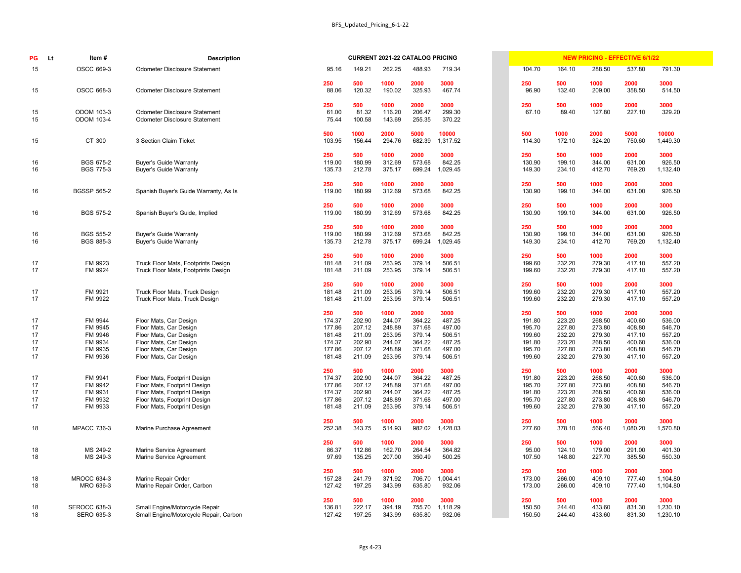| PG       | Lt | Item#                                | <b>Description</b>                                                           |                  |                  | <b>CURRENT 2021-22 CATALOG PRICING</b> |                  |                   |                  |                  | <b>NEW PRICING - EFFECTIVE 6/1/22</b> |                  |                    |
|----------|----|--------------------------------------|------------------------------------------------------------------------------|------------------|------------------|----------------------------------------|------------------|-------------------|------------------|------------------|---------------------------------------|------------------|--------------------|
| 15       |    | OSCC 669-3                           | <b>Odometer Disclosure Statement</b>                                         | 95.16            | 149.21           | 262.25                                 | 488.93           | 719.34            | 104.70           | 164.10           | 288.50                                | 537.80           | 791.30             |
| 15       |    | OSCC 668-3                           | <b>Odometer Disclosure Statement</b>                                         | 250<br>88.06     | 500<br>120.32    | 1000<br>190.02                         | 2000<br>325.93   | 3000<br>467.74    | 250<br>96.90     | 500<br>132.40    | 1000<br>209.00                        | 2000<br>358.50   | 3000<br>514.50     |
|          |    |                                      |                                                                              | 250              | 500              | 1000                                   | 2000             | 3000              | 250              | 500              | 1000                                  | 2000             | 3000               |
| 15<br>15 |    | <b>ODOM 103-3</b><br>ODOM 103-4      | <b>Odometer Disclosure Statement</b><br><b>Odometer Disclosure Statement</b> | 61.00<br>75.44   | 81.32<br>100.58  | 116.20<br>143.69                       | 206.47<br>255.35 | 299.30<br>370.22  | 67.10            | 89.40            | 127.80                                | 227.10           | 329.20             |
| 15       |    | CT 300                               | 3 Section Claim Ticket                                                       | 500<br>103.95    | 1000<br>156.44   | 2000<br>294.76                         | 5000<br>682.39   | 10000<br>1,317.52 | 500<br>114.30    | 1000<br>172.10   | 2000<br>324.20                        | 5000<br>750.60   | 10000<br>1,449.30  |
|          |    |                                      |                                                                              |                  |                  | 1000                                   | 2000             |                   |                  |                  | 1000                                  |                  |                    |
| 16       |    | <b>BGS 675-2</b>                     | <b>Buyer's Guide Warranty</b>                                                | 250<br>119.00    | 500<br>180.99    | 312.69                                 | 573.68           | 3000<br>842.25    | 250<br>130.90    | 500<br>199.10    | 344.00                                | 2000<br>631.00   | 3000<br>926.50     |
| 16       |    | <b>BGS 775-3</b>                     | <b>Buyer's Guide Warranty</b>                                                | 135.73           | 212.78           | 375.17                                 | 699.24           | ,029.45           | 149.30           | 234.10           | 412.70                                | 769.20           | 1,132.40           |
|          |    |                                      |                                                                              | 250              | 500              | 1000                                   | 2000             | 3000              | 250              | 500              | 1000                                  | 2000             | 3000               |
| 16       |    | <b>BGSSP 565-2</b>                   | Spanish Buyer's Guide Warranty, As Is                                        | 119.00           | 180.99           | 312.69                                 | 573.68           | 842.25            | 130.90           | 199.10           | 344.00                                | 631.00           | 926.50             |
| 16       |    | <b>BGS 575-2</b>                     | Spanish Buyer's Guide, Implied                                               | 250<br>119.00    | 500<br>180.99    | 1000<br>312.69                         | 2000<br>573.68   | 3000<br>842.25    | 250<br>130.90    | 500<br>199.10    | 1000<br>344.00                        | 2000<br>631.00   | 3000<br>926.50     |
|          |    |                                      |                                                                              |                  |                  |                                        |                  |                   |                  |                  |                                       |                  |                    |
|          |    |                                      |                                                                              | 250              | 500              | 1000                                   | 2000             | 3000              | 250              | 500              | 1000                                  | 2000             | 3000               |
| 16<br>16 |    | <b>BGS 555-2</b><br><b>BGS 885-3</b> | <b>Buyer's Guide Warranty</b><br><b>Buyer's Guide Warranty</b>               | 119.00<br>135.73 | 180.99<br>212.78 | 312.69<br>375.17                       | 573.68<br>699.24 | 842.25<br>,029.45 | 130.90<br>149.30 | 199.10<br>234.10 | 344.00<br>412.70                      | 631.00<br>769.20 | 926.50<br>1,132.40 |
|          |    |                                      |                                                                              | 250              | 500              | 1000                                   | 2000             | 3000              | 250              | 500              | 1000                                  | 2000             | 3000               |
| 17       |    | FM 9923                              | Truck Floor Mats, Footprints Design                                          | 181.48           | 211.09           | 253.95                                 | 379.14           | 506.51            | 199.60           | 232.20           | 279.30                                | 417.10           | 557.20             |
| 17       |    | FM 9924                              | Truck Floor Mats, Footprints Design                                          | 181.48           | 211.09           | 253.95                                 | 379.14           | 506.51            | 199.60           | 232.20           | 279.30                                | 417.10           | 557.20             |
|          |    |                                      |                                                                              | 250              | 500              | 1000                                   | 2000             | 3000              | 250              | 500              | 1000                                  | 2000             | 3000               |
| 17<br>17 |    | FM 9921<br>FM 9922                   | Truck Floor Mats, Truck Design<br>Truck Floor Mats, Truck Design             | 181.48<br>181.48 | 211.09<br>211.09 | 253.95<br>253.95                       | 379.14<br>379.14 | 506.51<br>506.51  | 199.60<br>199.60 | 232.20<br>232.20 | 279.30<br>279.30                      | 417.10<br>417.10 | 557.20<br>557.20   |
|          |    |                                      |                                                                              | 250              | 500              | 1000                                   | 2000             | 3000              | 250              | 500              | 1000                                  | 2000             | 3000               |
| 17       |    | FM 9944                              | Floor Mats, Car Design                                                       | 174.37           | 202.90           | 244.07                                 | 364.22           | 487.25            | 191.80           | 223.20           | 268.50                                | 400.60           | 536.00             |
| 17       |    | FM 9945                              | Floor Mats, Car Design                                                       | 177.86           | 207.12           | 248.89                                 | 371.68           | 497.00            | 195.70           | 227.80           | 273.80                                | 408.80           | 546.70             |
| 17<br>17 |    | FM 9946<br>FM 9934                   | Floor Mats, Car Design                                                       | 181.48<br>174.37 | 211.09<br>202.90 | 253.95<br>244.07                       | 379.14<br>364.22 | 506.51<br>487.25  | 199.60<br>191.80 | 232.20<br>223.20 | 279.30<br>268.50                      | 417.10<br>400.60 | 557.20<br>536.00   |
| 17       |    | FM 9935                              | Floor Mats, Car Design<br>Floor Mats, Car Design                             | 177.86           | 207.12           | 248.89                                 | 371.68           | 497.00            | 195.70           | 227.80           | 273.80                                | 408.80           | 546.70             |
| 17       |    | FM 9936                              | Floor Mats, Car Design                                                       | 181.48           | 211.09           | 253.95                                 | 379.14           | 506.51            | 199.60           | 232.20           | 279.30                                | 417.10           | 557.20             |
|          |    |                                      |                                                                              | 250              | 500              | 1000                                   | 2000             | 3000              | 250              | 500              | 1000                                  | 2000             | 3000               |
| 17       |    | FM 9941                              | Floor Mats, Footprint Design                                                 | 174.37           | 202.90           | 244.07                                 | 364.22           | 487.25            | 191.80           | 223.20           | 268.50                                | 400.60           | 536.00             |
| 17<br>17 |    | FM 9942<br>FM 9931                   | Floor Mats, Footprint Design<br>Floor Mats, Footprint Design                 | 177.86<br>174.37 | 207.12<br>202.90 | 248.89<br>244.07                       | 371.68<br>364.22 | 497.00<br>487.25  | 195.70<br>191.80 | 227.80<br>223.20 | 273.80<br>268.50                      | 408.80<br>400.60 | 546.70<br>536.00   |
| 17       |    | FM 9932                              | Floor Mats, Footprint Design                                                 | 177.86           | 207.12           | 248.89                                 | 371.68           | 497.00            | 195.70           | 227.80           | 273.80                                | 408.80           | 546.70             |
| 17       |    | FM 9933                              | Floor Mats, Footprint Design                                                 | 181.48           | 211.09           | 253.95                                 | 379.14           | 506.51            | 199.60           | 232.20           | 279.30                                | 417.10           | 557.20             |
|          |    |                                      |                                                                              | 250              | 500              | 1000                                   | 2000             | 3000              | 250              | 500              | 1000                                  | 2000             | 3000               |
| 18       |    | <b>MPACC 736-3</b>                   | Marine Purchase Agreement                                                    | 252.38           | 343.75           | 514.93                                 | 982.02           | ,428.03           | 277.60           | 378.10           | 566.40                                | 1,080.20         | 1,570.80           |
| 18       |    | MS 249-2                             | Marine Service Agreement                                                     | 250<br>86.37     | 500<br>112.86    | 1000<br>162.70                         | 2000<br>264.54   | 3000<br>364.82    | 250<br>95.00     | 500<br>124.10    | 1000<br>179.00                        | 2000<br>291.00   | 3000<br>401.30     |
| 18       |    | MS 249-3                             | Marine Service Agreement                                                     | 97.69            | 135.25           | 207.00                                 | 350.49           | 500.25            | 107.50           | 148.80           | 227.70                                | 385.50           | 550.30             |
|          |    |                                      |                                                                              | 250              | 500              | 1000                                   | 2000             | 3000              | 250              | 500              | 1000                                  | 2000             | 3000               |
| 18       |    | <b>MROCC 634-3</b>                   | Marine Repair Order                                                          | 157.28           | 241.79           | 371.92                                 | 706.70           | 1,004.41          | 173.00           | 266.00           | 409.10                                | 777.40           | 1,104.80           |
| 18       |    | MRO 636-3                            | Marine Repair Order, Carbon                                                  | 127.42           | 197.25           | 343.99                                 | 635.80           | 932.06            | 173.00           | 266.00           | 409.10                                | 777.40           | 1,104.80           |
| 18       |    | <b>SEROCC 638-3</b>                  | Small Engine/Motorcycle Repair                                               | 250<br>136.81    | 500<br>222.17    | 1000<br>394.19                         | 2000<br>755.70   | 3000<br>1,118.29  | 250<br>150.50    | 500<br>244.40    | 1000<br>433.60                        | 2000<br>831.30   | 3000<br>1,230.10   |
| 18       |    | <b>SERO 635-3</b>                    | Small Engine/Motorcycle Repair, Carbon                                       | 127.42           | 197.25           | 343.99                                 | 635.80           | 932.06            | 150.50           | 244.40           | 433.60                                | 831.30           | 1,230.10           |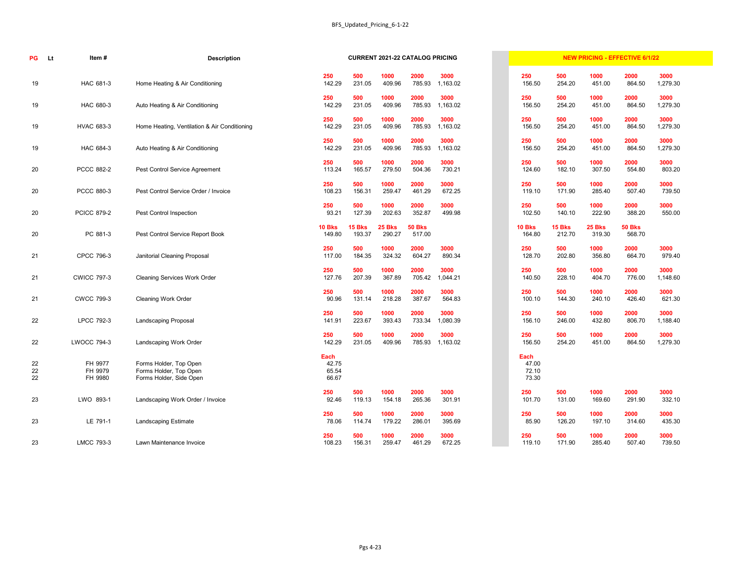| PG             | Item#<br><b>Lt</b>            | <b>Description</b>                                                          |                                 |                  | <b>CURRENT 2021-22 CATALOG PRICING</b> |                         |                  |                                 |                  | <b>NEW PRICING - EFFECTIVE 6/1/22</b> |                         |                  |
|----------------|-------------------------------|-----------------------------------------------------------------------------|---------------------------------|------------------|----------------------------------------|-------------------------|------------------|---------------------------------|------------------|---------------------------------------|-------------------------|------------------|
| 19             | HAC 681-3                     | Home Heating & Air Conditioning                                             | 250<br>142.29                   | 500<br>231.05    | 1000<br>409.96                         | 2000<br>785.93          | 3000<br>1,163.02 | 250<br>156.50                   | 500<br>254.20    | 1000<br>451.00                        | 2000<br>864.50          | 3000<br>1,279.30 |
| 19             | HAC 680-3                     | Auto Heating & Air Conditioning                                             | 250<br>142.29                   | 500<br>231.05    | 1000<br>409.96                         | 2000<br>785.93          | 3000<br>1,163.02 | 250<br>156.50                   | 500<br>254.20    | 1000<br>451.00                        | 2000<br>864.50          | 3000<br>1,279.30 |
| 19             | <b>HVAC 683-3</b>             | Home Heating, Ventilation & Air Conditioning                                | 250<br>142.29                   | 500<br>231.05    | 1000<br>409.96                         | 2000<br>785.93          | 3000<br>1,163.02 | 250<br>156.50                   | 500<br>254.20    | 1000<br>451.00                        | 2000<br>864.50          | 3000<br>1,279.30 |
| 19             | HAC 684-3                     | Auto Heating & Air Conditioning                                             | 250<br>142.29                   | 500<br>231.05    | 1000<br>409.96                         | 2000<br>785.93          | 3000<br>1,163.02 | 250<br>156.50                   | 500<br>254.20    | 1000<br>451.00                        | 2000<br>864.50          | 3000<br>1,279.30 |
| 20             | <b>PCCC 882-2</b>             | Pest Control Service Agreement                                              | 250<br>113.24                   | 500<br>165.57    | 1000<br>279.50                         | 2000<br>504.36          | 3000<br>730.21   | 250<br>124.60                   | 500<br>182.10    | 1000<br>307.50                        | 2000<br>554.80          | 3000<br>803.20   |
| 20             | PCCC 880-3                    | Pest Control Service Order / Invoice                                        | 250<br>108.23                   | 500<br>156.31    | 1000<br>259.47                         | 2000<br>461.29          | 3000<br>672.25   | 250<br>119.10                   | 500<br>171.90    | 1000<br>285.40                        | 2000<br>507.40          | 3000<br>739.50   |
| 20             | <b>PCICC 879-2</b>            | Pest Control Inspection                                                     | 250<br>93.21                    | 500<br>127.39    | 1000<br>202.63                         | 2000<br>352.87          | 3000<br>499.98   | 250<br>102.50                   | 500<br>140.10    | 1000<br>222.90                        | 2000<br>388.20          | 3000<br>550.00   |
| 20             | PC 881-3                      | Pest Control Service Report Book                                            | <b>10 Bks</b><br>149.80         | 15 Bks<br>193.37 | <b>25 Bks</b><br>290.27                | <b>50 Bks</b><br>517.00 |                  | <b>10 Bks</b><br>164.80         | 15 Bks<br>212.70 | 25 Bks<br>319.30                      | <b>50 Bks</b><br>568.70 |                  |
| 21             | CPCC 796-3                    | Janitorial Cleaning Proposal                                                | 250<br>117.00                   | 500<br>184.35    | 1000<br>324.32                         | 2000<br>604.27          | 3000<br>890.34   | 250<br>128.70                   | 500<br>202.80    | 1000<br>356.80                        | 2000<br>664.70          | 3000<br>979.40   |
| 21             | <b>CWICC 797-3</b>            | <b>Cleaning Services Work Order</b>                                         | 250<br>127.76                   | 500<br>207.39    | 1000<br>367.89                         | 2000<br>705.42          | 3000<br>1,044.21 | 250<br>140.50                   | 500<br>228.10    | 1000<br>404.70                        | 2000<br>776.00          | 3000<br>1,148.60 |
| 21             | <b>CWCC 799-3</b>             | <b>Cleaning Work Order</b>                                                  | 250<br>90.96                    | 500<br>131.14    | 1000<br>218.28                         | 2000<br>387.67          | 3000<br>564.83   | 250<br>100.10                   | 500<br>144.30    | 1000<br>240.10                        | 2000<br>426.40          | 3000<br>621.30   |
| 22             | LPCC 792-3                    | <b>Landscaping Proposal</b>                                                 | 250<br>141.91                   | 500<br>223.67    | 1000<br>393.43                         | 2000<br>733.34          | 3000<br>1,080.39 | 250<br>156.10                   | 500<br>246.00    | 1000<br>432.80                        | 2000<br>806.70          | 3000<br>1,188.40 |
| 22             | <b>LWOCC 794-3</b>            | Landscaping Work Order                                                      | 250<br>142.29                   | 500<br>231.05    | 1000<br>409.96                         | 2000<br>785.93          | 3000<br>1,163.02 | 250<br>156.50                   | 500<br>254.20    | 1000<br>451.00                        | 2000<br>864.50          | 3000<br>1,279.30 |
| 22<br>22<br>22 | FH 9977<br>FH 9979<br>FH 9980 | Forms Holder, Top Open<br>Forms Holder, Top Open<br>Forms Holder, Side Open | Each<br>42.75<br>65.54<br>66.67 |                  |                                        |                         |                  | Each<br>47.00<br>72.10<br>73.30 |                  |                                       |                         |                  |
| 23             | LWO 893-1                     | Landscaping Work Order / Invoice                                            | 250<br>92.46                    | 500<br>119.13    | 1000<br>154.18                         | 2000<br>265.36          | 3000<br>301.91   | 250<br>101.70                   | 500<br>131.00    | 1000<br>169.60                        | 2000<br>291.90          | 3000<br>332.10   |
| 23             | LE 791-1                      | <b>Landscaping Estimate</b>                                                 | 250<br>78.06                    | 500<br>114.74    | 1000<br>179.22                         | 2000<br>286.01          | 3000<br>395.69   | 250<br>85.90                    | 500<br>126.20    | 1000<br>197.10                        | 2000<br>314.60          | 3000<br>435.30   |
| 23             | <b>LMCC 793-3</b>             | Lawn Maintenance Invoice                                                    | 250<br>108.23                   | 500<br>156.31    | 1000<br>259.47                         | 2000<br>461.29          | 3000<br>672.25   | 250<br>119.10                   | 500<br>171.90    | 1000<br>285.40                        | 2000<br>507.40          | 3000<br>739.50   |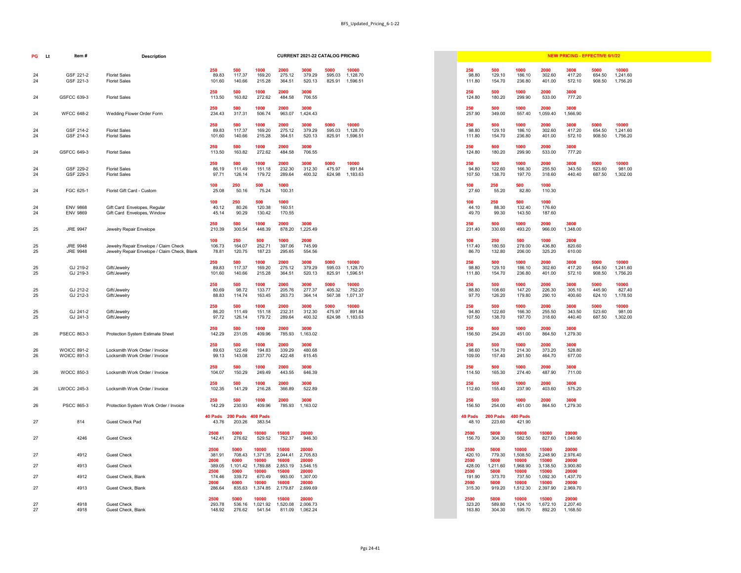|                                                                      |                                                              |                                                                    |                                                                    | <b>CURRENT 2021-22 CATALOG PRICING</b>                                           |                          |                               |  |                                                                      |                                                                        |                                                                                |                                                                                  | <b>NEW PRICING - EFFECTIVE 6/1/22</b>                                            |                          |                               |
|----------------------------------------------------------------------|--------------------------------------------------------------|--------------------------------------------------------------------|--------------------------------------------------------------------|----------------------------------------------------------------------------------|--------------------------|-------------------------------|--|----------------------------------------------------------------------|------------------------------------------------------------------------|--------------------------------------------------------------------------------|----------------------------------------------------------------------------------|----------------------------------------------------------------------------------|--------------------------|-------------------------------|
| 250<br>89.83<br>101.60                                               | 500<br>117.37<br>140.66                                      | 1000<br>169.20<br>215.28                                           | 2000<br>275.12<br>364.51                                           | 3000<br>379.29<br>520.13                                                         | 5000<br>595.03<br>825.91 | 10000<br>1,128.70<br>1,596.51 |  | 250<br>98.80<br>111.80                                               | 500<br>129.10<br>154.70                                                | 1000<br>186.10<br>236.80                                                       | 2000<br>302.60<br>401.00                                                         | 3000<br>417.20<br>572.10                                                         | 5000<br>654.50<br>908.50 | 10000<br>1,241.60<br>1,756.20 |
| 250<br>113.50                                                        | 500<br>163.82                                                | 1000<br>272.62                                                     | 2000<br>484.58                                                     | 3000<br>706.55                                                                   |                          |                               |  | 250<br>124.80                                                        | 500<br>180.20                                                          | 1000<br>299.90                                                                 | 2000<br>533.00                                                                   | 3000<br>777.20                                                                   |                          |                               |
| 250<br>234.43                                                        | 500<br>317.31                                                | 1000<br>506.74                                                     | 2000<br>963.07                                                     | 3000<br>1,424.43                                                                 |                          |                               |  | 250<br>257.90                                                        | 500<br>349.00                                                          | 1000<br>557.40                                                                 | 2000<br>1,059.40                                                                 | 3000<br>1,566.90                                                                 |                          |                               |
| 250<br>89.83<br>101.60                                               | 500<br>117.37<br>140.66                                      | 1000<br>169.20<br>215.28                                           | 2000<br>275.12<br>364.51                                           | 3000<br>379.29<br>520.13                                                         | 5000<br>595.03<br>825.91 | 10000<br>1,128.70<br>1,596.51 |  | 250<br>98.80<br>111.80                                               | 500<br>129.10<br>154.70                                                | 1000<br>186.10<br>236.80                                                       | 2000<br>302.60<br>401.00                                                         | 3000<br>417.20<br>572.10                                                         | 5000<br>654.50<br>908.50 | 10000<br>1,241.60<br>1,756.20 |
| 250<br>113.50                                                        | 500<br>163.82                                                | 1000<br>272.62                                                     | 2000<br>484.58                                                     | 3000<br>706.55                                                                   |                          |                               |  | 250<br>124.80                                                        | 500<br>180.20                                                          | 1000<br>299.90                                                                 | 2000<br>533.00                                                                   | 3000<br>777.20                                                                   |                          |                               |
| 250<br>86.19<br>97.71                                                | 500<br>111.49<br>126.14                                      | 1000<br>151.18<br>179.72                                           | 2000<br>232.30<br>289.64                                           | 3000<br>312.30<br>400.32                                                         | 5000<br>475.97<br>624.98 | 10000<br>891.84<br>1,183.63   |  | 250<br>94.80<br>107.50                                               | 500<br>122.60<br>138.70                                                | 1000<br>166.30<br>197.70                                                       | 2000<br>255.50<br>318.60                                                         | 3000<br>343.50<br>440.40                                                         | 5000<br>523.60<br>687.50 | 10000<br>981.00<br>1,302.00   |
| 100<br>25.08                                                         | 250<br>50.16                                                 | 500<br>75.24                                                       | 1000<br>100.31                                                     |                                                                                  |                          |                               |  | 100<br>27.60                                                         | 250<br>55.20                                                           | 500<br>82.80                                                                   | 1000<br>110.30                                                                   |                                                                                  |                          |                               |
| 100<br>40.12<br>45.14                                                | 250<br>80.26<br>90.29                                        | 500<br>120.38<br>130.42                                            | 1000<br>160.51<br>170.55                                           |                                                                                  |                          |                               |  | 100<br>44.10<br>49.70                                                | 250<br>88.30<br>99.30                                                  | 500<br>132.40<br>143.50                                                        | 1000<br>176.60<br>187.60                                                         |                                                                                  |                          |                               |
| 250<br>210.39                                                        | 500<br>300.54                                                | 1000<br>448.39                                                     | 2000<br>878.20                                                     | 3000<br>1,225.49                                                                 |                          |                               |  | 250<br>231.40                                                        | 500<br>330.60                                                          | 1000<br>493.20                                                                 | 2000<br>966.00                                                                   | 3000<br>1,348.00                                                                 |                          |                               |
| 100<br>106.73<br>78.81                                               | 250<br>164.07<br>120.75                                      | 500<br>252.71<br>187.23                                            | 1000<br>397.06<br>295.65                                           | 2000<br>745.99<br>554.56                                                         |                          |                               |  | 100<br>117.40<br>86.70                                               | 250<br>180.50<br>132.80                                                | 500<br>278.00<br>206.00                                                        | 1000<br>436.80<br>325.20                                                         | 2000<br>820.60<br>610.00                                                         |                          |                               |
| 250<br>89.83<br>101.60                                               | 500<br>117.37<br>140.66                                      | 1000<br>169.20<br>215.28                                           | 2000<br>275.12<br>364.51                                           | 3000<br>379.29<br>520.13                                                         | 5000<br>595.03<br>825.91 | 10000<br>1,128.70<br>1,596.51 |  | 250<br>98.80<br>111.80                                               | 500<br>129.10<br>154.70                                                | 1000<br>186.10<br>236.80                                                       | 2000<br>302.60<br>401.00                                                         | 3000<br>417.20<br>572.10                                                         | 5000<br>654.50<br>908.50 | 10000<br>1,241.60<br>1,756.20 |
| 250<br>80.69<br>88.83                                                | 500<br>98.72<br>114.74                                       | 1000<br>133.77<br>163.45                                           | 2000<br>205.76<br>263.73                                           | 3000<br>277.37<br>364.14                                                         | 5000<br>405.32<br>567.38 | 10000<br>752.20<br>1,071.37   |  | 250<br>88.80<br>97.70                                                | 500<br>108.60<br>126.20                                                | 1000<br>147.20<br>179.80                                                       | 2000<br>226.30<br>290.10                                                         | 3000<br>305.10<br>400.60                                                         | 5000<br>445.90<br>624.10 | 10000<br>827.40<br>1,178.50   |
| 250<br>86.20<br>97.72                                                | 500<br>111.49<br>126.14                                      | 1000<br>151.18<br>179.72                                           | 2000<br>232.31<br>289.64                                           | 3000<br>312.30<br>400.32                                                         | 5000<br>475.97<br>624.98 | 10000<br>891.84<br>1,183.63   |  | 250<br>94.80<br>107.50                                               | 500<br>122.60<br>138.70                                                | 1000<br>166.30<br>197.70                                                       | 2000<br>255.50<br>318.60                                                         | 3000<br>343.50<br>440.40                                                         | 5000<br>523.60<br>687.50 | 10000<br>981.00<br>1,302.00   |
| 250<br>142.29                                                        | 500<br>231.05                                                | 1000<br>409.96                                                     | 2000<br>785.93                                                     | 3000<br>1,163.02                                                                 |                          |                               |  | 250<br>156.50                                                        | 500<br>254.20                                                          | 1000<br>451.00                                                                 | 2000<br>864.50                                                                   | 3000<br>1,279.30                                                                 |                          |                               |
| 250<br>89.63<br>99.13                                                | 500<br>122.49<br>143.08                                      | 1000<br>194.83<br>237.70                                           | 2000<br>339.29<br>422.48                                           | 3000<br>480.68<br>615.45                                                         |                          |                               |  | 250<br>98.60<br>109.00                                               | 500<br>134.70<br>157.40                                                | 1000<br>214.30<br>261.50                                                       | 2000<br>373.20<br>464.70                                                         | 3000<br>528.80<br>677.00                                                         |                          |                               |
| 250<br>104.07                                                        | 500<br>150.29                                                | 1000<br>249.49                                                     | 2000<br>443.55                                                     | 3000<br>646.39                                                                   |                          |                               |  | 250<br>114.50                                                        | 500<br>165.30                                                          | 1000<br>274.40                                                                 | 2000<br>487.90                                                                   | 3000<br>711.00                                                                   |                          |                               |
| 250<br>102.35                                                        | 500<br>141.29                                                | 1000<br>216.28                                                     | 2000<br>366.89                                                     | 3000<br>522.89                                                                   |                          |                               |  | 250<br>112.60                                                        | 500<br>155.40                                                          | 1000<br>237.90                                                                 | 2000<br>403.60                                                                   | 3000<br>575.20                                                                   |                          |                               |
| 250<br>142.29                                                        | 500<br>230.93                                                | 1000<br>409.96                                                     | 2000<br>785.93                                                     | 3000<br>1,163.02                                                                 |                          |                               |  | 250<br>156.50                                                        | 500<br>254.00                                                          | 1000<br>451.00                                                                 | 2000<br>864.50                                                                   | 3000<br>1,279.30                                                                 |                          |                               |
| 43.76                                                                | Pads 200 Pads 400 Pads<br>203.26                             | 383.54                                                             |                                                                    |                                                                                  |                          |                               |  | 40 Pads<br>48.10                                                     | 200 Pads<br>223.60                                                     | 400 Pads<br>421.90                                                             |                                                                                  |                                                                                  |                          |                               |
| 2500<br>142.41                                                       | 5000<br>276.62                                               | 10000<br>529.52                                                    | 15000<br>752.37                                                    | 20000<br>946.30                                                                  |                          |                               |  | 2500<br>156.70                                                       | 5000<br>304.30                                                         | 10000<br>582.50                                                                | 15000<br>827.60                                                                  | 20000<br>1,040.90                                                                |                          |                               |
| 2500<br>381.91<br>2000<br>389.05<br>2500<br>174.46<br>2000<br>286.64 | 5000<br>6000<br>1,101.42<br>5000<br>339.72<br>6000<br>835.63 | 10000<br>10000<br>1,789.88<br>10000<br>670.49<br>10000<br>1,374.85 | 15000<br>16000<br>2,853.19<br>15000<br>993.00<br>16000<br>2,179.87 | 20000<br>2,705.83<br>20000<br>3,546.15<br>20000<br>1,307.00<br>20000<br>2,699.69 |                          |                               |  | 2500<br>420.10<br>2500<br>428.00<br>2500<br>191.90<br>2500<br>315.30 | 5000<br>779.30<br>5000<br>1,211.60<br>5000<br>373.70<br>5000<br>919.20 | 10000<br>1,508.50<br>10000<br>1,968.90<br>10000<br>737.50<br>10000<br>1,512.30 | 15000<br>2,248.90<br>15000<br>3,138.50<br>15000<br>1,092.30<br>15000<br>2,397.90 | 20000<br>2,976.40<br>20000<br>3,900.80<br>20000<br>1,437.70<br>20000<br>2,969.70 |                          |                               |
| 2500<br>293.78<br>148.92                                             | 5000<br>536.16<br>276.62                                     | 10000<br>1,021.92<br>541.54                                        | 15000<br>1,520.08<br>811.09                                        | 20000<br>2,006.73<br>1,062.24                                                    |                          |                               |  | 2500<br>323.20<br>163.80                                             | 5000<br>589.80<br>304.30                                               | 10000<br>1,124.10<br>595.70                                                    | 15000<br>1,672.10<br>892.20                                                      | 20000<br>2,207.40<br>1,168.50                                                    |                          |                               |

| PG       | <b>Lt</b><br>Item#                       | <b>Description</b>                                                                    |                        |                         |                            |                            | <b>CURRENT 2021-22 CATALOG PRICING</b> |                          |                               |  |                        |                         |                            |                            | <b>NEW PRICING - EFFECTIVE 6/1/22</b> |                          |                               |
|----------|------------------------------------------|---------------------------------------------------------------------------------------|------------------------|-------------------------|----------------------------|----------------------------|----------------------------------------|--------------------------|-------------------------------|--|------------------------|-------------------------|----------------------------|----------------------------|---------------------------------------|--------------------------|-------------------------------|
|          |                                          |                                                                                       | 250                    | 500                     | 1000                       | 2000                       | 3000                                   | 5000                     | 10000                         |  | 250                    | 500                     | 1000                       | 2000                       | 3000                                  | 5000                     | 10000                         |
| 24<br>24 | GSF 221-2<br>GSF 221-3                   | <b>Florist Sales</b><br><b>Florist Sales</b>                                          | 89.83<br>101.60        | 117.37<br>140.66        | 169.20<br>215.28           | 275.12<br>364.51           | 379.29<br>520.13                       | 595.03<br>825.91         | 1,128.70<br>1,596.51          |  | 98.80<br>111.80        | 129.10<br>154.70        | 186.10<br>236.80           | 302.60<br>401.00           | 417.20<br>572.10                      | 654.50<br>908.50         | 1,241.60<br>1,756.20          |
| 24       | GSFCC 639-3                              | <b>Florist Sales</b>                                                                  | 250<br>113.50          | 500<br>163.82           | 1000<br>272.62             | 2000<br>484.58             | 3000<br>706.55                         |                          |                               |  | 250<br>124.80          | 500<br>180.20           | 1000<br>299.90             | 2000<br>533.00             | 3000<br>777.20                        |                          |                               |
| 24       | <b>WFCC 648-2</b>                        | Wedding Flower Order Form                                                             | 250<br>234.43          | 500<br>317.31           | 1000<br>506.74             | 2000<br>963.07             | 3000<br>1,424.43                       |                          |                               |  | 250<br>257.90          | 500<br>349.00           | 1000<br>557.40             | 2000<br>1,059.40           | 3000<br>1,566.90                      |                          |                               |
| 24<br>24 | GSF 214-2<br>GSF 214-3                   | <b>Florist Sales</b><br><b>Florist Sales</b>                                          | 250<br>89.83<br>101.60 | 500<br>117.37<br>140.66 | 1000<br>169.20<br>215.28   | 2000<br>275.12<br>364.51   | 3000<br>379.29<br>520.13               | 5000<br>595.03<br>825.91 | 10000<br>1,128.70<br>1,596.51 |  | 250<br>98.80<br>111.80 | 500<br>129.10<br>154.70 | 1000<br>186.10<br>236.80   | 2000<br>302.60<br>401.00   | 3000<br>417.20<br>572.10              | 5000<br>654.50<br>908.50 | 10000<br>1,241.60<br>1,756.20 |
| 24       | GSFCC 649-3                              | <b>Florist Sales</b>                                                                  | 250<br>113.50          | 500<br>163.82           | 1000<br>272.62             | 2000<br>484.58             | 3000<br>706.55                         |                          |                               |  | 250<br>124.80          | 500<br>180.20           | 1000<br>299.90             | 2000<br>533.00             | 3000<br>777.20                        |                          |                               |
| 24<br>24 | GSF 229-2<br>GSF 229-3                   | <b>Florist Sales</b><br><b>Florist Sales</b>                                          | 250<br>86.19<br>97.71  | 500<br>111.49<br>126.14 | 1000<br>151.18<br>179.72   | 2000<br>232.30<br>289.64   | 3000<br>312.30<br>400.32               | 5000<br>475.97<br>624.98 | 10000<br>891.84<br>1,183.63   |  | 250<br>94.80<br>107.50 | 500<br>122.60<br>138.70 | 1000<br>166.30<br>197.70   | 2000<br>255.50<br>318.60   | 3000<br>343.50<br>440.40              | 5000<br>523.60<br>687.50 | 10000<br>981.00<br>1,302.00   |
| 24       | FGC 625-1                                | Florist Gift Card - Custom                                                            | 100<br>25.08           | 250<br>50.16            | 500<br>75.24               | 1000<br>100.31             |                                        |                          |                               |  | 100<br>27.60           | 250<br>55.20            | 500<br>82.80               | 1000<br>110.30             |                                       |                          |                               |
| 24       | <b>ENV 9868</b>                          | Gift Card Envelopes, Regular                                                          | 100<br>40.12           | 250<br>80.26            | 500<br>120.38              | 1000<br>160.51             |                                        |                          |                               |  | 100<br>44.10           | 250<br>88.30            | 500<br>132.40              | 1000<br>176.60             |                                       |                          |                               |
| 24       | <b>ENV 9869</b>                          | Gift Card Envelopes, Window                                                           | 45.14<br>250           | 90.29<br>500            | 130.42<br>1000             | 170.55<br>2000             | 3000                                   |                          |                               |  | 49.70<br>250           | 99.30<br>500            | 143.50<br>1000             | 187.60<br>2000             | 3000                                  |                          |                               |
| 25       | <b>JRE 9947</b>                          | Jewelry Repair Envelope                                                               | 210.39<br>100          | 300.54<br>250           | 448.39<br>500              | 878.20<br>1000             | 1,225.49<br>2000                       |                          |                               |  | 231.40<br>100          | 330.60<br>250           | 493.20<br>500              | 966.00<br>1000             | 1,348.00<br>2000                      |                          |                               |
| 25<br>25 | <b>JRE 9948</b><br><b>JRE 9948</b>       | Jewelry Repair Envelope / Claim Check<br>Jewelry Repair Envelope / Claim Check, Blank | 106.73<br>78.81        | 164.07<br>120.75        | 252.71<br>187.23           | 397.06<br>295.65           | 745.99<br>554.56                       |                          |                               |  | 117.40<br>86.70        | 180.50<br>132.80        | 278.00<br>206.00           | 436.80<br>325.20           | 820.60<br>610.00                      |                          |                               |
| 25<br>25 | GJ 219-2<br>GJ 219-3                     | Gift/Jewelry<br>Gift/Jewelry                                                          | 250<br>89.83<br>101.60 | 500<br>117.37<br>140.66 | 1000<br>169.20<br>215.28   | 2000<br>275.12<br>364.51   | 3000<br>379.29<br>520.13               | 5000<br>595.03<br>825.91 | 10000<br>1,128.70<br>1,596.51 |  | 250<br>98.80<br>111.80 | 500<br>129.10<br>154.70 | 1000<br>186.10<br>236.80   | 2000<br>302.60<br>401.00   | 3000<br>417.20<br>572.10              | 5000<br>654.50<br>908.50 | 10000<br>1,241.60<br>1,756.20 |
| 25<br>25 | GJ 212-2<br>GJ 212-3                     | Gift/Jewelry<br>Gift/Jewelry                                                          | 250<br>80.69<br>88.83  | 500<br>98.72<br>114.74  | 1000<br>133.77<br>163.45   | 2000<br>205.76<br>263.73   | 3000<br>277.37<br>364.14               | 5000<br>405.32<br>567.38 | 10000<br>752.20<br>1,071.37   |  | 250<br>88.80<br>97.70  | 500<br>108.60<br>126.20 | 1000<br>147.20<br>179.80   | 2000<br>226.30<br>290.10   | 3000<br>305.10<br>400.60              | 5000<br>445.90<br>624.10 | 10000<br>827.40<br>1,178.50   |
| 25<br>25 | GJ 241-2<br>GJ 241-3                     | Gift/Jewelry<br>Gift/Jewelry                                                          | 250<br>86.20<br>97.72  | 500<br>111.49<br>126.14 | 1000<br>151.18<br>179.72   | 2000<br>232.31<br>289.64   | 3000<br>312.30<br>400.32               | 5000<br>475.97<br>624.98 | 10000<br>891.84<br>1,183.63   |  | 250<br>94.80<br>107.50 | 500<br>122.60<br>138.70 | 1000<br>166.30<br>197.70   | 2000<br>255.50<br>318.60   | 3000<br>343.50<br>440.40              | 5000<br>523.60<br>687.50 | 10000<br>981.00<br>1,302.00   |
| 26       | <b>PSECC 863-3</b>                       | <b>Protection System Estimate Sheet</b>                                               | 250<br>142.29          | 500<br>231.05           | 1000<br>409.96             | 2000<br>785.93             | 3000<br>1,163.02                       |                          |                               |  | 250<br>156.50          | 500<br>254.20           | 1000<br>451.00             | 2000<br>864.50             | 3000<br>1,279.30                      |                          |                               |
| 26<br>26 | <b>WOICC 891-2</b><br><b>WOICC 891-3</b> | Locksmith Work Order / Invoice<br>Locksmith Work Order / Invoice                      | 250<br>89.63<br>99.13  | 500<br>122.49<br>143.08 | 1000<br>194.83<br>237.70   | 2000<br>339.29<br>422.48   | 3000<br>480.68<br>615.45               |                          |                               |  | 250<br>98.60<br>109.00 | 500<br>134.70<br>157.40 | 1000<br>214.30<br>261.50   | 2000<br>373.20<br>464.70   | 3000<br>528.80<br>677.00              |                          |                               |
| 26       | <b>WOCC 850-3</b>                        | Locksmith Work Order / Invoice                                                        | 250<br>104.07          | 500<br>150.29           | 1000<br>249.49             | 2000<br>443.55             | 3000<br>646.39                         |                          |                               |  | 250<br>114.50          | 500<br>165.30           | 1000<br>274.40             | 2000<br>487.90             | 3000<br>711.00                        |                          |                               |
| 26       | <b>LWOCC 245-3</b>                       | Locksmith Work Order / Invoice                                                        | 250<br>102.35          | 500<br>141.29           | 1000<br>216.28             | 2000<br>366.89             | 3000<br>522.89                         |                          |                               |  | 250<br>112.60          | 500<br>155.40           | 1000<br>237.90             | 2000<br>403.60             | 3000<br>575.20                        |                          |                               |
| 26       | <b>PSCC 865-3</b>                        | Protection System Work Order / Invoice                                                | 250<br>142.29          | 500<br>230.93           | 1000<br>409.96             | 2000<br>785.93             | 3000<br>1,163.02                       |                          |                               |  | 250<br>156.50          | 500<br>254.00           | 1000<br>451.00             | 2000<br>864.50             | 3000<br>1,279.30                      |                          |                               |
| 27       | 814                                      | <b>Guest Check Pad</b>                                                                | 40 Pads<br>43.76       | 200 Pads<br>203.26      | 400 Pads<br>383.54         |                            |                                        |                          |                               |  | 40 Pads<br>48.10       | 200 Pads<br>223.60      | 400 Pads<br>421.90         |                            |                                       |                          |                               |
| 27       | 4246                                     | <b>Guest Check</b>                                                                    | 2500<br>142.41         | 5000<br>276.62          | 10000<br>529.52            | 15000<br>752.37            | 20000<br>946.30                        |                          |                               |  | 2500<br>156.70         | 5000<br>304.30          | 10000<br>582.50            | 15000<br>827.60            | 20000<br>1,040.90                     |                          |                               |
| 27       | 4912                                     | <b>Guest Check</b>                                                                    | 2500<br>381.91<br>2000 | 5000<br>708.43<br>6000  | 10000<br>1,371.35<br>10000 | 15000<br>2,044.41<br>16000 | 20000<br>2,705.83<br>20000             |                          |                               |  | 2500<br>420.10<br>2500 | 5000<br>779.30<br>5000  | 10000<br>1,508.50<br>10000 | 15000<br>2,248.90<br>15000 | 20000<br>2,976.40<br>20000            |                          |                               |
| 27       | 4913                                     | <b>Guest Check</b>                                                                    | 389.05<br>2500         | 1,101.42<br>5000        | 1,789.88<br>10000          | 2,853.19<br>15000          | 3,546.15<br>20000                      |                          |                               |  | 428.00<br>2500         | 1,211.60<br>5000        | 1,968.90<br>10000          | 3,138.50<br>15000          | 3,900.80<br>20000                     |                          |                               |
| 27       | 4912                                     | Guest Check, Blank                                                                    | 174.46<br>2000         | 339.72<br>6000          | 670.49<br>10000            | 993.00<br>16000            | 1,307.00<br>20000                      |                          |                               |  | 191.90<br>2500         | 373.70<br>5000          | 737.50<br>10000            | 1,092.30<br>15000          | 1,437.70<br>20000                     |                          |                               |
| 27       | 4913                                     | Guest Check, Blank                                                                    | 286.64                 | 835.63                  | 1,374.85                   | 2,179.87                   | 2,699.69                               |                          |                               |  | 315.30                 | 919.20                  | 1,512.30                   | 2,397.90                   | 2,969.70                              |                          |                               |
|          |                                          |                                                                                       | 2500                   | 5000                    | 10000                      | 15000                      | 20000                                  |                          |                               |  | 2500                   | 5000                    | 10000                      | 15000                      | 20000                                 |                          |                               |
| 27<br>27 | 4918<br>4918                             | <b>Guest Check</b><br>Guest Check, Blank                                              | 293.78<br>148.92       | 536.16<br>276.62        | 1,021.92<br>541.54         | 1,520.08                   | 2,006.73<br>811.09 1,062.24            |                          |                               |  | 323.20<br>163.80       | 589.80<br>304.30        | 1,124.10<br>595.70         | 1,672.10<br>892.20         | 2,207.40<br>1,168.50                  |                          |                               |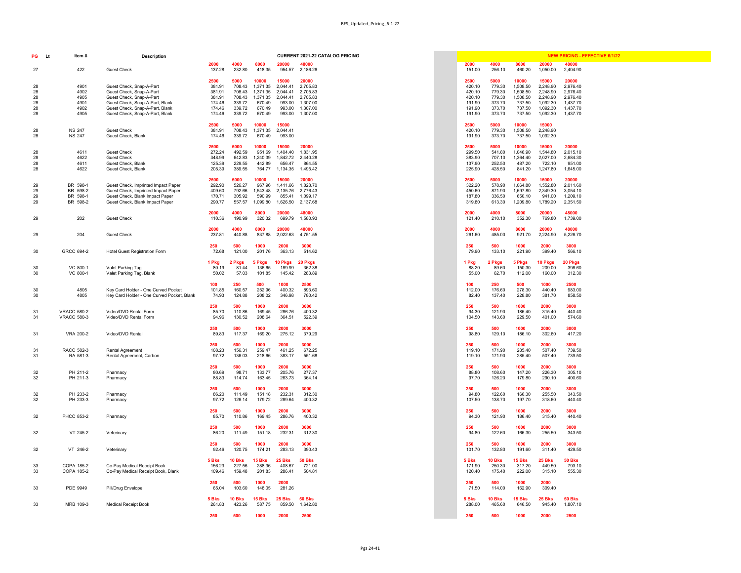| PG                               | <b>Lt</b><br>Item#                           | <b>Description</b>                                                                                                                                                                        | <b>CURRENT 2021-22 CATALOG PRICING</b>                                                                                                                                                                                                                                                                                                                                      |                                                                  |                                                                  |                                                                         |                                                                               | <b>NEW PRICING - EFFECTIVE 6/1/22</b>                                         |
|----------------------------------|----------------------------------------------|-------------------------------------------------------------------------------------------------------------------------------------------------------------------------------------------|-----------------------------------------------------------------------------------------------------------------------------------------------------------------------------------------------------------------------------------------------------------------------------------------------------------------------------------------------------------------------------|------------------------------------------------------------------|------------------------------------------------------------------|-------------------------------------------------------------------------|-------------------------------------------------------------------------------|-------------------------------------------------------------------------------|
| 27                               | 422                                          | <b>Guest Check</b>                                                                                                                                                                        | 4000<br>48000<br>2000<br>8000<br>20000<br>232.80<br>137.28<br>418.35<br>954.57<br>2,186.26                                                                                                                                                                                                                                                                                  | 2000<br>151.00                                                   | 4000<br>256.10                                                   | 8000<br>460.20                                                          | 20000<br>1,050.00                                                             | 48000<br>2,404.90                                                             |
| 28<br>28<br>28<br>28<br>28<br>28 | 4901<br>4902<br>4905<br>4901<br>4902<br>4905 | Guest Check, Snap-A-Part<br>Guest Check, Snap-A-Part<br>Guest Check, Snap-A-Part<br>Guest Check, Snap-A-Part, Blank<br>Guest Check, Snap-A-Part, Blank<br>Guest Check, Snap-A-Part, Blank | 5000<br>10000<br>15000<br>20000<br>2500<br>708.43<br>1,371.35<br>2,044.41<br>2,705.83<br>381.91<br>1,371.35<br>2,705.83<br>381.91<br>708.43<br>2,044.41<br>1,371.35<br>2,705.83<br>381.91<br>708.43<br>2,044.41<br>670.49<br>1,307.00<br>174.46<br>339.72<br>993.00<br>1,307.00<br>339.72<br>670.49<br>993.00<br>174.46<br>339.72<br>670.49<br>1,307.00<br>174.46<br>993.00 | 2500<br>420.10<br>420.10<br>420.10<br>191.90<br>191.90<br>191.90 | 5000<br>779.30<br>779.30<br>779.30<br>373.70<br>373.70<br>373.70 | 10000<br>1,508.50<br>1,508.50<br>1,508.50<br>737.50<br>737.50<br>737.50 | 15000<br>2,248.90<br>2,248.90<br>2,248.90<br>1,092.30<br>1,092.30<br>1,092.30 | 20000<br>2,976.40<br>2,976.40<br>2,976.40<br>1,437.70<br>1,437.70<br>1,437.70 |
| 28<br>28                         | <b>NS 247</b><br><b>NS 247</b>               | <b>Guest Check</b><br><b>Guest Check, Blank</b>                                                                                                                                           | 2500<br>10000<br>15000<br>5000<br>708.43<br>1,371.35<br>2,044.41<br>381.91<br>174.46<br>339.72<br>670.49<br>993.00                                                                                                                                                                                                                                                          | 2500<br>420.10<br>191.90                                         | 5000<br>779.30<br>373.70                                         | 10000<br>1,508.50<br>737.50                                             | 15000<br>2,248.90<br>1,092.30                                                 |                                                                               |
| 28<br>28<br>28<br>28             | 4611<br>4622<br>4611<br>4622                 | <b>Guest Check</b><br><b>Guest Check</b><br>Guest Check, Blank<br>Guest Check, Blank                                                                                                      | 20000<br>5000<br>15000<br>2500<br>10000<br>492.59<br>272.24<br>951.69<br>1,404.40<br>1,831.95<br>642.83<br>348.99<br>1,240.39<br>1,842.72<br>2,440.28<br>229.55<br>442.89<br>656.47<br>864.55<br>125.39<br>389.55<br>205.39<br>764.77<br>1,134.35<br>1,495.42                                                                                                               | 2500<br>299.50<br>383.90<br>137.90<br>225.90                     | 5000<br>541.80<br>707.10<br>252.50<br>428.50                     | 10000<br>1,046.90<br>1,364.40<br>487.20<br>841.20                       | 15000<br>1,544.80<br>2,027.00<br>722.10<br>1,247.80                           | 20000<br>2,015.10<br>2,684.30<br>951.00<br>1,645.00                           |
| 29<br>29<br>29<br>29             | BR 598-1<br>BR 598-2<br>BR 598-1<br>BR 598-2 | Guest Check, Imprinted Impact Paper<br>Guest Check, Imprinted Impact Paper<br>Guest Check, Blank Impact Paper<br>Guest Check, Blank Impact Paper                                          | 2500<br>5000<br>15000<br>20000<br>10000<br>526.27<br>292.90<br>967.96<br>1,828.70<br>1,411.66<br>792.66<br>409.60<br>,543.48<br>2,135.76<br>2,776.43<br>170.71<br>305.92<br>590.99<br>855.41<br>1,099.17<br>290.77<br>557.57<br>1,626.50<br>2,137.68<br>1,099.80                                                                                                            | 2500<br>322.20<br>450.60<br>187.80<br>319.80                     | 5000<br>578.90<br>871.90<br>336.50<br>613.30                     | 10000<br>1,064.80<br>1,697.80<br>650.10<br>1,209.80                     | 15000<br>1,552.80<br>2,349.30<br>941.00<br>1,789.20                           | 20000<br>2,011.60<br>3,054.10<br>1,209.10<br>2,351.50                         |
| 29                               | 202                                          | <b>Guest Check</b>                                                                                                                                                                        | 2000<br>4000<br>20000<br>48000<br>8000<br>190.99<br>110.36<br>320.32<br>699.79<br>1,580.93                                                                                                                                                                                                                                                                                  | 2000<br>121.40                                                   | 4000<br>210.10                                                   | 8000<br>352.30                                                          | 20000<br>769.80                                                               | 48000<br>1,739.00                                                             |
| 29                               | 204                                          | <b>Guest Check</b>                                                                                                                                                                        | 20000<br>48000<br>2000<br>4000<br>8000<br>237.81<br>440.88<br>4,751.55<br>837.88<br>2,022.63                                                                                                                                                                                                                                                                                | 2000<br>261.60                                                   | 4000<br>485.00                                                   | 8000<br>921.70                                                          | 20000<br>2,224.90                                                             | 48000<br>5,226.70                                                             |
| 30                               | GRCC 694-2                                   | <b>Hotel Guest Registration Form</b>                                                                                                                                                      | 3000<br>250<br>500<br>2000<br>1000<br>121.00<br>201.76<br>363.13<br>514.62<br>72.68                                                                                                                                                                                                                                                                                         | 250<br>79.90                                                     | 500<br>133.10                                                    | 1000<br>221.90                                                          | 2000<br>399.40                                                                | 3000<br>566.10                                                                |
| 30<br>30                         | VC 800-1<br>VC 800-1                         | Valet Parking Tag<br>Valet Parking Tag, Blank                                                                                                                                             | 5 Pkgs<br>20 Pkgs<br>2 Pkgs<br><b>10 Pkgs</b><br>1 Pkg<br>362.38<br>80.19<br>81.44<br>136.65<br>189.99<br>57.03<br>283.89<br>50.02<br>101.85<br>145.42                                                                                                                                                                                                                      | 1 Pkg<br>88.20<br>55.00                                          | 2 Pkgs<br>89.60<br>62.70                                         | 5 Pkgs<br>150.30<br>112.00                                              | 10 Pkgs<br>209.00<br>160.00                                                   | 20 Pkgs<br>398.60<br>312.30                                                   |
| 30<br>30                         | 4805<br>4805                                 | Key Card Holder - One Curved Pocket<br>Key Card Holder - One Curved Pocket, Blank                                                                                                         | 2500<br>250<br>500<br>1000<br>100<br>160.57<br>252.96<br>893.60<br>101.85<br>400.32<br>124.88<br>208.02<br>346.98<br>780.42<br>74.93                                                                                                                                                                                                                                        | 100<br>112.00<br>82.40                                           | 250<br>176.60<br>137.40                                          | 500<br>278.30<br>228.80                                                 | 1000<br>440.40<br>381.70                                                      | 2500<br>983.00<br>858.50                                                      |
| 31<br>31                         | <b>VRACC 580-2</b><br><b>VRACC 580-3</b>     | Video/DVD Rental Form<br>Video/DVD Rental Form                                                                                                                                            | 3000<br>250<br>500<br>1000<br>2000<br>169.45<br>286.76<br>400.32<br>85.70<br>110.86<br>130.52<br>208.64<br>364.51<br>522.39<br>94.96                                                                                                                                                                                                                                        | 250<br>94.30<br>104.50                                           | 500<br>121.90<br>143.60                                          | 1000<br>186.40<br>229.50                                                | 2000<br>315.40<br>401.00                                                      | 3000<br>440.40<br>574.60                                                      |
| 31                               | <b>VRA 200-2</b>                             | Video/DVD Rental                                                                                                                                                                          | 3000<br>500<br>1000<br>2000<br>250<br>117.37<br>169.20<br>275.12<br>89.83<br>379.29                                                                                                                                                                                                                                                                                         | 250<br>98.80                                                     | 500<br>129.10                                                    | 1000<br>186.10                                                          | 2000<br>302.60                                                                | 3000<br>417.20                                                                |
| -31<br>31                        | RACC 582-3<br>RA 581-3                       | <b>Rental Agreement</b><br>Rental Agreement, Carbon                                                                                                                                       | 500<br>1000<br>2000<br>3000<br>250<br>156.31<br>259.47<br>672.25<br>108.23<br>461.25<br>97.72<br>136.03<br>218.66<br>383.17<br>551.68                                                                                                                                                                                                                                       | 250<br>119.10<br>119.10                                          | 500<br>171.90<br>171.90                                          | 1000<br>285.40<br>285.40                                                | 2000<br>507.40<br>507.40                                                      | 3000<br>739.50<br>739.50                                                      |
| 32<br>32                         | PH 211-2<br>PH 211-3                         | Pharmacy<br>Pharmacy                                                                                                                                                                      | 2000<br>3000<br>250<br>500<br>1000<br>80.69<br>98.71<br>133.77<br>205.76<br>277.37<br>114.74<br>163.45<br>263.73<br>364.14<br>88.83                                                                                                                                                                                                                                         | 250<br>88.80<br>97.70                                            | 500<br>108.60<br>126.20                                          | 1000<br>147.20<br>179.80                                                | 2000<br>226.30<br>290.10                                                      | 3000<br>305.10<br>400.60                                                      |
| 32<br>32                         | PH 233-2<br>PH 233-3                         | Pharmacy<br>Pharmacy                                                                                                                                                                      | 250<br>500<br>2000<br>3000<br>1000<br>232.31<br>86.20<br>111.49<br>151.18<br>312.30<br>126.14<br>179.72<br>289.64<br>400.32<br>97.72                                                                                                                                                                                                                                        | 250<br>94.80<br>107.50                                           | 500<br>122.60<br>138.70                                          | 1000<br>166.30<br>197.70                                                | 2000<br>255.50<br>318.60                                                      | 3000<br>343.50<br>440.40                                                      |
| 32                               | <b>PHCC 853-2</b>                            | Pharmacy                                                                                                                                                                                  | 3000<br>250<br>500<br>1000<br>2000<br>110.86<br>169.45<br>85.70<br>286.76<br>400.32                                                                                                                                                                                                                                                                                         | 250<br>94.30                                                     | 500<br>121.90                                                    | 1000<br>186.40                                                          | 2000<br>315.40                                                                | 3000<br>440.40                                                                |
| 32                               | VT 245-2                                     | Veterinary                                                                                                                                                                                | 3000<br>250<br>500<br>1000<br>2000<br>232.31<br>86.20<br>111.49<br>151.18<br>312.30                                                                                                                                                                                                                                                                                         | 250<br>94.80                                                     | 500<br>122.60                                                    | 1000<br>166.30                                                          | 2000<br>255.50                                                                | 3000<br>343.50                                                                |
| 32                               | VT 246-2                                     | Veterinary                                                                                                                                                                                | 2000<br>3000<br>250<br>500<br>1000<br>120.75<br>174.21<br>283.13<br>390.43<br>92.46                                                                                                                                                                                                                                                                                         | 250<br>101.70                                                    | 500<br>132.80                                                    | 1000<br>191.60                                                          | 2000<br>311.40                                                                | 3000<br>429.50                                                                |
| 33<br>33                         | COPA 185-2<br>COPA 185-2                     | Co-Pay Medical Receipt Book<br>Co-Pay Medical Receipt Book, Blank                                                                                                                         | <b>50 Bks</b><br>5 Bks<br><b>10 Bks</b><br><b>15 Bks</b><br>25 Bks<br>227.56<br>288.36<br>408.67<br>156.23<br>721.00<br>159.48<br>201.83<br>286.41<br>109.46<br>504.81                                                                                                                                                                                                      | 5 Bks<br>171.90<br>120.40                                        | <b>10 Bks</b><br>250.30<br>175.40                                | <b>15 Bks</b><br>317.20<br>222.00                                       | <b>25 Bks</b><br>449.50<br>315.10                                             | <b>50 Bks</b><br>793.10<br>555.30                                             |
| 33                               | PDE 9949                                     | Pill/Drug Envelope                                                                                                                                                                        | 2000<br>250<br>500<br>1000<br>65.04<br>103.60<br>148.05<br>281.26                                                                                                                                                                                                                                                                                                           | 250<br>71.50                                                     | 500<br>114.00                                                    | 1000<br>162.90                                                          | 2000<br>309.40                                                                |                                                                               |
| 33                               | MRB 109-3                                    | <b>Medical Receipt Book</b>                                                                                                                                                               | <b>50 Bks</b><br>5 Bks<br><b>10 Bks</b><br><b>15 Bks</b><br><b>25 Bks</b><br>423.26<br>261.83<br>587.75<br>859.50<br>1,642.80                                                                                                                                                                                                                                               | 5 Bks<br>288.00                                                  | <b>10 Bks</b><br>465.60                                          | <b>15 Bks</b><br>646.50                                                 | <b>25 Bks</b><br>945.40                                                       | <b>50 Bks</b><br>1,807.10                                                     |
|                                  |                                              |                                                                                                                                                                                           | 500<br>2500<br>1000<br>2000<br>250                                                                                                                                                                                                                                                                                                                                          | 250                                                              | 500                                                              | 1000                                                                    | 2000                                                                          | 2500                                                                          |

|          | .w.                                      | יוטוויטטע                                                                  |                  |                  |                   |                      |                      |  |                  |                  |                      |                      |                      |
|----------|------------------------------------------|----------------------------------------------------------------------------|------------------|------------------|-------------------|----------------------|----------------------|--|------------------|------------------|----------------------|----------------------|----------------------|
| 27       | 422                                      | <b>Guest Check</b>                                                         | 2000<br>137.28   | 4000<br>232.80   | 8000<br>418.35    | 20000<br>954.57      | 48000<br>2,186.26    |  | 2000<br>151.00   | 4000<br>256.10   | 8000<br>460.20       | 20000<br>1,050.00    | 48000<br>2,404.90    |
|          |                                          |                                                                            | 2500             | 5000             | 10000             | 15000                | 20000                |  | 2500             | 5000             | 10000                | 15000                | 20000                |
| 28       | 4901                                     | Guest Check, Snap-A-Part                                                   | 381.91           | 708.43           | 1,371.35          | 2,044.41             | 2,705.83             |  | 420.10           | 779.30           | 1,508.50             | 2,248.90             | 2,976.40             |
| 28       | 4902                                     | Guest Check, Snap-A-Part                                                   | 381.91           | 708.43           | 1,371.35          | 2,044.41             | 2,705.83             |  | 420.10           | 779.30           | 1,508.50             | 2,248.90             | 2,976.40             |
| 28       | 4905                                     | Guest Check, Snap-A-Part                                                   | 381.91           | 708.43           | 1,371.35          | 2,044.41             | 2,705.83             |  | 420.10           | 779.30           | 1,508.50             | 2,248.90             | 2,976.40             |
| 28       | 4901                                     | Guest Check, Snap-A-Part, Blank                                            | 174.46           | 339.72           | 670.49            | 993.00               | 1,307.00             |  | 191.90           | 373.70           | 737.50               | 1,092.30             | 1,437.70             |
| 28       | 4902                                     | Guest Check, Snap-A-Part, Blank                                            | 174.46           | 339.72           | 670.49            | 993.00               | 1,307.00             |  | 191.90           | 373.70           | 737.50               | 1,092.30             | 1,437.70             |
| 28       | 4905                                     | Guest Check, Snap-A-Part, Blank                                            | 174.46           | 339.72           | 670.49            | 993.00               | 1,307.00             |  | 191.90           | 373.70           | 737.50               | 1,092.30             | 1,437.70             |
| 28       | <b>NS 247</b>                            | <b>Guest Check</b>                                                         | 2500<br>381.91   | 5000<br>708.43   | 10000<br>1,371.35 | 15000<br>2,044.41    |                      |  | 2500<br>420.10   | 5000<br>779.30   | 10000<br>1,508.50    | 15000<br>2,248.90    |                      |
| 28       | <b>NS 247</b>                            | <b>Guest Check, Blank</b>                                                  | 174.46           | 339.72           | 670.49            | 993.00               |                      |  | 191.90           | 373.70           | 737.50               | 1,092.30             |                      |
|          |                                          |                                                                            | 2500             | 5000             | 10000             | 15000                | 20000                |  | 2500             | 5000             | 10000                | 15000                | 20000                |
| 28       | 4611                                     | <b>Guest Check</b>                                                         | 272.24           | 492.59           | 951.69            | 1,404.40             | 1,831.95             |  | 299.50           | 541.80           | 1,046.90             | 1,544.80             | 2,015.10             |
| 28       | 4622                                     | <b>Guest Check</b>                                                         | 348.99           | 642.83           | ,240.39           | 1,842.72             | 2,440.28             |  | 383.90           | 707.10           | 1,364.40             | 2,027.00             | 2,684.30             |
| 28       | 4611                                     | <b>Guest Check, Blank</b>                                                  | 125.39           | 229.55           | 442.89            | 656.47               | 864.55               |  | 137.90           | 252.50           | 487.20               | 722.10               | 951.00               |
| 28       | 4622                                     | <b>Guest Check, Blank</b>                                                  | 205.39           | 389.55           | 764.77            | 1,134.35             | 1,495.42             |  | 225.90           | 428.50           | 841.20               | 1,247.80             | 1,645.00             |
|          |                                          |                                                                            | 2500             | 5000             | 10000             | 15000                | 20000                |  | 2500             | 5000             | 10000                | 15000                | 20000                |
| 29       | BR 598-1<br>BR 598-2                     | Guest Check, Imprinted Impact Paper<br>Guest Check, Imprinted Impact Paper | 292.90           | 526.27<br>792.66 | 967.96<br>543.48  | 1,411.66<br>2,135.76 | 1,828.70<br>2,776.43 |  | 322.20<br>450.60 | 578.90<br>871.90 | 1,064.80<br>1,697.80 | 1,552.80<br>2,349.30 | 2,011.60<br>3,054.10 |
| 29<br>29 | BR 598-1                                 | Guest Check, Blank Impact Paper                                            | 409.60<br>170.71 | 305.92           | 590.99            | 855.41               | 1,099.17             |  | 187.80           | 336.50           | 650.10               | 941.00               | 1,209.10             |
| 29       | BR 598-2                                 | Guest Check, Blank Impact Paper                                            | 290.77           | 557.57           | ,099.80           | 1,626.50             | 2,137.68             |  | 319.80           | 613.30           | 1,209.80             | 1,789.20             | 2,351.50             |
|          |                                          |                                                                            | 2000             | 4000             | 8000              | 20000                | 48000                |  | 2000             | 4000             | 8000                 | 20000                | 48000                |
| 29       | 202                                      | <b>Guest Check</b>                                                         | 110.36           | 190.99           | 320.32            | 699.79               | 1,580.93             |  | 121.40           | 210.10           | 352.30               | 769.80               | 1,739.00             |
|          |                                          |                                                                            | 2000             | 4000             | 8000              | 20000                | 48000                |  | 2000             | 4000             | 8000                 | 20000                | 48000                |
| 29       | 204                                      | <b>Guest Check</b>                                                         | 237.81           | 440.88           | 837.88            | 2,022.63             | 4,751.55             |  | 261.60           | 485.00           | 921.70               | 2,224.90             | 5,226.70             |
|          |                                          |                                                                            | 250              | 500              | 1000              | 2000                 | 3000                 |  | 250              | 500              | 1000                 | 2000                 | 3000                 |
| 30       | GRCC 694-2                               | <b>Hotel Guest Registration Form</b>                                       | 72.68            | 121.00           | 201.76            | 363.13               | 514.62               |  | 79.90            | 133.10           | 221.90               | 399.40               | 566.10               |
|          |                                          |                                                                            | 1 Pkg            | 2 Pkgs           | 5 Pkgs            | 10 Pkgs              | 20 Pkgs              |  | 1 Pkg            | 2 Pkgs           | 5 Pkgs               | 10 Pkgs              | 20 Pkgs              |
| 30       | VC 800-1                                 | Valet Parking Tag                                                          | 80.19            | 81.44            | 136.65            | 189.99               | 362.38               |  | 88.20            | 89.60            | 150.30               | 209.00               | 398.60               |
| 30       | VC 800-1                                 | Valet Parking Tag, Blank                                                   | 50.02            | 57.03            | 101.85            | 145.42               | 283.89               |  | 55.00            | 62.70            | 112.00               | 160.00               | 312.30               |
|          |                                          |                                                                            | 100              |                  | 500               | 1000                 | 2500                 |  | 100              |                  | 500                  | 1000                 | 2500                 |
| 30       | 4805                                     | Key Card Holder - One Curved Pocket                                        | 101.85           | 250<br>160.57    | 252.96            | 400.32               | 893.60               |  | 112.00           | 250<br>176.60    | 278.30               | 440.40               | 983.00               |
| 30       | 4805                                     | Key Card Holder - One Curved Pocket, Blank                                 | 74.93            | 124.88           | 208.02            | 346.98               | 780.42               |  | 82.40            | 137.40           | 228.80               | 381.70               | 858.50               |
|          |                                          |                                                                            |                  |                  |                   |                      |                      |  |                  |                  |                      |                      |                      |
|          |                                          | Video/DVD Rental Form                                                      | 250              | 500              | 1000              | 2000                 | 3000                 |  | 250              | 500              | 1000                 | 2000                 | 3000                 |
| 31<br>31 | <b>VRACC 580-2</b><br><b>VRACC 580-3</b> | Video/DVD Rental Form                                                      | 85.70<br>94.96   | 110.86<br>130.52 | 169.45<br>208.64  | 286.76<br>364.51     | 400.32<br>522.39     |  | 94.30<br>104.50  | 121.90<br>143.60 | 186.40<br>229.50     | 315.40<br>401.00     | 440.40<br>574.60     |
|          |                                          |                                                                            |                  |                  |                   |                      |                      |  |                  |                  |                      |                      |                      |
|          |                                          |                                                                            | 250              | 500              | 1000              | 2000                 | 3000                 |  | 250              | 500              | 1000                 | 2000                 | 3000                 |
| 31       | <b>VRA 200-2</b>                         | Video/DVD Rental                                                           | 89.83            | 117.37           | 169.20            | 275.12               | 379.29               |  | 98.80            | 129.10           | 186.10               | 302.60               | 417.20               |
|          |                                          |                                                                            | 250              | 500              | 1000              | 2000                 | 3000                 |  | 250              | 500              | 1000                 | 2000                 | 3000                 |
| 31       | RACC 582-3                               | <b>Rental Agreement</b>                                                    | 108.23           | 156.31           | 259.47            | 461.25               | 672.25               |  | 119.10           | 171.90           | 285.40               | 507.40               | 739.50               |
| 31       | RA 581-3                                 | Rental Agreement, Carbon                                                   | 97.72            | 136.03           | 218.66            | 383.17               | 551.68               |  | 119.10           | 171.90           | 285.40               | 507.40               | 739.50               |
|          |                                          |                                                                            | 250              | 500              | 1000              | 2000                 | 3000                 |  | 250              | 500              | 1000                 | 2000                 | 3000                 |
| 32       | PH 211-2                                 | Pharmacy                                                                   | 80.69            | 98.71            | 133.77            | 205.76               | 277.37               |  | 88.80            | 108.60           | 147.20               | 226.30               | 305.10               |
| 32       | PH 211-3                                 | Pharmacy                                                                   | 88.83            | 114.74           | 163.45            | 263.73               | 364.14               |  | 97.70            | 126.20           | 179.80               | 290.10               | 400.60               |
|          |                                          |                                                                            | 250              | 500              | 1000              | 2000                 | 3000                 |  | 250              | 500              | 1000                 | 2000                 | 3000                 |
| 32       | PH 233-2                                 | Pharmacy                                                                   | 86.20            | 111.49           | 151.18            | 232.31               | 312.30               |  | 94.80            | 122.60           | 166.30               | 255.50               | 343.50               |
| 32       | PH 233-3                                 | Pharmacy                                                                   | 97.72            | 126.14           | 179.72            | 289.64               | 400.32               |  | 107.50           | 138.70           | 197.70               | 318.60               | 440.40               |
|          |                                          |                                                                            |                  | 500              | 1000              | 2000                 | 3000                 |  |                  | 500              | 1000                 | 2000                 |                      |
| 32       | <b>PHCC 853-2</b>                        | Pharmacy                                                                   | 250<br>85.70     | 110.86           | 169.45            | 286.76               | 400.32               |  | 250<br>94.30     | 121.90           | 186.40               | 315.40               | 3000<br>440.40       |
|          |                                          |                                                                            |                  |                  |                   |                      |                      |  |                  |                  |                      |                      |                      |
|          |                                          |                                                                            | 250              | 500              | 1000              | 2000                 | 3000                 |  | 250              | 500              | 1000                 | 2000                 | 3000                 |
| 32       | VT 245-2                                 | Veterinary                                                                 | 86.20            | 111.49           | 151.18            | 232.31               | 312.30               |  | 94.80            | 122.60           | 166.30               | 255.50               | 343.50               |
|          |                                          |                                                                            | 250              | 500              | 1000              | 2000                 | 3000                 |  | 250              | 500              | 1000                 | 2000                 | 3000                 |
| 32       | VT 246-2                                 | Veterinary                                                                 | 92.46            | 120.75           | 174.21            | 283.13               | 390.43               |  | 101.70           | 132.80           | 191.60               | 311.40               | 429.50               |
|          |                                          |                                                                            | 5 Bks            | <b>10 Bks</b>    | 15 Bks            | 25 Bks               | <b>50 Bks</b>        |  | 5 Bks            | <b>10 Bks</b>    | <b>15 Bks</b>        | <b>25 Bks</b>        | <b>50 Bks</b>        |
| 33       | COPA 185-2                               | Co-Pay Medical Receipt Book                                                | 156.23           | 227.56           | 288.36            | 408.67               | 721.00               |  | 171.90           | 250.30           | 317.20               | 449.50               | 793.10               |
| 33       | COPA 185-2                               | Co-Pay Medical Receipt Book, Blank                                         | 109.46           | 159.48           | 201.83            | 286.41               | 504.81               |  | 120.40           | 175.40           | 222.00               | 315.10               | 555.30               |
|          |                                          |                                                                            |                  |                  |                   |                      |                      |  |                  |                  |                      |                      |                      |
| 33       | PDE 9949                                 | Pill/Drug Envelope                                                         | 250<br>65.04     | 500<br>103.60    | 1000<br>148.05    | 2000<br>281.26       |                      |  | 250<br>71.50     | 500<br>114.00    | 1000<br>162.90       | 2000<br>309.40       |                      |
|          |                                          |                                                                            |                  |                  |                   |                      |                      |  |                  |                  |                      |                      |                      |
|          |                                          |                                                                            | 5 Bks            | <b>10 Bks</b>    | <b>15 Bks</b>     | 25 Bks               | <b>50 Bks</b>        |  | 5 Bks            | <b>10 Bks</b>    | <b>15 Bks</b>        | 25 Bks               | <b>50 Bks</b>        |
| 33       | MRB 109-3                                | <b>Medical Receipt Book</b>                                                | 261.83           | 423.26           | 587.75            | 859.50               | 1,642.80             |  | 288.00           | 465.60           | 646.50               | 945.40               | 1,807.10             |
|          |                                          |                                                                            |                  |                  |                   |                      |                      |  |                  |                  |                      |                      |                      |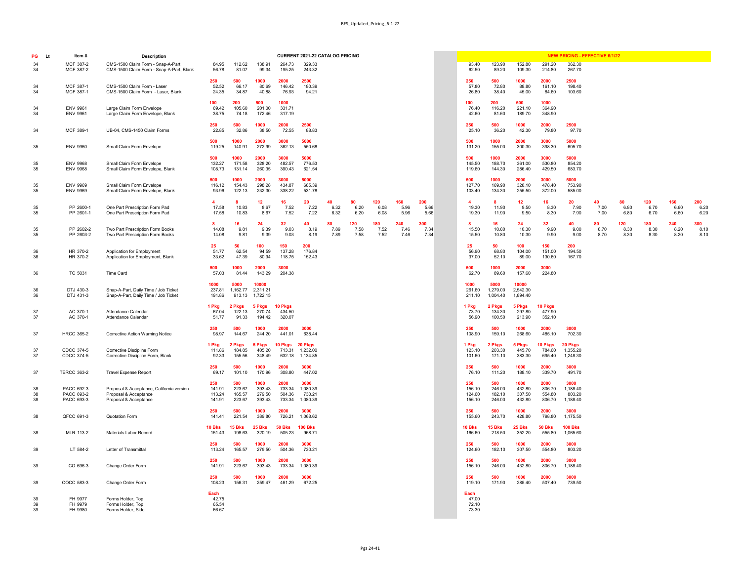|                               | <b>CURRENT 2021-22 CATALOG PRICING</b> |                                    |                                    |                                        |                    |                     |                     |                     |                     |  |                                   |                                   |                                    |                                    | <b>NEW PRICING - EFFECTIVE 6/1/22</b>  |                    |                     |                     |                     |                     |
|-------------------------------|----------------------------------------|------------------------------------|------------------------------------|----------------------------------------|--------------------|---------------------|---------------------|---------------------|---------------------|--|-----------------------------------|-----------------------------------|------------------------------------|------------------------------------|----------------------------------------|--------------------|---------------------|---------------------|---------------------|---------------------|
| 84.95<br>56.78                | 112.62<br>81.07                        | 138.91<br>99.34                    | 264.73<br>195.25                   | 329.33<br>243.32                       |                    |                     |                     |                     |                     |  | 93.40<br>62.50                    | 123.90<br>89.20                   | 152.80<br>109.30                   | 291.20<br>214.80                   | 362.30<br>267.70                       |                    |                     |                     |                     |                     |
| 50<br>52.52<br>24.35          | 500<br>66.17<br>34.87                  | 1000<br>80.69<br>40.88             | 2000<br>146.42<br>76.93            | 2500<br>180.39<br>94.21                |                    |                     |                     |                     |                     |  | 250<br>57.80<br>26.80             | 500<br>72.80<br>38.40             | 1000<br>88.80<br>45.00             | 2000<br>161.10<br>84.60            | 2500<br>198.40<br>103.60               |                    |                     |                     |                     |                     |
| 00<br>69.42<br>38.75          | 200<br>105.60<br>74.18                 | 500<br>201.00<br>172.46            | 1000<br>331.71<br>317.19           |                                        |                    |                     |                     |                     |                     |  | 100<br>76.40<br>42.60             | 200<br>116.20<br>81.60            | 500<br>221.10<br>189.70            | 1000<br>364.90<br>348.90           |                                        |                    |                     |                     |                     |                     |
| 50<br>22.85                   | 500<br>32.86                           | 1000<br>38.50                      | 2000<br>72.55                      | 2500<br>88.83                          |                    |                     |                     |                     |                     |  | 250<br>25.10                      | 500<br>36.20                      | 1000<br>42.30                      | 2000<br>79.80                      | 2500<br>97.70                          |                    |                     |                     |                     |                     |
| 00<br>19.25                   | 1000<br>140.91                         | 2000<br>272.99                     | 3000<br>362.13                     | 5000<br>550.68                         |                    |                     |                     |                     |                     |  | 500<br>131.20                     | 1000<br>155.00                    | 2000<br>300.30                     | 3000<br>398.30                     | 5000<br>605.70                         |                    |                     |                     |                     |                     |
| 00<br>32.27<br>08.73          | 1000<br>171.58<br>131.14               | 2000<br>328.20<br>260.35           | 3000<br>482.57<br>390.43           | 5000<br>776.53<br>621.54               |                    |                     |                     |                     |                     |  | 500<br>145.50<br>119.60           | 1000<br>188.70<br>144.30          | 2000<br>361.00<br>286.40           | 3000<br>530.80<br>429.50           | 5000<br>854.20<br>683.70               |                    |                     |                     |                     |                     |
| 00<br>16.12<br>93.96          | 1000<br>154.43<br>122.13               | 2000<br>298.28<br>232.30           | 3000<br>434.87<br>338.22           | 5000<br>685.39<br>531.78               |                    |                     |                     |                     |                     |  | 500<br>127.70<br>103.40           | 1000<br>169.90<br>134.30          | 2000<br>328.10<br>255.50           | 3000<br>478.40<br>372.00           | 5000<br>753.90<br>585.00               |                    |                     |                     |                     |                     |
| 4<br>17.58<br>17.58           | 8<br>10.83<br>10.83                    | 12<br>8.67<br>8.67                 | 16<br>7.52<br>7.52                 | 20<br>7.22<br>7.22                     | 40<br>6.32<br>6.32 | 80<br>6.20<br>6.20  | 120<br>6.08<br>6.08 | 160<br>5.96<br>5.96 | 200<br>5.66<br>5.66 |  | 4<br>19.30<br>19.30               | 8<br>11.90<br>11.90               | 12<br>9.50<br>9.50                 | 16<br>8.30<br>8.30                 | 20<br>7.90<br>7.90                     | 40<br>7.00<br>7.00 | 80<br>6.80<br>6.80  | 120<br>6.70<br>6.70 | 160<br>6.60<br>6.60 | 200<br>6.20<br>6.20 |
| 8<br>14.08<br>14.08           | 16<br>9.81<br>9.81                     | 24<br>9.39<br>9.39                 | 32<br>9.03<br>9.03                 | 40<br>8.19<br>8.19                     | 80<br>7.89<br>7.89 | 120<br>7.58<br>7.58 | 180<br>7.52<br>7.52 | 240<br>7.46<br>7.46 | 300<br>7.34<br>7.34 |  | 8<br>15.50<br>15.50               | 16 <sup>1</sup><br>10.80<br>10.80 | 24<br>10.30<br>10.30               | 32<br>9.90<br>9.90                 | 40<br>9.00<br>9.00                     | 80<br>8.70<br>8.70 | 120<br>8.30<br>8.30 | 180<br>8.30<br>8.30 | 240<br>8.20<br>8.20 | 300<br>8.10<br>8.10 |
| 25<br>51.77<br>33.62          | 50<br>62.54<br>47.39                   | 100<br>94.59<br>80.94              | 150<br>137.28<br>118.75            | 200<br>176.84<br>152.43                |                    |                     |                     |                     |                     |  | 25<br>56.90<br>37.00              | 50<br>68.80<br>52.10              | 100<br>104.00<br>89.00             | 150<br>151.00<br>130.60            | 200<br>194.50<br>167.70                |                    |                     |                     |                     |                     |
| 00<br>57.03                   | 1000<br>81.44                          | 2000<br>143.29                     | 3000<br>204.38                     |                                        |                    |                     |                     |                     |                     |  | 500<br>62.70                      | 1000<br>89.60                     | 2000<br>157.60                     | 3000<br>224.80                     |                                        |                    |                     |                     |                     |                     |
| 000<br>:37.81<br>91.86        | 5000<br>1,162.77<br>913.13             | 10000<br>2,311.21<br>1,722.15      |                                    |                                        |                    |                     |                     |                     |                     |  | 1000<br>261.60<br>211.10          | 5000<br>1,279.00<br>1,004.40      | 10000<br>2,542.30<br>1,894.40      |                                    |                                        |                    |                     |                     |                     |                     |
| Pkg<br>67.04<br>51.77         | 2 Pkgs<br>122.13<br>91.33              | 5 Pkgs<br>270.74<br>194.42         | <b>10 Pkgs</b><br>434.50<br>320.07 |                                        |                    |                     |                     |                     |                     |  | 1 Pkg<br>73.70<br>56.90           | 2 Pkgs<br>134.30<br>100.50        | 5 Pkgs<br>297.80<br>213.90         | 10 Pkgs<br>477.90<br>352.10        |                                        |                    |                     |                     |                     |                     |
| 50<br>98.97                   | 500<br>144.67                          | 1000<br>244.20                     | 2000<br>441.01                     | 3000<br>638.44                         |                    |                     |                     |                     |                     |  | 250<br>108.90                     | 500<br>159.10                     | 1000<br>268.60                     | 2000<br>485.10                     | 3000<br>702.30                         |                    |                     |                     |                     |                     |
| Pkg<br>11.86<br>92.33         | 2 Pkgs<br>184.85<br>155.56             | 5 Pkgs<br>405.20<br>348.49         | 10 Pkgs<br>713.31<br>632.18        | 20 Pkgs<br>1,232.00<br>1,134.85        |                    |                     |                     |                     |                     |  | 1 Pkg<br>123.10<br>101.60         | 2 Pkgs<br>203.30<br>171.10        | 5 Pkgs<br>445.70<br>383.30         | <b>10 Pkgs</b><br>784.60<br>695.40 | 20 Pkgs<br>1,355.20<br>1,248.30        |                    |                     |                     |                     |                     |
| 50<br>69.17                   | 500<br>101.10                          | 1000<br>170.96                     | 2000<br>308.80                     | 3000<br>447.02                         |                    |                     |                     |                     |                     |  | 250<br>76.10                      | 500<br>111.20                     | 1000<br>188.10                     | 2000<br>339.70                     | 3000<br>491.70                         |                    |                     |                     |                     |                     |
| 50<br>41.91<br>13.24<br>41.91 | 500<br>223.67<br>165.57<br>223.67      | 1000<br>393.43<br>279.50<br>393.43 | 2000<br>733.34<br>504.36<br>733.34 | 3000<br>1,080.39<br>730.21<br>1,080.39 |                    |                     |                     |                     |                     |  | 250<br>156.10<br>124.60<br>156.10 | 500<br>246.00<br>182.10<br>246.00 | 1000<br>432.80<br>307.50<br>432.80 | 2000<br>806.70<br>554.80<br>806.70 | 3000<br>1,188.40<br>803.20<br>1,188.40 |                    |                     |                     |                     |                     |
| 50<br>41.41                   | 500<br>221.54                          | 1000<br>389.80                     | 2000<br>726.21                     | 3000<br>1,068.62                       |                    |                     |                     |                     |                     |  | 250<br>155.60                     | 500<br>243.70                     | 1000<br>428.80                     | 2000<br>798.80                     | 3000<br>1,175.50                       |                    |                     |                     |                     |                     |
| <b>Bks</b><br>51.43           | 15 Bks<br>198.63                       | 25 Bks<br>320.19                   | 50 Bks<br>505.23                   | <b>100 Bks</b><br>968.71               |                    |                     |                     |                     |                     |  | <b>10 Bks</b><br>166.60           | <b>15 Bks</b><br>218.50           | <b>25 Bks</b><br>352.20            | <b>50 Bks</b><br>555.80            | <b>100 Bks</b><br>1,065.60             |                    |                     |                     |                     |                     |
| 50<br>13.24                   | 500<br>165.57                          | 1000<br>279.50                     | 2000<br>504.36                     | 3000<br>730.21                         |                    |                     |                     |                     |                     |  | 250<br>124.60                     | 500<br>182.10                     | 1000<br>307.50                     | 2000<br>554.80                     | 3000<br>803.20                         |                    |                     |                     |                     |                     |
| 50<br>41.91                   | 500<br>223.67                          | 1000<br>393.43                     | 2000<br>733.34                     | 3000<br>1,080.39                       |                    |                     |                     |                     |                     |  | 250<br>156.10                     | 500<br>246.00                     | 1000<br>432.80                     | 2000<br>806.70                     | 3000<br>1,188.40                       |                    |                     |                     |                     |                     |
| 50<br>08.23                   | 500<br>156.31                          | 1000<br>259.47                     | 2000<br>461.29                     | 3000<br>672.25                         |                    |                     |                     |                     |                     |  | 250<br>119.10                     | 500<br>171.90                     | 1000<br>285.40                     | 2000<br>507.40                     | 3000<br>739.50                         |                    |                     |                     |                     |                     |
| ach<br>42.75<br><b>GE EA</b>  |                                        |                                    |                                    |                                        |                    |                     |                     |                     |                     |  | Each<br>47.00<br>70.40            |                                   |                                    |                                    |                                        |                    |                     |                     |                     |                     |

| PG<br><b>Lt</b> | ltem #                                 | <b>Description</b>                                                                          |                                   |                                   |                                    |                                    | <b>CURRENT 2021-22 CATALOG PRICING</b> |                    |                     |                     |                     |                     |                                   |                                   |                                    |                                    |                                        | <b>NEW PRICING - EFFECTIVE 6/1/22</b> |                     |                     |                     |                     |
|-----------------|----------------------------------------|---------------------------------------------------------------------------------------------|-----------------------------------|-----------------------------------|------------------------------------|------------------------------------|----------------------------------------|--------------------|---------------------|---------------------|---------------------|---------------------|-----------------------------------|-----------------------------------|------------------------------------|------------------------------------|----------------------------------------|---------------------------------------|---------------------|---------------------|---------------------|---------------------|
| 34<br>34        | MCF 387-2<br>MCF 387-2                 | CMS-1500 Claim Form - Snap-A-Part<br>CMS-1500 Claim Form - Snap-A-Part, Blank               | 84.95<br>56.78                    | 112.62<br>81.07                   | 138.91<br>99.34                    | 264.73<br>195.25                   | 329.33<br>243.32                       |                    |                     |                     |                     |                     | 93.40<br>62.50                    | 123.90<br>89.20                   | 152.80<br>109.30                   | 291.20<br>214.80                   | 362.30<br>267.70                       |                                       |                     |                     |                     |                     |
| 34<br>34        | MCF 387-1<br>MCF 387-1                 | CMS-1500 Claim Form - Laser<br>CMS-1500 Claim Form - Laser, Blank                           | 250<br>52.52<br>24.35             | 500<br>66.17<br>34.87             | 1000<br>80.69<br>40.88             | 2000<br>146.42<br>76.93            | 2500<br>180.39<br>94.21                |                    |                     |                     |                     |                     | 250<br>57.80<br>26.80             | 500<br>72.80<br>38.40             | 1000<br>88.80<br>45.00             | 2000<br>161.10<br>84.60            | 2500<br>198.40<br>103.60               |                                       |                     |                     |                     |                     |
| 34<br>34        | <b>ENV 9961</b><br><b>ENV 9961</b>     | Large Claim Form Envelope<br>Large Claim Form Envelope, Blank                               | 100<br>69.42<br>38.75             | 200<br>105.60<br>74.18            | 500<br>201.00<br>172.46            | 1000<br>331.71<br>317.19           |                                        |                    |                     |                     |                     |                     | 100<br>76.40<br>42.60             | 200<br>116.20<br>81.60            | 500<br>221.10<br>189.70            | 1000<br>364.90<br>348.90           |                                        |                                       |                     |                     |                     |                     |
| 34              | MCF 389-1                              | UB-04, CMS-1450 Claim Forms                                                                 | 250<br>22.85                      | 500<br>32.86                      | 1000<br>38.50                      | 2000<br>72.55                      | 2500<br>88.83                          |                    |                     |                     |                     |                     | 250<br>25.10                      | 500<br>36.20                      | 1000<br>42.30                      | 2000<br>79.80                      | 2500<br>97.70                          |                                       |                     |                     |                     |                     |
| 35              | <b>ENV 9960</b>                        | <b>Small Claim Form Envelope</b>                                                            | 500<br>119.25                     | 1000<br>140.91                    | 2000<br>272.99                     | 3000<br>362.13                     | 5000<br>550.68                         |                    |                     |                     |                     |                     | 500<br>131.20                     | 1000<br>155.00                    | 2000<br>300.30                     | 3000<br>398.30                     | 5000<br>605.70                         |                                       |                     |                     |                     |                     |
| 35<br>35        | <b>ENV 9968</b><br><b>ENV 9968</b>     | <b>Small Claim Form Envelope</b><br>Small Claim Form Envelope, Blank                        | 500<br>132.27<br>108.73           | 1000<br>171.58<br>131.14          | 2000<br>328.20<br>260.35           | 3000<br>482.57<br>390.43           | 5000<br>776.53<br>621.54               |                    |                     |                     |                     |                     | 500<br>145.50<br>119.60           | 1000<br>188.70<br>144.30          | 2000<br>361.00<br>286.40           | 3000<br>530.80<br>429.50           | 5000<br>854.20<br>683.70               |                                       |                     |                     |                     |                     |
| 35<br>35        | <b>ENV 9969</b><br><b>ENV 9969</b>     | <b>Small Claim Form Envelope</b><br>Small Claim Form Envelope, Blank                        | 500<br>116.12<br>93.96            | 1000<br>154.43<br>122.13          | 2000<br>298.28<br>232.30           | 3000<br>434.87<br>338.22           | 5000<br>685.39<br>531.78               |                    |                     |                     |                     |                     | 500<br>127.70<br>103.40           | 1000<br>169.90<br>134.30          | 2000<br>328.10<br>255.50           | 3000<br>478.40<br>372.00           | 5000<br>753.90<br>585.00               |                                       |                     |                     |                     |                     |
| 35<br>35        | PP 2600-1<br>PP 2601-1                 | One Part Prescription Form Pad<br>One Part Prescription Form Pad                            | 17.58<br>17.58                    | 10.83<br>10.83                    | 12<br>8.67<br>8.67                 | 16<br>7.52<br>7.52                 | 20<br>7.22<br>7.22                     | 40<br>6.32<br>6.32 | 80<br>6.20<br>6.20  | 120<br>6.08<br>6.08 | 160<br>5.96<br>5.96 | 200<br>5.66<br>5.66 | 19.30<br>19.30                    | 8<br>11.90<br>11.90               | 12<br>9.50<br>9.50                 | 16 <sup>1</sup><br>8.30<br>8.30    | 20<br>7.90<br>7.90                     | 40<br>7.00<br>7.00                    | 80<br>6.80<br>6.80  | 120<br>6.70<br>6.70 | 160<br>6.60<br>6.60 | 200<br>6.20<br>6.20 |
| 35<br>35        | PP 2602-2<br>PP 2603-2                 | Two Part Prescription Form Books<br>Two Part Prescription Form Books                        | 14.08<br>14.08                    | 16<br>9.81<br>9.81                | 24<br>9.39<br>9.39                 | 32<br>9.03<br>9.03                 | 40<br>8.19<br>8.19                     | 80<br>7.89<br>7.89 | 120<br>7.58<br>7.58 | 180<br>7.52<br>7.52 | 240<br>7.46<br>7.46 | 300<br>7.34<br>7.34 | 15.50<br>15.50                    | 16<br>10.80<br>10.80              | 24<br>10.30<br>10.30               | 32 <sub>2</sub><br>9.90<br>9.90    | 40<br>9.00<br>9.00                     | 80<br>8.70<br>8.70                    | 120<br>8.30<br>8.30 | 180<br>8.30<br>8.30 | 240<br>8.20<br>8.20 | 300<br>8.10<br>8.10 |
| 36<br>36        | HR 370-2<br>HR 370-2                   | <b>Application for Employment</b><br>Application for Employment, Blank                      | 25<br>51.77<br>33.62              | 50<br>62.54<br>47.39              | 100<br>94.59<br>80.94              | 150<br>137.28<br>118.75            | 200<br>176.84<br>152.43                |                    |                     |                     |                     |                     | 25<br>56.90<br>37.00              | 50<br>68.80<br>52.10              | 100<br>104.00<br>89.00             | 150<br>151.00<br>130.60            | 200<br>194.50<br>167.70                |                                       |                     |                     |                     |                     |
| 36              | TC 5031                                | <b>Time Card</b>                                                                            | 500<br>57.03                      | 81.44                             | 2000<br>143.29                     | 3000<br>204.38                     |                                        |                    |                     |                     |                     |                     | 500<br>62.70                      | 1000<br>89.60                     | 2000<br>157.60                     | 3000<br>224.80                     |                                        |                                       |                     |                     |                     |                     |
| 36<br>36        | DTJ 430-3<br>DTJ 431-3                 | Snap-A-Part, Daily Time / Job Ticket<br>Snap-A-Part, Daily Time / Job Ticket                | 1000<br>237.81<br>191.86          | 5000<br>1,162.77<br>913.13        | 10000<br>2,311.21<br>1,722.15      |                                    |                                        |                    |                     |                     |                     |                     | 1000<br>261.60<br>211.10          | 5000<br>1,279.00<br>1,004.40      | 10000<br>2,542.30<br>1,894.40      |                                    |                                        |                                       |                     |                     |                     |                     |
| 37<br>37        | AC 370-1<br>AC 370-1                   | Attendance Calendar<br>Attendance Calendar                                                  | 1 Pkg<br>67.04<br>51.77           | 2 Pkgs<br>122.13<br>91.33         | 5 Pkgs<br>270.74<br>194.42         | <b>10 Pkgs</b><br>434.50<br>320.07 |                                        |                    |                     |                     |                     |                     | 1 Pkg<br>73.70<br>56.90           | 2 Pkgs<br>134.30<br>100.50        | 5 Pkgs<br>297.80<br>213.90         | <b>10 Pkgs</b><br>477.90<br>352.10 |                                        |                                       |                     |                     |                     |                     |
| 37              | <b>HRCC 365-2</b>                      | <b>Corrective Action Warning Notice</b>                                                     | 250<br>98.97                      | 500<br>144.67                     | 1000<br>244.20                     | 2000<br>441.01                     | 3000<br>638.44                         |                    |                     |                     |                     |                     | 250<br>108.90                     | 500<br>159.10                     | 1000<br>268.60                     | 2000<br>485.10                     | 3000<br>702.30                         |                                       |                     |                     |                     |                     |
| 37<br>37        | CDCC 374-5<br>CDCC 374-5               | Corrective Discipline Form<br>Corrective Discipline Form, Blank                             | 1 Pkg<br>111.86<br>92.33          | 2 Pkgs<br>184.85<br>155.56        | 5 Pkgs<br>405.20<br>348.49         | <b>10 Pkgs</b><br>713.31<br>632.18 | 20 Pkgs<br>1,232.00<br>1,134.85        |                    |                     |                     |                     |                     | 1 Pkg<br>123.10<br>101.60         | 2 Pkgs<br>203.30<br>171.10        | 5 Pkgs<br>445.70<br>383.30         | <b>10 Pkgs</b><br>784.60<br>695.40 | 20 Pkgs<br>1,355.20<br>1,248.30        |                                       |                     |                     |                     |                     |
| 37              | <b>TERCC 363-2</b>                     | <b>Travel Expense Report</b>                                                                | 250<br>69.17                      | 500<br>101.10                     | 1000<br>170.96                     | 2000<br>308.80                     | 3000<br>447.02                         |                    |                     |                     |                     |                     | 250<br>76.10                      | 500<br>111.20                     | 1000<br>188.10                     | 2000<br>339.70                     | 3000<br>491.70                         |                                       |                     |                     |                     |                     |
| 38<br>38<br>38  | PACC 692-3<br>PACC 693-2<br>PACC 693-3 | Proposal & Acceptance, California version<br>Proposal & Acceptance<br>Proposal & Acceptance | 250<br>141.91<br>113.24<br>141.91 | 500<br>223.67<br>165.57<br>223.67 | 1000<br>393.43<br>279.50<br>393.43 | 2000<br>733.34<br>504.36<br>733.34 | 3000<br>1,080.39<br>730.21<br>1,080.39 |                    |                     |                     |                     |                     | 250<br>156.10<br>124.60<br>156.10 | 500<br>246.00<br>182.10<br>246.00 | 1000<br>432.80<br>307.50<br>432.80 | 2000<br>806.70<br>554.80<br>806.70 | 3000<br>1,188.40<br>803.20<br>1,188.40 |                                       |                     |                     |                     |                     |
| 38              | QFCC 691-3                             | <b>Quotation Form</b>                                                                       | 250<br>141.41                     | 500<br>221.54                     | 1000<br>389.80                     | 2000<br>726.21                     | 3000<br>1,068.62                       |                    |                     |                     |                     |                     | 250<br>155.60                     | 500<br>243.70                     | 1000<br>428.80                     | 2000<br>798.80                     | 3000<br>1,175.50                       |                                       |                     |                     |                     |                     |
| 38              | MLR 113-2                              | <b>Materials Labor Record</b>                                                               | <b>10 Bks</b><br>151.43           | 15 Bks<br>198.63                  | <b>25 Bks</b><br>320.19            | 50 Bks<br>505.23                   | <b>100 Bks</b><br>968.71               |                    |                     |                     |                     |                     | <b>10 Bks</b><br>166.60           | <b>15 Bks</b><br>218.50           | <b>25 Bks</b><br>352.20            | <b>50 Bks</b><br>555.80            | <b>100 Bks</b><br>1,065.60             |                                       |                     |                     |                     |                     |
| 39              | LT 584-2                               | Letter of Transmittal                                                                       | 250<br>113.24                     | 500<br>165.57                     | 1000<br>279.50                     | 2000<br>504.36                     | 3000<br>730.21                         |                    |                     |                     |                     |                     | 250<br>124.60                     | 500<br>182.10                     | 1000<br>307.50                     | 2000<br>554.80                     | 3000<br>803.20                         |                                       |                     |                     |                     |                     |
| 39              | CO 696-3                               | Change Order Form                                                                           | 250<br>141.91                     | 500<br>223.67                     | 1000<br>393.43                     | 2000<br>733.34                     | 3000<br>1,080.39                       |                    |                     |                     |                     |                     | 250<br>156.10                     | 500<br>246.00                     | 1000<br>432.80                     | 2000<br>806.70                     | 3000<br>1,188.40                       |                                       |                     |                     |                     |                     |
| 39              | COCC 583-3                             | <b>Change Order Form</b>                                                                    | 250<br>108.23                     | 500<br>156.31                     | 1000<br>259.47                     | 2000<br>461.29                     | 3000<br>672.25                         |                    |                     |                     |                     |                     | 250<br>119.10                     | 500<br>171.90                     | 1000<br>285.40                     | 2000<br>507.40                     | 3000<br>739.50                         |                                       |                     |                     |                     |                     |
| 39<br>39<br>39  | FH 9977<br>FH 9979<br>FH 9980          | Forms Holder, Top<br>Forms Holder, Top<br>Forms Holder, Side                                | Each<br>42.75<br>65.54<br>66.67   |                                   |                                    |                                    |                                        |                    |                     |                     |                     |                     | Each<br>47.00<br>72.10<br>73.30   |                                   |                                    |                                    |                                        |                                       |                     |                     |                     |                     |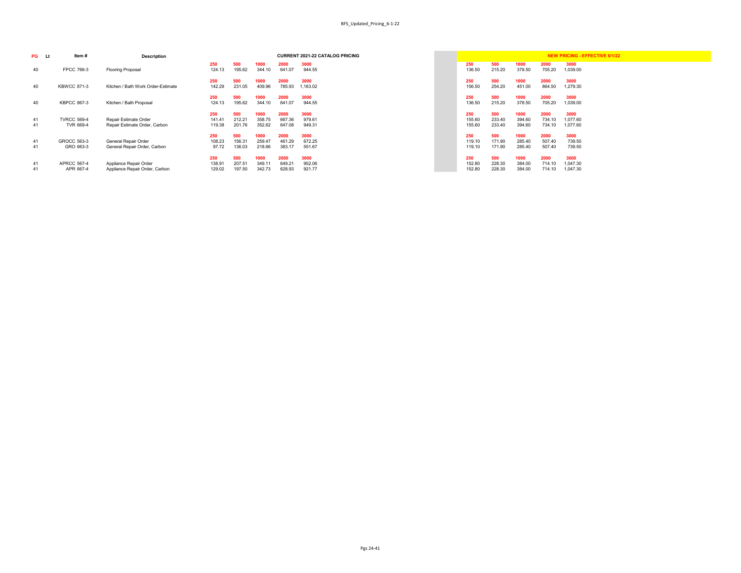|               |               |                |                | <b>CURRENT 2021-22 CATALOG PRICING</b> |               |               |                |                | <b>NEW PRICING - EFFECTIVE 6/1/22</b> |
|---------------|---------------|----------------|----------------|----------------------------------------|---------------|---------------|----------------|----------------|---------------------------------------|
| 250<br>124.13 | 500<br>195.62 | 1000<br>344.10 | 2000<br>641.07 | 3000<br>944.55                         | 250<br>136.50 | 500<br>215.20 | 1000<br>378.50 | 2000<br>705.20 | 3000<br>1,039.00                      |
| 250<br>142.29 | 500<br>231.05 | 1000<br>409.96 | 2000<br>785.93 | 3000<br>1,163.02                       | 250<br>156.50 | 500<br>254.20 | 1000<br>451.00 | 2000<br>864.50 | 3000<br>1,279.30                      |
| 250<br>124.13 | 500<br>195.62 | 1000<br>344.10 | 2000<br>641.07 | 3000<br>944.55                         | 250<br>136.50 | 500<br>215.20 | 1000<br>378.50 | 2000<br>705.20 | 3000<br>1,039.00                      |
| 250           | 500           | 1000           | 2000           | 3000                                   | 250           | 500           | 1000           | 2000           | 3000                                  |
| 141.41        | 212.21        | 358.75         | 667.36         | 979.61                                 | 155.60        | 233.40        | 394.60         | 734.10         | 1,077.60                              |
| 119.38        | 201.76        | 352.62         | 647.08         | 949.31                                 | 155.60        | 233.40        | 394.60         | 734.10         | 1,077.60                              |
| 250           | 500           | 1000           | 2000           | 3000                                   | 250           | 500           | 1000           | 2000           | 3000                                  |
| 108.23        | 156.31        | 259.47         | 461.29         | 672.25                                 | 119.10        | 171.90        | 285.40         | 507.40         | 739.50                                |
| 97.72         | 136.03        | 218.66         | 383.17         | 551.67                                 | 119.10        | 171.90        | 285.40         | 507.40         | 739.50                                |
| 250           | 500           | 1000           | 2000           | 3000                                   | 250           | 500           | 1000           | 2000           | 3000                                  |
| 138.91        | 207.51        | 349.11         | 649.21         | 952.06                                 | 152.80        | 228.30        | 384.00         | 714.10         | 1,047.30                              |
| 129.02        | 197.50        | 342.73         | 628.93         | 921.77                                 | 152.80        | 228.30        | 384.00         | 714.10         | 1,047.30                              |

| PG       | Item #<br>Lt                    | <b>Description</b>                                            |                         |                         |                          |                          | <b>CURRENT 2021-22 CATALOG PRICING</b> |                         |                         |                          |                          | <b>NEW PRICING - EFFECTIVE 6/1/22</b> |
|----------|---------------------------------|---------------------------------------------------------------|-------------------------|-------------------------|--------------------------|--------------------------|----------------------------------------|-------------------------|-------------------------|--------------------------|--------------------------|---------------------------------------|
| 40       | <b>FPCC 766-3</b>               | <b>Flooring Proposal</b>                                      | 250<br>124.13           | 500<br>195.62           | 1000<br>344.10           | 2000<br>641.07           | 3000<br>944.55                         | 250<br>136.50           | 500<br>215.20           | 1000<br>378.50           | 2000<br>705.20           | 3000<br>1,039.00                      |
| 40       | <b>KBWCC 871-3</b>              | Kitchen / Bath Work Order-Estimate                            | 250<br>142.29           | 500<br>231.05           | 1000<br>409.96           | 2000<br>785.93           | 3000<br>1,163.02                       | 250<br>156.50           | 500<br>254.20           | 1000<br>451.00           | 2000<br>864.50           | 3000<br>1,279.30                      |
| 40       | <b>KBPCC 867-3</b>              | Kitchen / Bath Proposal                                       | 250<br>124.13           | 500<br>195.62           | 1000<br>344.10           | 2000<br>641.07           | 3000<br>944.55                         | 250<br>136.50           | 500<br>215.20           | 1000<br>378.50           | 2000<br>705.20           | 3000<br>1,039.00                      |
| 41<br>41 | <b>TVRCC 569-4</b><br>TVR 669-4 | <b>Repair Estimate Order</b><br>Repair Estimate Order, Carbon | 250<br>141.41<br>119.38 | 500<br>212.21<br>201.76 | 1000<br>358.75<br>352.62 | 2000<br>667.36<br>647.08 | 3000<br>979.61<br>949.31               | 250<br>155.60<br>155.60 | 500<br>233.40<br>233.40 | 1000<br>394.60<br>394.60 | 2000<br>734.10<br>734.10 | 3000<br>1,077.60<br>1,077.60          |
| 41<br>41 | <b>GROCC 563-3</b><br>GRO 663-3 | General Repair Order<br>General Repair Order, Carbon          | 250<br>108.23<br>97.72  | 500<br>156.31<br>136.03 | 1000<br>259.47<br>218.66 | 2000<br>461.29<br>383.17 | 3000<br>672.25<br>551.67               | 250<br>119.10<br>119.10 | 500<br>171.90<br>171.90 | 1000<br>285.40<br>285.40 | 2000<br>507.40<br>507.40 | 3000<br>739.50<br>739.50              |
| 41<br>41 | <b>APRCC 567-4</b><br>APR 667-4 | Appliance Repair Order<br>Appliance Repair Order, Carbon      | 250<br>138.91<br>129.02 | 500<br>207.51<br>197.50 | 1000<br>349.11<br>342.73 | 2000<br>649.21<br>628.93 | 3000<br>952.06<br>921.77               | 250<br>152.80<br>152.80 | 500<br>228.30<br>228.30 | 1000<br>384.00<br>384.00 | 2000<br>714.10<br>714.10 | 3000<br>1,047.30<br>1,047.30          |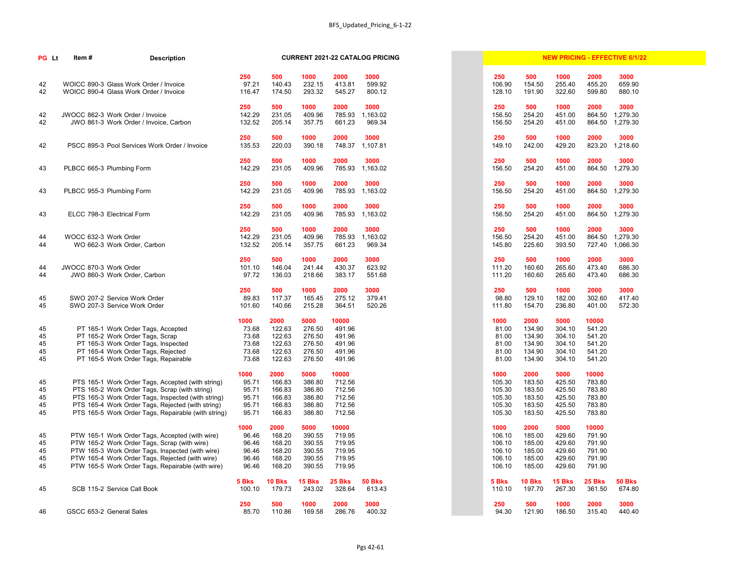| <b>PG</b> Lt               | Item#<br><b>Description</b>                                                                                                                                                                                                                                           |                                                   |                                                        |                                                        |                                                         | <b>CURRENT 2021-22 CATALOG PRICING</b> |                                                        |                                                        |                                                        |                                                         | <b>NEW PRICING - EFFECTIVE 6/1/22</b> |
|----------------------------|-----------------------------------------------------------------------------------------------------------------------------------------------------------------------------------------------------------------------------------------------------------------------|---------------------------------------------------|--------------------------------------------------------|--------------------------------------------------------|---------------------------------------------------------|----------------------------------------|--------------------------------------------------------|--------------------------------------------------------|--------------------------------------------------------|---------------------------------------------------------|---------------------------------------|
| 42<br>42                   | WOICC 890-3 Glass Work Order / Invoice<br>WOICC 890-4 Glass Work Order / Invoice                                                                                                                                                                                      | 250<br>97.21<br>116.47                            | 500<br>140.43<br>174.50                                | 1000<br>232.15<br>293.32                               | 2000<br>413.81<br>545.27                                | 3000<br>599.92<br>800.12               | 250<br>106.90<br>128.10                                | 500<br>154.50<br>191.90                                | 1000<br>255.40<br>322.60                               | 2000<br>455.20<br>599.80                                | 3000<br>659.90<br>880.10              |
| 42<br>42                   | JWOCC 862-3 Work Order / Invoice<br>JWO 861-3 Work Order / Invoice, Carbon                                                                                                                                                                                            | 250<br>142.29<br>132.52                           | 500<br>231.05<br>205.14                                | 1000<br>409.96<br>357.75                               | 2000<br>785.93<br>661.23                                | 3000<br>1,163.02<br>969.34             | 250<br>156.50<br>156.50                                | 500<br>254.20<br>254.20                                | 1000<br>451.00<br>451.00                               | 2000<br>864.50<br>864.50                                | 3000<br>1,279.30<br>1,279.30          |
| 42                         | PSCC 895-3 Pool Services Work Order / Invoice                                                                                                                                                                                                                         | 250<br>135.53                                     | 500<br>220.03                                          | 1000<br>390.18                                         | 2000<br>748.37                                          | 3000<br>1,107.81                       | 250<br>149.10                                          | 500<br>242.00                                          | 1000<br>429.20                                         | 2000<br>823.20                                          | 3000<br>1,218.60                      |
| 43                         | PLBCC 665-3 Plumbing Form                                                                                                                                                                                                                                             | 250<br>142.29                                     | 500<br>231.05                                          | 1000<br>409.96                                         | 2000<br>785.93                                          | 3000<br>1,163.02                       | 250<br>156.50                                          | 500<br>254.20                                          | 1000<br>451.00                                         | 2000<br>864.50                                          | 3000<br>1,279.30                      |
| 43                         | PLBCC 955-3 Plumbing Form                                                                                                                                                                                                                                             | 250<br>142.29                                     | 500<br>231.05                                          | 1000<br>409.96                                         | 2000<br>785.93                                          | 3000<br>1,163.02                       | 250<br>156.50                                          | 500<br>254.20                                          | 1000<br>451.00                                         | 2000<br>864.50                                          | 3000<br>1,279.30                      |
| 43                         | ELCC 798-3 Electrical Form                                                                                                                                                                                                                                            | 250<br>142.29                                     | 500<br>231.05                                          | 1000<br>409.96                                         | 2000<br>785.93                                          | 3000<br>1,163.02                       | 250<br>156.50                                          | 500<br>254.20                                          | 1000<br>451.00                                         | 2000<br>864.50                                          | 3000<br>1,279.30                      |
| 44<br>44                   | WOCC 632-3 Work Order<br>WO 662-3 Work Order, Carbon                                                                                                                                                                                                                  | 250<br>142.29<br>132.52                           | 500<br>231.05<br>205.14                                | 1000<br>409.96<br>357.75                               | 2000<br>785.93<br>661.23                                | 3000<br>1,163.02<br>969.34             | 250<br>156.50<br>145.80                                | 500<br>254.20<br>225.60                                | 1000<br>451.00<br>393.50                               | 2000<br>864.50<br>727.40                                | 3000<br>1,279.30<br>1,066.30          |
| 44<br>44                   | JWOCC 870-3 Work Order<br>JWO 860-3 Work Order, Carbon                                                                                                                                                                                                                | 250<br>101.10<br>97.72                            | 500<br>146.04<br>136.03                                | 1000<br>241.44<br>218.66                               | 2000<br>430.37<br>383.17                                | 3000<br>623.92<br>551.68               | 250<br>111.20<br>111.20                                | 500<br>160.60<br>160.60                                | 1000<br>265.60<br>265.60                               | 2000<br>473.40<br>473.40                                | 3000<br>686.30<br>686.30              |
| 45<br>45                   | SWO 207-2 Service Work Order<br>SWO 207-3 Service Work Order                                                                                                                                                                                                          | 250<br>89.83<br>101.60                            | 500<br>117.37<br>140.66                                | 1000<br>165.45<br>215.28                               | 2000<br>275.12<br>364.51                                | 3000<br>379.41<br>520.26               | 250<br>98.80<br>111.80                                 | 500<br>129.10<br>154.70                                | 1000<br>182.00<br>236.80                               | 2000<br>302.60<br>401.00                                | 3000<br>417.40<br>572.30              |
| 45<br>45<br>45<br>45<br>45 | PT 165-1 Work Order Tags, Accepted<br>PT 165-2 Work Order Tags, Scrap<br>PT 165-3 Work Order Tags, Inspected<br>PT 165-4 Work Order Tags, Rejected<br>PT 165-5 Work Order Tags, Repairable                                                                            | 1000<br>73.68<br>73.68<br>73.68<br>73.68<br>73.68 | 2000<br>122.63<br>122.63<br>122.63<br>122.63<br>122.63 | 5000<br>276.50<br>276.50<br>276.50<br>276.50<br>276.50 | 10000<br>491.96<br>491.96<br>491.96<br>491.96<br>491.96 |                                        | 1000<br>81.00<br>81.00<br>81.00<br>81.00<br>81.00      | 2000<br>134.90<br>134.90<br>134.90<br>134.90<br>134.90 | 5000<br>304.10<br>304.10<br>304.10<br>304.10<br>304.10 | 10000<br>541.20<br>541.20<br>541.20<br>541.20<br>541.20 |                                       |
| 45<br>45<br>45<br>45<br>45 | PTS 165-1 Work Order Tags, Accepted (with string)<br>PTS 165-2 Work Order Tags, Scrap (with string)<br>PTS 165-3 Work Order Tags, Inspected (with string)<br>PTS 165-4 Work Order Tags, Rejected (with string)<br>PTS 165-5 Work Order Tags, Repairable (with string) | 1000<br>95.71<br>95.71<br>95.71<br>95.71<br>95.71 | 2000<br>166.83<br>166.83<br>166.83<br>166.83<br>166.83 | 5000<br>386.80<br>386.80<br>386.80<br>386.80<br>386.80 | 10000<br>712.56<br>712.56<br>712.56<br>712.56<br>712.56 |                                        | 1000<br>105.30<br>105.30<br>105.30<br>105.30<br>105.30 | 2000<br>183.50<br>183.50<br>183.50<br>183.50<br>183.50 | 5000<br>425.50<br>425.50<br>425.50<br>425.50<br>425.50 | 10000<br>783.80<br>783.80<br>783.80<br>783.80<br>783.80 |                                       |
| 45<br>45<br>45<br>45<br>45 | PTW 165-1 Work Order Tags, Accepted (with wire)<br>PTW 165-2 Work Order Tags, Scrap (with wire)<br>PTW 165-3 Work Order Tags, Inspected (with wire)<br>PTW 165-4 Work Order Tags, Rejected (with wire)<br>PTW 165-5 Work Order Tags, Repairable (with wire)           | 1000<br>96.46<br>96.46<br>96.46<br>96.46<br>96.46 | 2000<br>168.20<br>168.20<br>168.20<br>168.20<br>168.20 | 5000<br>390.55<br>390.55<br>390.55<br>390.55<br>390.55 | 10000<br>719.95<br>719.95<br>719.95<br>719.95<br>719.95 |                                        | 1000<br>106.10<br>106.10<br>106.10<br>106.10<br>106.10 | 2000<br>185.00<br>185.00<br>185.00<br>185.00<br>185.00 | 5000<br>429.60<br>429.60<br>429.60<br>429.60<br>429.60 | 10000<br>791.90<br>791.90<br>791.90<br>791.90<br>791.90 |                                       |
| 45                         | SCB 115-2 Service Call Book                                                                                                                                                                                                                                           | 5 Bks<br>100.10                                   | <b>10 Bks</b><br>179.73                                | <b>15 Bks</b><br>243.02                                | <b>25 Bks</b><br>328.64                                 | <b>50 Bks</b><br>613.43                | 5 Bks<br>110.10                                        | <b>10 Bks</b><br>197.70                                | <b>15 Bks</b><br>267.30                                | <b>25 Bks</b><br>361.50                                 | <b>50 Bks</b><br>674.80               |
| 46                         | GSCC 653-2 General Sales                                                                                                                                                                                                                                              | 250<br>85.70                                      | 500<br>110.86                                          | 1000<br>169.58                                         | 2000<br>286.76                                          | 3000<br>400.32                         | 250<br>94.30                                           | 500<br>121.90                                          | 1000<br>186.50                                         | 2000<br>315.40                                          | 3000<br>440.40                        |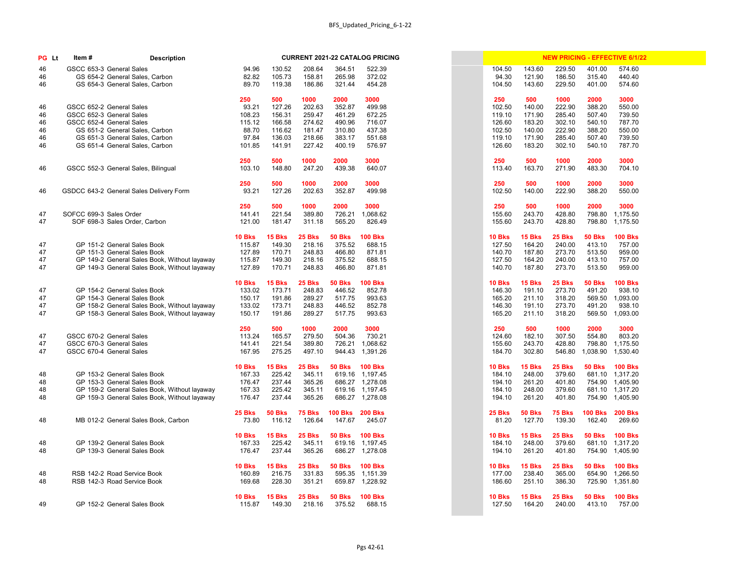| PG Lt | Item#                   | <b>Description</b>                           |               |               |               |                 | <b>CURRENT 2021-22 CATALOG PRICING</b> |  |               |               |               |                | <b>NEW PRICING - EFFECTIVE 6/1/22</b> |
|-------|-------------------------|----------------------------------------------|---------------|---------------|---------------|-----------------|----------------------------------------|--|---------------|---------------|---------------|----------------|---------------------------------------|
| 46    |                         | GSCC 653-3 General Sales                     | 94.96         | 130.52        | 208.64        | 364.51          | 522.39                                 |  | 104.50        | 143.60        | 229.50        | 401.00         | 574.60                                |
| 46    |                         | GS 654-2 General Sales, Carbon               | 82.82         | 105.73        | 158.81        | 265.98          | 372.02                                 |  | 94.30         | 121.90        | 186.50        | 315.40         | 440.40                                |
| 46    |                         | GS 654-3 General Sales, Carbon               | 89.70         | 119.38        | 186.86        | 321.44          | 454.28                                 |  | 104.50        | 143.60        | 229.50        | 401.00         | 574.60                                |
|       |                         |                                              |               |               |               |                 |                                        |  |               |               |               |                |                                       |
|       |                         |                                              | 250           | 500           | 1000          | 2000            | 3000                                   |  | 250           | 500           | 1000          | 2000           | 3000                                  |
| 46    |                         | GSCC 652-2 General Sales                     | 93.21         | 127.26        | 202.63        | 352.87          | 499.98                                 |  | 102.50        | 140.00        | 222.90        | 388.20         | 550.00                                |
| 46    |                         | GSCC 652-3 General Sales                     | 108.23        | 156.31        | 259.47        | 461.29          | 672.25                                 |  | 119.10        | 171.90        | 285.40        | 507.40         | 739.50                                |
| 46    |                         | GSCC 652-4 General Sales                     | 115.12        | 166.58        | 274.62        | 490.96          | 716.07                                 |  | 126.60        | 183.20        | 302.10        | 540.10         | 787.70                                |
| 46    |                         | GS 651-2 General Sales, Carbon               | 88.70         | 116.62        | 181.47        | 310.80          | 437.38                                 |  | 102.50        | 140.00        | 222.90        | 388.20         | 550.00                                |
| 46    |                         | GS 651-3 General Sales, Carbon               | 97.84         | 136.03        | 218.66        | 383.17          | 551.68                                 |  | 119.10        | 171.90        | 285.40        | 507.40         | 739.50                                |
| 46    |                         | GS 651-4 General Sales, Carbon               | 101.85        | 141.91        | 227.42        | 400.19          | 576.97                                 |  | 126.60        | 183.20        | 302.10        | 540.10         | 787.70                                |
|       |                         |                                              |               |               |               |                 |                                        |  |               |               |               |                |                                       |
|       |                         |                                              | 250           | 500           | 1000          | 2000            | 3000                                   |  | 250           | 500           | 1000          | 2000           | 3000                                  |
| 46    |                         | GSCC 552-3 General Sales, Bilingual          | 103.10        | 148.80        | 247.20        | 439.38          | 640.07                                 |  | 113.40        | 163.70        | 271.90        | 483.30         | 704.10                                |
|       |                         |                                              | 250           | 500           | 1000          | 2000            | 3000                                   |  | 250           | 500           | 1000          | 2000           | 3000                                  |
| 46    |                         | GSDCC 643-2 General Sales Delivery Form      | 93.21         | 127.26        | 202.63        | 352.87          | 499.98                                 |  | 102.50        | 140.00        | 222.90        | 388.20         | 550.00                                |
|       |                         |                                              |               |               |               |                 |                                        |  |               |               |               |                |                                       |
|       |                         |                                              | 250           | 500           | 1000          | 2000            | 3000                                   |  | 250           | 500           | 1000          | 2000           | 3000                                  |
| 47    | SOFCC 699-3 Sales Order |                                              | 141.41        | 221.54        | 389.80        | 726.21          | 1,068.62                               |  | 155.60        | 243.70        | 428.80        | 798.80         | 1,175.50                              |
| 47    |                         | SOF 698-3 Sales Order, Carbon                | 121.00        | 181.47        | 311.18        | 565.20          | 826.49                                 |  | 155.60        | 243.70        | 428.80        | 798.80         | 1,175.50                              |
|       |                         |                                              |               |               |               |                 |                                        |  |               |               |               |                |                                       |
|       |                         |                                              | <b>10 Bks</b> | 15 Bks        | 25 Bks        | <b>50 Bks</b>   | <b>100 Bks</b>                         |  | <b>10 Bks</b> | 15 Bks        | 25 Bks        | <b>50 Bks</b>  | <b>100 Bks</b>                        |
| 47    |                         | GP 151-2 General Sales Book                  | 115.87        | 149.30        | 218.16        | 375.52          | 688.15                                 |  | 127.50        | 164.20        | 240.00        | 413.10         | 757.00                                |
| 47    |                         | GP 151-3 General Sales Book                  | 127.89        | 170.71        | 248.83        | 466.80          | 871.81                                 |  | 140.70        | 187.80        | 273.70        | 513.50         | 959.00                                |
| 47    |                         | GP 149-2 General Sales Book, Without layaway | 115.87        | 149.30        | 218.16        | 375.52          | 688.15                                 |  | 127.50        | 164.20        | 240.00        | 413.10         | 757.00                                |
| 47    |                         | GP 149-3 General Sales Book, Without layaway | 127.89        | 170.71        | 248.83        | 466.80          | 871.81                                 |  | 140.70        | 187.80        | 273.70        | 513.50         | 959.00                                |
|       |                         |                                              |               |               |               |                 |                                        |  |               |               |               |                |                                       |
|       |                         |                                              | <b>10 Bks</b> | <b>15 Bks</b> | 25 Bks        | <b>50 Bks</b>   | <b>100 Bks</b>                         |  | <b>10 Bks</b> | <b>15 Bks</b> | 25 Bks        | <b>50 Bks</b>  | <b>100 Bks</b>                        |
| 47    |                         | GP 154-2 General Sales Book                  | 133.02        | 173.71        | 248.83        | 446.52          | 852.78                                 |  | 146.30        | 191.10        | 273.70        | 491.20         | 938.10                                |
| 47    |                         | GP 154-3 General Sales Book                  | 150.17        | 191.86        | 289.27        | 517.75          | 993.63                                 |  | 165.20        | 211.10        | 318.20        | 569.50         | 1,093.00                              |
| 47    |                         | GP 158-2 General Sales Book, Without layaway | 133.02        | 173.71        | 248.83        | 446.52          | 852.78                                 |  | 146.30        | 191.10        | 273.70        | 491.20         | 938.10                                |
| 47    |                         | GP 158-3 General Sales Book, Without layaway | 150.17        | 191.86        | 289.27        | 517.75          | 993.63                                 |  | 165.20        | 211.10        | 318.20        | 569.50         | 1,093.00                              |
|       |                         |                                              |               |               |               |                 |                                        |  |               |               |               |                |                                       |
|       |                         |                                              | 250           | 500           | 1000          | 2000            | 3000                                   |  | 250           | 500           | 1000          | 2000           | 3000                                  |
| 47    |                         | GSCC 670-2 General Sales                     | 113.24        | 165.57        | 279.50        | 504.36          | 730.21                                 |  | 124.60        | 182.10        | 307.50        | 554.80         | 803.20                                |
| 47    |                         | GSCC 670-3 General Sales                     | 141.41        | 221.54        | 389.80        |                 | 726.21 1,068.62                        |  | 155.60        | 243.70        | 428.80        |                | 798.80 1,175.50                       |
| 47    |                         | GSCC 670-4 General Sales                     | 167.95        | 275.25        | 497.10        |                 | 944.43 1,391.26                        |  | 184.70        | 302.80        | 546.80        |                | 1,038.90 1,530.40                     |
|       |                         |                                              |               |               |               |                 |                                        |  |               |               |               |                |                                       |
|       |                         |                                              | <b>10 Bks</b> | <b>15 Bks</b> | <b>25 Bks</b> | <b>50 Bks</b>   | <b>100 Bks</b>                         |  | <b>10 Bks</b> | <b>15 Bks</b> | 25 Bks        | <b>50 Bks</b>  | <b>100 Bks</b>                        |
| 48    |                         | GP 153-2 General Sales Book                  | 167.33        | 225.42        | 345.11        |                 | 619.16 1,197.45                        |  | 184.10        | 248.00        | 379.60        | 681.10         | 1,317.20                              |
| 48    |                         | GP 153-3 General Sales Book                  | 176.47        | 237.44        | 365.26        |                 | 686.27 1,278.08                        |  | 194.10        | 261.20        | 401.80        |                | 754.90 1,405.90                       |
| 48    |                         | GP 159-2 General Sales Book, Without layaway | 167.33        | 225.42        | 345.11        |                 | 619.16 1,197.45                        |  | 184.10        | 248.00        | 379.60        |                | 681.10 1,317.20                       |
| 48    |                         | GP 159-3 General Sales Book, Without layaway | 176.47        | 237.44        | 365.26        |                 | 686.27 1,278.08                        |  | 194.10        | 261.20        | 401.80        |                | 754.90 1,405.90                       |
|       |                         |                                              |               |               |               |                 |                                        |  |               | <b>50 Bks</b> |               | <b>100 Bks</b> | <b>200 Bks</b>                        |
|       |                         |                                              | <b>25 Bks</b> | <b>50 Bks</b> | <b>75 Bks</b> | 100 Bks 200 Bks |                                        |  | <b>25 Bks</b> |               | <b>75 Bks</b> |                |                                       |
| 48    |                         | MB 012-2 General Sales Book, Carbon          | 73.80         | 116.12        | 126.64        | 147.67          | 245.07                                 |  | 81.20         | 127.70        | 139.30        | 162.40         | 269.60                                |
|       |                         |                                              | <b>10 Bks</b> | <b>15 Bks</b> | <b>25 Bks</b> | <b>50 Bks</b>   | <b>100 Bks</b>                         |  | <b>10 Bks</b> | <b>15 Bks</b> | <b>25 Bks</b> | <b>50 Bks</b>  | <b>100 Bks</b>                        |
| 48    |                         | GP 139-2 General Sales Book                  | 167.33        | 225.42        | 345.11        |                 | 619.16 1,197.45                        |  | 184.10        | 248.00        | 379.60        | 681.10         | 1,317.20                              |
| 48    |                         | GP 139-3 General Sales Book                  | 176.47        | 237.44        | 365.26        |                 | 686.27 1,278.08                        |  | 194.10        | 261.20        | 401.80        |                | 754.90 1,405.90                       |
|       |                         |                                              |               |               |               |                 |                                        |  |               |               |               |                |                                       |
|       |                         |                                              | <b>10 Bks</b> | <b>15 Bks</b> | <b>25 Bks</b> | <b>50 Bks</b>   | <b>100 Bks</b>                         |  | <b>10 Bks</b> | <b>15 Bks</b> | <b>25 Bks</b> | <b>50 Bks</b>  | <b>100 Bks</b>                        |
| 48    |                         | RSB 142-2 Road Service Book                  | 160.89        | 216.75        | 331.83        |                 | 595.35 1,151.39                        |  | 177.00        | 238.40        | 365.00        | 654.90         | 1,266.50                              |
| 48    |                         | RSB 142-3 Road Service Book                  | 169.68        | 228.30        | 351.21        |                 | 659.87 1,228.92                        |  | 186.60        | 251.10        | 386.30        | 725.90         | 1,351.80                              |
|       |                         |                                              |               |               |               |                 |                                        |  |               |               |               |                |                                       |
|       |                         |                                              | <b>10 Bks</b> | <b>15 Bks</b> | <b>25 Bks</b> | <b>50 Bks</b>   | <b>100 Bks</b>                         |  | <b>10 Bks</b> | 15 Bks        | <b>25 Bks</b> | <b>50 Bks</b>  | <b>100 Bks</b>                        |
| 49    |                         | GP 152-2 General Sales Book                  | 115.87        | 149.30        | 218.16        | 375.52          | 688.15                                 |  | 127.50        | 164.20        | 240.00        | 413.10         | 757.00                                |

|                  |                  |                  |                    | <b>NEW PRICING - EFFECTIVE 6/1/22</b> |  |
|------------------|------------------|------------------|--------------------|---------------------------------------|--|
| 104.50           | 143.60           | 229.50           | 401.00             | 574.60                                |  |
| 94.30            | 121.90           | 186.50           | 315.40             | 440.40                                |  |
| 104.50           | 143.60           | 229.50           | 401.00             | 574.60                                |  |
|                  |                  |                  |                    |                                       |  |
| 250              | 500              | 1000             | 2000               | 3000                                  |  |
| 102.50           | 140.00           | 222.90           | 388.20             | 550.00                                |  |
| 119.10           | 171.90           | 285.40<br>302.10 | 507.40<br>540.10   | 739.50                                |  |
| 126.60<br>102.50 | 183.20<br>140.00 | 222.90           | 388.20             | 787.70<br>550.00                      |  |
| 119.10           | 171.90           | 285.40           | 507.40             | 739.50                                |  |
| 126.60           | 183.20           | 302.10           | 540.10             | 787.70                                |  |
|                  |                  |                  |                    |                                       |  |
| 250              | 500              | 1000             | 2000               | 3000                                  |  |
| 113.40           | 163.70           | 271.90           | 483.30             | 704.10                                |  |
|                  |                  |                  |                    |                                       |  |
| 250              | 500              | 1000             | 2000               | 3000                                  |  |
| 102.50           | 140.00           | 222.90           | 388.20             | 550.00                                |  |
| 250              | 500              | 1000             | 2000               | 3000                                  |  |
| 155.60           | 243.70           | 428.80           | 798.80             | 1,175.50                              |  |
| 155.60           | 243.70           | 428.80           | 798.80             | 1,175.50                              |  |
|                  |                  |                  |                    |                                       |  |
| <b>10 Bks</b>    | 15 Bks           | <b>25 Bks</b>    | <b>50 Bks</b>      | <b>100 Bks</b>                        |  |
| 127.50           | 164.20           | 240.00           | 413.10             | 757.00                                |  |
| 140.70           | 187.80           | 273.70           | 513.50             | 959.00                                |  |
| 127.50           | 164.20           | 240.00           | 413.10             | 757.00                                |  |
| 140.70           | 187.80           | 273.70           | 513.50             | 959.00                                |  |
| <b>10 Bks</b>    | <b>15 Bks</b>    | <b>25 Bks</b>    | <b>50 Bks</b>      | <b>100 Bks</b>                        |  |
| 146.30           | 191.10           | 273.70           | 491.20             | 938.10                                |  |
| 165.20           | 211.10           | 318.20           | 569.50             | 1,093.00                              |  |
| 146.30           | 191.10           | 273.70           | 491.20             | 938.10                                |  |
| 165.20           | 211.10           | 318.20           | 569.50             | 1,093.00                              |  |
|                  |                  |                  |                    |                                       |  |
| 250              | 500              | 1000             | 2000               | 3000                                  |  |
| 124.60           | 182.10           | 307.50           | 554.80             | 803.20                                |  |
| 155.60<br>184.70 | 243.70<br>302.80 | 428.80<br>546.80 | 798.80<br>1,038.90 | 1,175.50<br>1,530.40                  |  |
|                  |                  |                  |                    |                                       |  |
| 10 Bks           | 15 Bks           | 25 Bks           | <b>50 Bks</b>      | <b>100 Bks</b>                        |  |
| 184.10           | 248.00           | 379.60           | 681.10             | 1,317.20                              |  |
| 194.10           | 261.20           | 401.80           | 754.90             | 1,405.90                              |  |
| 184.10           | 248.00           | 379.60           | 681.10             | 1,317.20                              |  |
| 194.10           | 261.20           | 401.80           | 754.90             | 1,405.90                              |  |
| 25 Bks           | <b>50 Bks</b>    | <b>75 Bks</b>    | <b>100 Bks</b>     | <b>200 Bks</b>                        |  |
| 81.20            | 127.70           | 139.30           | 162.40             | 269.60                                |  |
|                  |                  |                  |                    |                                       |  |
| <b>10 Bks</b>    | <b>15 Bks</b>    | <b>25 Bks</b>    | <b>50 Bks</b>      | <b>100 Bks</b>                        |  |
| 184.10           | 248.00           | 379.60           | 681.10             | 1,317.20                              |  |
| 194.10           | 261.20           | 401.80           | 754.90             | 1,405.90                              |  |
|                  |                  |                  |                    |                                       |  |
| 10 Bks           | <b>15 Bks</b>    | <b>25 Bks</b>    | <b>50 Bks</b>      | <b>100 Bks</b>                        |  |
| 177.00<br>186.60 | 238.40<br>251.10 | 365.00<br>386.30 | 654.90<br>725.90   | 1,266.50<br>1,351.80                  |  |
|                  |                  |                  |                    |                                       |  |
| <b>10 Bks</b>    | <b>15 Bks</b>    | <b>25 Bks</b>    | <b>50 Bks</b>      | <b>100 Bks</b>                        |  |
| 127.50           | 164.20           | 240.00           | 413.10             | 757.00                                |  |
|                  |                  |                  |                    |                                       |  |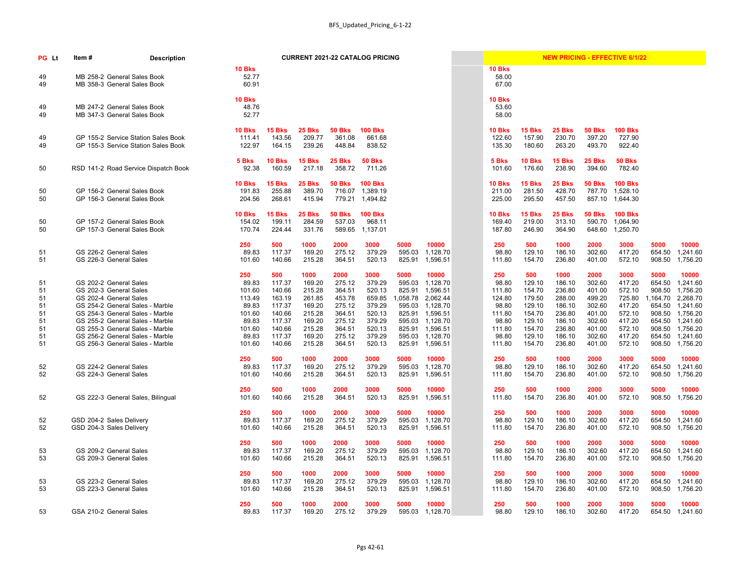| PG Lt                                        | ltem #                                                                     | <b>Description</b>                                                                                                                                                          |                                                                                 |                                                                                     |                                                                                      |                                                                                      | <b>CURRENT 2021-22 CATALOG PRICING</b>                                               |                                                        |                                                                                                                              |                                                                                 |                                                                                     |                                                                                      |                                                                                      | <b>NEW PRICING - EFFECTIVE 6/1/22</b>                                                |                                                                    |                                                                                                                     |
|----------------------------------------------|----------------------------------------------------------------------------|-----------------------------------------------------------------------------------------------------------------------------------------------------------------------------|---------------------------------------------------------------------------------|-------------------------------------------------------------------------------------|--------------------------------------------------------------------------------------|--------------------------------------------------------------------------------------|--------------------------------------------------------------------------------------|--------------------------------------------------------|------------------------------------------------------------------------------------------------------------------------------|---------------------------------------------------------------------------------|-------------------------------------------------------------------------------------|--------------------------------------------------------------------------------------|--------------------------------------------------------------------------------------|--------------------------------------------------------------------------------------|--------------------------------------------------------------------|---------------------------------------------------------------------------------------------------------------------|
| 49<br>49                                     |                                                                            | MB 258-2 General Sales Book<br>MB 358-3 General Sales Book                                                                                                                  | <b>10 Bks</b><br>52.77<br>60.91                                                 |                                                                                     |                                                                                      |                                                                                      |                                                                                      |                                                        |                                                                                                                              | <b>10 Bks</b><br>58.00<br>67.00                                                 |                                                                                     |                                                                                      |                                                                                      |                                                                                      |                                                                    |                                                                                                                     |
| 49<br>49                                     |                                                                            | MB 247-2 General Sales Book<br>MB 347-3 General Sales Book                                                                                                                  | <b>10 Bks</b><br>48.76<br>52.77                                                 |                                                                                     |                                                                                      |                                                                                      |                                                                                      |                                                        |                                                                                                                              | <b>10 Bks</b><br>53.60<br>58.00                                                 |                                                                                     |                                                                                      |                                                                                      |                                                                                      |                                                                    |                                                                                                                     |
| 49<br>49                                     |                                                                            | GP 155-2 Service Station Sales Book<br>GP 155-3 Service Station Sales Book                                                                                                  | <b>10 Bks</b><br>111.41<br>122.97                                               | <b>15 Bks</b><br>143.56<br>164.15                                                   | <b>25 Bks</b><br>209.77<br>239.26                                                    | 50 Bks<br>361.08<br>448.84                                                           | <b>100 Bks</b><br>661.68<br>838.52                                                   |                                                        |                                                                                                                              | <b>10 Bks</b><br>122.60<br>135.30                                               | <b>15 Bks</b><br>157.90<br>180.60                                                   | <b>25 Bks</b><br>230.70<br>263.20                                                    | <b>50 Bks</b><br>397.20<br>493.70                                                    | <b>100 Bks</b><br>727.90<br>922.40                                                   |                                                                    |                                                                                                                     |
| 50                                           |                                                                            | RSD 141-2 Road Service Dispatch Book                                                                                                                                        | 5 Bks<br>92.38                                                                  | <b>10 Bks</b><br>160.59                                                             | <b>15 Bks</b><br>217.18                                                              | 25 Bks<br>358.72                                                                     | <b>50 Bks</b><br>711.26                                                              |                                                        |                                                                                                                              | 5 Bks<br>101.60                                                                 | <b>10 Bks</b><br>176.60                                                             | <b>15 Bks</b><br>238.90                                                              | <b>25 Bks</b><br>394.60                                                              | <b>50 Bks</b><br>782.40                                                              |                                                                    |                                                                                                                     |
| 50<br>50                                     |                                                                            | GP 156-2 General Sales Book<br>GP 156-3 General Sales Book                                                                                                                  | <b>10 Bks</b><br>191.83<br>204.56                                               | <b>15 Bks</b><br>255.88<br>268.61                                                   | <b>25 Bks</b><br>389.70<br>415.94                                                    | 50 Bks<br>716.07<br>779.21                                                           | <b>100 Bks</b><br>1,389.19<br>1,494.82                                               |                                                        |                                                                                                                              | <b>10 Bks</b><br>211.00<br>225.00                                               | <b>15 Bks</b><br>281.50<br>295.50                                                   | <b>25 Bks</b><br>428.70<br>457.50                                                    | <b>50 Bks</b>                                                                        | <b>100 Bks</b><br>787.70 1,528.10<br>857.10 1,644.30                                 |                                                                    |                                                                                                                     |
| 50<br>50                                     |                                                                            | GP 157-2 General Sales Book<br>GP 157-3 General Sales Book                                                                                                                  | <b>10 Bks</b><br>154.02<br>170.74                                               | <b>15 Bks</b><br>199.11<br>224.44                                                   | <b>25 Bks</b><br>284.59<br>331.76                                                    | 50 Bks<br>537.03<br>589.65                                                           | <b>100 Bks</b><br>968.11<br>1,137.01                                                 |                                                        |                                                                                                                              | <b>10 Bks</b><br>169.40<br>187.80                                               | <b>15 Bks</b><br>219.00<br>246.90                                                   | <b>25 Bks</b><br>313.10<br>364.90                                                    | <b>50 Bks</b>                                                                        | <b>100 Bks</b><br>590.70 1,064.90<br>648.60 1,250.70                                 |                                                                    |                                                                                                                     |
| 51<br>51                                     | GS 226-2 General Sales<br>GS 226-3 General Sales                           |                                                                                                                                                                             | 250<br>89.83<br>101.60                                                          | 500<br>117.37<br>140.66                                                             | 1000<br>169.20<br>215.28                                                             | 2000<br>275.12<br>364.51                                                             | 3000<br>379.29<br>520.13                                                             | 5000<br>595.03<br>825.91                               | 10000<br>1,128.70<br>1,596.51                                                                                                | 250<br>98.80<br>111.80                                                          | 500<br>129.10<br>154.70                                                             | 1000<br>186.10<br>236.80                                                             | 2000<br>302.60<br>401.00                                                             | 3000<br>417.20<br>572.10                                                             | 5000<br>654.50<br>908.50                                           | 10000<br>1,241.60<br>1,756.20                                                                                       |
| 51<br>51<br>51<br>51<br>51<br>51<br>51<br>51 | GS 202-2 General Sales<br>GS 202-3 General Sales<br>GS 202-4 General Sales | GS 254-2 General Sales - Marble<br>GS 254-3 General Sales - Marble<br>GS 255-2 General Sales - Marble<br>GS 255-3 General Sales - Marble<br>GS 256-2 General Sales - Marble | 250<br>89.83<br>101.60<br>113.49<br>89.83<br>101.60<br>89.83<br>101.60<br>89.83 | 500<br>117.37<br>140.66<br>163.19<br>117.37<br>140.66<br>117.37<br>140.66<br>117.37 | 1000<br>169.20<br>215.28<br>261.85<br>169.20<br>215.28<br>169.20<br>215.28<br>169.20 | 2000<br>275.12<br>364.51<br>453.78<br>275.12<br>364.51<br>275.12<br>364.51<br>275.12 | 3000<br>379.29<br>520.13<br>659.85<br>379.29<br>520.13<br>379.29<br>520.13<br>379.29 | 5000<br>595.03<br>825.91<br>595.03<br>825.91<br>595.03 | 10000<br>1,128.70<br>1,596.51<br>1,058.78 2,062.44<br>1,128.70<br>1,596.51<br>1,128.70<br>825.91 1,596.51<br>595.03 1,128.70 | 250<br>98.80<br>111.80<br>124.80<br>98.80<br>111.80<br>98.80<br>111.80<br>98.80 | 500<br>129.10<br>154.70<br>179.50<br>129.10<br>154.70<br>129.10<br>154.70<br>129.10 | 1000<br>186.10<br>236.80<br>288.00<br>186.10<br>236.80<br>186.10<br>236.80<br>186.10 | 2000<br>302.60<br>401.00<br>499.20<br>302.60<br>401.00<br>302.60<br>401.00<br>302.60 | 3000<br>417.20<br>572.10<br>725.80<br>417.20<br>572.10<br>417.20<br>572.10<br>417.20 | 5000<br>654.50<br>908.50<br>1,164.70<br>654.50<br>908.50<br>654.50 | 10000<br>1,241.60<br>1,756.20<br>2,268.70<br>1,241.60<br>1,756.20<br>1,241.60<br>908.50 1,756.20<br>654.50 1,241.60 |
| 51<br>52<br>52                               | GS 224-2 General Sales<br>GS 224-3 General Sales                           | GS 256-3 General Sales - Marble                                                                                                                                             | 101.60<br>250<br>89.83<br>101.60                                                | 140.66<br>500<br>117.37<br>140.66                                                   | 215.28<br>1000<br>169.20<br>215.28                                                   | 364.51<br>2000<br>275.12<br>364.51                                                   | 520.13<br>3000<br>379.29<br>520.13                                                   | 825.91<br>5000<br>595.03<br>825.91                     | 1,596.51<br>10000<br>1,128.70<br>1,596.51                                                                                    | 111.80<br>250<br>98.80<br>111.80                                                | 154.70<br>500<br>129.10<br>154.70                                                   | 236.80<br>1000<br>186.10<br>236.80                                                   | 401.00<br>2000<br>302.60<br>401.00                                                   | 572.10<br>3000<br>417.20<br>572.10                                                   | 908.50<br>5000<br>654.50<br>908.50                                 | 1,756.20<br>10000<br>1,241.60<br>1,756.20                                                                           |
| 52                                           |                                                                            | GS 222-3 General Sales, Bilingual                                                                                                                                           | 250<br>101.60                                                                   | 500<br>140.66                                                                       | 1000<br>215.28                                                                       | 2000<br>364.51                                                                       | 3000<br>520.13                                                                       | 5000<br>825.91                                         | 10000<br>1,596.51                                                                                                            | 250<br>111.80                                                                   | 500<br>154.70                                                                       | 1000<br>236.80                                                                       | 2000<br>401.00                                                                       | 3000<br>572.10                                                                       | 5000<br>908.50                                                     | 10000<br>1,756.20                                                                                                   |
| 52<br>52                                     | GSD 204-2 Sales Delivery<br>GSD 204-3 Sales Delivery                       |                                                                                                                                                                             | 250<br>89.83<br>101.60                                                          | 500<br>117.37<br>140.66                                                             | 1000<br>169.20<br>215.28                                                             | 2000<br>275.12<br>364.51                                                             | 3000<br>379.29<br>520.13                                                             | 5000<br>595.03<br>825.91                               | 10000<br>1,128.70<br>1,596.51                                                                                                | 250<br>98.80<br>111.80                                                          | 500<br>129.10<br>154.70                                                             | 1000<br>186.10<br>236.80                                                             | 2000<br>302.60<br>401.00                                                             | 3000<br>417.20<br>572.10                                                             | 5000<br>654.50<br>908.50                                           | 10000<br>1,241.60<br>1,756.20                                                                                       |
| 53<br>53                                     | GS 209-2 General Sales<br>GS 209-3 General Sales                           |                                                                                                                                                                             | 250<br>89.83<br>101.60                                                          | 500<br>117.37<br>140.66                                                             | 1000<br>169.20<br>215.28                                                             | 2000<br>275.12<br>364.51                                                             | 3000<br>379.29<br>520.13                                                             | 5000<br>595.03<br>825.91                               | 10000<br>1,128.70<br>1,596.51                                                                                                | 250<br>98.80<br>111.80                                                          | 500<br>129.10<br>154.70                                                             | 1000<br>186.10<br>236.80                                                             | 2000<br>302.60<br>401.00                                                             | 3000<br>417.20<br>572.10                                                             | 5000<br>654.50<br>908.50                                           | 10000<br>1,241.60<br>1,756.20                                                                                       |
| 53<br>53                                     | GS 223-2 General Sales<br>GS 223-3 General Sales                           |                                                                                                                                                                             | 250<br>89.83<br>101.60                                                          | 500<br>117.37<br>140.66                                                             | 1000<br>169.20<br>215.28                                                             | 2000<br>275.12<br>364.51                                                             | 3000<br>379.29<br>520.13                                                             | 5000<br>595.03<br>825.91                               | 10000<br>1,128.70<br>1,596.51                                                                                                | 250<br>98.80<br>111.80                                                          | 500<br>129.10<br>154.70                                                             | 1000<br>186.10<br>236.80                                                             | 2000<br>302.60<br>401.00                                                             | 3000<br>417.20<br>572.10                                                             | 5000<br>654.50<br>908.50                                           | 10000<br>1,241.60<br>1,756.20                                                                                       |
| 53                                           | GSA 210-2 General Sales                                                    |                                                                                                                                                                             | 250<br>89.83                                                                    | 500<br>117.37                                                                       | 1000<br>169.20                                                                       | 2000<br>275.12                                                                       | 3000<br>379.29                                                                       | 5000<br>595.03                                         | 10000<br>1,128.70                                                                                                            | 250<br>98.80                                                                    | 500<br>129.10                                                                       | 1000<br>186.10                                                                       | 2000<br>302.60                                                                       | 3000<br>417.20                                                                       | 5000<br>654.50                                                     | 10000<br>1,241.60                                                                                                   |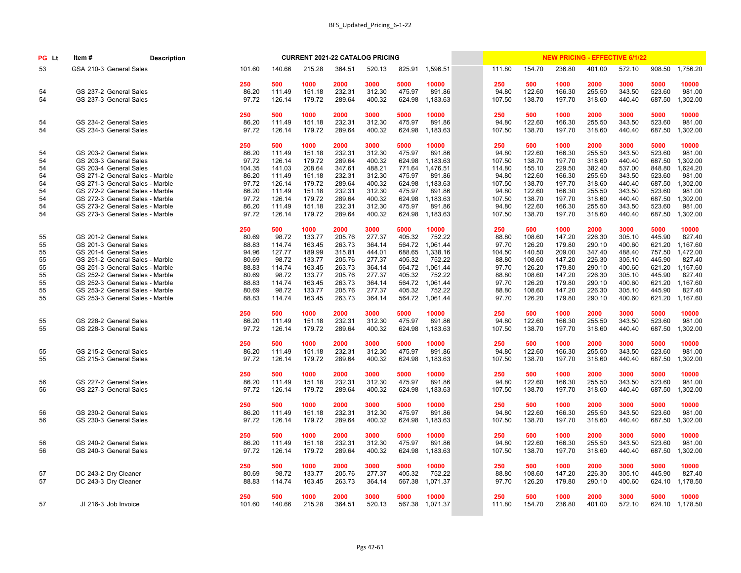| PG Lt | Item#                   | <b>Description</b>              |        |        |        |        | <b>CURRENT 2021-22 CATALOG PRICING</b> |        |                 |        |        |        |        | <b>NEW PRICING - EFFECTIVE 6/1/22</b> |        |          |
|-------|-------------------------|---------------------------------|--------|--------|--------|--------|----------------------------------------|--------|-----------------|--------|--------|--------|--------|---------------------------------------|--------|----------|
| 53    | GSA 210-3 General Sales |                                 | 101.60 | 140.66 | 215.28 | 364.51 | 520.13                                 | 825.91 | 1,596.51        | 111.80 | 154.70 | 236.80 | 401.00 | 572.10                                | 908.50 | 1,756.20 |
|       |                         |                                 | 250    | 500    | 1000   | 2000   | 3000                                   | 5000   | 10000           | 250    | 500    | 1000   | 2000   | 3000                                  | 5000   | 10000    |
| 54    |                         | GS 237-2 General Sales          | 86.20  | 111.49 | 151.18 | 232.31 | 312.30                                 | 475.97 | 891.86          | 94.80  | 122.60 | 166.30 | 255.50 | 343.50                                | 523.60 | 981.00   |
| 54    |                         | GS 237-3 General Sales          | 97.72  | 126.14 | 179.72 | 289.64 | 400.32                                 | 624.98 | 1,183.63        | 107.50 | 138.70 | 197.70 | 318.60 | 440.40                                | 687.50 | ,302.00  |
|       |                         |                                 | 250    | 500    | 1000   | 2000   | 3000                                   | 5000   | 10000           | 250    | 500    | 1000   | 2000   | 3000                                  | 5000   | 10000    |
| 54    |                         | GS 234-2 General Sales          | 86.20  | 111.49 | 151.18 | 232.31 | 312.30                                 | 475.97 | 891.86          | 94.80  | 122.60 | 166.30 | 255.50 | 343.50                                | 523.60 | 981.00   |
| 54    |                         | GS 234-3 General Sales          | 97.72  | 126.14 | 179.72 | 289.64 | 400.32                                 | 624.98 | 1,183.63        | 107.50 | 138.70 | 197.70 | 318.60 | 440.40                                | 687.50 | ,302.00  |
|       |                         |                                 | 250    | 500    | 1000   | 2000   | 3000                                   | 5000   | 10000           | 250    | 500    | 1000   | 2000   | 3000                                  | 5000   | 10000    |
| 54    |                         | GS 203-2 General Sales          | 86.20  | 111.49 | 151.18 | 232.31 | 312.30                                 | 475.97 | 891.86          | 94.80  | 122.60 | 166.30 | 255.50 | 343.50                                | 523.60 | 981.00   |
| 54    |                         | GS 203-3 General Sales          | 97.72  | 126.14 | 179.72 | 289.64 | 400.32                                 | 624.98 | 1,183.63        | 107.50 | 138.70 | 197.70 | 318.60 | 440.40                                | 687.50 | ,302.00  |
| 54    |                         | GS 203-4 General Sales          | 104.35 | 141.03 | 208.64 | 347.61 | 488.21                                 | 771.64 | 1,476.51        | 114.80 | 155.10 | 229.50 | 382.40 | 537.00                                | 848.80 | ,624.20  |
| 54    |                         | GS 271-2 General Sales - Marble | 86.20  | 111.49 | 151.18 | 232.31 | 312.30                                 | 475.97 | 891.86          | 94.80  | 122.60 | 166.30 | 255.50 | 343.50                                | 523.60 | 981.00   |
| 54    |                         | GS 271-3 General Sales - Marble | 97.72  | 126.14 | 179.72 | 289.64 | 400.32                                 | 624.98 | 1,183.63        | 107.50 | 138.70 | 197.70 | 318.60 | 440.40                                | 687.50 | ,302.00  |
| 54    |                         | GS 272-2 General Sales - Marble | 86.20  | 111.49 | 151.18 | 232.31 | 312.30                                 | 475.97 | 891.86          | 94.80  | 122.60 | 166.30 | 255.50 | 343.50                                | 523.60 | 981.00   |
| 54    |                         | GS 272-3 General Sales - Marble | 97.72  | 126.14 | 179.72 | 289.64 | 400.32                                 | 624.98 | 1,183.63        | 107.50 | 138.70 | 197.70 | 318.60 | 440.40                                | 687.50 | ,302.00  |
| 54    |                         | GS 273-2 General Sales - Marble | 86.20  | 111.49 | 151.18 | 232.31 | 312.30                                 | 475.97 | 891.86          | 94.80  | 122.60 | 166.30 | 255.50 | 343.50                                | 523.60 | 981.00   |
| 54    |                         | GS 273-3 General Sales - Marble | 97.72  | 126.14 | 179.72 | 289.64 | 400.32                                 | 624.98 | 1,183.63        | 107.50 | 138.70 | 197.70 | 318.60 | 440.40                                | 687.50 | 1,302.00 |
|       |                         |                                 | 250    | 500    | 1000   | 2000   | 3000                                   | 5000   | 10000           | 250    | 500    | 1000   | 2000   | 3000                                  | 5000   | 10000    |
| 55    |                         | GS 201-2 General Sales          | 80.69  | 98.72  | 133.77 | 205.76 | 277.37                                 | 405.32 | 752.22          | 88.80  | 108.60 | 147.20 | 226.30 | 305.10                                | 445.90 | 827.40   |
| 55    |                         | GS 201-3 General Sales          | 88.83  | 114.74 | 163.45 | 263.73 | 364.14                                 | 564.72 | 1,061.44        | 97.70  | 126.20 | 179.80 | 290.10 | 400.60                                | 621.20 | ,167.60  |
| 55    |                         | GS 201-4 General Sales          | 94.96  | 127.77 | 189.99 | 315.81 | 444.01                                 | 688.65 | 1,338.16        | 104.50 | 140.50 | 209.00 | 347.40 | 488.40                                | 757.50 | 1,472.00 |
| 55    |                         | GS 251-2 General Sales - Marble | 80.69  | 98.72  | 133.77 | 205.76 | 277.37                                 | 405.32 | 752.22          | 88.80  | 108.60 | 147.20 | 226.30 | 305.10                                | 445.90 | 827.40   |
| 55    |                         | GS 251-3 General Sales - Marble | 88.83  | 114.74 | 163.45 | 263.73 | 364.14                                 | 564.72 | 1,061.44        | 97.70  | 126.20 | 179.80 | 290.10 | 400.60                                | 621.20 | ,167.60  |
| 55    |                         | GS 252-2 General Sales - Marble | 80.69  | 98.72  | 133.77 | 205.76 | 277.37                                 | 405.32 | 752.22          | 88.80  | 108.60 | 147.20 | 226.30 | 305.10                                | 445.90 | 827.40   |
| 55    |                         | GS 252-3 General Sales - Marble | 88.83  | 114.74 | 163.45 | 263.73 | 364.14                                 | 564.72 | 1,061.44        | 97.70  | 126.20 | 179.80 | 290.10 | 400.60                                | 621.20 | ,167.60  |
| 55    |                         | GS 253-2 General Sales - Marble | 80.69  | 98.72  | 133.77 | 205.76 | 277.37                                 | 405.32 | 752.22          | 88.80  | 108.60 | 147.20 | 226.30 | 305.10                                | 445.90 | 827.40   |
| 55    |                         | GS 253-3 General Sales - Marble | 88.83  | 114.74 | 163.45 | 263.73 | 364.14                                 | 564.72 | 1,061.44        | 97.70  | 126.20 | 179.80 | 290.10 | 400.60                                | 621.20 | 1,167.60 |
|       |                         |                                 | 250    | 500    | 1000   | 2000   | 3000                                   | 5000   | 10000           | 250    | 500    | 1000   | 2000   | 3000                                  | 5000   | 10000    |
| 55    |                         | GS 228-2 General Sales          | 86.20  | 111.49 | 151.18 | 232.31 | 312.30                                 | 475.97 | 891.86          | 94.80  | 122.60 | 166.30 | 255.50 | 343.50                                | 523.60 | 981.00   |
| 55    |                         | GS 228-3 General Sales          | 97.72  | 126.14 | 179.72 | 289.64 | 400.32                                 | 624.98 | 1,183.63        | 107.50 | 138.70 | 197.70 | 318.60 | 440.40                                | 687.50 | 1,302.00 |
|       |                         |                                 | 250    | 500    | 1000   | 2000   | 3000                                   | 5000   | 10000           | 250    | 500    | 1000   | 2000   | 3000                                  | 5000   | 10000    |
| 55    |                         | GS 215-2 General Sales          | 86.20  | 111.49 | 151.18 | 232.31 | 312.30                                 | 475.97 | 891.86          | 94.80  | 122.60 | 166.30 | 255.50 | 343.50                                | 523.60 | 981.00   |
| 55    |                         | GS 215-3 General Sales          | 97.72  | 126.14 | 179.72 | 289.64 | 400.32                                 | 624.98 | 1,183.63        | 107.50 | 138.70 | 197.70 | 318.60 | 440.40                                | 687.50 | 1,302.00 |
|       |                         |                                 | 250    | 500    | 1000   | 2000   | 3000                                   | 5000   | 10000           | 250    | 500    | 1000   | 2000   | 3000                                  | 5000   | 10000    |
| 56    |                         | GS 227-2 General Sales          | 86.20  | 111.49 | 151.18 | 232.31 | 312.30                                 | 475.97 | 891.86          | 94.80  | 122.60 | 166.30 | 255.50 | 343.50                                | 523.60 | 981.00   |
| 56    |                         | GS 227-3 General Sales          | 97.72  | 126.14 | 179.72 | 289.64 | 400.32                                 | 624.98 | 1,183.63        | 107.50 | 138.70 | 197.70 | 318.60 | 440.40                                | 687.50 | 1,302.00 |
|       |                         |                                 | 250    | 500    | 1000   | 2000   | 3000                                   | 5000   | 10000           | 250    | 500    | 1000   | 2000   | 3000                                  | 5000   | 10000    |
| 56    |                         | GS 230-2 General Sales          | 86.20  | 111.49 | 151.18 | 232.31 | 312.30                                 | 475.97 | 891.86          | 94.80  | 122.60 | 166.30 | 255.50 | 343.50                                | 523.60 | 981.00   |
| 56    |                         | GS 230-3 General Sales          | 97.72  | 126.14 | 179.72 | 289.64 | 400.32                                 | 624.98 | 1,183.63        | 107.50 | 138.70 | 197.70 | 318.60 | 440.40                                | 687.50 | 1,302.00 |
|       |                         |                                 | 250    | 500    | 1000   | 2000   | 3000                                   | 5000   | 10000           | 250    | 500    | 1000   | 2000   | 3000                                  | 5000   | 10000    |
| 56    |                         | GS 240-2 General Sales          | 86.20  | 111.49 | 151.18 | 232.31 | 312.30                                 | 475.97 | 891.86          | 94.80  | 122.60 | 166.30 | 255.50 | 343.50                                | 523.60 | 981.00   |
| 56    |                         | GS 240-3 General Sales          | 97.72  | 126.14 | 179.72 | 289.64 | 400.32                                 | 624.98 | 1,183.63        | 107.50 | 138.70 | 197.70 | 318.60 | 440.40                                | 687.50 | 1,302.00 |
|       |                         |                                 | 250    | 500    | 1000   | 2000   | 3000                                   | 5000   | 10000           | 250    | 500    | 1000   | 2000   | 3000                                  | 5000   | 10000    |
| 57    | DC 243-2 Dry Cleaner    |                                 | 80.69  | 98.72  | 133.77 | 205.76 | 277.37                                 | 405.32 | 752.22          | 88.80  | 108.60 | 147.20 | 226.30 | 305.10                                | 445.90 | 827.40   |
| 57    | DC 243-3 Dry Cleaner    |                                 | 88.83  | 114.74 | 163.45 | 263.73 | 364.14                                 | 567.38 | 1,071.37        | 97.70  | 126.20 | 179.80 | 290.10 | 400.60                                | 624.10 | 1,178.50 |
|       |                         |                                 | 250    | 500    | 1000   | 2000   | 3000                                   | 5000   | 10000           | 250    | 500    | 1000   | 2000   | 3000                                  | 5000   | 10000    |
| 57    | JI 216-3 Job Invoice    |                                 | 101.60 | 140.66 | 215.28 | 364.51 | 520.13                                 |        | 567.38 1,071.37 | 111.80 | 154.70 | 236.80 | 401.00 | 572.10                                | 624.10 | 1,178.50 |
|       |                         |                                 |        |        |        |        |                                        |        |                 |        |        |        |        |                                       |        |          |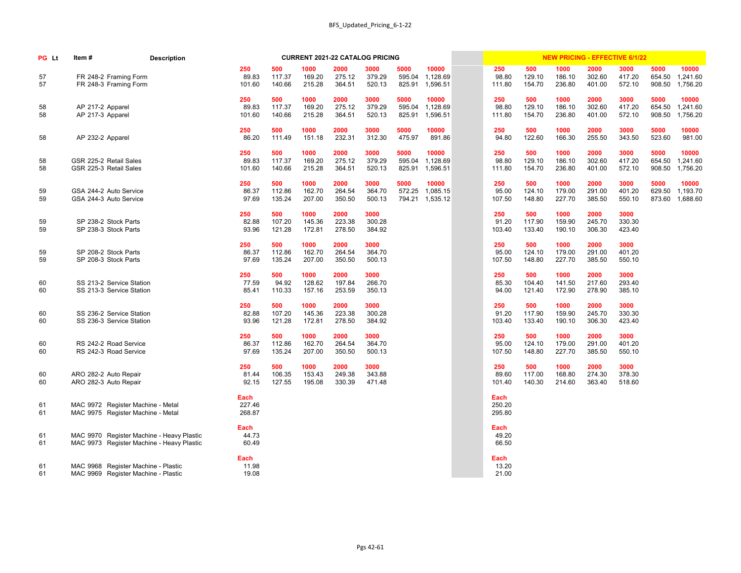| PG Lt    | Item#                                                                      | <b>Description</b>                                                                     |                          |                         |                          | <b>CURRENT 2021-22 CATALOG PRICING</b> |                          |                          |                               |                          |                         |                          |                          | <b>NEW PRICING - EFFECTIVE 6/1/22</b> |                          |                               |
|----------|----------------------------------------------------------------------------|----------------------------------------------------------------------------------------|--------------------------|-------------------------|--------------------------|----------------------------------------|--------------------------|--------------------------|-------------------------------|--------------------------|-------------------------|--------------------------|--------------------------|---------------------------------------|--------------------------|-------------------------------|
| 57<br>57 | FR 248-2 Framing Form<br>FR 248-3 Framing Form                             |                                                                                        | 250<br>89.83<br>101.60   | 500<br>117.37<br>140.66 | 1000<br>169.20<br>215.28 | 2000<br>275.12<br>364.51               | 3000<br>379.29<br>520.13 | 5000<br>595.04<br>825.91 | 10000<br>1,128.69<br>1,596.51 | 250<br>98.80<br>111.80   | 500<br>129.10<br>154.70 | 1000<br>186.10<br>236.80 | 2000<br>302.60<br>401.00 | 3000<br>417.20<br>572.10              | 5000<br>654.50<br>908.50 | 10000<br>1,241.60<br>1,756.20 |
| 58<br>58 | AP 217-2 Apparel<br>AP 217-3 Apparel                                       |                                                                                        | 250<br>89.83<br>101.60   | 500<br>117.37<br>140.66 | 1000<br>169.20<br>215.28 | 2000<br>275.12<br>364.51               | 3000<br>379.29<br>520.13 | 5000<br>595.04<br>825.91 | 10000<br>1,128.69<br>1,596.51 | 250<br>98.80<br>111.80   | 500<br>129.10<br>154.70 | 1000<br>186.10<br>236.80 | 2000<br>302.60<br>401.00 | 3000<br>417.20<br>572.10              | 5000<br>654.50<br>908.50 | 10000<br>1,241.60<br>1,756.20 |
| 58       | AP 232-2 Apparel                                                           |                                                                                        | 250<br>86.20             | 500<br>111.49           | 1000<br>151.18           | 2000<br>232.31                         | 3000<br>312.30           | 5000<br>475.97           | 10000<br>891.86               | 250<br>94.80             | 500<br>122.60           | 1000<br>166.30           | 2000<br>255.50           | 3000<br>343.50                        | 5000<br>523.60           | 10000<br>981.00               |
| 58<br>58 | GSR 225-2 Retail Sales<br>GSR 225-3 Retail Sales                           |                                                                                        | 250<br>89.83<br>101.60   | 500<br>117.37<br>140.66 | 1000<br>169.20<br>215.28 | 2000<br>275.12<br>364.51               | 3000<br>379.29<br>520.13 | 5000<br>595.04<br>825.91 | 10000<br>1,128.69<br>1,596.51 | 250<br>98.80<br>111.80   | 500<br>129.10<br>154.70 | 1000<br>186.10<br>236.80 | 2000<br>302.60<br>401.00 | 3000<br>417.20<br>572.10              | 5000<br>654.50<br>908.50 | 10000<br>1,241.60<br>1,756.20 |
| 59<br>59 | GSA 244-2 Auto Service<br>GSA 244-3 Auto Service                           |                                                                                        | 250<br>86.37<br>97.69    | 500<br>112.86<br>135.24 | 1000<br>162.70<br>207.00 | 2000<br>264.54<br>350.50               | 3000<br>364.70<br>500.13 | 5000<br>572.25<br>794.21 | 10000<br>1,085.15<br>1,535.12 | 250<br>95.00<br>107.50   | 500<br>124.10<br>148.80 | 1000<br>179.00<br>227.70 | 2000<br>291.00<br>385.50 | 3000<br>401.20<br>550.10              | 5000<br>629.50<br>873.60 | 10000<br>1,193.70<br>1,688.60 |
| 59<br>59 | SP 238-2 Stock Parts<br>SP 238-3 Stock Parts                               |                                                                                        | 250<br>82.88<br>93.96    | 500<br>107.20<br>121.28 | 1000<br>145.36<br>172.81 | 2000<br>223.38<br>278.50               | 3000<br>300.28<br>384.92 |                          |                               | 250<br>91.20<br>103.40   | 500<br>117.90<br>133.40 | 1000<br>159.90<br>190.10 | 2000<br>245.70<br>306.30 | 3000<br>330.30<br>423.40              |                          |                               |
| 59<br>59 | SP 208-2 Stock Parts<br>SP 208-3 Stock Parts                               |                                                                                        | 250<br>86.37<br>97.69    | 500<br>112.86<br>135.24 | 1000<br>162.70<br>207.00 | 2000<br>264.54<br>350.50               | 3000<br>364.70<br>500.13 |                          |                               | 250<br>95.00<br>107.50   | 500<br>124.10<br>148.80 | 1000<br>179.00<br>227.70 | 2000<br>291.00<br>385.50 | 3000<br>401.20<br>550.10              |                          |                               |
| 60<br>60 | SS 213-2 Service Station<br>SS 213-3 Service Station                       |                                                                                        | 250<br>77.59<br>85.41    | 500<br>94.92<br>110.33  | 1000<br>128.62<br>157.16 | 2000<br>197.84<br>253.59               | 3000<br>266.70<br>350.13 |                          |                               | 250<br>85.30<br>94.00    | 500<br>104.40<br>121.40 | 1000<br>141.50<br>172.90 | 2000<br>217.60<br>278.90 | 3000<br>293.40<br>385.10              |                          |                               |
| 60<br>60 | SS 236-2 Service Station<br>SS 236-3 Service Station                       |                                                                                        | 250<br>82.88<br>93.96    | 500<br>107.20<br>121.28 | 1000<br>145.36<br>172.81 | 2000<br>223.38<br>278.50               | 3000<br>300.28<br>384.92 |                          |                               | 250<br>91.20<br>103.40   | 500<br>117.90<br>133.40 | 1000<br>159.90<br>190.10 | 2000<br>245.70<br>306.30 | 3000<br>330.30<br>423.40              |                          |                               |
| 60<br>60 | RS 242-2 Road Service<br>RS 242-3 Road Service                             |                                                                                        | 250<br>86.37<br>97.69    | 500<br>112.86<br>135.24 | 1000<br>162.70<br>207.00 | 2000<br>264.54<br>350.50               | 3000<br>364.70<br>500.13 |                          |                               | 250<br>95.00<br>107.50   | 500<br>124.10<br>148.80 | 1000<br>179.00<br>227.70 | 2000<br>291.00<br>385.50 | 3000<br>401.20<br>550.10              |                          |                               |
| 60<br>60 | ARO 282-2 Auto Repair<br>ARO 282-3 Auto Repair                             |                                                                                        | 250<br>81.44<br>92.15    | 500<br>106.35<br>127.55 | 1000<br>153.43<br>195.08 | 2000<br>249.38<br>330.39               | 3000<br>343.88<br>471.48 |                          |                               | 250<br>89.60<br>101.40   | 500<br>117.00<br>140.30 | 1000<br>168.80<br>214.60 | 2000<br>274.30<br>363.40 | 3000<br>378.30<br>518.60              |                          |                               |
| 61<br>61 | MAC 9972 Register Machine - Metal<br>MAC 9975 Register Machine - Metal     |                                                                                        | Each<br>227.46<br>268.87 |                         |                          |                                        |                          |                          |                               | Each<br>250.20<br>295.80 |                         |                          |                          |                                       |                          |                               |
| 61<br>61 |                                                                            | MAC 9970 Register Machine - Heavy Plastic<br>MAC 9973 Register Machine - Heavy Plastic | Each<br>44.73<br>60.49   |                         |                          |                                        |                          |                          |                               | Each<br>49.20<br>66.50   |                         |                          |                          |                                       |                          |                               |
| 61<br>61 | MAC 9968 Register Machine - Plastic<br>MAC 9969 Register Machine - Plastic |                                                                                        | Each<br>11.98<br>19.08   |                         |                          |                                        |                          |                          |                               | Each<br>13.20<br>21.00   |                         |                          |                          |                                       |                          |                               |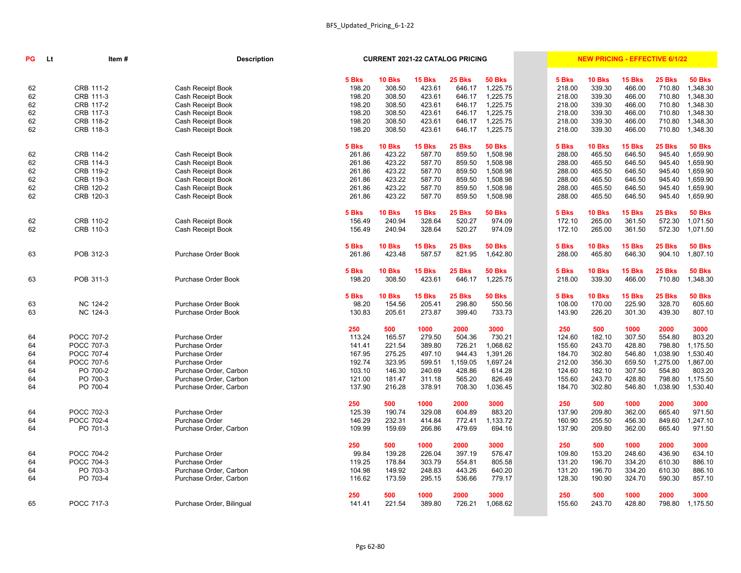| <b>PG</b> | Lt | Item#             | <b>Description</b>        |        | <b>CURRENT 2021-22 CATALOG PRICING</b> |               |               |               |        |               |               | <b>NEW PRICING - EFFECTIVE 6/1/22</b> |               |
|-----------|----|-------------------|---------------------------|--------|----------------------------------------|---------------|---------------|---------------|--------|---------------|---------------|---------------------------------------|---------------|
|           |    |                   |                           | 5 Bks  | 10 Bks                                 | <b>15 Bks</b> | <b>25 Bks</b> | <b>50 Bks</b> | 5 Bks  | <b>10 Bks</b> | <b>15 Bks</b> | 25 Bks                                | <b>50 Bks</b> |
| 62        |    | CRB 111-2         | Cash Receipt Book         | 198.20 | 308.50                                 | 423.61        | 646.17        | 1,225.75      | 218.00 | 339.30        | 466.00        | 710.80                                | 1,348.30      |
| 62        |    | CRB 111-3         | Cash Receipt Book         | 198.20 | 308.50                                 | 423.61        | 646.17        | 1,225.75      | 218.00 | 339.30        | 466.00        | 710.80                                | 1,348.30      |
| 62        |    | CRB 117-2         | Cash Receipt Book         | 198.20 | 308.50                                 | 423.61        | 646.17        | 1,225.75      | 218.00 | 339.30        | 466.00        | 710.80                                | 1,348.30      |
| 62        |    | CRB 117-3         | Cash Receipt Book         | 198.20 | 308.50                                 | 423.61        | 646.17        | 1,225.75      | 218.00 | 339.30        | 466.00        | 710.80                                | 1,348.30      |
| 62        |    | CRB 118-2         | Cash Receipt Book         | 198.20 | 308.50                                 | 423.61        | 646.17        | 1,225.75      | 218.00 | 339.30        | 466.00        | 710.80                                | 1,348.30      |
| 62        |    | CRB 118-3         | Cash Receipt Book         | 198.20 | 308.50                                 | 423.61        | 646.17        | 1,225.75      | 218.00 | 339.30        | 466.00        | 710.80                                | 1,348.30      |
|           |    |                   |                           | 5 Bks  | 10 Bks                                 | 15 Bks        | 25 Bks        | <b>50 Bks</b> | 5 Bks  | <b>10 Bks</b> | <b>15 Bks</b> | 25 Bks                                | <b>50 Bks</b> |
| 62        |    | CRB 114-2         | Cash Receipt Book         | 261.86 | 423.22                                 | 587.70        | 859.50        | 1,508.98      | 288.00 | 465.50        | 646.50        | 945.40                                | 1,659.90      |
| 62        |    | CRB 114-3         | Cash Receipt Book         | 261.86 | 423.22                                 | 587.70        | 859.50        | 1,508.98      | 288.00 | 465.50        | 646.50        | 945.40                                | 1,659.90      |
| 62        |    | CRB 119-2         | Cash Receipt Book         | 261.86 | 423.22                                 | 587.70        | 859.50        | 1,508.98      | 288.00 | 465.50        | 646.50        | 945.40                                | 1,659.90      |
| 62        |    | CRB 119-3         | Cash Receipt Book         | 261.86 | 423.22                                 | 587.70        | 859.50        | 1,508.98      | 288.00 | 465.50        | 646.50        | 945.40                                | 1,659.90      |
| 62        |    | CRB 120-2         | Cash Receipt Book         | 261.86 | 423.22                                 | 587.70        | 859.50        | 1,508.98      | 288.00 | 465.50        | 646.50        | 945.40                                | 1,659.90      |
| 62        |    | CRB 120-3         | Cash Receipt Book         | 261.86 | 423.22                                 | 587.70        | 859.50        | 1,508.98      | 288.00 | 465.50        | 646.50        | 945.40                                | 1,659.90      |
|           |    |                   |                           | 5 Bks  | 10 Bks                                 | 15 Bks        | <b>25 Bks</b> | <b>50 Bks</b> | 5 Bks  | <b>10 Bks</b> | <b>15 Bks</b> | 25 Bks                                | <b>50 Bks</b> |
| 62        |    | CRB 110-2         | Cash Receipt Book         | 156.49 | 240.94                                 | 328.64        | 520.27        | 974.09        | 172.10 | 265.00        | 361.50        | 572.30                                | 1,071.50      |
| 62        |    | CRB 110-3         | Cash Receipt Book         | 156.49 | 240.94                                 | 328.64        | 520.27        | 974.09        | 172.10 | 265.00        | 361.50        | 572.30                                | 1,071.50      |
|           |    |                   |                           | 5 Bks  | <b>10 Bks</b>                          | <b>15 Bks</b> | <b>25 Bks</b> | <b>50 Bks</b> | 5 Bks  | <b>10 Bks</b> | <b>15 Bks</b> | 25 Bks                                | <b>50 Bks</b> |
| 63        |    | POB 312-3         | Purchase Order Book       | 261.86 | 423.48                                 | 587.57        | 821.95        | 1,642.80      | 288.00 | 465.80        | 646.30        | 904.10                                | 1,807.10      |
|           |    |                   |                           | 5 Bks  | 10 Bks                                 | <b>15 Bks</b> | <b>25 Bks</b> | <b>50 Bks</b> | 5 Bks  | <b>10 Bks</b> | <b>15 Bks</b> | <b>25 Bks</b>                         | <b>50 Bks</b> |
| 63        |    | POB 311-3         | Purchase Order Book       | 198.20 | 308.50                                 | 423.61        | 646.17        | 1,225.75      | 218.00 | 339.30        | 466.00        | 710.80                                | 1,348.30      |
|           |    |                   |                           | 5 Bks  | 10 Bks                                 | 15 Bks        | <b>25 Bks</b> | <b>50 Bks</b> | 5 Bks  | <b>10 Bks</b> | <b>15 Bks</b> | 25 Bks                                | <b>50 Bks</b> |
| 63        |    | NC 124-2          | Purchase Order Book       | 98.20  | 154.56                                 | 205.41        | 298.80        | 550.56        | 108.00 | 170.00        | 225.90        | 328.70                                | 605.60        |
| 63        |    | NC 124-3          | Purchase Order Book       | 130.83 | 205.61                                 | 273.87        | 399.40        | 733.73        | 143.90 | 226.20        | 301.30        | 439.30                                | 807.10        |
|           |    |                   |                           | 250    | 500                                    | 1000          | 2000          | 3000          | 250    | 500           | 1000          | 2000                                  | 3000          |
| 64        |    | POCC 707-2        | Purchase Order            | 113.24 | 165.57                                 | 279.50        | 504.36        | 730.21        | 124.60 | 182.10        | 307.50        | 554.80                                | 803.20        |
| 64        |    | POCC 707-3        | <b>Purchase Order</b>     | 141.41 | 221.54                                 | 389.80        | 726.21        | 1,068.62      | 155.60 | 243.70        | 428.80        | 798.80                                | 1,175.50      |
| 64        |    | POCC 707-4        | Purchase Order            | 167.95 | 275.25                                 | 497.10        | 944.43        | 1,391.26      | 184.70 | 302.80        | 546.80        | 1,038.90  1,530.40                    |               |
| 64        |    | POCC 707-5        | Purchase Order            | 192.74 | 323.95                                 | 599.51        | 1,159.05      | 1,697.24      | 212.00 | 356.30        | 659.50        | 1,275.00                              | 1,867.00      |
| 64        |    | PO 700-2          | Purchase Order, Carbon    | 103.10 | 146.30                                 | 240.69        | 428.86        | 614.28        | 124.60 | 182.10        | 307.50        | 554.80                                | 803.20        |
| 64        |    | PO 700-3          | Purchase Order, Carbon    | 121.00 | 181.47                                 | 311.18        | 565.20        | 826.49        | 155.60 | 243.70        | 428.80        | 798.80                                | 1,175.50      |
| 64        |    | PO 700-4          | Purchase Order, Carbon    | 137.90 | 216.28                                 | 378.91        | 708.30        | 1,036.45      | 184.70 | 302.80        | 546.80        | 1,038.90                              | 1,530.40      |
|           |    |                   |                           | 250    | 500                                    | 1000          | 2000          | 3000          | 250    | 500           | 1000          | 2000                                  | 3000          |
| 64        |    | POCC 702-3        | Purchase Order            | 125.39 | 190.74                                 | 329.08        | 604.89        | 883.20        | 137.90 | 209.80        | 362.00        | 665.40                                | 971.50        |
| 64        |    | <b>POCC 702-4</b> | Purchase Order            | 146.29 | 232.31                                 | 414.84        | 772.41        | 1,133.72      | 160.90 | 255.50        | 456.30        | 849.60                                | ,247.10       |
| 64        |    | PO 701-3          | Purchase Order, Carbon    | 109.99 | 159.69                                 | 266.86        | 479.69        | 694.16        | 137.90 | 209.80        | 362.00        | 665.40                                | 971.50        |
|           |    |                   |                           | 250    | 500                                    | 1000          | 2000          | 3000          | 250    | 500           | 1000          | 2000                                  | 3000          |
| 64        |    | POCC 704-2        | Purchase Order            | 99.84  | 139.28                                 | 226.04        | 397.19        | 576.47        | 109.80 | 153.20        | 248.60        | 436.90                                | 634.10        |
| 64        |    | POCC 704-3        | Purchase Order            | 119.25 | 178.84                                 | 303.79        | 554.81        | 805.58        | 131.20 | 196.70        | 334.20        | 610.30                                | 886.10        |
| 64        |    | PO 703-3          | Purchase Order, Carbon    | 104.98 | 149.92                                 | 248.83        | 443.26        | 640.20        | 131.20 | 196.70        | 334.20        | 610.30                                | 886.10        |
| 64        |    | PO 703-4          | Purchase Order, Carbon    | 116.62 | 173.59                                 | 295.15        | 536.66        | 779.17        | 128.30 | 190.90        | 324.70        | 590.30                                | 857.10        |
|           |    |                   |                           | 250    | 500                                    | 1000          | 2000          | 3000          | 250    | 500           | 1000          | 2000                                  | 3000          |
| 65        |    | POCC 717-3        | Purchase Order, Bilingual | 141.41 | 221.54                                 | 389.80        | 726.21        | 1,068.62      | 155.60 | 243.70        | 428.80        | 798.80                                | 1,175.50      |
|           |    |                   |                           |        |                                        |               |               |               |        |               |               |                                       |               |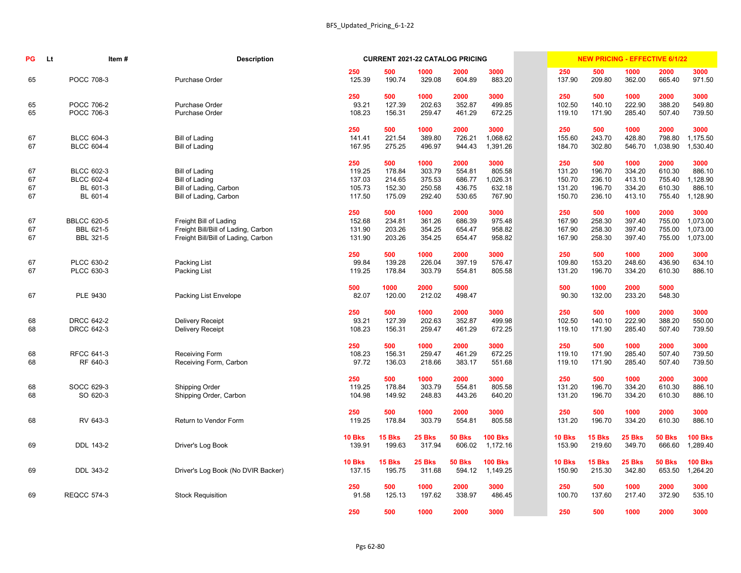| <b>PG</b>            | <b>Lt</b> | Item#                                                          | <b>Description</b>                                                                                   |                                             |                                             | <b>CURRENT 2021-22 CATALOG PRICING</b>       |                                              |                                                |                                             | <b>NEW PRICING - EFFECTIVE 6/1/22</b>       |                                              |                                              |                                                |
|----------------------|-----------|----------------------------------------------------------------|------------------------------------------------------------------------------------------------------|---------------------------------------------|---------------------------------------------|----------------------------------------------|----------------------------------------------|------------------------------------------------|---------------------------------------------|---------------------------------------------|----------------------------------------------|----------------------------------------------|------------------------------------------------|
| 65                   |           | POCC 708-3                                                     | Purchase Order                                                                                       | 250<br>125.39                               | 500<br>190.74                               | 1000<br>329.08                               | 2000<br>604.89                               | 3000<br>883.20                                 | 250<br>137.90                               | 500<br>209.80                               | 1000<br>362.00                               | 2000<br>665.40                               | 3000<br>971.50                                 |
| 65<br>65             |           | <b>POCC 706-2</b><br>POCC 706-3                                | Purchase Order<br>Purchase Order                                                                     | 250<br>93.21<br>108.23                      | 500<br>127.39<br>156.31                     | 1000<br>202.63<br>259.47                     | 2000<br>352.87<br>461.29                     | 3000<br>499.85<br>672.25                       | 250<br>102.50<br>119.10                     | 500<br>140.10<br>171.90                     | 1000<br>222.90<br>285.40                     | 2000<br>388.20<br>507.40                     | 3000<br>549.80<br>739.50                       |
| 67<br>67             |           | <b>BLCC 604-3</b><br><b>BLCC 604-4</b>                         | <b>Bill of Lading</b><br><b>Bill of Lading</b>                                                       | 250<br>141.41<br>167.95                     | 500<br>221.54<br>275.25                     | 1000<br>389.80<br>496.97                     | 2000<br>726.21<br>944.43                     | 3000<br>1,068.62<br>1,391.26                   | 250<br>155.60<br>184.70                     | 500<br>243.70<br>302.80                     | 1000<br>428.80<br>546.70                     | 2000<br>798.80<br>1,038.90                   | 3000<br>1,175.50<br>1,530.40                   |
| 67<br>67<br>67<br>67 |           | <b>BLCC 602-3</b><br><b>BLCC 602-4</b><br>BL 601-3<br>BL 601-4 | <b>Bill of Lading</b><br><b>Bill of Lading</b><br>Bill of Lading, Carbon<br>Bill of Lading, Carbon   | 250<br>119.25<br>137.03<br>105.73<br>117.50 | 500<br>178.84<br>214.65<br>152.30<br>175.09 | 1000<br>303.79<br>375.53<br>250.58<br>292.40 | 2000<br>554.81<br>686.77<br>436.75<br>530.65 | 3000<br>805.58<br>1,026.31<br>632.18<br>767.90 | 250<br>131.20<br>150.70<br>131.20<br>150.70 | 500<br>196.70<br>236.10<br>196.70<br>236.10 | 1000<br>334.20<br>413.10<br>334.20<br>413.10 | 2000<br>610.30<br>755.40<br>610.30<br>755.40 | 3000<br>886.10<br>,128.90<br>886.10<br>,128.90 |
| 67<br>67<br>67       |           | <b>BBLCC 620-5</b><br>BBL 621-5<br><b>BBL 321-5</b>            | Freight Bill of Lading<br>Freight Bill/Bill of Lading, Carbon<br>Freight Bill/Bill of Lading, Carbon | 250<br>152.68<br>131.90<br>131.90           | 500<br>234.81<br>203.26<br>203.26           | 1000<br>361.26<br>354.25<br>354.25           | 2000<br>686.39<br>654.47<br>654.47           | 3000<br>975.48<br>958.82<br>958.82             | 250<br>167.90<br>167.90<br>167.90           | 500<br>258.30<br>258.30<br>258.30           | 1000<br>397.40<br>397.40<br>397.40           | 2000<br>755.00<br>755.00<br>755.00           | 3000<br>1,073.00<br>1,073.00<br>1,073.00       |
| 67<br>67             |           | PLCC 630-2<br>PLCC 630-3                                       | Packing List<br>Packing List                                                                         | 250<br>99.84<br>119.25                      | 500<br>139.28<br>178.84                     | 1000<br>226.04<br>303.79                     | 2000<br>397.19<br>554.81                     | 3000<br>576.47<br>805.58                       | 250<br>109.80<br>131.20                     | 500<br>153.20<br>196.70                     | 1000<br>248.60<br>334.20                     | 2000<br>436.90<br>610.30                     | 3000<br>634.10<br>886.10                       |
| 67                   |           | PLE 9430                                                       | Packing List Envelope                                                                                | 500<br>82.07                                | 1000<br>120.00                              | 2000<br>212.02                               | 5000<br>498.47                               |                                                | 500<br>90.30                                | 1000<br>132.00                              | 2000<br>233.20                               | 5000<br>548.30                               |                                                |
| 68<br>68             |           | <b>DRCC 642-2</b><br><b>DRCC 642-3</b>                         | Delivery Receipt<br><b>Delivery Receipt</b>                                                          | 250<br>93.21<br>108.23                      | 500<br>127.39<br>156.31                     | 1000<br>202.63<br>259.47                     | 2000<br>352.87<br>461.29                     | 3000<br>499.98<br>672.25                       | 250<br>102.50<br>119.10                     | 500<br>140.10<br>171.90                     | 1000<br>222.90<br>285.40                     | 2000<br>388.20<br>507.40                     | 3000<br>550.00<br>739.50                       |
| 68<br>68             |           | <b>RFCC 641-3</b><br>RF 640-3                                  | <b>Receiving Form</b><br>Receiving Form, Carbon                                                      | 250<br>108.23<br>97.72                      | 500<br>156.31<br>136.03                     | 1000<br>259.47<br>218.66                     | 2000<br>461.29<br>383.17                     | 3000<br>672.25<br>551.68                       | 250<br>119.10<br>119.10                     | 500<br>171.90<br>171.90                     | 1000<br>285.40<br>285.40                     | 2000<br>507.40<br>507.40                     | 3000<br>739.50<br>739.50                       |
| 68<br>68             |           | SOCC 629-3<br>SO 620-3                                         | Shipping Order<br>Shipping Order, Carbon                                                             | 250<br>119.25<br>104.98                     | 500<br>178.84<br>149.92                     | 1000<br>303.79<br>248.83                     | 2000<br>554.81<br>443.26                     | 3000<br>805.58<br>640.20                       | 250<br>131.20<br>131.20                     | 500<br>196.70<br>196.70                     | 1000<br>334.20<br>334.20                     | 2000<br>610.30<br>610.30                     | 3000<br>886.10<br>886.10                       |
| 68                   |           | RV 643-3                                                       | Return to Vendor Form                                                                                | 250<br>119.25                               | 500<br>178.84                               | 1000<br>303.79                               | 2000<br>554.81                               | 3000<br>805.58                                 | 250<br>131.20                               | 500<br>196.70                               | 1000<br>334.20                               | 2000<br>610.30                               | 3000<br>886.10                                 |
| 69                   |           | DDL 143-2                                                      | Driver's Log Book                                                                                    | <b>10 Bks</b><br>139.91                     | <b>15 Bks</b><br>199.63                     | <b>25 Bks</b><br>317.94                      | <b>50 Bks</b><br>606.02                      | <b>100 Bks</b><br>1,172.16                     | <b>10 Bks</b><br>153.90                     | <b>15 Bks</b><br>219.60                     | <b>25 Bks</b><br>349.70                      | <b>50 Bks</b><br>666.60                      | <b>100 Bks</b><br>1,289.40                     |
| 69                   |           | DDL 343-2                                                      | Driver's Log Book (No DVIR Backer)                                                                   | <b>10 Bks</b><br>137.15                     | <b>15 Bks</b><br>195.75                     | <b>25 Bks</b><br>311.68                      | <b>50 Bks</b><br>594.12                      | <b>100 Bks</b><br>1,149.25                     | <b>10 Bks</b><br>150.90                     | <b>15 Bks</b><br>215.30                     | <b>25 Bks</b><br>342.80                      | <b>50 Bks</b><br>653.50                      | <b>100 Bks</b><br>1,264.20                     |
| 69                   |           | <b>REQCC 574-3</b>                                             | <b>Stock Requisition</b>                                                                             | 250<br>91.58                                | 500<br>125.13                               | 1000<br>197.62                               | 2000<br>338.97                               | 3000<br>486.45                                 | 250<br>100.70                               | 500<br>137.60                               | 1000<br>217.40                               | 2000<br>372.90                               | 3000<br>535.10                                 |
|                      |           |                                                                |                                                                                                      | 250                                         | 500                                         | 1000                                         | 2000                                         | 3000                                           | 250                                         | 500                                         | 1000                                         | 2000                                         | 3000                                           |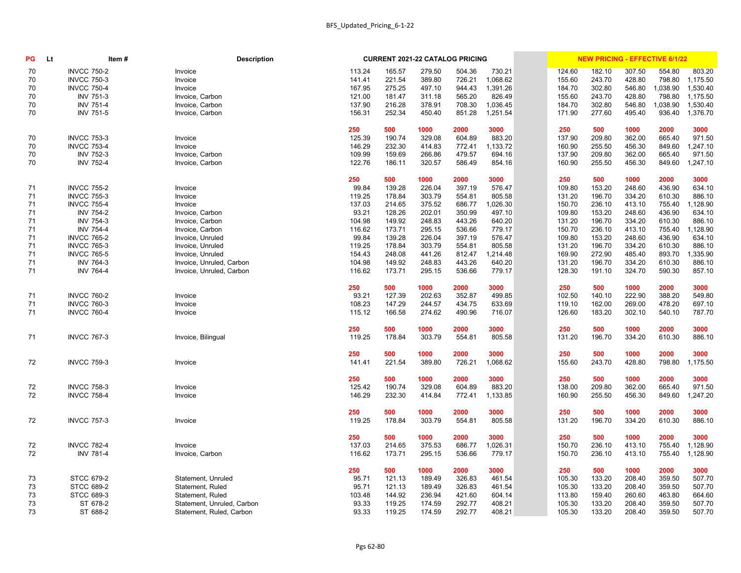| PG | <b>Lt</b> | Item#              | <b>Description</b>         |        | <b>CURRENT 2021-22 CATALOG PRICING</b> |        |        |          |        | <b>NEW PRICING - EFFECTIVE 6/1/22</b> |        |          |          |
|----|-----------|--------------------|----------------------------|--------|----------------------------------------|--------|--------|----------|--------|---------------------------------------|--------|----------|----------|
| 70 |           | <b>INVCC 750-2</b> | Invoice                    | 113.24 | 165.57                                 | 279.50 | 504.36 | 730.21   | 124.60 | 182.10                                | 307.50 | 554.80   | 803.20   |
| 70 |           | <b>INVCC 750-3</b> | Invoice                    | 141.41 | 221.54                                 | 389.80 | 726.21 | 1,068.62 | 155.60 | 243.70                                | 428.80 | 798.80   | 1,175.50 |
| 70 |           | <b>INVCC 750-4</b> | Invoice                    | 167.95 | 275.25                                 | 497.10 | 944.43 | 1,391.26 | 184.70 | 302.80                                | 546.80 | 1,038.90 | 1,530.40 |
| 70 |           | <b>INV 751-3</b>   | Invoice, Carbon            | 121.00 | 181.47                                 | 311.18 | 565.20 | 826.49   | 155.60 | 243.70                                | 428.80 | 798.80   | 1,175.50 |
| 70 |           | <b>INV 751-4</b>   | Invoice, Carbon            | 137.90 | 216.28                                 | 378.91 | 708.30 | 1,036.45 | 184.70 | 302.80                                | 546.80 | 1,038.90 | 1,530.40 |
| 70 |           | <b>INV 751-5</b>   | Invoice, Carbon            | 156.31 | 252.34                                 | 450.40 | 851.28 | 1,251.54 | 171.90 | 277.60                                | 495.40 | 936.40   | 1,376.70 |
|    |           |                    |                            | 250    | 500                                    | 1000   | 2000   | 3000     | 250    | 500                                   | 1000   | 2000     | 3000     |
| 70 |           | <b>INVCC 753-3</b> | Invoice                    | 125.39 | 190.74                                 | 329.08 | 604.89 | 883.20   | 137.90 | 209.80                                | 362.00 | 665.40   | 971.50   |
| 70 |           | <b>INVCC 753-4</b> | Invoice                    | 146.29 | 232.30                                 | 414.83 | 772.41 | 1,133.72 | 160.90 | 255.50                                | 456.30 | 849.60   | ,247.10  |
| 70 |           | <b>INV 752-3</b>   | Invoice, Carbon            | 109.99 | 159.69                                 | 266.86 | 479.57 | 694.16   | 137.90 | 209.80                                | 362.00 | 665.40   | 971.50   |
| 70 |           | <b>INV 752-4</b>   | Invoice, Carbon            | 122.76 | 186.11                                 | 320.57 | 586.49 | 854.16   | 160.90 | 255.50                                | 456.30 | 849.60   | 1,247.10 |
|    |           |                    |                            | 250    | 500                                    | 1000   | 2000   | 3000     | 250    | 500                                   | 1000   | 2000     | 3000     |
| 71 |           | <b>INVCC 755-2</b> | Invoice                    | 99.84  | 139.28                                 | 226.04 | 397.19 | 576.47   | 109.80 | 153.20                                | 248.60 | 436.90   | 634.10   |
| 71 |           | <b>INVCC 755-3</b> | Invoice                    | 119.25 | 178.84                                 | 303.79 | 554.81 | 805.58   | 131.20 | 196.70                                | 334.20 | 610.30   | 886.10   |
| 71 |           | <b>INVCC 755-4</b> | Invoice                    | 137.03 | 214.65                                 | 375.52 | 686.77 | 1,026.30 | 150.70 | 236.10                                | 413.10 | 755.40   | ,128.90  |
| 71 |           | <b>INV 754-2</b>   | Invoice, Carbon            | 93.21  | 128.26                                 | 202.01 | 350.99 | 497.10   | 109.80 | 153.20                                | 248.60 | 436.90   | 634.10   |
| 71 |           | <b>INV 754-3</b>   | Invoice, Carbon            | 104.98 | 149.92                                 | 248.83 | 443.26 | 640.20   | 131.20 | 196.70                                | 334.20 | 610.30   | 886.10   |
| 71 |           | <b>INV 754-4</b>   | Invoice, Carbon            | 116.62 | 173.71                                 | 295.15 | 536.66 | 779.17   | 150.70 | 236.10                                | 413.10 | 755.40   | ,128.90  |
| 71 |           | <b>INVCC 765-2</b> | Invoice, Unruled           | 99.84  | 139.28                                 | 226.04 | 397.19 | 576.47   | 109.80 | 153.20                                | 248.60 | 436.90   | 634.10   |
| 71 |           | <b>INVCC 765-3</b> | Invoice, Unruled           | 119.25 | 178.84                                 | 303.79 | 554.81 | 805.58   | 131.20 | 196.70                                | 334.20 | 610.30   | 886.10   |
| 71 |           | <b>INVCC 765-5</b> | Invoice, Unruled           | 154.43 | 248.08                                 | 441.26 | 812.47 | 1,214.48 | 169.90 | 272.90                                | 485.40 | 893.70   | ,335.90  |
| 71 |           | <b>INV 764-3</b>   | Invoice, Unruled, Carbon   | 104.98 | 149.92                                 | 248.83 | 443.26 | 640.20   | 131.20 | 196.70                                | 334.20 | 610.30   | 886.10   |
| 71 |           | <b>INV 764-4</b>   | Invoice, Unruled, Carbon   | 116.62 | 173.71                                 | 295.15 | 536.66 | 779.17   | 128.30 | 191.10                                | 324.70 | 590.30   | 857.10   |
|    |           |                    |                            | 250    | 500                                    | 1000   | 2000   | 3000     | 250    | 500                                   | 1000   | 2000     | 3000     |
| 71 |           | <b>INVCC 760-2</b> | Invoice                    | 93.21  | 127.39                                 | 202.63 | 352.87 | 499.85   | 102.50 | 140.10                                | 222.90 | 388.20   | 549.80   |
| 71 |           | <b>INVCC 760-3</b> | Invoice                    | 108.23 | 147.29                                 | 244.57 | 434.75 | 633.69   | 119.10 | 162.00                                | 269.00 | 478.20   | 697.10   |
| 71 |           | <b>INVCC 760-4</b> | Invoice                    | 115.12 | 166.58                                 | 274.62 | 490.96 | 716.07   | 126.60 | 183.20                                | 302.10 | 540.10   | 787.70   |
|    |           |                    |                            | 250    | 500                                    | 1000   | 2000   | 3000     | 250    | 500                                   | 1000   | 2000     | 3000     |
| 71 |           | <b>INVCC 767-3</b> | Invoice, Bilingual         | 119.25 | 178.84                                 | 303.79 | 554.81 | 805.58   | 131.20 | 196.70                                | 334.20 | 610.30   | 886.10   |
|    |           |                    |                            | 250    | 500                                    | 1000   | 2000   | 3000     | 250    | 500                                   | 1000   | 2000     | 3000     |
| 72 |           | <b>INVCC 759-3</b> | Invoice                    | 141.41 | 221.54                                 | 389.80 | 726.21 | 1,068.62 | 155.60 | 243.70                                | 428.80 | 798.80   | 1,175.50 |
|    |           |                    |                            | 250    | 500                                    | 1000   | 2000   | 3000     | 250    | 500                                   | 1000   | 2000     | 3000     |
| 72 |           | <b>INVCC 758-3</b> | Invoice                    | 125.42 | 190.74                                 | 329.08 | 604.89 | 883.20   | 138.00 | 209.80                                | 362.00 | 665.40   | 971.50   |
| 72 |           | <b>INVCC 758-4</b> | Invoice                    | 146.29 | 232.30                                 | 414.84 | 772.41 | 1,133.85 | 160.90 | 255.50                                | 456.30 | 849.60   | 1,247.20 |
|    |           |                    |                            | 250    | 500                                    | 1000   | 2000   | 3000     | 250    | 500                                   | 1000   | 2000     | 3000     |
| 72 |           | <b>INVCC 757-3</b> | Invoice                    | 119.25 | 178.84                                 | 303.79 | 554.81 | 805.58   | 131.20 | 196.70                                | 334.20 | 610.30   | 886.10   |
|    |           |                    |                            | 250    | 500                                    | 1000   | 2000   | 3000     | 250    | 500                                   | 1000   | 2000     | 3000     |
| 72 |           | <b>INVCC 782-4</b> | Invoice                    | 137.03 | 214.65                                 | 375.53 | 686.77 | 1,026.31 | 150.70 | 236.10                                | 413.10 | 755.40   | 1,128.90 |
| 72 |           | <b>INV 781-4</b>   | Invoice, Carbon            | 116.62 | 173.71                                 | 295.15 | 536.66 | 779.17   | 150.70 | 236.10                                | 413.10 | 755.40   | 1,128.90 |
|    |           |                    |                            | 250    | 500                                    | 1000   | 2000   | 3000     | 250    | 500                                   | 1000   | 2000     | 3000     |
| 73 |           | <b>STCC 679-2</b>  | Statement, Unruled         | 95.71  | 121.13                                 | 189.49 | 326.83 | 461.54   | 105.30 | 133.20                                | 208.40 | 359.50   | 507.70   |
| 73 |           | <b>STCC 689-2</b>  | Statement, Ruled           | 95.71  | 121.13                                 | 189.49 | 326.83 | 461.54   | 105.30 | 133.20                                | 208.40 | 359.50   | 507.70   |
| 73 |           | <b>STCC 689-3</b>  | Statement, Ruled           | 103.48 | 144.92                                 | 236.94 | 421.60 | 604.14   | 113.80 | 159.40                                | 260.60 | 463.80   | 664.60   |
| 73 |           | ST 678-2           | Statement, Unruled, Carbon | 93.33  | 119.25                                 | 174.59 | 292.77 | 408.21   | 105.30 | 133.20                                | 208.40 | 359.50   | 507.70   |
| 73 |           | ST 688-2           | Statement, Ruled, Carbon   | 93.33  | 119.25                                 | 174.59 | 292.77 | 408.21   | 105.30 | 133.20                                | 208.40 | 359.50   | 507.70   |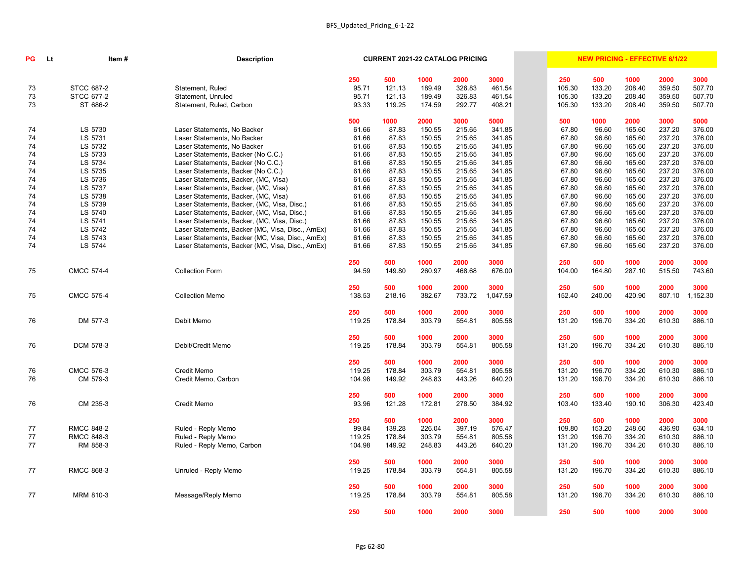| PG | Lt | Item#             | <b>Description</b>                               |               | <b>CURRENT 2021-22 CATALOG PRICING</b> |                |                |                  |               | <b>NEW PRICING - EFFECTIVE 6/1/22</b> |                |                |                  |
|----|----|-------------------|--------------------------------------------------|---------------|----------------------------------------|----------------|----------------|------------------|---------------|---------------------------------------|----------------|----------------|------------------|
|    |    |                   |                                                  | 250           | 500                                    | 1000           | 2000           | 3000             | 250           | 500                                   | 1000           | 2000           | 3000             |
| 73 |    | <b>STCC 687-2</b> | Statement, Ruled                                 | 95.71         | 121.13                                 | 189.49         | 326.83         | 461.54           | 105.30        | 133.20                                | 208.40         | 359.50         | 507.70           |
| 73 |    | <b>STCC 677-2</b> | Statement, Unruled                               | 95.71         | 121.13                                 | 189.49         | 326.83         | 461.54           | 105.30        | 133.20                                | 208.40         | 359.50         | 507.70           |
| 73 |    | ST 686-2          | Statement, Ruled, Carbon                         | 93.33         | 119.25                                 | 174.59         | 292.77         | 408.21           | 105.30        | 133.20                                | 208.40         | 359.50         | 507.70           |
|    |    |                   |                                                  | 500           | 1000                                   | 2000           | 3000           | 5000             | 500           | 1000                                  | 2000           | 3000           | 5000             |
| 74 |    | LS 5730           | Laser Statements, No Backer                      | 61.66         | 87.83                                  | 150.55         | 215.65         | 341.85           | 67.80         | 96.60                                 | 165.60         | 237.20         | 376.00           |
| 74 |    | LS 5731           | Laser Statements, No Backer                      | 61.66         | 87.83                                  | 150.55         | 215.65         | 341.85           | 67.80         | 96.60                                 | 165.60         | 237.20         | 376.00           |
| 74 |    | LS 5732           | Laser Statements, No Backer                      | 61.66         | 87.83                                  | 150.55         | 215.65         | 341.85           | 67.80         | 96.60                                 | 165.60         | 237.20         | 376.00           |
| 74 |    | LS 5733           | Laser Statements, Backer (No C.C.)               | 61.66         | 87.83                                  | 150.55         | 215.65         | 341.85           | 67.80         | 96.60                                 | 165.60         | 237.20         | 376.00           |
| 74 |    | LS 5734           | Laser Statements, Backer (No C.C.)               | 61.66         | 87.83                                  | 150.55         | 215.65         | 341.85           | 67.80         | 96.60                                 | 165.60         | 237.20         | 376.00           |
| 74 |    | LS 5735           | Laser Statements, Backer (No C.C.)               | 61.66         | 87.83                                  | 150.55         | 215.65         | 341.85           | 67.80         | 96.60                                 | 165.60         | 237.20         | 376.00           |
| 74 |    | LS 5736           | Laser Statements, Backer, (MC, Visa)             | 61.66         | 87.83                                  | 150.55         | 215.65         | 341.85           | 67.80         | 96.60                                 | 165.60         | 237.20         | 376.00           |
| 74 |    | LS 5737           | Laser Statements, Backer, (MC, Visa)             | 61.66         | 87.83                                  | 150.55         | 215.65         | 341.85           | 67.80         | 96.60                                 | 165.60         | 237.20         | 376.00           |
| 74 |    | LS 5738           | Laser Statements, Backer, (MC, Visa)             | 61.66         | 87.83                                  | 150.55         | 215.65         | 341.85           | 67.80         | 96.60                                 | 165.60         | 237.20         | 376.00           |
| 74 |    | LS 5739           | Laser Statements, Backer, (MC, Visa, Disc.)      | 61.66         | 87.83                                  | 150.55         | 215.65         | 341.85           | 67.80         | 96.60                                 | 165.60         | 237.20         | 376.00           |
| 74 |    | LS 5740           | Laser Statements, Backer, (MC, Visa, Disc.)      | 61.66         | 87.83                                  | 150.55         | 215.65         | 341.85           | 67.80         | 96.60                                 | 165.60         | 237.20         | 376.00           |
| 74 |    | LS 5741           | Laser Statements, Backer, (MC, Visa, Disc.)      | 61.66         | 87.83                                  | 150.55         | 215.65         | 341.85           | 67.80         | 96.60                                 | 165.60         | 237.20         | 376.00           |
| 74 |    | LS 5742           | Laser Statements, Backer (MC, Visa, Disc., AmEx) | 61.66         | 87.83                                  | 150.55         | 215.65         | 341.85           | 67.80         | 96.60                                 | 165.60         | 237.20         | 376.00           |
| 74 |    | LS 5743           | Laser Statements, Backer (MC, Visa, Disc., AmEx) | 61.66         | 87.83                                  | 150.55         | 215.65         | 341.85           | 67.80         | 96.60                                 | 165.60         | 237.20         | 376.00           |
| 74 |    | LS 5744           | Laser Statements, Backer (MC, Visa, Disc., AmEx) | 61.66         | 87.83                                  | 150.55         | 215.65         | 341.85           | 67.80         | 96.60                                 | 165.60         | 237.20         | 376.00           |
|    |    |                   |                                                  | 250           | 500                                    | 1000           | 2000           | 3000             | 250           | 500                                   | 1000           | 2000           | 3000             |
| 75 |    | <b>CMCC 574-4</b> | <b>Collection Form</b>                           | 94.59         | 149.80                                 | 260.97         | 468.68         | 676.00           | 104.00        | 164.80                                | 287.10         | 515.50         | 743.60           |
| 75 |    | <b>CMCC 575-4</b> | <b>Collection Memo</b>                           | 250<br>138.53 | 500<br>218.16                          | 1000<br>382.67 | 2000<br>733.72 | 3000<br>1,047.59 | 250<br>152.40 | 500<br>240.00                         | 1000<br>420.90 | 2000<br>807.10 | 3000<br>1,152.30 |
|    |    |                   |                                                  |               |                                        |                |                |                  |               |                                       |                |                |                  |
| 76 |    | DM 577-3          | Debit Memo                                       | 250<br>119.25 | 500<br>178.84                          | 1000<br>303.79 | 2000<br>554.81 | 3000<br>805.58   | 250<br>131.20 | 500<br>196.70                         | 1000<br>334.20 | 2000<br>610.30 | 3000<br>886.10   |
|    |    |                   |                                                  |               |                                        |                |                |                  |               |                                       |                |                |                  |
|    |    |                   |                                                  | 250           | 500                                    | 1000           | 2000           | 3000             | 250           | 500                                   | 1000           | 2000           | 3000             |
| 76 |    | <b>DCM 578-3</b>  | Debit/Credit Memo                                | 119.25        | 178.84                                 | 303.79         | 554.81         | 805.58           | 131.20        | 196.70                                | 334.20         | 610.30         | 886.10           |
|    |    |                   |                                                  | 250           | 500                                    | 1000           | 2000           | 3000             | 250           | 500                                   | 1000           | 2000           | 3000             |
| 76 |    | <b>CMCC 576-3</b> | <b>Credit Memo</b>                               | 119.25        | 178.84                                 | 303.79         | 554.81         | 805.58           | 131.20        | 196.70                                | 334.20         | 610.30         | 886.10           |
| 76 |    | CM 579-3          | Credit Memo, Carbon                              | 104.98        | 149.92                                 | 248.83         | 443.26         | 640.20           | 131.20        | 196.70                                | 334.20         | 610.30         | 886.10           |
|    |    |                   |                                                  | 250           | 500                                    | 1000           | 2000           | 3000             | 250           | 500                                   | 1000           | 2000           | 3000             |
| 76 |    | CM 235-3          | Credit Memo                                      | 93.96         | 121.28                                 | 172.81         | 278.50         | 384.92           | 103.40        | 133.40                                | 190.10         | 306.30         | 423.40           |
|    |    |                   |                                                  | 250           | 500                                    | 1000           | 2000           | 3000             | 250           | 500                                   | 1000           | 2000           | 3000             |
| 77 |    | <b>RMCC 848-2</b> | Ruled - Reply Memo                               | 99.84         | 139.28                                 | 226.04         | 397.19         | 576.47           | 109.80        | 153.20                                | 248.60         | 436.90         | 634.10           |
| 77 |    | <b>RMCC 848-3</b> | Ruled - Reply Memo                               | 119.25        | 178.84                                 | 303.79         | 554.81         | 805.58           | 131.20        | 196.70                                | 334.20         | 610.30         | 886.10           |
| 77 |    | RM 858-3          | Ruled - Reply Memo, Carbon                       | 104.98        | 149.92                                 | 248.83         | 443.26         | 640.20           | 131.20        | 196.70                                | 334.20         | 610.30         | 886.10           |
|    |    |                   |                                                  | 250           | 500                                    | 1000           | 2000           | 3000             | 250           | 500                                   | 1000           | 2000           | 3000             |
| 77 |    | <b>RMCC 868-3</b> | Unruled - Reply Memo                             | 119.25        | 178.84                                 | 303.79         | 554.81         | 805.58           | 131.20        | 196.70                                | 334.20         | 610.30         | 886.10           |
|    |    |                   |                                                  | 250           | 500                                    | 1000           | 2000           | 3000             | 250           | 500                                   | 1000           | 2000           | 3000             |
| 77 |    | MRM 810-3         | Message/Reply Memo                               | 119.25        | 178.84                                 | 303.79         | 554.81         | 805.58           | 131.20        | 196.70                                | 334.20         | 610.30         | 886.10           |
|    |    |                   |                                                  | 250           | 500                                    | 1000           | 2000           | 3000             | 250           | 500                                   | 1000           | 2000           | 3000             |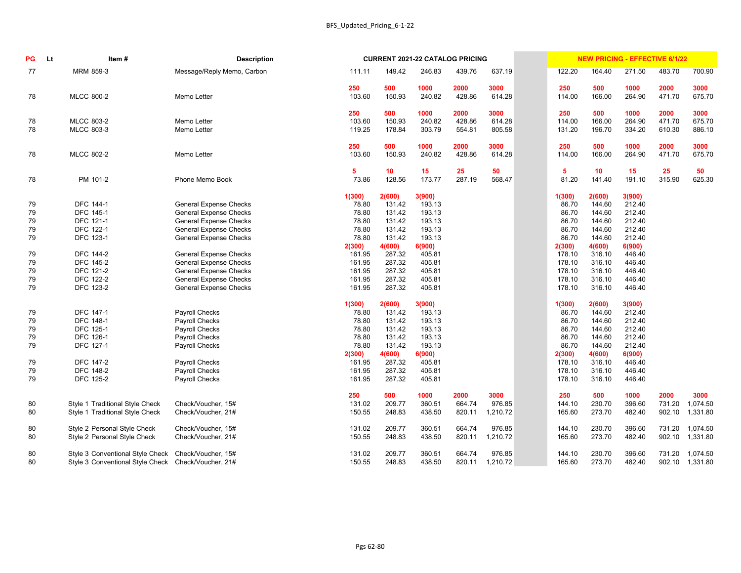| PG       | <b>Lt</b> | Item#                                               | <b>Description</b>                                             |                  |                  | <b>CURRENT 2021-22 CATALOG PRICING</b> |                  |                  |                  |                  | <b>NEW PRICING - EFFECTIVE 6/1/22</b> |                  |                  |
|----------|-----------|-----------------------------------------------------|----------------------------------------------------------------|------------------|------------------|----------------------------------------|------------------|------------------|------------------|------------------|---------------------------------------|------------------|------------------|
| 77       |           | MRM 859-3                                           | Message/Reply Memo, Carbon                                     | 111.11           | 149.42           | 246.83                                 | 439.76           | 637.19           | 122.20           | 164.40           | 271.50                                | 483.70           | 700.90           |
|          |           |                                                     |                                                                | 250              | 500              | 1000                                   | 2000             | 3000             | 250              | 500              | 1000                                  | 2000             | 3000             |
| 78       |           | <b>MLCC 800-2</b>                                   | Memo Letter                                                    | 103.60           | 150.93           | 240.82                                 | 428.86           | 614.28           | 114.00           | 166.00           | 264.90                                | 471.70           | 675.70           |
|          |           |                                                     |                                                                | 250              | 500              | 1000                                   | 2000             | 3000             | 250              | 500              | 1000                                  | 2000             | 3000             |
| 78<br>78 |           | <b>MLCC 803-2</b><br><b>MLCC 803-3</b>              | Memo Letter<br>Memo Letter                                     | 103.60<br>119.25 | 150.93<br>178.84 | 240.82<br>303.79                       | 428.86<br>554.81 | 614.28<br>805.58 | 114.00<br>131.20 | 166.00<br>196.70 | 264.90<br>334.20                      | 471.70<br>610.30 | 675.70<br>886.10 |
|          |           |                                                     |                                                                |                  |                  |                                        |                  |                  |                  |                  |                                       |                  |                  |
|          |           |                                                     |                                                                | 250              | 500              | 1000                                   | 2000             | 3000             | 250              | 500              | 1000                                  | 2000             | 3000             |
| 78       |           | <b>MLCC 802-2</b>                                   | Memo Letter                                                    | 103.60           | 150.93           | 240.82                                 | 428.86           | 614.28           | 114.00           | 166.00           | 264.90                                | 471.70           | 675.70           |
|          |           |                                                     |                                                                | 5                | 10               | 15                                     | 25               | 50               | 5                | 10               | 15                                    | 25               | 50               |
| 78       |           | PM 101-2                                            | Phone Memo Book                                                | 73.86            | 128.56           | 173.77                                 | 287.19           | 568.47           | 81.20            | 141.40           | 191.10                                | 315.90           | 625.30           |
|          |           |                                                     |                                                                | 1(300)           | 2(600)           | 3(900)                                 |                  |                  | 1(300)           | 2(600)           | 3(900)                                |                  |                  |
| 79       |           | <b>DFC 144-1</b>                                    | <b>General Expense Checks</b>                                  | 78.80            | 131.42           | 193.13                                 |                  |                  | 86.70            | 144.60           | 212.40                                |                  |                  |
| 79       |           | <b>DFC 145-1</b>                                    | <b>General Expense Checks</b>                                  | 78.80            | 131.42           | 193.13                                 |                  |                  | 86.70            | 144.60           | 212.40                                |                  |                  |
| 79       |           | <b>DFC 121-1</b>                                    | <b>General Expense Checks</b>                                  | 78.80            | 131.42           | 193.13                                 |                  |                  | 86.70            | 144.60           | 212.40                                |                  |                  |
| 79       |           | DFC 122-1                                           | <b>General Expense Checks</b>                                  | 78.80            | 131.42           | 193.13                                 |                  |                  | 86.70            | 144.60           | 212.40                                |                  |                  |
| 79       |           | DFC 123-1                                           | <b>General Expense Checks</b>                                  | 78.80            | 131.42           | 193.13                                 |                  |                  | 86.70            | 144.60           | 212.40                                |                  |                  |
|          |           |                                                     |                                                                | 2(300)           | 4(600)           | 6(900)                                 |                  |                  | 2(300)           | 4(600)           | 6(900)                                |                  |                  |
| 79       |           | DFC 144-2                                           | <b>General Expense Checks</b>                                  | 161.95           | 287.32           | 405.81                                 |                  |                  | 178.10           | 316.10           | 446.40                                |                  |                  |
| 79       |           | DFC 145-2                                           | <b>General Expense Checks</b>                                  | 161.95           | 287.32           | 405.81                                 |                  |                  | 178.10           | 316.10           | 446.40                                |                  |                  |
| 79       |           | DFC 121-2<br>DFC 122-2                              | <b>General Expense Checks</b>                                  | 161.95           | 287.32           | 405.81                                 |                  |                  | 178.10           | 316.10           | 446.40<br>446.40                      |                  |                  |
| 79<br>79 |           | DFC 123-2                                           | <b>General Expense Checks</b><br><b>General Expense Checks</b> | 161.95<br>161.95 | 287.32<br>287.32 | 405.81<br>405.81                       |                  |                  | 178.10<br>178.10 | 316.10<br>316.10 | 446.40                                |                  |                  |
|          |           |                                                     |                                                                |                  |                  |                                        |                  |                  |                  |                  |                                       |                  |                  |
|          |           |                                                     |                                                                | 1(300)           | 2(600)           | 3(900)                                 |                  |                  | 1(300)           | 2(600)           | 3(900)                                |                  |                  |
| 79       |           | <b>DFC 147-1</b>                                    | Payroll Checks                                                 | 78.80            | 131.42           | 193.13                                 |                  |                  | 86.70            | 144.60           | 212.40                                |                  |                  |
| 79       |           | <b>DFC 148-1</b>                                    | Payroll Checks                                                 | 78.80            | 131.42           | 193.13                                 |                  |                  | 86.70            | 144.60           | 212.40                                |                  |                  |
| 79       |           | DFC 125-1                                           | Payroll Checks                                                 | 78.80            | 131.42           | 193.13                                 |                  |                  | 86.70            | 144.60           | 212.40                                |                  |                  |
| 79       |           | DFC 126-1                                           | Payroll Checks                                                 | 78.80            | 131.42           | 193.13                                 |                  |                  | 86.70            | 144.60           | 212.40                                |                  |                  |
| 79       |           | DFC 127-1                                           | Payroll Checks                                                 | 78.80            | 131.42           | 193.13                                 |                  |                  | 86.70            | 144.60           | 212.40                                |                  |                  |
|          |           |                                                     |                                                                | 2(300)           | 4(600)           | 6(900)                                 |                  |                  | 2(300)           | 4(600)           | 6(900)                                |                  |                  |
| 79       |           | DFC 147-2                                           | Payroll Checks                                                 | 161.95           | 287.32           | 405.81                                 |                  |                  | 178.10           | 316.10           | 446.40                                |                  |                  |
| 79       |           | <b>DFC 148-2</b>                                    | Payroll Checks                                                 | 161.95           | 287.32           | 405.81                                 |                  |                  | 178.10           | 316.10           | 446.40                                |                  |                  |
| 79       |           | DFC 125-2                                           | Payroll Checks                                                 | 161.95           | 287.32           | 405.81                                 |                  |                  | 178.10           | 316.10           | 446.40                                |                  |                  |
|          |           |                                                     |                                                                | 250              | 500              | 1000                                   | 2000             | 3000             | 250              | 500              | 1000                                  | 2000             | 3000             |
| 80       |           | Style 1 Traditional Style Check                     | Check/Voucher, 15#                                             | 131.02           | 209.77           | 360.51                                 | 664.74           | 976.85           | 144.10           | 230.70           | 396.60                                | 731.20           | 1,074.50         |
| 80       |           | Style 1 Traditional Style Check                     | Check/Voucher, 21#                                             | 150.55           | 248.83           | 438.50                                 | 820.11           | 1,210.72         | 165.60           | 273.70           | 482.40                                | 902.10           | 1,331.80         |
| 80       |           | Style 2 Personal Style Check                        | Check/Voucher, 15#                                             | 131.02           | 209.77           | 360.51                                 | 664.74           | 976.85           | 144.10           | 230.70           | 396.60                                | 731.20           | 1,074.50         |
| 80       |           | Style 2 Personal Style Check                        | Check/Voucher, 21#                                             | 150.55           | 248.83           | 438.50                                 | 820.11           | 1,210.72         | 165.60           | 273.70           | 482.40                                | 902.10           | 1,331.80         |
| 80       |           | Style 3 Conventional Style Check Check/Voucher, 15# |                                                                | 131.02           | 209.77           | 360.51                                 | 664.74           | 976.85           | 144.10           | 230.70           | 396.60                                | 731.20           | 1,074.50         |
| 80       |           | Style 3 Conventional Style Check Check/Voucher, 21# |                                                                | 150.55           | 248.83           | 438.50                                 | 820.11           | 1,210.72         | 165.60           | 273.70           | 482.40                                |                  | 902.10 1,331.80  |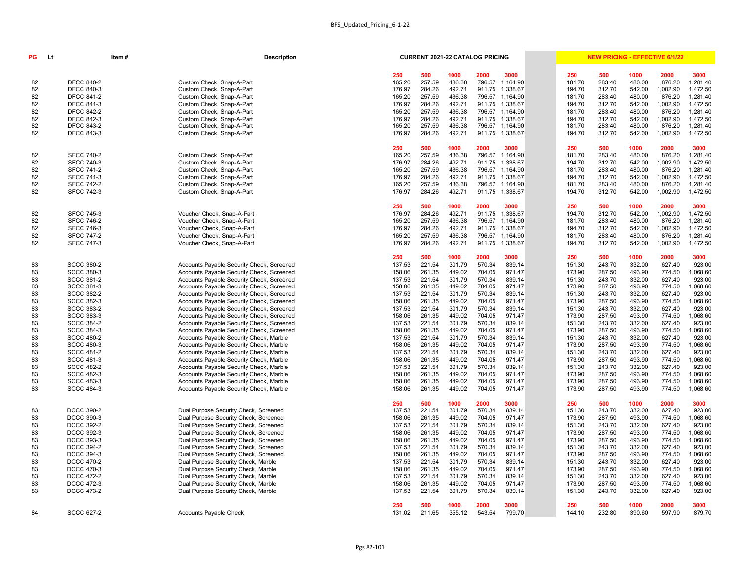# **INEW PRICING - EFFECTIVE 6/1/22**

| 250              | 500              | 1000             | 2000             | 3000             | 250              | 500              | 1000             | 2000             | 3000                 |
|------------------|------------------|------------------|------------------|------------------|------------------|------------------|------------------|------------------|----------------------|
| 165.20           | 257.59           | 436.38           | 796.57           | 1,164.90         | 181.70           | 283.40           | 480.00           | 876.20           | 1,281.40             |
| 176.97           | 284.26           | 492.71           | 911.75           | 1,338.67         | 194.70           | 312.70           | 542.00           | 1,002.90         | 1,472.50             |
| 165.20           | 257.59           | 436.38           | 796.57           | 1,164.90         | 181.70           | 283.40           | 480.00           | 876.20           | 1,281.40             |
| 176.97           | 284.26           | 492.71           | 911.75           | 1,338.67         | 194.70           | 312.70           | 542.00           | 1,002.90         | 1,472.50             |
| 165.20           | 257.59           | 436.38           | 796.57           | 1,164.90         | 181.70           | 283.40           | 480.00           | 876.20           | 1,281.40             |
| 176.97           | 284.26           | 492.71           | 911.75           | 1,338.67         | 194.70           | 312.70           | 542.00           | 1,002.90         | 1,472.50             |
| 165.20           | 257.59           | 436.38           | 796.57           | 1,164.90         | 181.70           | 283.40           | 480.00           | 876.20           | 1,281.40             |
| 176.97           | 284.26           | 492.71           | 911.75           | 1,338.67         | 194.70           | 312.70           | 542.00           | 1,002.90         | 1,472.50             |
| 250              | 500              | 1000             | 2000             | 3000             | 250              | 500              | 1000             | 2000             | 3000                 |
| 165.20           | 257.59           | 436.38           | 796.57           | 1,164.90         | 181.70           | 283.40           | 480.00           | 876.20           | 1,281.40             |
| 176.97           | 284.26           | 492.71           | 911.75           | 1,338.67         | 194.70           | 312.70           | 542.00           | 1,002.90         | 1,472.50             |
| 165.20           | 257.59           | 436.38           | 796.57           | 1,164.90         | 181.70           | 283.40           | 480.00           | 876.20           | 1,281.40             |
| 176.97           | 284.26           | 492.71           | 911.75           | 1,338.67         | 194.70           | 312.70           | 542.00           | 1,002.90         | 1,472.50             |
| 165.20           | 257.59           | 436.38           | 796.57           | 1,164.90         | 181.70           | 283.40           | 480.00           | 876.20           | 1,281.40             |
| 176.97           | 284.26           | 492.71           | 911.75           | 1,338.67         | 194.70           | 312.70           | 542.00           | 1,002.90         | 1,472.50             |
| 250              | 500              | 1000             | 2000             | 3000             | 250              | 500              | 1000             | 2000             | 3000                 |
| 176.97           | 284.26           | 492.71           | 911.75           | 1,338.67         | 194.70           | 312.70           | 542.00           | 1,002.90         | 1,472.50             |
| 165.20           | 257.59           | 436.38           | 796.57           | 1,164.90         | 181.70           | 283.40           | 480.00           | 876.20           | 1,281.40             |
| 176.97           | 284.26           | 492.71           | 911.75           | 1,338.67         | 194.70           | 312.70           | 542.00           | 1,002.90         | 1,472.50             |
| 165.20           | 257.59           | 436.38           | 796.57           | 1,164.90         | 181.70           | 283.40           | 480.00           | 876.20           | 1,281.40             |
| 176.97           | 284.26           | 492.71           | 911.75           | 1,338.67         | 194.70           | 312.70           | 542.00           | 1,002.90         | 1,472.50             |
| 250              | 500              | 1000             | 2000             | 3000             | 250              | 500              | 1000             | 2000             | 3000                 |
| 137.53           | 221.54           | 301.79           | 570.34           | 839.14           | 151.30           | 243.70           | 332.00           | 627.40           | 923.00               |
| 158.06           | 261.35           | 449.02           | 704.05           | 971.47           | 173.90           | 287.50           | 493.90           | 774.50           | 1,068.60             |
| 137.53           | 221.54           | 301.79           | 570.34           | 839.14           | 151.30           | 243.70           | 332.00           | 627.40           | 923.00               |
| 158.06           | 261.35           | 449.02           | 704.05           | 971.47           | 173.90           | 287.50           | 493.90           | 774.50           | 1,068.60             |
| 137.53           | 221.54           | 301.79           | 570.34           | 839.14           | 151.30           | 243.70           | 332.00           | 627.40           | 923.00               |
| 158.06           | 261.35           | 449.02           | 704.05           | 971.47           | 173.90           | 287.50           | 493.90           | 774.50           | 1,068.60             |
| 137.53           | 221.54           | 301.79           | 570.34           | 839.14           | 151.30           | 243.70           | 332.00           | 627.40           | 923.00               |
| 158.06           | 261.35           | 449.02           | 704.05           | 971.47           | 173.90           | 287.50           | 493.90           | 774.50           | 1,068.60             |
| 137.53           | 221.54           | 301.79           | 570.34           | 839.14           | 151.30           | 243.70           | 332.00           | 627.40           | 923.00               |
| 158.06           | 261.35           | 449.02           | 704.05           | 971.47           | 173.90           | 287.50           | 493.90           | 774.50           | 1,068.60             |
| 137.53           | 221.54           | 301.79           | 570.34           | 839.14           | 151.30           | 243.70           | 332.00           | 627.40           | 923.00               |
| 158.06           | 261.35           | 449.02           | 704.05           | 971.47           | 173.90           | 287.50           | 493.90           | 774.50           | 1,068.60             |
| 137.53           | 221.54           | 301.79           | 570.34           | 839.14           | 151.30           | 243.70           | 332.00           | 627.40           | 923.00               |
| 158.06           | 261.35           | 449.02           | 704.05           | 971.47           | 173.90           | 287.50           | 493.90           | 774.50           | 1,068.60             |
| 137.53           | 221.54<br>261.35 | 301.79           | 570.34<br>704.05 | 839.14<br>971.47 | 151.30<br>173.90 | 243.70<br>287.50 | 332.00<br>493.90 | 627.40           | 923.00               |
| 158.06<br>158.06 | 261.35           | 449.02<br>449.02 | 704.05           | 971.47           | 173.90           | 287.50           | 493.90           | 774.50<br>774.50 | 1,068.60<br>1,068.60 |
| 158.06           | 261.35           | 449.02           | 704.05           | 971.47           | 173.90           | 287.50           | 493.90           | 774.50           | 1,068.60             |
|                  |                  |                  |                  |                  |                  |                  |                  |                  |                      |
| 250              | 500<br>221.54    | 1000             | 2000             | 3000             | 250              | 500              | 1000             | 2000             | 3000                 |
| 137.53           |                  | 301.79           | 570.34           | 839.14           | 151.30           | 243.70           | 332.00           | 627.40           | 923.00               |
| 158.06<br>137.53 | 261.35<br>221.54 | 449.02<br>301.79 | 704.05<br>570.34 | 971.47<br>839.14 | 173.90<br>151.30 | 287.50<br>243.70 | 493.90<br>332.00 | 774.50<br>627.40 | 1,068.60<br>923.00   |
| 158.06           | 261.35           | 449.02           | 704.05           | 971.47           | 173.90           | 287.50           | 493.90           | 774.50           | 1,068.60             |
| 158.06           | 261.35           | 449.02           | 704.05           | 971.47           | 173.90           | 287.50           | 493.90           | 774.50           | 1,068.60             |
| 137.53           | 221.54           | 301.79           | 570.34           | 839.14           | 151.30           | 243.70           | 332.00           | 627.40           | 923.00               |
| 158.06           | 261.35           | 449.02           | 704.05           | 971.47           | 173.90           | 287.50           | 493.90           | 774.50           | 1,068.60             |
| 137.53           | 221.54           | 301.79           | 570.34           | 839.14           | 151.30           | 243.70           | 332.00           | 627.40           | 923.00               |
| 158.06           | 261.35           | 449.02           | 704.05           | 971.47           | 173.90           | 287.50           | 493.90           | 774.50           | 1,068.60             |
| 137.53           | 221.54           | 301.79           | 570.34           | 839.14           | 151.30           | 243.70           | 332.00           | 627.40           | 923.00               |
| 158.06           | 261.35           | 449.02           | 704.05           | 971.47           | 173.90           | 287.50           | 493.90           | 774.50           | 1,068.60             |
| 137.53           | 221.54           | 301.79           | 570.34           | 839.14           | 151.30           | 243.70           | 332.00           | 627.40           | 923.00               |
| 250              | 500              | 1000             | 2000             | 3000             | 250              | 500              | 1000             | 2000             | 3000                 |
| 131 N.           | 21165            | 355.12           | <b>543 54</b>    | 700.70           | $111.11$         | <b>232.80</b>    | 300 RO           | 507.00           | 870 70               |

| РG | Item#<br><b>Lt</b> |  | <b>Description</b>                        |               | <b>CURRENT 2021-22 CATALOG PRICING</b> |                |                |                 |               | <b>NEW PRICING - EFFECTIVE 6/1/22</b> |                |                |                |
|----|--------------------|--|-------------------------------------------|---------------|----------------------------------------|----------------|----------------|-----------------|---------------|---------------------------------------|----------------|----------------|----------------|
|    |                    |  |                                           | 250           | 500                                    | 1000           | 2000           | 3000            | 250           | 500                                   | 1000           | 2000           | 3000           |
| 82 | <b>DFCC 840-2</b>  |  | Custom Check, Snap-A-Part                 | 165.20        | 257.59                                 | 436.38         | 796.57         | 1,164.90        | 181.70        | 283.40                                | 480.00         | 876.20         | 1,281.40       |
| 82 | <b>DFCC 840-3</b>  |  | Custom Check, Snap-A-Part                 | 176.97        | 284.26                                 | 492.71         | 911.75         | 1,338.67        | 194.70        | 312.70                                | 542.00         | 1,002.90       | 1,472.50       |
| 82 | <b>DFCC 841-2</b>  |  | Custom Check, Snap-A-Part                 | 165.20        | 257.59                                 | 436.38         | 796.57         | 1,164.90        | 181.70        | 283.40                                | 480.00         | 876.20         | 1,281.40       |
| 82 | <b>DFCC 841-3</b>  |  | Custom Check, Snap-A-Part                 | 176.97        | 284.26                                 | 492.71         | 911.75         | 1,338.67        | 194.70        | 312.70                                | 542.00         | 1,002.90       | 1,472.50       |
| 82 | <b>DFCC 842-2</b>  |  | Custom Check, Snap-A-Part                 | 165.20        | 257.59                                 | 436.38         | 796.57         | 1,164.90        | 181.70        | 283.40                                | 480.00         | 876.20         | 1,281.40       |
| 82 | <b>DFCC 842-3</b>  |  | Custom Check, Snap-A-Part                 | 176.97        | 284.26                                 | 492.71         | 911.75         | 1,338.67        | 194.70        | 312.70                                | 542.00         | 1,002.90       | 1,472.50       |
| 82 | <b>DFCC 843-2</b>  |  | Custom Check, Snap-A-Part                 | 165.20        | 257.59                                 | 436.38         | 796.57         | 1,164.90        | 181.70        | 283.40                                | 480.00         | 876.20         | 1,281.40       |
| 82 | <b>DFCC 843-3</b>  |  | Custom Check, Snap-A-Part                 | 176.97        | 284.26                                 | 492.71         |                | 911.75 1,338.67 | 194.70        | 312.70                                | 542.00         | 1,002.90       | 1,472.50       |
|    |                    |  |                                           | 250           | 500                                    | 1000           | 2000           | 3000            | 250           | 500                                   | 1000           | 2000           | 3000           |
| 82 | <b>SFCC 740-2</b>  |  | Custom Check, Snap-A-Part                 | 165.20        | 257.59                                 | 436.38         | 796.57         | 1,164.90        | 181.70        | 283.40                                | 480.00         | 876.20         | 1,281.40       |
| 82 | <b>SFCC 740-3</b>  |  | Custom Check, Snap-A-Part                 | 176.97        | 284.26                                 | 492.71         | 911.75         | 1,338.67        | 194.70        | 312.70                                | 542.00         | 1,002.90       | 1,472.50       |
| 82 | <b>SFCC 741-2</b>  |  | Custom Check, Snap-A-Part                 | 165.20        | 257.59                                 | 436.38         | 796.57         | 1,164.90        | 181.70        | 283.40                                | 480.00         | 876.20         | 1,281.40       |
| 82 | <b>SFCC 741-3</b>  |  | Custom Check, Snap-A-Part                 | 176.97        | 284.26                                 | 492.71         | 911.75         | 1,338.67        | 194.70        | 312.70                                | 542.00         | 1,002.90       | 1,472.50       |
| 82 | <b>SFCC 742-2</b>  |  | Custom Check, Snap-A-Part                 | 165.20        | 257.59                                 | 436.38         | 796.57         | 1,164.90        | 181.70        | 283.40                                | 480.00         | 876.20         | 1,281.40       |
| 82 | <b>SFCC 742-3</b>  |  | Custom Check, Snap-A-Part                 | 176.97        | 284.26                                 | 492.71         |                | 911.75 1,338.67 | 194.70        | 312.70                                | 542.00         | 1,002.90       | 1,472.50       |
|    |                    |  |                                           | 250           | 500                                    | 1000           | 2000           | 3000            | 250           | 500                                   | 1000           | 2000           | 3000           |
| 82 | <b>SFCC 745-3</b>  |  | Voucher Check, Snap-A-Part                | 176.97        | 284.26                                 | 492.71         | 911.75         | 1,338.67        | 194.70        | 312.70                                | 542.00         | 1,002.90       | 1,472.50       |
| 82 | <b>SFCC 746-2</b>  |  | Voucher Check, Snap-A-Part                | 165.20        | 257.59                                 | 436.38         | 796.57         | 1,164.90        | 181.70        | 283.40                                | 480.00         | 876.20         | 1,281.40       |
| 82 | <b>SFCC 746-3</b>  |  | Voucher Check, Snap-A-Part                | 176.97        | 284.26                                 | 492.71         | 911.75         | 1,338.67        | 194.70        | 312.70                                | 542.00         | 1,002.90       | 1,472.50       |
| 82 | <b>SFCC 747-2</b>  |  | Voucher Check, Snap-A-Part                | 165.20        | 257.59                                 | 436.38         | 796.57         | 1,164.90        | 181.70        | 283.40                                | 480.00         | 876.20         | 1,281.40       |
| 82 | <b>SFCC 747-3</b>  |  | Voucher Check, Snap-A-Part                | 176.97        | 284.26                                 | 492.71         |                | 911.75 1,338.67 | 194.70        | 312.70                                | 542.00         | 1,002.90       | 1,472.50       |
| 83 | <b>SCCC 380-2</b>  |  | Accounts Payable Security Check, Screened | 250<br>137.53 | 500<br>221.54                          | 1000<br>301.79 | 2000<br>570.34 | 3000<br>839.14  | 250<br>151.30 | 500<br>243.70                         | 1000<br>332.00 | 2000<br>627.40 | 3000<br>923.00 |
| 83 | <b>SCCC 380-3</b>  |  | Accounts Payable Security Check, Screened | 158.06        | 261.35                                 | 449.02         | 704.05         | 971.47          | 173.90        | 287.50                                | 493.90         | 774.50         | 1,068.60       |
| 83 | <b>SCCC 381-2</b>  |  | Accounts Payable Security Check, Screened | 137.53        | 221.54                                 | 301.79         | 570.34         | 839.14          | 151.30        | 243.70                                | 332.00         | 627.40         | 923.00         |
| 83 | <b>SCCC 381-3</b>  |  | Accounts Payable Security Check, Screened | 158.06        | 261.35                                 | 449.02         | 704.05         | 971.47          | 173.90        | 287.50                                | 493.90         | 774.50         | 068.60         |
| 83 | <b>SCCC 382-2</b>  |  | Accounts Payable Security Check, Screened | 137.53        | 221.54                                 | 301.79         | 570.34         | 839.14          | 151.30        | 243.70                                | 332.00         | 627.40         | 923.00         |
| 83 | <b>SCCC 382-3</b>  |  | Accounts Payable Security Check, Screened | 158.06        | 261.35                                 | 449.02         | 704.05         | 971.47          | 173.90        | 287.50                                | 493.90         | 774.50         | 1,068.60       |
| 83 | <b>SCCC 383-2</b>  |  | Accounts Payable Security Check, Screened | 137.53        | 221.54                                 | 301.79         | 570.34         | 839.14          | 151.30        | 243.70                                | 332.00         | 627.40         | 923.00         |
| 83 | <b>SCCC 383-3</b>  |  | Accounts Payable Security Check, Screened | 158.06        | 261.35                                 | 449.02         | 704.05         | 971.47          | 173.90        | 287.50                                | 493.90         | 774.50         | 1,068.60       |
| 83 | <b>SCCC 384-2</b>  |  | Accounts Payable Security Check, Screened | 137.53        | 221.54                                 | 301.79         | 570.34         | 839.14          | 151.30        | 243.70                                | 332.00         | 627.40         | 923.00         |
| 83 | <b>SCCC 384-3</b>  |  | Accounts Payable Security Check, Screened | 158.06        | 261.35                                 | 449.02         | 704.05         | 971.47          | 173.90        | 287.50                                | 493.90         | 774.50         | 1,068.60       |
| 83 | <b>SCCC 480-2</b>  |  | Accounts Payable Security Check, Marble   | 137.53        | 221.54                                 | 301.79         | 570.34         | 839.14          | 151.30        | 243.70                                | 332.00         | 627.40         | 923.00         |
| 83 | <b>SCCC 480-3</b>  |  | Accounts Payable Security Check, Marble   | 158.06        | 261.35                                 | 449.02         | 704.05         | 971.47          | 173.90        | 287.50                                | 493.90         | 774.50         | 1,068.60       |
| 83 | <b>SCCC 481-2</b>  |  | Accounts Payable Security Check, Marble   | 137.53        | 221.54                                 | 301.79         | 570.34         | 839.14          | 151.30        | 243.70                                | 332.00         | 627.40         | 923.00         |
| 83 | <b>SCCC 481-3</b>  |  | Accounts Payable Security Check, Marble   | 158.06        | 261.35                                 | 449.02         | 704.05         | 971.47          | 173.90        | 287.50                                | 493.90         | 774.50         | 1,068.60       |
| 83 | <b>SCCC 482-2</b>  |  | Accounts Payable Security Check, Marble   | 137.53        | 221.54                                 | 301.79         | 570.34         | 839.14          | 151.30        | 243.70                                | 332.00         | 627.40         | 923.00         |
| 83 | <b>SCCC 482-3</b>  |  | Accounts Payable Security Check, Marble   | 158.06        | 261.35                                 | 449.02         | 704.05         | 971.47          | 173.90        | 287.50                                | 493.90         | 774.50         | 1,068.60       |
| 83 | <b>SCCC 483-3</b>  |  | Accounts Payable Security Check, Marble   | 158.06        | 261.35                                 | 449.02         | 704.05         | 971.47          | 173.90        | 287.50                                | 493.90         | 774.50         | 1,068.60       |
| 83 | <b>SCCC 484-3</b>  |  | Accounts Payable Security Check, Marble   | 158.06        | 261.35                                 | 449.02         | 704.05         | 971.47          | 173.90        | 287.50                                | 493.90         | 774.50         | 1,068.60       |
|    |                    |  |                                           | 250           | 500                                    | 1000           | 2000           | 3000            | 250           | 500                                   | 1000           | 2000           | 3000           |
| 83 | <b>DCCC 390-2</b>  |  | Dual Purpose Security Check, Screened     | 137.53        | 221.54                                 | 301.79         | 570.34         | 839.14          | 151.30        | 243.70                                | 332.00         | 627.40         | 923.00         |
| 83 | <b>DCCC 390-3</b>  |  | Dual Purpose Security Check, Screened     | 158.06        | 261.35                                 | 449.02         | 704.05         | 971.47          | 173.90        | 287.50                                | 493.90         | 774.50         | 1,068.60       |
| 83 | <b>DCCC 392-2</b>  |  | Dual Purpose Security Check, Screened     | 137.53        | 221.54                                 | 301.79         | 570.34         | 839.14          | 151.30        | 243.70                                | 332.00         | 627.40         | 923.00         |
| 83 | <b>DCCC 392-3</b>  |  | Dual Purpose Security Check, Screened     | 158.06        | 261.35                                 | 449.02         | 704.05         | 971.47          | 173.90        | 287.50                                | 493.90         | 774.50         | 1,068.60       |
| 83 | DCCC 393-3         |  | Dual Purpose Security Check, Screened     | 158.06        | 261.35                                 | 449.02         | 704.05         | 971.47          | 173.90        | 287.50                                | 493.90         | 774.50         | 1,068.60       |
| 83 | <b>DCCC 394-2</b>  |  | Dual Purpose Security Check, Screened     | 137.53        | 221.54                                 | 301.79         | 570.34         | 839.14          | 151.30        | 243.70                                | 332.00         | 627.40         | 923.00         |
| 83 | <b>DCCC 394-3</b>  |  | Dual Purpose Security Check, Screened     | 158.06        | 261.35                                 | 449.02         | 704.05         | 971.47          | 173.90        | 287.50                                | 493.90         | 774.50         | 1,068.60       |
| 83 | <b>DCCC 470-2</b>  |  | Dual Purpose Security Check, Marble       | 137.53        | 221.54                                 | 301.79         | 570.34         | 839.14          | 151.30        | 243.70                                | 332.00         | 627.40         | 923.00         |
| 83 | <b>DCCC 470-3</b>  |  | Dual Purpose Security Check, Marble       | 158.06        | 261.35                                 | 449.02         | 704.05         | 971.47          | 173.90        | 287.50                                | 493.90         | 774.50         | 1,068.60       |
| 83 | <b>DCCC 472-2</b>  |  | Dual Purpose Security Check, Marble       | 137.53        | 221.54                                 | 301.79         | 570.34         | 839.14          | 151.30        | 243.70                                | 332.00         | 627.40         | 923.00         |
| 83 | <b>DCCC 472-3</b>  |  | Dual Purpose Security Check, Marble       | 158.06        | 261.35                                 | 449.02         | 704.05         | 971.47          | 173.90        | 287.50                                | 493.90         | 774.50         | 1,068.60       |
| 83 | <b>DCCC 473-2</b>  |  | Dual Purpose Security Check, Marble       | 137.53        | 221.54                                 | 301.79         | 570.34         | 839.14          | 151.30        | 243.70                                | 332.00         | 627.40         | 923.00         |
|    |                    |  |                                           | 250           | 500                                    | 1000           | 2000           | 3000            | 250           | 500                                   | 1000           | 2000           | 3000           |
| 84 | <b>SCCC 627-2</b>  |  | Accounts Payable Check                    | 131.02        | 211.65                                 | 355.12         | 543.54         | 799.70          | 144.10        | 232.80                                | 390.60         | 597.90         | 879.70         |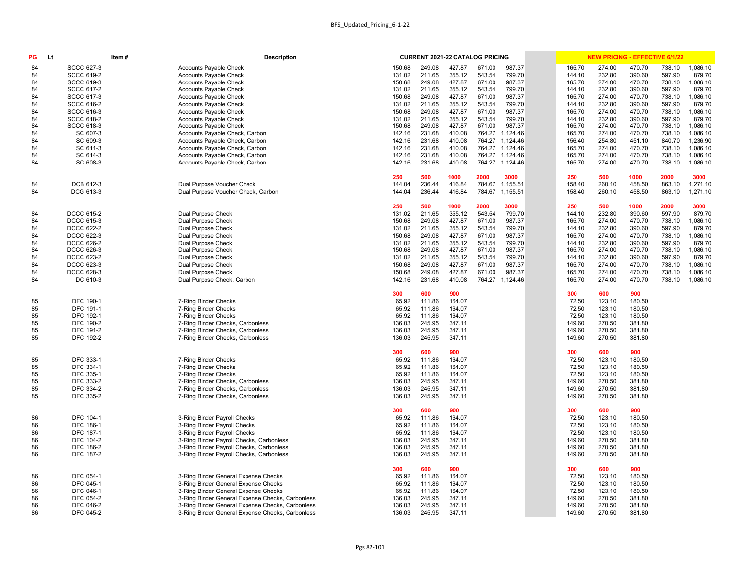|                  | <b>CURRENT 2021-22 CATALOG PRICING</b> |                  |                  |                  |                  | <b>NEW PRICING - EFFECTIVE 6/1/22</b> |                  |                  |                    |
|------------------|----------------------------------------|------------------|------------------|------------------|------------------|---------------------------------------|------------------|------------------|--------------------|
| 150.68           | 249.08                                 | 427.87           | 671.00           | 987.37           | 165.70           | 274.00                                | 470.70           | 738.10           | 1,086.10           |
| 131.02           | 211.65                                 | 355.12           | 543.54           | 799.70           | 144.10           | 232.80                                | 390.60           | 597.90           | 879.70             |
| 150.68           | 249.08                                 | 427.87           | 671.00           | 987.37           | 165.70           | 274.00                                | 470.70           | 738.10           | 1,086.10           |
| 131.02           | 211.65                                 | 355.12           | 543.54           | 799.70           | 144.10           | 232.80                                | 390.60           | 597.90           | 879.70             |
| 150.68           | 249.08                                 | 427.87           | 671.00           | 987.37           | 165.70           | 274.00                                | 470.70           | 738.10           | 1,086.10           |
| 131.02<br>150.68 | 211.65<br>249.08                       | 355.12<br>427.87 | 543.54<br>671.00 | 799.70<br>987.37 | 144.10<br>165.70 | 232.80<br>274.00                      | 390.60<br>470.70 | 597.90<br>738.10 | 879.70<br>1,086.10 |
| 131.02           | 211.65                                 | 355.12           | 543.54           | 799.70           | 144.10           | 232.80                                | 390.60           | 597.90           | 879.70             |
| 150.68           | 249.08                                 | 427.87           | 671.00           | 987.37           | 165.70           | 274.00                                | 470.70           | 738.10           | 1,086.10           |
| 142.16           | 231.68                                 | 410.08           | 764.27           | 1,124.46         | 165.70           | 274.00                                | 470.70           | 738.10           | 1,086.10           |
| 142.16           | 231.68                                 | 410.08           | 764.27           | 1,124.46         | 156.40           | 254.80                                | 451.10           | 840.70           | 1,236.90           |
| 142.16           | 231.68                                 | 410.08           | 764.27           | 1,124.46         | 165.70           | 274.00                                | 470.70           | 738.10           | 1,086.10           |
| 142.16           | 231.68                                 | 410.08           | 764.27           | 1,124.46         | 165.70           | 274.00                                | 470.70           | 738.10           | 1,086.10           |
| 142.16           | 231.68                                 | 410.08           | 764.27           | 1,124.46         | 165.70           | 274.00                                | 470.70           | 738.10           | 1,086.10           |
| 250              | 500                                    | 1000             | 2000             | 3000             | 250              | 500                                   | 1000             | 2000             | 3000               |
| 144.04           | 236.44                                 | 416.84           | 784.67           | 1,155.51         | 158.40           | 260.10                                | 458.50           | 863.10           | 1,271.10           |
| 144.04           | 236.44                                 | 416.84           | 784.67           | 1,155.51         | 158.40           | 260.10                                | 458.50           | 863.10           | 1,271.10           |
| 250              | 500                                    | 1000             | 2000             | 3000             | 250              | 500                                   | 1000             | 2000             | 3000               |
| 131.02           | 211.65                                 | 355.12           | 543.54           | 799.70           | 144.10           | 232.80                                | 390.60           | 597.90           | 879.70             |
| 150.68           | 249.08                                 | 427.87           | 671.00           | 987.37           | 165.70           | 274.00                                | 470.70           | 738.10           | 1,086.10           |
| 131.02           | 211.65                                 | 355.12           | 543.54           | 799.70           | 144.10<br>165.70 | 232.80                                | 390.60           | 597.90           | 879.70             |
| 150.68<br>131.02 | 249.08<br>211.65                       | 427.87<br>355.12 | 671.00<br>543.54 | 987.37<br>799.70 | 144.10           | 274.00<br>232.80                      | 470.70<br>390.60 | 738.10<br>597.90 | 1,086.10<br>879.70 |
| 150.68           | 249.08                                 | 427.87           | 671.00           | 987.37           | 165.70           | 274.00                                | 470.70           | 738.10           | 1,086.10           |
| 131.02           | 211.65                                 | 355.12           | 543.54           | 799.70           | 144.10           | 232.80                                | 390.60           | 597.90           | 879.70             |
| 150.68           | 249.08                                 | 427.87           | 671.00           | 987.37           | 165.70           | 274.00                                | 470.70           | 738.10           | 1,086.10           |
| 150.68           | 249.08                                 | 427.87           | 671.00           | 987.37           | 165.70           | 274.00                                | 470.70           | 738.10           | 1,086.10           |
| 142.16           | 231.68                                 | 410.08           | 764.27           | 1,124.46         | 165.70           | 274.00                                | 470.70           | 738.10           | 1,086.10           |
| 300              | 600                                    | 900              |                  |                  | 300              | 600                                   | 900              |                  |                    |
| 65.92            | 111.86                                 | 164.07           |                  |                  | 72.50            | 123.10                                | 180.50           |                  |                    |
| 65.92            | 111.86                                 | 164.07           |                  |                  | 72.50            | 123.10                                | 180.50           |                  |                    |
| 65.92<br>136.03  | 111.86<br>245.95                       | 164.07<br>347.11 |                  |                  | 72.50<br>149.60  | 123.10<br>270.50                      | 180.50<br>381.80 |                  |                    |
| 136.03           | 245.95                                 | 347.11           |                  |                  | 149.60           | 270.50                                | 381.80           |                  |                    |
| 136.03           | 245.95                                 | 347.11           |                  |                  | 149.60           | 270.50                                | 381.80           |                  |                    |
| 300              | 600                                    | 900              |                  |                  | 300              | 600                                   | 900              |                  |                    |
| 65.92            | 111.86                                 | 164.07           |                  |                  | 72.50            | 123.10                                | 180.50           |                  |                    |
| 65.92            | 111.86                                 | 164.07           |                  |                  | 72.50            | 123.10                                | 180.50           |                  |                    |
| 65.92            | 111.86                                 | 164.07           |                  |                  | 72.50            | 123.10                                | 180.50           |                  |                    |
| 136.03           | 245.95                                 | 347.11           |                  |                  | 149.60           | 270.50                                | 381.80           |                  |                    |
| 136.03           | 245.95                                 | 347.11           |                  |                  | 149.60           | 270.50                                | 381.80           |                  |                    |
| 136.03           | 245.95                                 | 347.11           |                  |                  | 149.60           | 270.50                                | 381.80           |                  |                    |
| 300              | 600                                    | 900              |                  |                  | 300              | 600                                   | 900              |                  |                    |
| 65.92            | 111.86                                 | 164.07           |                  |                  | 72.50            | 123.10                                | 180.50           |                  |                    |
| 65.92            | 111.86                                 | 164.07           |                  |                  | 72.50            | 123.10                                | 180.50           |                  |                    |
| 65.92<br>136.03  | 111.86<br>245.95                       | 164.07<br>347.11 |                  |                  | 72.50<br>149.60  | 123.10<br>270.50                      | 180.50<br>381.80 |                  |                    |
| 136.03           | 245.95                                 | 347.11           |                  |                  | 149.60           | 270.50                                | 381.80           |                  |                    |
| 136.03           | 245.95                                 | 347.11           |                  |                  | 149.60           | 270.50                                | 381.80           |                  |                    |
| 300              | 600                                    | 900              |                  |                  | 300              | 600                                   | 900              |                  |                    |
| 65.92            | 111.86                                 | 164.07           |                  |                  | 72.50            | 123.10                                | 180.50           |                  |                    |
| 65.92            | 111.86                                 | 164.07           |                  |                  | 72.50            | 123.10                                | 180.50           |                  |                    |
| 65.92            | 111.86                                 | 164.07           |                  |                  | 72.50            | 123.10                                | 180.50           |                  |                    |
| 136.03           | 245.95                                 | 347.11           |                  |                  | 149.60           | 270.50                                | 381.80           |                  |                    |
| 136.03           | 245.95                                 | 347.11           |                  |                  | 149.60           | 270.50                                | 381.80           |                  |                    |
| 136.03           | 245.95                                 | 347.11           |                  |                  | 149.60           | 270.50                                | 381.80           |                  |                    |

| PG       | Lt                            | Item# | <b>Description</b>                                                                                   |                                      | <b>CURRENT 2021-22 CATALOG PRICING</b> |                  |                      |                  |                  | <b>NEW PRICING - EFFECTIVE 6/1/22</b> |                  |                      |
|----------|-------------------------------|-------|------------------------------------------------------------------------------------------------------|--------------------------------------|----------------------------------------|------------------|----------------------|------------------|------------------|---------------------------------------|------------------|----------------------|
| 84       | <b>SCCC 627-3</b>             |       | Accounts Payable Check                                                                               | 150.68<br>249.08                     | 427.87                                 | 671.00           | 987.37               | 165.70           | 274.00           | 470.70                                | 738.10           | 1,086.10             |
| 84       | <b>SCCC 619-2</b>             |       | <b>Accounts Payable Check</b>                                                                        | 211.65<br>131.02                     | 355.12                                 | 543.54           | 799.70               | 144.10           | 232.80           | 390.60                                | 597.90           | 879.70               |
| 84       | <b>SCCC 619-3</b>             |       | <b>Accounts Payable Check</b>                                                                        | 249.08<br>150.68                     | 427.87                                 | 671.00           | 987.37               | 165.70           | 274.00           | 470.70                                | 738.10           | 1,086.10             |
| 84       | <b>SCCC 617-2</b>             |       | <b>Accounts Payable Check</b>                                                                        | 131.02<br>211.65                     | 355.12                                 | 543.54           | 799.70               | 144.10           | 232.80           | 390.60                                | 597.90           | 879.70               |
| 84       | <b>SCCC 617-3</b>             |       | <b>Accounts Payable Check</b>                                                                        | 150.68<br>249.08                     | 427.87                                 | 671.00           | 987.37               | 165.70           | 274.00           | 470.70                                | 738.10           | 1,086.10             |
| 84       | <b>SCCC 616-2</b>             |       | <b>Accounts Payable Check</b>                                                                        | 131.02<br>211.65                     | 355.12                                 | 543.54           | 799.70               | 144.10           | 232.80           | 390.60                                | 597.90           | 879.70               |
| 84       | <b>SCCC 616-3</b>             |       | <b>Accounts Payable Check</b>                                                                        | 150.68<br>249.08                     | 427.87                                 | 671.00           | 987.37               | 165.70           | 274.00           | 470.70                                | 738.10           | 1,086.10             |
| 84       | <b>SCCC 618-2</b>             |       | <b>Accounts Payable Check</b>                                                                        | 211.65<br>131.02                     | 355.12                                 | 543.54           | 799.70               | 144.10           | 232.80           | 390.60                                | 597.90           | 879.70               |
| 84       | <b>SCCC 618-3</b><br>SC 607-3 |       | <b>Accounts Payable Check</b>                                                                        | 150.68<br>249.08                     | 427.87                                 | 671.00           | 987.37               | 165.70           | 274.00           | 470.70                                | 738.10           | 1,086.10             |
| 84<br>84 | SC 609-3                      |       | Accounts Payable Check, Carbon                                                                       | 142.16<br>231.68<br>231.68<br>142.16 | 410.08<br>410.08                       | 764.27<br>764.27 | 1,124.46<br>1,124.46 | 165.70<br>156.40 | 274.00<br>254.80 | 470.70<br>451.10                      | 738.10<br>840.70 | 1,086.10<br>1,236.90 |
| 84       | SC 611-3                      |       | Accounts Payable Check, Carbon<br>Accounts Payable Check, Carbon                                     | 142.16<br>231.68                     | 410.08                                 | 764.27           | 1,124.46             | 165.70           | 274.00           | 470.70                                | 738.10           | 1,086.10             |
| 84       | SC 614-3                      |       | Accounts Payable Check, Carbon                                                                       | 142.16<br>231.68                     | 410.08                                 | 764.27           | 1,124.46             | 165.70           | 274.00           | 470.70                                | 738.10           | 1,086.10             |
| 84       | SC 608-3                      |       | Accounts Payable Check, Carbon                                                                       | 231.68<br>142.16                     | 410.08                                 | 764.27           | 1,124.46             | 165.70           | 274.00           | 470.70                                | 738.10           | 1,086.10             |
|          |                               |       |                                                                                                      |                                      |                                        |                  |                      |                  |                  |                                       |                  |                      |
|          |                               |       |                                                                                                      | 500<br>250                           | 1000                                   | 2000             | 3000                 | 250              | 500              | 1000                                  | 2000             | 3000                 |
| 84       | DCB 612-3                     |       | Dual Purpose Voucher Check                                                                           | 144.04<br>236.44                     | 416.84                                 | 784.67           | 1,155.51             | 158.40           | 260.10           | 458.50                                | 863.10           | 1,271.10             |
| 84       | DCG 613-3                     |       | Dual Purpose Voucher Check, Carbon                                                                   | 236.44<br>144.04                     | 416.84                                 | 784.67           | 1,155.51             | 158.40           | 260.10           | 458.50                                | 863.10           | 1,271.10             |
|          |                               |       |                                                                                                      |                                      |                                        |                  |                      |                  |                  |                                       |                  |                      |
|          | <b>DCCC 615-2</b>             |       |                                                                                                      | 250<br>500<br>211.65                 | 1000<br>355.12                         | 2000<br>543.54   | 3000<br>799.70       | 250<br>144.10    | 500              | 1000                                  | 2000<br>597.90   | 3000<br>879.70       |
| 84       | <b>DCCC 615-3</b>             |       | Dual Purpose Check<br>Dual Purpose Check                                                             | 131.02<br>150.68<br>249.08           | 427.87                                 | 671.00           | 987.37               | 165.70           | 232.80<br>274.00 | 390.60<br>470.70                      | 738.10           | 1,086.10             |
| 84<br>84 | <b>DCCC 622-2</b>             |       | Dual Purpose Check                                                                                   | 131.02<br>211.65                     | 355.12                                 | 543.54           | 799.70               | 144.10           | 232.80           | 390.60                                | 597.90           | 879.70               |
| 84       | <b>DCCC 622-3</b>             |       | Dual Purpose Check                                                                                   | 150.68<br>249.08                     | 427.87                                 | 671.00           | 987.37               | 165.70           | 274.00           | 470.70                                | 738.10           | 1,086.10             |
| 84       | <b>DCCC 626-2</b>             |       | Dual Purpose Check                                                                                   | 131.02<br>211.65                     | 355.12                                 | 543.54           | 799.70               | 144.10           | 232.80           | 390.60                                | 597.90           | 879.70               |
| 84       | <b>DCCC 626-3</b>             |       | Dual Purpose Check                                                                                   | 150.68<br>249.08                     | 427.87                                 | 671.00           | 987.37               | 165.70           | 274.00           | 470.70                                | 738.10           | 1,086.10             |
| 84       | <b>DCCC 623-2</b>             |       | Dual Purpose Check                                                                                   | 131.02<br>211.65                     | 355.12                                 | 543.54           | 799.70               | 144.10           | 232.80           | 390.60                                | 597.90           | 879.70               |
| 84       | <b>DCCC 623-3</b>             |       | Dual Purpose Check                                                                                   | 150.68<br>249.08                     | 427.87                                 | 671.00           | 987.37               | 165.70           | 274.00           | 470.70                                | 738.10           | 1,086.10             |
| 84       | DCCC 628-3                    |       | Dual Purpose Check                                                                                   | 150.68<br>249.08                     | 427.87                                 | 671.00           | 987.37               | 165.70           | 274.00           | 470.70                                | 738.10           | 1,086.10             |
| 84       | DC 610-3                      |       | Dual Purpose Check, Carbon                                                                           | 231.68<br>142.16                     | 410.08                                 | 764.27           | 1,124.46             | 165.70           | 274.00           | 470.70                                | 738.10           | 1,086.10             |
|          |                               |       |                                                                                                      | 600<br>300                           | 900                                    |                  |                      | 300              | 600              | 900                                   |                  |                      |
| 85       | <b>DFC 190-1</b>              |       | 7-Ring Binder Checks                                                                                 | 111.86<br>65.92                      | 164.07                                 |                  |                      | 72.50            | 123.10           | 180.50                                |                  |                      |
| 85       | DFC 191-1                     |       | 7-Ring Binder Checks                                                                                 | 111.86<br>65.92                      | 164.07                                 |                  |                      | 72.50            | 123.10           | 180.50                                |                  |                      |
| 85       | DFC 192-1                     |       | 7-Ring Binder Checks                                                                                 | 65.92<br>111.86                      | 164.07                                 |                  |                      | 72.50            | 123.10           | 180.50                                |                  |                      |
| 85       | DFC 190-2                     |       | 7-Ring Binder Checks, Carbonless                                                                     | 245.95<br>136.03                     | 347.11                                 |                  |                      | 149.60           | 270.50           | 381.80                                |                  |                      |
| 85       | DFC 191-2                     |       | 7-Ring Binder Checks, Carbonless                                                                     | 136.03<br>245.95                     | 347.11                                 |                  |                      | 149.60           | 270.50           | 381.80                                |                  |                      |
| 85       | DFC 192-2                     |       | 7-Ring Binder Checks, Carbonless                                                                     | 245.95<br>136.03                     | 347.11                                 |                  |                      | 149.60           | 270.50           | 381.80                                |                  |                      |
|          |                               |       |                                                                                                      | 600<br>300                           | 900                                    |                  |                      | 300              | 600              | 900                                   |                  |                      |
| 85       | DFC 333-1                     |       | 7-Ring Binder Checks                                                                                 | 111.86<br>65.92                      | 164.07                                 |                  |                      | 72.50            | 123.10           | 180.50                                |                  |                      |
| 85       | DFC 334-1                     |       | 7-Ring Binder Checks                                                                                 | 65.92<br>111.86                      | 164.07                                 |                  |                      | 72.50            | 123.10           | 180.50                                |                  |                      |
| 85       | DFC 335-1                     |       | 7-Ring Binder Checks                                                                                 | 65.92<br>111.86                      | 164.07                                 |                  |                      | 72.50            | 123.10           | 180.50                                |                  |                      |
| 85       | DFC 333-2                     |       | 7-Ring Binder Checks, Carbonless                                                                     | 136.03<br>245.95                     | 347.11                                 |                  |                      | 149.60           | 270.50           | 381.80                                |                  |                      |
| 85       | DFC 334-2                     |       | 7-Ring Binder Checks, Carbonless                                                                     | 136.03<br>245.95                     | 347.11                                 |                  |                      | 149.60           | 270.50           | 381.80                                |                  |                      |
| 85       | DFC 335-2                     |       | 7-Ring Binder Checks, Carbonless                                                                     | 136.03<br>245.95                     | 347.11                                 |                  |                      | 149.60           | 270.50           | 381.80                                |                  |                      |
|          |                               |       |                                                                                                      |                                      |                                        |                  |                      |                  |                  |                                       |                  |                      |
|          |                               |       |                                                                                                      | 600<br>300                           | 900                                    |                  |                      | 300              | 600              | 900                                   |                  |                      |
| 86       | DFC 104-1<br>DFC 186-1        |       | 3-Ring Binder Payroll Checks                                                                         | 111.86<br>65.92<br>65.92<br>111.86   | 164.07<br>164.07                       |                  |                      | 72.50<br>72.50   | 123.10<br>123.10 | 180.50<br>180.50                      |                  |                      |
| 86       | <b>DFC 187-1</b>              |       | 3-Ring Binder Payroll Checks<br>3-Ring Binder Payroll Checks                                         | 65.92<br>111.86                      | 164.07                                 |                  |                      | 72.50            | 123.10           | 180.50                                |                  |                      |
| 86<br>86 | DFC 104-2                     |       | 3-Ring Binder Payroll Checks, Carbonless                                                             | 245.95<br>136.03                     | 347.11                                 |                  |                      | 149.60           | 270.50           | 381.80                                |                  |                      |
| 86       | DFC 186-2                     |       | 3-Ring Binder Payroll Checks, Carbonless                                                             | 136.03<br>245.95                     | 347.11                                 |                  |                      | 149.60           | 270.50           | 381.80                                |                  |                      |
| 86       | DFC 187-2                     |       | 3-Ring Binder Payroll Checks, Carbonless                                                             | 245.95<br>136.03                     | 347.11                                 |                  |                      | 149.60           | 270.50           | 381.80                                |                  |                      |
|          |                               |       |                                                                                                      |                                      |                                        |                  |                      |                  |                  |                                       |                  |                      |
|          |                               |       |                                                                                                      | 600<br>300                           | 900                                    |                  |                      | 300              | 600              | 900                                   |                  |                      |
| 86       | DFC 054-1                     |       | 3-Ring Binder General Expense Checks                                                                 | 111.86<br>65.92                      | 164.07                                 |                  |                      | 72.50            | 123.10           | 180.50                                |                  |                      |
| 86       | <b>DFC 045-1</b>              |       | 3-Ring Binder General Expense Checks                                                                 | 65.92<br>111.86                      | 164.07                                 |                  |                      | 72.50            | 123.10           | 180.50                                |                  |                      |
| 86       | DFC 046-1                     |       | 3-Ring Binder General Expense Checks                                                                 | 65.92<br>111.86                      | 164.07                                 |                  |                      | 72.50            | 123.10           | 180.50                                |                  |                      |
| 86       | DFC 054-2<br>DFC 046-2        |       | 3-Ring Binder General Expense Checks, Carbonless                                                     | 136.03<br>245.95                     | 347.11                                 |                  |                      | 149.60<br>149.60 | 270.50<br>270.50 | 381.80<br>381.80                      |                  |                      |
| 86<br>86 | DFC 045-2                     |       | 3-Ring Binder General Expense Checks, Carbonless<br>3-Ring Binder General Expense Checks, Carbonless | 136.03<br>245.95<br>136.03<br>245.95 | 347.11<br>347.11                       |                  |                      | 149.60           | 270.50           | 381.80                                |                  |                      |
|          |                               |       |                                                                                                      |                                      |                                        |                  |                      |                  |                  |                                       |                  |                      |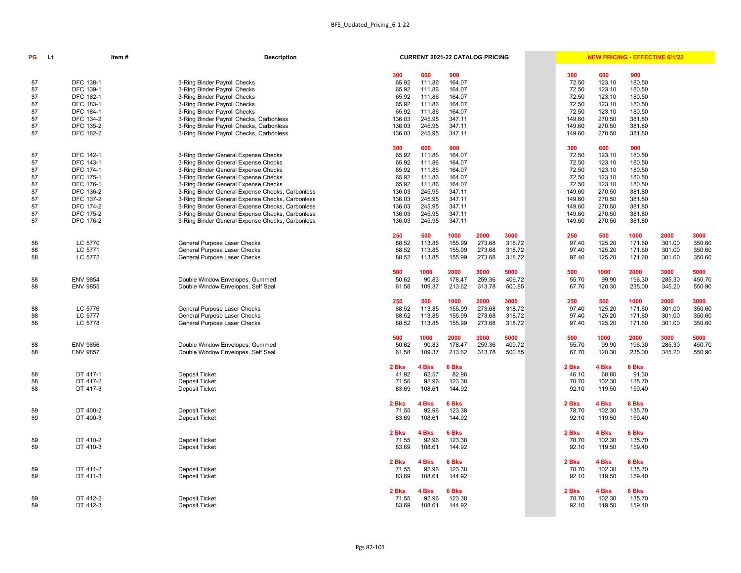| <b>300</b>     | 600                             | 900                              |      |
|----------------|---------------------------------|----------------------------------|------|
| 72.50          | 123.10                          | 180.50                           |      |
| 72.50          | 123.10                          | 180.50                           |      |
| 72.50          | 123.10                          | 180.50                           |      |
| 72.50          | 123.10                          | 180.50                           |      |
| 72.50          | 123.10                          | 180.50                           |      |
| 149.60         | 270.50                          | 381.80                           |      |
| 149.60         | 270.50                          | 381.80                           |      |
| 149.60         | 270.50                          | 381.80                           |      |
| 300            | 600                             | 900                              |      |
| 72.50          | 123.10                          | 180.50                           |      |
| 72.50          | 123.10                          | 180.50                           |      |
| 72.50          | 123.10                          | 180.50                           |      |
| 72.50          | 123.10                          | 180.50                           |      |
| 72.50          | 123.10                          | 180.50                           |      |
| 149.60         | 270.50                          | 381.80                           |      |
| 149.60         | 270.50                          | 381.80                           |      |
| 149.60         | 270.50                          | 381.80                           |      |
| 149.60         | 270.50                          | 381.80                           |      |
| 149.60         | 270.50                          | 381.80                           |      |
| 250            | 500                             | 1000                             | 2000 |
| 97.40          | 125.20                          | 171.60                           | 301. |
| 97.40          | 125.20                          | 171.60                           | 301. |
| 97.40          | 125.20                          | 171.60                           | 301. |
| 500            | 1000                            | 2000                             | 3000 |
| 55.70          | 99.90                           | 196.30                           | 285. |
| 67.70          | 120.30                          | 235.00                           | 345. |
| 250            | 500                             | 1000                             | 2000 |
| 97.40          | 125.20                          | 171.60                           | 301. |
| 97.40          | 125.20                          | 171.60                           | 301. |
| 97.40          | 125.20                          | 171.60                           | 301. |
| 500            | 1000                            | 2000                             | 3000 |
| 55.70          | 99.90                           | 196.30                           | 285. |
| 67.70          | 120.30                          | 235.00                           | 345. |
| 2 Bks          | 4 Bks                           | 6 Bks                            |      |
| 46.10          | 68.80                           | 91.30                            |      |
| 78.70          | 102.30                          | 135.70                           |      |
| 92.10          | 119.50                          | 159.40                           |      |
| 2 Bks          | 4 Bks                           | 6 Bks                            |      |
| 78.70          | 102.30                          | 135.70                           |      |
| 92.10          | 119.50                          | 159.40                           |      |
| 2 Bks<br>78.70 | 4 Bks<br>102.30<br>92.10 119.50 | <b>6 Bks</b><br>135.70<br>159.40 |      |
| 2 Bks          | 4 Bks                           | 6 Bks                            |      |
| 78.70          | 102.30                          | 135.70                           |      |

| PG | Lt | Item#            | <b>Description</b>                               |        | <b>CURRENT 2021-22 CATALOG PRICING</b> |        |        |        |        |        |              | <b>NEW PRICING - EFFECTIVE 6/1/22</b> |        |
|----|----|------------------|--------------------------------------------------|--------|----------------------------------------|--------|--------|--------|--------|--------|--------------|---------------------------------------|--------|
|    |    |                  |                                                  | 300    | 600                                    | 900    |        |        | 300    | 600    | 900          |                                       |        |
| 87 |    | DFC 138-1        | 3-Ring Binder Payroll Checks                     | 65.92  | 111.86                                 | 164.07 |        |        | 72.50  | 123.10 | 180.50       |                                       |        |
| 87 |    | DFC 139-1        | 3-Ring Binder Payroll Checks                     | 65.92  | 111.86                                 | 164.07 |        |        | 72.50  | 123.10 | 180.50       |                                       |        |
| 87 |    | DFC 182-1        | 3-Ring Binder Payroll Checks                     | 65.92  | 111.86                                 | 164.07 |        |        | 72.50  | 123.10 | 180.50       |                                       |        |
| 87 |    | DFC 183-1        | 3-Ring Binder Payroll Checks                     | 65.92  | 111.86                                 | 164.07 |        |        | 72.50  | 123.10 | 180.50       |                                       |        |
| 87 |    | DFC 184-1        | 3-Ring Binder Payroll Checks                     | 65.92  | 111.86                                 | 164.07 |        |        | 72.50  | 123.10 | 180.50       |                                       |        |
| 87 |    | DFC 134-2        | 3-Ring Binder Payroll Checks, Carbonless         | 136.03 | 245.95                                 | 347.11 |        |        | 149.60 | 270.50 | 381.80       |                                       |        |
| 87 |    | DFC 135-2        | 3-Ring Binder Payroll Checks, Carbonless         | 136.03 | 245.95                                 | 347.11 |        |        | 149.60 | 270.50 | 381.80       |                                       |        |
| 87 |    | DFC 182-2        | 3-Ring Binder Payroll Checks, Carbonless         | 136.03 | 245.95                                 | 347.11 |        |        | 149.60 | 270.50 | 381.80       |                                       |        |
|    |    |                  |                                                  |        |                                        |        |        |        |        |        |              |                                       |        |
|    |    |                  |                                                  | 300    | 600                                    | 900    |        |        | 300    | 600    | 900          |                                       |        |
| 87 |    | <b>DFC 142-1</b> | 3-Ring Binder General Expense Checks             | 65.92  | 111.86                                 | 164.07 |        |        | 72.50  | 123.10 | 180.50       |                                       |        |
| 87 |    | DFC 143-1        | 3-Ring Binder General Expense Checks             | 65.92  | 111.86                                 | 164.07 |        |        | 72.50  | 123.10 | 180.50       |                                       |        |
| 87 |    | DFC 174-1        | 3-Ring Binder General Expense Checks             | 65.92  | 111.86                                 | 164.07 |        |        | 72.50  | 123.10 | 180.50       |                                       |        |
| 87 |    | DFC 175-1        | 3-Ring Binder General Expense Checks             | 65.92  | 111.86                                 | 164.07 |        |        | 72.50  | 123.10 | 180.50       |                                       |        |
| 87 |    | DFC 176-1        | 3-Ring Binder General Expense Checks             | 65.92  | 111.86                                 | 164.07 |        |        | 72.50  | 123.10 | 180.50       |                                       |        |
| 87 |    | DFC 136-2        | 3-Ring Binder General Expense Checks, Carbonless | 136.03 | 245.95                                 | 347.11 |        |        | 149.60 | 270.50 | 381.80       |                                       |        |
| 87 |    | DFC 137-2        | 3-Ring Binder General Expense Checks, Carbonless | 136.03 | 245.95                                 | 347.11 |        |        | 149.60 | 270.50 | 381.80       |                                       |        |
| 87 |    | <b>DFC 174-2</b> | 3-Ring Binder General Expense Checks, Carbonless | 136.03 | 245.95                                 | 347.11 |        |        | 149.60 | 270.50 | 381.80       |                                       |        |
| 87 |    | <b>DFC 175-2</b> | 3-Ring Binder General Expense Checks, Carbonless | 136.03 | 245.95                                 | 347.11 |        |        | 149.60 | 270.50 | 381.80       |                                       |        |
| 87 |    | DFC 176-2        | 3-Ring Binder General Expense Checks, Carbonless | 136.03 | 245.95                                 | 347.11 |        |        | 149.60 | 270.50 | 381.80       |                                       |        |
|    |    |                  |                                                  | 250    | 500                                    | 1000   | 2000   | 3000   | 250    | 500    | 1000         | 2000                                  | 3000   |
| 88 |    | LC 5770          | General Purpose Laser Checks                     | 88.52  | 113.85                                 | 155.99 | 273.68 | 318.72 | 97.40  | 125.20 | 171.60       | 301.00                                | 350.60 |
| 88 |    | LC 5771          | General Purpose Laser Checks                     | 88.52  | 113.85                                 | 155.99 | 273.68 | 318.72 | 97.40  | 125.20 | 171.60       | 301.00                                | 350.60 |
| 88 |    | LC 5772          | General Purpose Laser Checks                     | 88.52  | 113.85                                 | 155.99 | 273.68 | 318.72 | 97.40  | 125.20 | 171.60       | 301.00                                | 350.60 |
|    |    |                  |                                                  | 500    | 1000                                   | 2000   | 3000   | 5000   | 500    | 1000   | 2000         | 3000                                  | 5000   |
| 88 |    | <b>ENV 9854</b>  | Double Window Envelopes, Gummed                  | 50.62  | 90.83                                  | 178.47 | 259.36 | 409.72 | 55.70  | 99.90  | 196.30       | 285.30                                | 450.70 |
| 88 |    | <b>ENV 9855</b>  | Double Window Envelopes, Self Seal               | 61.58  | 109.37                                 | 213.62 | 313.78 | 500.85 | 67.70  | 120.30 | 235.00       | 345.20                                | 550.90 |
|    |    |                  |                                                  | 250    | 500                                    | 1000   | 2000   | 3000   | 250    | 500    | 1000         | 2000                                  | 3000   |
| 88 |    | LC 5776          | General Purpose Laser Checks                     | 88.52  | 113.85                                 | 155.99 | 273.68 | 318.72 | 97.40  | 125.20 | 171.60       | 301.00                                | 350.60 |
| 88 |    | LC 5777          | General Purpose Laser Checks                     | 88.52  | 113.85                                 | 155.99 | 273.68 | 318.72 | 97.40  | 125.20 | 171.60       | 301.00                                | 350.60 |
|    |    |                  |                                                  |        |                                        |        |        |        |        |        |              |                                       |        |
| 88 |    | LC 5778          | General Purpose Laser Checks                     | 88.52  | 113.85                                 | 155.99 | 273.68 | 318.72 | 97.40  | 125.20 | 171.60       | 301.00                                | 350.60 |
|    |    |                  |                                                  | 500    | 1000                                   | 2000   | 3000   | 5000   | 500    | 1000   | 2000         | 3000                                  | 5000   |
| 88 |    | <b>ENV 9856</b>  | Double Window Envelopes, Gummed                  | 50.62  | 90.83                                  | 178.47 | 259.36 | 409.72 | 55.70  | 99.90  | 196.30       | 285.30                                | 450.70 |
| 88 |    | <b>ENV 9857</b>  | Double Window Envelopes, Self Seal               | 61.58  | 109.37                                 | 213.62 | 313.78 | 500.85 | 67.70  | 120.30 | 235.00       | 345.20                                | 550.90 |
|    |    |                  |                                                  | 2 Bks  | 4 Bks                                  | 6 Bks  |        |        | 2 Bks  | 4 Bks  | <b>6 Bks</b> |                                       |        |
| 88 |    | DT 417-1         | Deposit Ticket                                   | 41.92  | 62.57                                  | 82.96  |        |        | 46.10  | 68.80  | 91.30        |                                       |        |
| 88 |    | DT 417-2         | Deposit Ticket                                   | 71.56  | 92.96                                  | 123.38 |        |        | 78.70  | 102.30 | 135.70       |                                       |        |
| 88 |    | DT 417-3         | Deposit Ticket                                   | 83.69  | 108.61                                 | 144.92 |        |        | 92.10  | 119.50 | 159.40       |                                       |        |
|    |    |                  |                                                  | 2 Bks  | 4 Bks                                  | 6 Bks  |        |        | 2 Bks  | 4 Bks  | 6 Bks        |                                       |        |
| 89 |    | DT 400-2         | Deposit Ticket                                   | 71.55  | 92.96                                  | 123.38 |        |        | 78.70  | 102.30 | 135.70       |                                       |        |
| 89 |    | DT 400-3         | Deposit Ticket                                   | 83.69  | 108.61                                 | 144.92 |        |        | 92.10  | 119.50 | 159.40       |                                       |        |
|    |    |                  |                                                  | 2 Bks  | 4 Bks                                  | 6 Bks  |        |        | 2 Bks  | 4 Bks  | 6 Bks        |                                       |        |
| 89 |    | DT 410-2         | Deposit Ticket                                   | 71.55  | 92.96                                  | 123.38 |        |        | 78.70  | 102.30 | 135.70       |                                       |        |
| 89 |    | DT 410-3         | Deposit Ticket                                   | 83.69  | 108.61                                 | 144.92 |        |        | 92.10  | 119.50 | 159.40       |                                       |        |
|    |    |                  |                                                  |        |                                        |        |        |        |        |        |              |                                       |        |
|    |    |                  |                                                  | 2 Bks  | 4 Bks                                  | 6 Bks  |        |        | 2 Bks  | 4 Bks  | <b>6 Bks</b> |                                       |        |
| 89 |    | DT 411-2         | Deposit Ticket                                   | 71.55  | 92.96                                  | 123.38 |        |        | 78.70  | 102.30 | 135.70       |                                       |        |
| 89 |    | DT 411-3         | Deposit Ticket                                   | 83.69  | 108.61                                 | 144.92 |        |        | 92.10  | 119.50 | 159.40       |                                       |        |
|    |    |                  |                                                  | 2 Bks  | 4 Bks                                  | 6 Bks  |        |        | 2 Bks  | 4 Bks  | 6 Bks        |                                       |        |
| 89 |    | DT 412-2         | Deposit Ticket                                   | 71.55  | 92.96                                  | 123.38 |        |        | 78.70  | 102.30 | 135.70       |                                       |        |
| 89 |    | DT 412-3         | Deposit Ticket                                   | 83.69  | 108.61                                 | 144.92 |        |        | 92.10  | 119.50 | 159.40       |                                       |        |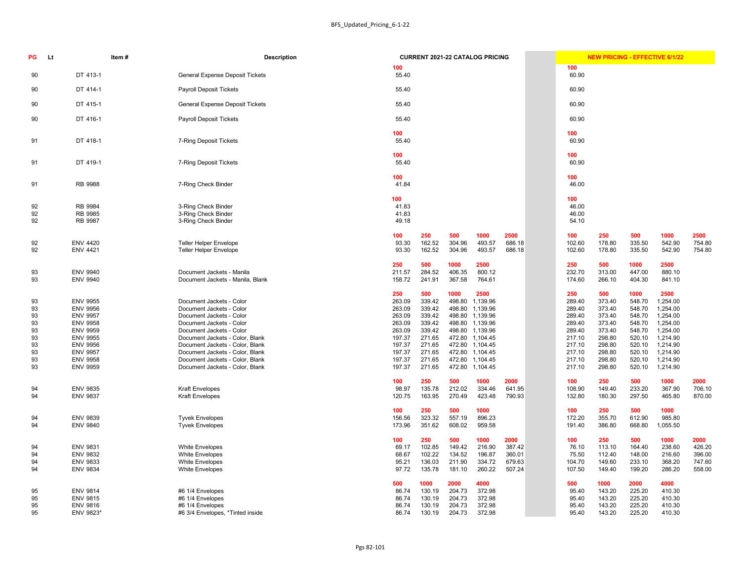|                                                                 |                                                                 |                                                                  | <b>CURRENT 2021-22 CATALOG PRICING</b>                                       |                                              |                                                                 | <b>NEW PRICING - EFFECTIVE 6/1/22</b>                           |                                                                  |                                                                              |                                              |
|-----------------------------------------------------------------|-----------------------------------------------------------------|------------------------------------------------------------------|------------------------------------------------------------------------------|----------------------------------------------|-----------------------------------------------------------------|-----------------------------------------------------------------|------------------------------------------------------------------|------------------------------------------------------------------------------|----------------------------------------------|
| 100<br>55.40                                                    |                                                                 |                                                                  |                                                                              |                                              | 100<br>60.90                                                    |                                                                 |                                                                  |                                                                              |                                              |
| 55.40                                                           |                                                                 |                                                                  |                                                                              |                                              | 60.90                                                           |                                                                 |                                                                  |                                                                              |                                              |
| 55.40                                                           |                                                                 |                                                                  |                                                                              |                                              | 60.90                                                           |                                                                 |                                                                  |                                                                              |                                              |
| 55.40                                                           |                                                                 |                                                                  |                                                                              |                                              | 60.90                                                           |                                                                 |                                                                  |                                                                              |                                              |
| 100<br>55.40                                                    |                                                                 |                                                                  |                                                                              |                                              | 100<br>60.90                                                    |                                                                 |                                                                  |                                                                              |                                              |
| 100<br>55.40                                                    |                                                                 |                                                                  |                                                                              |                                              | 100<br>60.90                                                    |                                                                 |                                                                  |                                                                              |                                              |
| 100<br>41.84                                                    |                                                                 |                                                                  |                                                                              |                                              | 100<br>46.00                                                    |                                                                 |                                                                  |                                                                              |                                              |
| 100<br>41.83<br>41.83<br>49.18                                  |                                                                 |                                                                  |                                                                              |                                              | 100<br>46.00<br>46.00<br>54.10                                  |                                                                 |                                                                  |                                                                              |                                              |
| 100<br>93.30<br>93.30                                           | 250<br>162.52<br>162.52                                         | 500<br>304.96<br>304.96                                          | 1000<br>493.57<br>493.57                                                     | 2500<br>686.18<br>686.18                     | 100<br>102.60<br>102.60                                         | 250<br>178.80<br>178.80                                         | 500<br>335.50<br>335.50                                          | 1000<br>542.90<br>542.90                                                     | 2500<br>754.80<br>754.80                     |
| 250<br>211.57<br>158.72                                         | 500<br>284.52<br>241.91                                         | 1000<br>406.35<br>367.58                                         | 2500<br>800.12<br>764.61                                                     |                                              | 250<br>232.70<br>174.60                                         | 500<br>313.00<br>266.10                                         | 1000<br>447.00<br>404.30                                         | 2500<br>880.10<br>841.10                                                     |                                              |
| 250<br>263.09<br>263.09<br>263.09<br>263.09<br>263.09<br>197.37 | 500<br>339.42<br>339.42<br>339.42<br>339.42<br>339.42<br>271.65 | 1000<br>498.80<br>498.80<br>498.80<br>498.80<br>498.80<br>472.80 | 2500<br>1,139.96<br>1,139.96<br>1,139.96<br>1,139.96<br>1,139.96<br>1,104.45 |                                              | 250<br>289.40<br>289.40<br>289.40<br>289.40<br>289.40<br>217.10 | 500<br>373.40<br>373.40<br>373.40<br>373.40<br>373.40<br>298.80 | 1000<br>548.70<br>548.70<br>548.70<br>548.70<br>548.70<br>520.10 | 2500<br>1,254.00<br>1,254.00<br>1,254.00<br>1,254.00<br>1,254.00<br>1,214.90 |                                              |
| 197.37<br>197.37<br>197.37<br>197.37                            | 271.65<br>271.65<br>271.65<br>271.65                            | 472.80<br>472.80<br>472.80<br>472.80                             | 1,104.45<br>1,104.45<br>1,104.45<br>1,104.45                                 |                                              | 217.10<br>217.10<br>217.10<br>217.10                            | 298.80<br>298.80<br>298.80<br>298.80                            | 520.10<br>520.10<br>520.10<br>520.10                             | 1,214.90<br>1,214.90<br>1,214.90<br>1,214.90                                 |                                              |
| 100<br>98.97<br>120.75                                          | 250<br>135.78<br>163.95                                         | 500<br>212.02<br>270.49                                          | 1000<br>334.46<br>423.48                                                     | 2000<br>641.95<br>790.93                     | 100<br>108.90<br>132.80                                         | 250<br>149.40<br>180.30                                         | 500<br>233.20<br>297.50                                          | 1000<br>367.90<br>465.80                                                     | 2000<br>706.10<br>870.00                     |
| 100<br>156.56<br>173.96                                         | 250<br>323.32<br>351.62                                         | 500<br>557.19<br>608.02                                          | 1000<br>896.23<br>959.58                                                     |                                              | 100<br>172.20<br>191.40                                         | 250<br>355.70<br>386.80                                         | 500<br>612.90<br>668.80                                          | 1000<br>985.80<br>1,055.50                                                   |                                              |
| 100<br>69.17<br>68.67<br>95.21<br>97.72                         | 250<br>102.85<br>102.22<br>136.03<br>135.78                     | 500<br>149.42<br>134.52<br>211.90<br>181.10                      | 1000<br>216.90<br>196.87<br>334.72<br>260.22                                 | 2000<br>387.42<br>360.01<br>679.63<br>507.24 | 100<br>76.10<br>75.50<br>104.70<br>107.50                       | 250<br>113.10<br>112.40<br>149.60<br>149.40                     | 500<br>164.40<br>148.00<br>233.10<br>199.20                      | 1000<br>238.60<br>216.60<br>368.20<br>286.20                                 | 2000<br>426.20<br>396.00<br>747.60<br>558.00 |
| 500<br>86.74<br>86.74<br>86.74<br>86.74                         | 1000<br>130.19<br>130.19<br>130.19<br>130.19                    | 2000<br>204.73<br>204.73<br>204.73<br>204.73                     | 4000<br>372.98<br>372.98<br>372.98<br>372 QR                                 |                                              | 500<br>95.40<br>95.40<br>95.40<br>Q5 40                         | 1000<br>143.20<br>143.20<br>143.20<br>143.20                    | 2000<br>225.20<br>225.20<br>225.20<br>225.20                     | 4000<br>410.30<br>410.30<br>410.30<br>410.30                                 |                                              |

| PG                                                       | Item#<br><b>Lt</b>                                                                                                                                                                         | <b>Description</b>                                                                                                                                                                                                                                                                                                      | <b>CURRENT 2021-22 CATALOG PRICING</b>                                                                                                                                                                                                                                                                                                                                                                                                 | <b>NEW PRICING - EFFECTIVE 6/1/22</b>                                                                                                                                                                                                                                                                                                                                                                                                                          |
|----------------------------------------------------------|--------------------------------------------------------------------------------------------------------------------------------------------------------------------------------------------|-------------------------------------------------------------------------------------------------------------------------------------------------------------------------------------------------------------------------------------------------------------------------------------------------------------------------|----------------------------------------------------------------------------------------------------------------------------------------------------------------------------------------------------------------------------------------------------------------------------------------------------------------------------------------------------------------------------------------------------------------------------------------|----------------------------------------------------------------------------------------------------------------------------------------------------------------------------------------------------------------------------------------------------------------------------------------------------------------------------------------------------------------------------------------------------------------------------------------------------------------|
|                                                          | DT 413-1                                                                                                                                                                                   |                                                                                                                                                                                                                                                                                                                         | 100<br>55.40                                                                                                                                                                                                                                                                                                                                                                                                                           | 100                                                                                                                                                                                                                                                                                                                                                                                                                                                            |
| 90                                                       |                                                                                                                                                                                            | <b>General Expense Deposit Tickets</b>                                                                                                                                                                                                                                                                                  |                                                                                                                                                                                                                                                                                                                                                                                                                                        | 60.90                                                                                                                                                                                                                                                                                                                                                                                                                                                          |
| 90                                                       | DT 414-1                                                                                                                                                                                   | <b>Payroll Deposit Tickets</b>                                                                                                                                                                                                                                                                                          | 55.40                                                                                                                                                                                                                                                                                                                                                                                                                                  | 60.90                                                                                                                                                                                                                                                                                                                                                                                                                                                          |
| 90                                                       | DT 415-1                                                                                                                                                                                   | <b>General Expense Deposit Tickets</b>                                                                                                                                                                                                                                                                                  | 55.40                                                                                                                                                                                                                                                                                                                                                                                                                                  | 60.90                                                                                                                                                                                                                                                                                                                                                                                                                                                          |
| 90                                                       | DT 416-1                                                                                                                                                                                   | <b>Payroll Deposit Tickets</b>                                                                                                                                                                                                                                                                                          | 55.40                                                                                                                                                                                                                                                                                                                                                                                                                                  | 60.90                                                                                                                                                                                                                                                                                                                                                                                                                                                          |
| 91                                                       | DT 418-1                                                                                                                                                                                   | 7-Ring Deposit Tickets                                                                                                                                                                                                                                                                                                  | 100<br>55.40                                                                                                                                                                                                                                                                                                                                                                                                                           | 100<br>60.90                                                                                                                                                                                                                                                                                                                                                                                                                                                   |
| 91                                                       | DT 419-1                                                                                                                                                                                   | 7-Ring Deposit Tickets                                                                                                                                                                                                                                                                                                  | 100<br>55.40                                                                                                                                                                                                                                                                                                                                                                                                                           | 100<br>60.90                                                                                                                                                                                                                                                                                                                                                                                                                                                   |
| 91                                                       | RB 9988                                                                                                                                                                                    | 7-Ring Check Binder                                                                                                                                                                                                                                                                                                     | 100<br>41.84                                                                                                                                                                                                                                                                                                                                                                                                                           | 100<br>46.00                                                                                                                                                                                                                                                                                                                                                                                                                                                   |
| 92<br>92<br>92                                           | RB 9984<br>RB 9985<br>RB 9987                                                                                                                                                              | 3-Ring Check Binder<br>3-Ring Check Binder<br>3-Ring Check Binder                                                                                                                                                                                                                                                       | 100<br>41.83<br>41.83<br>49.18                                                                                                                                                                                                                                                                                                                                                                                                         | 100<br>46.00<br>46.00<br>54.10                                                                                                                                                                                                                                                                                                                                                                                                                                 |
| 92<br>92                                                 | <b>ENV 4420</b><br><b>ENV 4421</b>                                                                                                                                                         | <b>Teller Helper Envelope</b><br><b>Teller Helper Envelope</b>                                                                                                                                                                                                                                                          | 250<br>500<br>2500<br>100<br>1000<br>93.30<br>162.52<br>304.96<br>493.57<br>686.18<br>162.52<br>93.30<br>304.96<br>493.57<br>686.18                                                                                                                                                                                                                                                                                                    | 100<br>500<br>250<br>1000<br>2500<br>754.80<br>102.60<br>178.80<br>335.50<br>542.90<br>542.90<br>754.80<br>102.60<br>178.80<br>335.50                                                                                                                                                                                                                                                                                                                          |
| 93<br>93                                                 | <b>ENV 9940</b><br><b>ENV 9940</b>                                                                                                                                                         | Document Jackets - Manila<br>Document Jackets - Manila, Blank                                                                                                                                                                                                                                                           | 500<br>250<br>1000<br>2500<br>284.52<br>211.57<br>406.35<br>800.12<br>158.72<br>241.91<br>367.58<br>764.61                                                                                                                                                                                                                                                                                                                             | 250<br>500<br>1000<br>2500<br>313.00<br>447.00<br>232.70<br>880.10<br>174.60<br>841.10<br>266.10<br>404.30                                                                                                                                                                                                                                                                                                                                                     |
| 93<br>93<br>93<br>93<br>93<br>93<br>93<br>93<br>93<br>93 | <b>ENV 9955</b><br><b>ENV 9956</b><br><b>ENV 9957</b><br><b>ENV 9958</b><br><b>ENV 9959</b><br><b>ENV 9955</b><br><b>ENV 9956</b><br><b>ENV 9957</b><br><b>ENV 9958</b><br><b>ENV 9959</b> | Document Jackets - Color<br>Document Jackets - Color<br>Document Jackets - Color<br>Document Jackets - Color<br>Document Jackets - Color<br>Document Jackets - Color, Blank<br>Document Jackets - Color, Blank<br>Document Jackets - Color, Blank<br>Document Jackets - Color, Blank<br>Document Jackets - Color, Blank | 250<br>500<br>2500<br>1000<br>339.42<br>498.80<br>263.09<br>1,139.96<br>339.42<br>263.09<br>498.80<br>1,139.96<br>339.42<br>263.09<br>498.80 1,139.96<br>263.09<br>339.42<br>498.80 1,139.96<br>263.09<br>339.42<br>498.80 1,139.96<br>197.37<br>271.65<br>472.80 1,104.45<br>197.37<br>271.65<br>472.80 1,104.45<br>197.37<br>271.65<br>472.80 1,104.45<br>197.37<br>271.65<br>472.80 1,104.45<br>197.37<br>271.65<br>472.80 1,104.45 | 1000<br>2500<br>250<br>500<br>289.40<br>373.40<br>548.70<br>1,254.00<br>373.40<br>289.40<br>548.70<br>1,254.00<br>373.40<br>289.40<br>548.70<br>1,254.00<br>289.40<br>373.40<br>548.70<br>1,254.00<br>373.40<br>548.70<br>289.40<br>1,254.00<br>298.80<br>217.10<br>520.10<br>1,214.90<br>217.10<br>298.80<br>520.10<br>1,214.90<br>217.10<br>298.80<br>520.10<br>1,214.90<br>217.10<br>298.80<br>520.10<br>1,214.90<br>217.10<br>298.80<br>520.10<br>1,214.90 |
| 94<br>94                                                 | <b>ENV 9835</b><br><b>ENV 9837</b>                                                                                                                                                         | <b>Kraft Envelopes</b><br><b>Kraft Envelopes</b>                                                                                                                                                                                                                                                                        | 250<br>500<br>1000<br>2000<br>100<br>98.97<br>135.78<br>212.02<br>334.46<br>641.95<br>120.75<br>163.95<br>270.49<br>423.48<br>790.93                                                                                                                                                                                                                                                                                                   | 500<br>100<br>250<br>1000<br>2000<br>108.90<br>149.40<br>233.20<br>367.90<br>706.10<br>132.80<br>180.30<br>297.50<br>465.80<br>870.00                                                                                                                                                                                                                                                                                                                          |
| 94<br>94                                                 | <b>ENV 9839</b><br><b>ENV 9840</b>                                                                                                                                                         | <b>Tyvek Envelopes</b><br><b>Tyvek Envelopes</b>                                                                                                                                                                                                                                                                        | 100<br>250<br>500<br>1000<br>323.32<br>557.19<br>156.56<br>896.23<br>351.62<br>959.58<br>173.96<br>608.02                                                                                                                                                                                                                                                                                                                              | 500<br>1000<br>100<br>250<br>172.20<br>355.70<br>612.90<br>985.80<br>191.40<br>386.80<br>668.80<br>1,055.50                                                                                                                                                                                                                                                                                                                                                    |
| 94<br>94<br>94<br>94                                     | <b>ENV 9831</b><br><b>ENV 9832</b><br><b>ENV 9833</b><br><b>ENV 9834</b>                                                                                                                   | <b>White Envelopes</b><br><b>White Envelopes</b><br><b>White Envelopes</b><br><b>White Envelopes</b>                                                                                                                                                                                                                    | 100<br>250<br>500<br>1000<br>2000<br>102.85<br>69.17<br>149.42<br>216.90<br>387.42<br>102.22<br>134.52<br>196.87<br>360.01<br>68.67<br>95.21<br>136.03<br>211.90<br>334.72<br>679.63<br>135.78<br>507.24<br>97.72<br>181.10<br>260.22                                                                                                                                                                                                  | 100<br>250<br>500<br>1000<br>2000<br>76.10<br>113.10<br>164.40<br>238.60<br>426.20<br>75.50<br>396.00<br>112.40<br>148.00<br>216.60<br>104.70<br>747.60<br>149.60<br>233.10<br>368.20<br>107.50<br>199.20<br>286.20<br>558.00<br>149.40                                                                                                                                                                                                                        |
| 95<br>95<br>95<br>95                                     | <b>ENV 9814</b><br><b>ENV 9815</b><br><b>ENV 9816</b><br>ENV 9823*                                                                                                                         | #6 1/4 Envelopes<br>#6 1/4 Envelopes<br>#6 1/4 Envelopes<br>#6 3/4 Envelopes, *Tinted inside                                                                                                                                                                                                                            | 500<br>1000<br>2000<br>4000<br>130.19<br>372.98<br>86.74<br>204.73<br>372.98<br>86.74<br>130.19<br>204.73<br>86.74<br>204.73<br>372.98<br>130.19<br>86.74<br>130.19<br>204.73<br>372.98                                                                                                                                                                                                                                                | 500<br>1000<br>2000<br>4000<br>225.20<br>410.30<br>95.40<br>143.20<br>225.20<br>95.40<br>143.20<br>410.30<br>225.20<br>95.40<br>143.20<br>410.30<br>95.40<br>143.20<br>410.30<br>225.20                                                                                                                                                                                                                                                                        |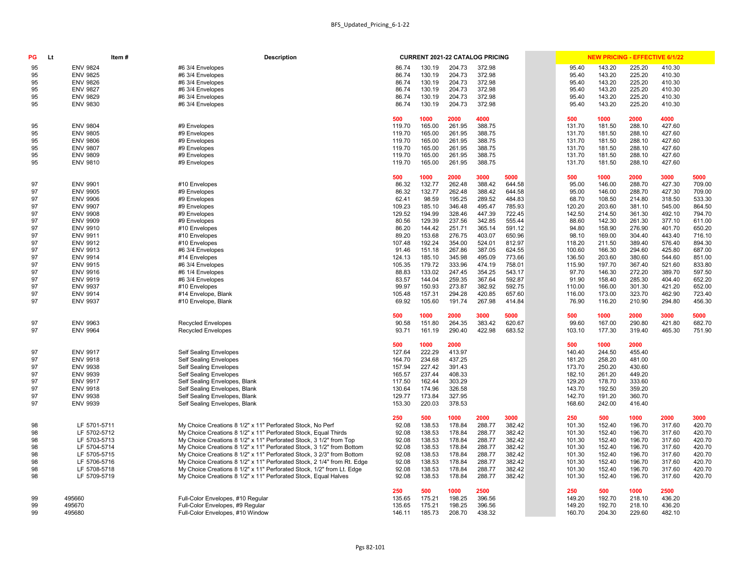|                  |                  |                  | <b>CURRENT 2021-22 CATALOG PRICING</b> |                  |                  | <b>NEW PRICING - EFFECTIVE 6/1/22</b> |                  |                  |                  |
|------------------|------------------|------------------|----------------------------------------|------------------|------------------|---------------------------------------|------------------|------------------|------------------|
| 86.74            | 130.19           | 204.73           | 372.98                                 |                  | 95.40            | 143.20                                | 225.20           | 410.30           |                  |
| 86.74            | 130.19           | 204.73           | 372.98                                 |                  | 95.40            | 143.20                                | 225.20           | 410.30           |                  |
| 86.74            | 130.19           | 204.73           | 372.98                                 |                  | 95.40            | 143.20                                | 225.20           | 410.30           |                  |
| 86.74            | 130.19           | 204.73           | 372.98                                 |                  | 95.40            | 143.20                                | 225.20           | 410.30           |                  |
| 86.74            | 130.19           | 204.73           | 372.98                                 |                  | 95.40            | 143.20                                | 225.20           | 410.30           |                  |
| 86.74            | 130.19           | 204.73           | 372.98                                 |                  | 95.40            | 143.20                                | 225.20           | 410.30           |                  |
| 500              | 1000             | 2000             | 4000                                   |                  | 500              | 1000                                  | 2000             | 4000             |                  |
| 119.70           | 165.00           | 261.95           | 388.75                                 |                  | 131.70           | 181.50                                | 288.10           | 427.60           |                  |
| 119.70           | 165.00           | 261.95           | 388.75                                 |                  | 131.70           | 181.50                                | 288.10           | 427.60           |                  |
| 119.70           | 165.00           | 261.95           | 388.75                                 |                  | 131.70           | 181.50                                | 288.10           | 427.60           |                  |
| 119.70           | 165.00           | 261.95           | 388.75                                 |                  | 131.70           | 181.50                                | 288.10           | 427.60           |                  |
| 119.70           | 165.00           | 261.95           | 388.75                                 |                  | 131.70           | 181.50                                | 288.10           | 427.60           |                  |
| 119.70           | 165.00           | 261.95           | 388.75                                 |                  | 131.70           | 181.50                                | 288.10           | 427.60           |                  |
| 500              | 1000             | 2000             | 3000                                   | 5000             | 500              | 1000                                  | 2000             | 3000             | 5000             |
| 86.32            | 132.77           | 262.48           | 388.42                                 | 644.58           | 95.00            | 146.00                                | 288.70           | 427.30           | 709.00           |
| 86.32            | 132.77           | 262.48           | 388.42                                 | 644.58           | 95.00            | 146.00                                | 288.70           | 427.30           | 709.00           |
| 62.41            | 98.59            | 195.25           | 289.52                                 | 484.83           | 68.70            | 108.50                                | 214.80           | 318.50           | 533.30           |
| 109.23           | 185.10           | 346.48           | 495.47                                 | 785.93           | 120.20           | 203.60                                | 381.10           | 545.00           | 864.50<br>794.70 |
| 129.52           | 194.99<br>129.39 | 328.46           | 447.39                                 | 722.45<br>555.44 | 142.50<br>88.60  | 214.50<br>142.30                      | 361.30           | 492.10           | 611.00           |
| 80.56<br>86.20   | 144.42           | 237.56<br>251.71 | 342.85<br>365.14                       | 591.12           | 94.80            | 158.90                                | 261.30<br>276.90 | 377.10<br>401.70 | 650.20           |
| 89.20            | 153.68           | 276.75           | 403.07                                 | 650.96           | 98.10            | 169.00                                | 304.40           | 443.40           | 716.10           |
| 107.48           | 192.24           | 354.00           | 524.01                                 | 812.97           | 118.20           | 211.50                                | 389.40           | 576.40           | 894.30           |
| 91.46            | 151.18           | 267.86           | 387.05                                 | 624.55           | 100.60           | 166.30                                | 294.60           | 425.80           | 687.00           |
| 124.13           | 185.10           | 345.98           | 495.09                                 | 773.66           | 136.50           | 203.60                                | 380.60           | 544.60           | 851.00           |
| 105.35           | 179.72           | 333.96           | 474.19                                 | 758.01           | 115.90           | 197.70                                | 367.40           | 521.60           | 833.80           |
| 88.83            | 133.02           | 247.45           | 354.25                                 | 543.17           | 97.70            | 146.30                                | 272.20           | 389.70           | 597.50           |
| 83.57            | 144.04           | 259.35           | 367.64                                 | 592.87           | 91.90            | 158.40                                | 285.30           | 404.40           | 652.20           |
| 99.97            | 150.93           | 273.87           | 382.92                                 | 592.75           | 110.00           | 166.00                                | 301.30           | 421.20           | 652.00           |
| 105.48           | 157.31           | 294.28           | 420.85                                 | 657.60           | 116.00           | 173.00                                | 323.70           | 462.90           | 723.40           |
| 69.92            | 105.60           | 191.74           | 267.98                                 | 414.84           | 76.90            | 116.20                                | 210.90           | 294.80           | 456.30           |
| 500              | 1000             | 2000             | 3000                                   | 5000             | 500              | 1000                                  | 2000             | 3000             | 5000             |
| 90.58            | 151.80           | 264.35           | 383.42                                 | 620.67           | 99.60            | 167.00                                | 290.80           | 421.80           | 682.70           |
| 93.71            | 161.19           | 290.40           | 422.98                                 | 683.52           | 103.10           | 177.30                                | 319.40           | 465.30           | 751.90           |
| 500              | 1000             | 2000             |                                        |                  | 500              | 1000                                  | 2000             |                  |                  |
| 127.64           | 222.29           | 413.97           |                                        |                  | 140.40           | 244.50                                | 455.40           |                  |                  |
| 164.70           | 234.68           | 437.25           |                                        |                  | 181.20           | 258.20                                | 481.00           |                  |                  |
| 157.94           | 227.42           | 391.43           |                                        |                  | 173.70           | 250.20                                | 430.60           |                  |                  |
| 165.57           | 237.44           | 408.33           |                                        |                  | 182.10           | 261.20                                | 449.20           |                  |                  |
| 117.50<br>130.64 | 162.44<br>174.96 | 303.29           |                                        |                  | 129.20<br>143.70 | 178.70<br>192.50                      | 333.60<br>359.20 |                  |                  |
| 129.77           | 173.84           | 326.58<br>327.95 |                                        |                  | 142.70           | 191.20                                | 360.70           |                  |                  |
| 153.30           | 220.03           | 378.53           |                                        |                  | 168.60           | 242.00                                | 416.40           |                  |                  |
|                  |                  |                  |                                        |                  |                  |                                       |                  |                  |                  |
| 250              | 500              | 1000             | 2000                                   | 3000             | 250              | 500                                   | 1000             | 2000             | 3000             |
| 92.08            | 138.53           | 178.84           | 288.77                                 | 382.42           | 101.30           | 152.40                                | 196.70           | 317.60           | 420.70           |
| 92.08            | 138.53           | 178.84           | 288.77                                 | 382.42           | 101.30           | 152.40                                | 196.70           | 317.60           | 420.70           |
| 92.08            | 138.53           | 178.84           | 288.77                                 | 382.42           | 101.30           | 152.40                                | 196.70           | 317.60           | 420.70           |
| 92.08            | 138.53           | 178.84           | 288.77                                 | 382.42           | 101.30           | 152.40                                | 196.70           | 317.60           | 420.70           |
| 92.08            | 138.53           | 178.84           | 288.77                                 | 382.42<br>382.42 | 101.30           | 152.40<br>152.40                      | 196.70           | 317.60           | 420.70<br>420.70 |
| 92.08<br>92.08   | 138.53<br>138.53 | 178.84<br>178.84 | 288.77<br>288.77                       | 382.42           | 101.30<br>101.30 | 152.40                                | 196.70<br>196.70 | 317.60<br>317.60 | 420.70           |
| 92.08            | 138.53           | 178.84           | 288.77                                 | 382.42           | 101.30           | 152.40                                | 196.70           | 317.60           | 420.70           |
|                  |                  |                  |                                        |                  |                  |                                       |                  |                  |                  |
| 250              | 500              | 1000             | 2500                                   |                  | 250              | 500                                   | 1000             | 2500             |                  |
| 135.65           | 175.21           | 198.25           | 396.56                                 |                  | 149.20           | 192.70                                | 218.10           | 436.20           |                  |
| 135.65           | 175.21           | 198.25           | 396.56                                 |                  | 149.20           | 192.70                                | 218.10           | 436.20           |                  |
| 146.11           | 185.73           | 208.70           | 438.32                                 |                  | 160.70           | 204.30                                | 229.60           | 482.10           |                  |

| PG | Item#<br>Lt                  | <b>Description</b>                                                      |              |                | <b>CURRENT 2021-22 CATALOG PRICING</b> |                |                |               | <b>NEW PRICING - EFFECTIVE 6/1/22</b> |                  |                |                  |
|----|------------------------------|-------------------------------------------------------------------------|--------------|----------------|----------------------------------------|----------------|----------------|---------------|---------------------------------------|------------------|----------------|------------------|
| 95 | <b>ENV 9824</b>              | #6 3/4 Envelopes                                                        | 86.74        | 130.19         | 204.73                                 | 372.98         |                | 95.40         | 143.20                                | 225.20           | 410.30         |                  |
| 95 | <b>ENV 9825</b>              | #6 3/4 Envelopes                                                        | 86.74        | 130.19         | 204.73                                 | 372.98         |                | 95.40         | 143.20                                | 225.20           | 410.30         |                  |
| 95 | <b>ENV 9826</b>              | #6 3/4 Envelopes                                                        | 86.74        | 130.19         | 204.73                                 | 372.98         |                | 95.40         | 143.20                                | 225.20           | 410.30         |                  |
| 95 | <b>ENV 9827</b>              | #6 3/4 Envelopes                                                        | 86.74        | 130.19         | 204.73                                 | 372.98         |                | 95.40         | 143.20                                | 225.20           | 410.30         |                  |
|    | <b>ENV 9829</b>              | #6 3/4 Envelopes                                                        | 86.74        | 130.19         | 204.73                                 | 372.98         |                | 95.40         | 143.20                                | 225.20           | 410.30         |                  |
| 95 |                              |                                                                         |              |                |                                        |                |                |               |                                       |                  |                |                  |
| 95 | <b>ENV 9830</b>              | #6 3/4 Envelopes                                                        | 86.74        | 130.19         | 204.73                                 | 372.98         |                | 95.40         | 143.20                                | 225.20           | 410.30         |                  |
|    |                              |                                                                         | 500          | 1000           | 2000                                   | 4000           |                | 500           | 1000                                  | 2000             | 4000           |                  |
| 95 | <b>ENV 9804</b>              | #9 Envelopes                                                            | 119.70       | 165.00         | 261.95                                 | 388.75         |                | 131.70        | 181.50                                | 288.10           | 427.60         |                  |
| 95 | <b>ENV 9805</b>              | #9 Envelopes                                                            | 119.70       | 165.00         | 261.95                                 | 388.75         |                | 131.70        | 181.50                                | 288.10           | 427.60         |                  |
| 95 | <b>ENV 9806</b>              | #9 Envelopes                                                            | 119.70       | 165.00         | 261.95                                 | 388.75         |                | 131.70        | 181.50                                | 288.10           | 427.60         |                  |
| 95 | <b>ENV 9807</b>              | #9 Envelopes                                                            | 119.70       | 165.00         | 261.95                                 | 388.75         |                | 131.70        | 181.50                                | 288.10           | 427.60         |                  |
| 95 | <b>ENV 9809</b>              | #9 Envelopes                                                            | 119.70       | 165.00         | 261.95                                 | 388.75         |                | 131.70        | 181.50                                | 288.10           | 427.60         |                  |
| 95 | <b>ENV 9810</b>              | #9 Envelopes                                                            | 119.70       | 165.00         | 261.95                                 | 388.75         |                | 131.70        | 181.50                                | 288.10           | 427.60         |                  |
|    |                              |                                                                         |              |                |                                        |                |                |               |                                       |                  |                |                  |
|    |                              |                                                                         | 500          | 1000           | 2000                                   | 3000           | 5000           | 500           | 1000                                  | 2000             | 3000           | 5000             |
| 97 | <b>ENV 9901</b>              | #10 Envelopes                                                           | 86.32        | 132.77         | 262.48                                 | 388.42         | 644.58         | 95.00         | 146.00                                | 288.70           | 427.30         | 709.00           |
| 97 | <b>ENV 9905</b>              | #9 Envelopes                                                            | 86.32        | 132.77         | 262.48                                 | 388.42         | 644.58         | 95.00         | 146.00                                | 288.70           | 427.30         | 709.00           |
| 97 | <b>ENV 9906</b>              | #9 Envelopes                                                            | 62.41        | 98.59          | 195.25                                 | 289.52         | 484.83         | 68.70         | 108.50                                | 214.80           | 318.50         | 533.30           |
| 97 | <b>ENV 9907</b>              | #9 Envelopes                                                            | 109.23       | 185.10         | 346.48                                 | 495.47         | 785.93         | 120.20        | 203.60                                | 381.10           | 545.00         | 864.50           |
| 97 | <b>ENV 9908</b>              | #9 Envelopes                                                            | 129.52       | 194.99         | 328.46                                 | 447.39         | 722.45         | 142.50        | 214.50                                | 361.30           | 492.10         | 794.70           |
| 97 | <b>ENV 9909</b>              | #9 Envelopes                                                            | 80.56        | 129.39         | 237.56                                 | 342.85         | 555.44         | 88.60         | 142.30                                | 261.30           | 377.10         | 611.00           |
| 97 | <b>ENV 9910</b>              | #10 Envelopes                                                           | 86.20        | 144.42         | 251.71                                 | 365.14         | 591.12         | 94.80         | 158.90                                | 276.90           | 401.70         | 650.20           |
| 97 | <b>ENV 9911</b>              | #10 Envelopes                                                           | 89.20        | 153.68         | 276.75                                 | 403.07         | 650.96         | 98.10         | 169.00                                | 304.40           | 443.40         | 716.10           |
| 97 | <b>ENV 9912</b>              | #10 Envelopes                                                           | 107.48       | 192.24         | 354.00                                 | 524.01         | 812.97         | 118.20        | 211.50                                | 389.40           | 576.40         | 894.30           |
| 97 | <b>ENV 9913</b>              | #6 3/4 Envelopes                                                        | 91.46        | 151.18         | 267.86                                 | 387.05         | 624.55         | 100.60        | 166.30                                | 294.60           | 425.80         | 687.00           |
| 97 | <b>ENV 9914</b>              | #14 Envelopes                                                           | 124.13       | 185.10         | 345.98                                 | 495.09         | 773.66         | 136.50        | 203.60                                | 380.60           | 544.60         | 851.00           |
| 97 | <b>ENV 9915</b>              | #6 3/4 Envelopes                                                        | 105.35       | 179.72         | 333.96                                 | 474.19         | 758.01         | 115.90        | 197.70                                | 367.40           | 521.60         | 833.80           |
| 97 | <b>ENV 9916</b>              | #6 1/4 Envelopes                                                        | 88.83        | 133.02         | 247.45                                 | 354.25         | 543.17         | 97.70         | 146.30                                | 272.20           | 389.70         | 597.50           |
| 97 | <b>ENV 9919</b>              | #6 3/4 Envelopes                                                        | 83.57        | 144.04         | 259.35                                 | 367.64         | 592.87         | 91.90         | 158.40                                | 285.30           | 404.40         | 652.20           |
| 97 | <b>ENV 9937</b>              | #10 Envelopes                                                           | 99.97        | 150.93         | 273.87                                 | 382.92         | 592.75         | 110.00        | 166.00                                | 301.30           | 421.20         | 652.00           |
| 97 | <b>ENV 9914</b>              | #14 Envelope, Blank                                                     | 105.48       | 157.31         | 294.28                                 | 420.85         | 657.60         | 116.00        | 173.00                                | 323.70           | 462.90         | 723.40           |
| 97 | <b>ENV 9937</b>              | #10 Envelope, Blank                                                     | 69.92        | 105.60         | 191.74                                 | 267.98         | 414.84         | 76.90         | 116.20                                | 210.90           | 294.80         | 456.30           |
|    |                              |                                                                         |              |                |                                        |                |                |               |                                       |                  |                |                  |
| 97 | <b>ENV 9963</b>              | <b>Recycled Envelopes</b>                                               | 500<br>90.58 | 1000<br>151.80 | 2000<br>264.35                         | 3000<br>383.42 | 5000<br>620.67 | 500<br>99.60  | 1000<br>167.00                        | 2000<br>290.80   | 3000<br>421.80 | 5000<br>682.70   |
| 97 | <b>ENV 9964</b>              | <b>Recycled Envelopes</b>                                               | 93.71        | 161.19         | 290.40                                 | 422.98         | 683.52         | 103.10        | 177.30                                | 319.40           | 465.30         | 751.90           |
|    |                              |                                                                         |              |                |                                        |                |                |               |                                       |                  |                |                  |
|    |                              |                                                                         | 500          | 1000           | 2000                                   |                |                | 500           | 1000                                  | 2000             |                |                  |
| 97 | <b>ENV 9917</b>              | <b>Self Sealing Envelopes</b>                                           | 127.64       | 222.29         | 413.97                                 |                |                | 140.40        | 244.50                                | 455.40           |                |                  |
| 97 | <b>ENV 9918</b>              | <b>Self Sealing Envelopes</b>                                           | 164.70       | 234.68         | 437.25                                 |                |                | 181.20        | 258.20                                | 481.00           |                |                  |
| 97 | <b>ENV 9938</b>              | <b>Self Sealing Envelopes</b>                                           | 157.94       | 227.42         | 391.43                                 |                |                | 173.70        | 250.20                                | 430.60           |                |                  |
| 97 | <b>ENV 9939</b>              | <b>Self Sealing Envelopes</b>                                           | 165.57       | 237.44         | 408.33                                 |                |                | 182.10        | 261.20                                | 449.20           |                |                  |
| 97 | <b>ENV 9917</b>              | Self Sealing Envelopes, Blank                                           | 117.50       | 162.44         | 303.29                                 |                |                | 129.20        | 178.70                                | 333.60           |                |                  |
| 97 | <b>ENV 9918</b>              | Self Sealing Envelopes, Blank                                           | 130.64       | 174.96         | 326.58                                 |                |                | 143.70        | 192.50                                | 359.20           |                |                  |
| 97 | <b>ENV 9938</b>              | Self Sealing Envelopes, Blank                                           | 129.77       | 173.84         | 327.95                                 |                |                | 142.70        | 191.20                                | 360.70           |                |                  |
| 97 | <b>ENV 9939</b>              | Self Sealing Envelopes, Blank                                           | 153.30       | 220.03         | 378.53                                 |                |                | 168.60        | 242.00                                | 416.40           |                |                  |
|    |                              |                                                                         |              |                |                                        |                |                |               |                                       |                  |                |                  |
|    | LF 5701-5711                 | My Choice Creations 8 1/2" x 11" Perforated Stock, No Perf              | 250<br>92.08 | 500<br>138.53  | 1000<br>178.84                         | 2000<br>288.77 | 3000<br>382.42 | 250<br>101.30 | 500<br>152.40                         | 1000<br>196.70   | 2000<br>317.60 | 3000<br>420.70   |
| 98 |                              |                                                                         |              |                |                                        |                |                |               |                                       |                  |                |                  |
| 98 | LF 5702-5712<br>LF 5703-5713 | My Choice Creations 8 1/2" x 11" Perforated Stock, Equal Thirds         | 92.08        | 138.53         | 178.84<br>178.84                       | 288.77         | 382.42         | 101.30        | 152.40                                | 196.70<br>196.70 | 317.60         | 420.70<br>420.70 |
| 98 |                              | My Choice Creations 8 1/2" x 11" Perforated Stock, 3 1/2" from Top      | 92.08        | 138.53         |                                        | 288.77         | 382.42         | 101.30        | 152.40                                |                  | 317.60         |                  |
| 98 | LF 5704-5714                 | My Choice Creations 8 1/2" x 11" Perforated Stock, 3 1/2" from Bottom   | 92.08        | 138.53         | 178.84                                 | 288.77         | 382.42         | 101.30        | 152.40                                | 196.70           | 317.60         | 420.70           |
| 98 | LF 5705-5715                 | My Choice Creations 8 1/2" x 11" Perforated Stock, 3 2/3" from Bottom   | 92.08        | 138.53         | 178.84                                 | 288.77         | 382.42         | 101.30        | 152.40                                | 196.70           | 317.60         | 420.70           |
| 98 | LF 5706-5716                 | My Choice Creations 8 1/2" x 11" Perforated Stock, 2 1/4" from Rt. Edge | 92.08        | 138.53         | 178.84                                 | 288.77         | 382.42         | 101.30        | 152.40                                | 196.70           | 317.60         | 420.70           |
| 98 | LF 5708-5718                 | My Choice Creations 8 1/2" x 11" Perforated Stock, 1/2" from Lt. Edge   | 92.08        | 138.53         | 178.84                                 | 288.77         | 382.42         | 101.30        | 152.40                                | 196.70           | 317.60         | 420.70           |
| 98 | LF 5709-5719                 | My Choice Creations 8 1/2" x 11" Perforated Stock, Equal Halves         | 92.08        | 138.53         | 178.84                                 | 288.77         | 382.42         | 101.30        | 152.40                                | 196.70           | 317.60         | 420.70           |
|    |                              |                                                                         | 250          | 500            | 1000                                   | 2500           |                | 250           | 500                                   | 1000             | 2500           |                  |
| 99 | 495660                       | Full-Color Envelopes, #10 Regular                                       | 135.65       | 175.21         | 198.25                                 | 396.56         |                | 149.20        | 192.70                                | 218.10           | 436.20         |                  |
| 99 | 495670                       | Full-Color Envelopes, #9 Regular                                        | 135.65       | 175.21         | 198.25                                 | 396.56         |                | 149.20        | 192.70                                | 218.10           | 436.20         |                  |
| 99 | 495680                       | Full-Color Envelopes, #10 Window                                        | 146.11       | 185.73         | 208.70                                 | 438.32         |                | 160.70        | 204.30                                | 229.60           | 482.10         |                  |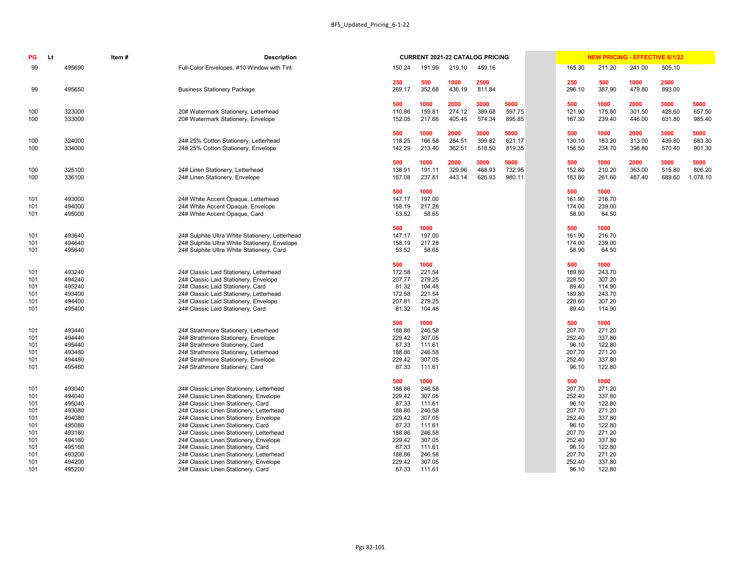|                  |                  |                  | <b>CURRENT 2021-22 CATALOG PRICING</b> |                  |                  |                  | <b>NEW PRICING - EFFECTIVE 6/1/22</b> |                  |                    |
|------------------|------------------|------------------|----------------------------------------|------------------|------------------|------------------|---------------------------------------|------------------|--------------------|
| 150.24           | 191.99           | 219.10           | 459.16                                 |                  | 165.30           | 211.20           | 241.00                                | 505.10           |                    |
| 250<br>269.17    | 500<br>352.68    | 1000<br>436.19   | 2500<br>811.84                         |                  | 250<br>296.10    | 500<br>387.90    | 1000<br>479.80                        | 2500<br>893.00   |                    |
| 500<br>110.86    | 1000<br>159.81   | 2000<br>274.12   | 3000<br>389.68                         | 5000<br>597.75   | 500<br>121.90    | 1000<br>175.80   | 2000<br>301.50                        | 3000<br>428.60   | 5000<br>657.50     |
| 152.05           | 217.66           | 405.45           | 574.34                                 | 895.85           | 167.30           | 239.40           | 446.00                                | 631.80           | 985.40             |
| 500              | 1000             | 2000             | 3000                                   | 5000             | 500              | 1000             | 2000                                  | 3000             | 5000               |
| 118.25<br>142.29 | 166.58<br>213.40 | 284.51<br>362.51 | 399.82<br>518.50                       | 621.17<br>819.35 | 130.10<br>156.50 | 183.20<br>234.70 | 313.00<br>398.80                      | 439.80<br>570.40 | 683.30<br>901.30   |
| 500              | 1000             | 2000             | 3000                                   | 5000             | 500              | 1000             | 2000                                  | 3000             | 5000               |
| 138.91<br>167.08 | 191.11<br>237.81 | 329.96<br>443.14 | 468.93<br>626.93                       | 732.95<br>980.11 | 152.80<br>183.80 | 210.20<br>261.60 | 363.00<br>487.40                      | 515.80<br>689.60 | 806.20<br>1,078.10 |
| 500              | 1000             |                  |                                        |                  | 500              | 1000             |                                       |                  |                    |
| 147.17           | 197.00<br>217.28 |                  |                                        |                  | 161.90           | 216.70           |                                       |                  |                    |
| 158.19<br>53.52  | 58.65            |                  |                                        |                  | 174.00<br>58.90  | 239.00<br>64.50  |                                       |                  |                    |
| 500              | 1000             |                  |                                        |                  | 500              | 1000             |                                       |                  |                    |
| 147.17<br>158.19 | 197.00<br>217.28 |                  |                                        |                  | 161.90<br>174.00 | 216.70<br>239.00 |                                       |                  |                    |
| 53.52            | 58.65            |                  |                                        |                  | 58.90            | 64.50            |                                       |                  |                    |
| 500              | 1000             |                  |                                        |                  | 500              | 1000             |                                       |                  |                    |
| 172.58<br>207.77 | 221.54<br>279.25 |                  |                                        |                  | 189.80<br>228.50 | 243.70<br>307.20 |                                       |                  |                    |
| 81.32            | 104.48           |                  |                                        |                  | 89.40            | 114.90           |                                       |                  |                    |
| 172.58           | 221.54           |                  |                                        |                  | 189.80           | 243.70           |                                       |                  |                    |
| 207.81           | 279.25           |                  |                                        |                  | 228.60           | 307.20           |                                       |                  |                    |
| 81.32            | 104.48           |                  |                                        |                  | 89.40            | 114.90           |                                       |                  |                    |
| 500              | 1000             |                  |                                        |                  | 500              | 1000             |                                       |                  |                    |
| 188.86<br>229.42 | 246.58<br>307.05 |                  |                                        |                  | 207.70<br>252.40 | 271.20<br>337.80 |                                       |                  |                    |
| 87.33            | 111.61           |                  |                                        |                  | 96.10            | 122.80           |                                       |                  |                    |
| 188.86           | 246.58           |                  |                                        |                  | 207.70           | 271.20           |                                       |                  |                    |
| 229.42           | 307.05           |                  |                                        |                  | 252.40           | 337.80           |                                       |                  |                    |
| 87.33            | 111.61           |                  |                                        |                  | 96.10            | 122.80           |                                       |                  |                    |
| 500              | 1000             |                  |                                        |                  | 500              | 1000             |                                       |                  |                    |
| 188.86           | 246.58           |                  |                                        |                  | 207.70           | 271.20           |                                       |                  |                    |
| 229.42<br>87.33  | 307.05<br>111.61 |                  |                                        |                  | 252.40<br>96.10  | 337.80<br>122.80 |                                       |                  |                    |
| 188.86           | 246.58           |                  |                                        |                  | 207.70           | 271.20           |                                       |                  |                    |
| 229.42           | 307.05           |                  |                                        |                  | 252.40           | 337.80           |                                       |                  |                    |
| 87.33            | 111.61           |                  |                                        |                  | 96.10            | 122.80           |                                       |                  |                    |
| 188.86           | 246.58           |                  |                                        |                  | 207.70           | 271.20           |                                       |                  |                    |
| 229.42           | 307.05           |                  |                                        |                  | 252.40           | 337.80           |                                       |                  |                    |
| 87.33<br>100 06  | 111.61<br>246E   |                  |                                        |                  | 96.10<br>207.70  | 122.80<br>271.20 |                                       |                  |                    |

| PG         | Lt | Item#            | <b>Description</b>                                                             |                 |                  |        | <b>CURRENT 2021-22 CATALOG PRICING</b> |        |                 |                  | <b>NEW PRICING - EFFECTIVE 6/1/22</b> |        |          |
|------------|----|------------------|--------------------------------------------------------------------------------|-----------------|------------------|--------|----------------------------------------|--------|-----------------|------------------|---------------------------------------|--------|----------|
| 99         |    | 495690           | Full-Color Envelopes, #10 Window with Tint                                     | 150.24          | 191.99           | 219.10 | 459.16                                 |        | 165.30          | 211.20           | 241.00                                | 505.10 |          |
|            |    |                  |                                                                                | 250             | 500              | 1000   | 2500                                   |        | 250             | 500              | 1000                                  | 2500   |          |
| 99         |    | 495650           | <b>Business Stationery Package</b>                                             | 269.17          | 352.68           | 436.19 | 811.84                                 |        | 296.10          | 387.90           | 479.80                                | 893.00 |          |
|            |    |                  |                                                                                | 500             | 1000             | 2000   | 3000                                   | 5000   | 500             | 1000             | 2000                                  | 3000   | 5000     |
| 100        |    | 323000           | 20# Watermark Stationery, Letterhead                                           | 110.86          | 159.81           | 274.12 | 389.68                                 | 597.75 | 121.90          | 175.80           | 301.50                                | 428.60 | 657.50   |
| 100        |    | 333000           | 20# Watermark Stationery, Envelope                                             | 152.05          | 217.66           | 405.45 | 574.34                                 | 895.85 | 167.30          | 239.40           | 446.00                                | 631.80 | 985.40   |
|            |    |                  |                                                                                | 500             | 1000             | 2000   | 3000                                   | 5000   | 500             | 1000             | 2000                                  | 3000   | 5000     |
| 100        |    | 324000           | 24# 25% Cotton Stationery, Letterhead                                          | 118.25          | 166.58           | 284.51 | 399.82                                 | 621.17 | 130.10          | 183.20           | 313.00                                | 439.80 | 683.30   |
| 100        |    | 334000           | 24# 25% Cotton Stationery, Envelope                                            | 142.29          | 213.40           | 362.51 | 518.50                                 | 819.35 | 156.50          | 234.70           | 398.80                                | 570.40 | 901.30   |
|            |    |                  |                                                                                | 500             | 1000             | 2000   | 3000                                   | 5000   | 500             | 1000             | 2000                                  | 3000   | 5000     |
| 100        |    | 325100           | 24# Linen Stationery, Letterhead                                               | 138.91          | 191.11           | 329.96 | 468.93                                 | 732.95 | 152.80          | 210.20           | 363.00                                | 515.80 | 806.20   |
| 100        |    | 336100           | 24# Linen Stationery, Envelope                                                 | 167.08          | 237.81           | 443.14 | 626.93                                 | 980.11 | 183.80          | 261.60           | 487.40                                | 689.60 | 1,078.10 |
|            |    |                  |                                                                                | 500             | 1000             |        |                                        |        | 500             | 1000             |                                       |        |          |
| 101        |    | 493000           | 24# White Accent Opaque, Letterhead                                            | 147.17          | 197.00           |        |                                        |        | 161.90          | 216.70           |                                       |        |          |
| 101        |    | 494000           | 24# White Accent Opaque, Envelope                                              | 158.19          | 217.28           |        |                                        |        | 174.00          | 239.00           |                                       |        |          |
| 101        |    | 495000           | 24# White Accent Opaque, Card                                                  | 53.52           | 58.65            |        |                                        |        | 58.90           | 64.50            |                                       |        |          |
|            |    |                  |                                                                                | 500             | 1000             |        |                                        |        | 500             | 1000             |                                       |        |          |
| 101        |    | 493640           | 24# Sulphite Ultra White Stationery, Letterhead                                | 147.17          | 197.00           |        |                                        |        | 161.90          | 216.70           |                                       |        |          |
| 101        |    | 494640           | 24# Sulphite Ultra White Stationery, Envelope                                  | 158.19          | 217.28           |        |                                        |        | 174.00          | 239.00           |                                       |        |          |
| 101        |    | 495640           | 24# Sulphite Ultra White Stationery, Card                                      | 53.52           | 58.65            |        |                                        |        | 58.90           | 64.50            |                                       |        |          |
|            |    |                  |                                                                                | 500             | 1000             |        |                                        |        | 500             | 1000             |                                       |        |          |
| 101        |    | 493240           | 24# Classic Laid Stationery, Letterhead                                        | 172.58          | 221.54           |        |                                        |        | 189.80          | 243.70           |                                       |        |          |
| 101        |    | 494240<br>495240 | 24# Classic Laid Stationery, Envelope                                          | 207.77<br>81.32 | 279.25<br>104.48 |        |                                        |        | 228.50<br>89.40 | 307.20           |                                       |        |          |
| 101<br>101 |    | 493400           | 24# Classic Laid Stationery, Card<br>24# Classic Laid Stationery, Letterhead   | 172.58          | 221.54           |        |                                        |        | 189.80          | 114.90<br>243.70 |                                       |        |          |
| 101        |    | 494400           | 24# Classic Laid Stationery, Envelope                                          | 207.81          | 279.25           |        |                                        |        | 228.60          | 307.20           |                                       |        |          |
| 101        |    | 495400           | 24# Classic Laid Stationery, Card                                              | 81.32           | 104.48           |        |                                        |        | 89.40           | 114.90           |                                       |        |          |
|            |    |                  |                                                                                | 500             | 1000             |        |                                        |        | 500             | 1000             |                                       |        |          |
| 101        |    | 493440           | 24# Strathmore Stationery, Letterhead                                          | 188.86          | 246.58           |        |                                        |        | 207.70          | 271.20           |                                       |        |          |
| 101        |    | 494440           | 24# Strathmore Stationery, Envelope                                            | 229.42          | 307.05           |        |                                        |        | 252.40          | 337.80           |                                       |        |          |
| 101        |    | 495440           | 24# Strathmore Stationery, Card                                                | 87.33           | 111.61           |        |                                        |        | 96.10           | 122.80           |                                       |        |          |
| 101        |    | 493480           | 24# Strathmore Stationery, Letterhead                                          | 188.86          | 246.58           |        |                                        |        | 207.70          | 271.20           |                                       |        |          |
| 101        |    | 494480           | 24# Strathmore Stationery, Envelope                                            | 229.42          | 307.05           |        |                                        |        | 252.40          | 337.80           |                                       |        |          |
| 101        |    | 495480           | 24# Strathmore Stationery, Card                                                | 87.33           | 111.61           |        |                                        |        | 96.10           | 122.80           |                                       |        |          |
|            |    |                  |                                                                                | 500             | 1000             |        |                                        |        | 500             | 1000             |                                       |        |          |
| 101        |    | 493040           | 24# Classic Linen Stationery, Letterhead                                       | 188.86          | 246.58           |        |                                        |        | 207.70          | 271.20           |                                       |        |          |
| 101        |    | 494040           | 24# Classic Linen Stationery, Envelope                                         | 229.42          | 307.05           |        |                                        |        | 252.40          | 337.80           |                                       |        |          |
| 101        |    | 495040           | 24# Classic Linen Stationery, Card                                             | 87.33           | 111.61           |        |                                        |        | 96.10           | 122.80           |                                       |        |          |
| 101        |    | 493080           | 24# Classic Linen Stationery, Letterhead                                       | 188.86          | 246.58           |        |                                        |        | 207.70          | 271.20           |                                       |        |          |
| 101        |    | 494080           | 24# Classic Linen Stationery, Envelope                                         | 229.42          | 307.05           |        |                                        |        | 252.40          | 337.80           |                                       |        |          |
| 101        |    | 495080           | 24# Classic Linen Stationery, Card                                             | 87.33           | 111.61           |        |                                        |        | 96.10           | 122.80           |                                       |        |          |
| 101        |    | 493160           | 24# Classic Linen Stationery, Letterhead                                       | 188.86          | 246.58           |        |                                        |        | 207.70          | 271.20           |                                       |        |          |
| 101        |    | 494160           | 24# Classic Linen Stationery, Envelope                                         | 229.42          | 307.05<br>111.61 |        |                                        |        | 252.40<br>96.10 | 337.80           |                                       |        |          |
| 101<br>101 |    | 495160<br>493200 | 24# Classic Linen Stationery, Card<br>24# Classic Linen Stationery, Letterhead | 87.33<br>188.86 | 246.58           |        |                                        |        | 207.70          | 122.80<br>271.20 |                                       |        |          |
| 101        |    | 494200           | 24# Classic Linen Stationery, Envelope                                         | 229.42          | 307.05           |        |                                        |        | 252.40          | 337.80           |                                       |        |          |
| 101        |    | 495200           | 24# Classic Linen Stationery, Card                                             | 87.33           | 111.61           |        |                                        |        | 96.10           | 122.80           |                                       |        |          |
|            |    |                  |                                                                                |                 |                  |        |                                        |        |                 |                  |                                       |        |          |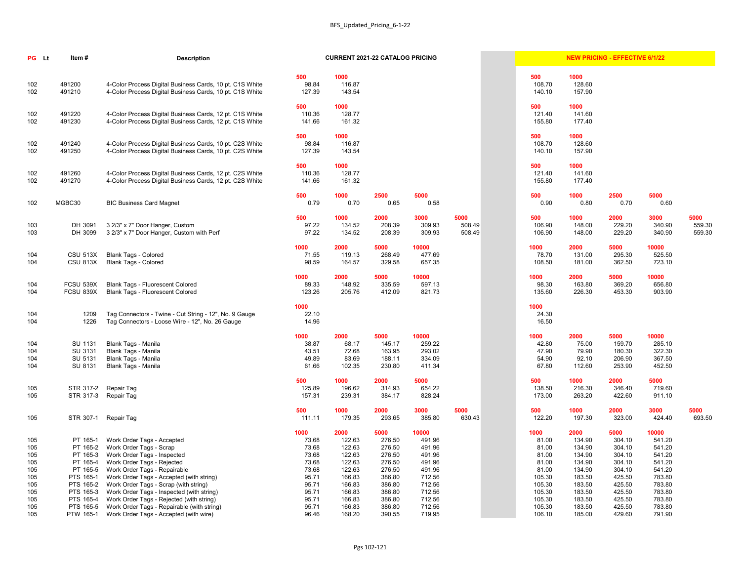| NEW PRICING - EFFECTIVE 6/1/22 |  |
|--------------------------------|--|
|--------------------------------|--|

| PG Lt      | Item#                              | <b>Description</b>                                                                                                   | <b>CURRENT 2021-22 CATALOG PRICING</b> |                  | <b>NEW PRICING - EFFECTIVE 6/1/22</b> |                  |                |  |                  |                  |                  |                  |                |
|------------|------------------------------------|----------------------------------------------------------------------------------------------------------------------|----------------------------------------|------------------|---------------------------------------|------------------|----------------|--|------------------|------------------|------------------|------------------|----------------|
| 102        | 491200                             | 4-Color Process Digital Business Cards, 10 pt. C1S White                                                             | 500<br>98.84                           | 1000<br>116.87   |                                       |                  |                |  | 500<br>108.70    | 1000<br>128.60   |                  |                  |                |
| 102        | 491210                             | 4-Color Process Digital Business Cards, 10 pt. C1S White                                                             | 127.39                                 | 143.54           |                                       |                  |                |  | 140.10           | 157.90           |                  |                  |                |
| 102        | 491220                             | 4-Color Process Digital Business Cards, 12 pt. C1S White                                                             | 500<br>110.36                          | 1000<br>128.77   |                                       |                  |                |  | 500<br>121.40    | 1000<br>141.60   |                  |                  |                |
| 102        | 491230                             | 4-Color Process Digital Business Cards, 12 pt. C1S White                                                             | 141.66                                 | 161.32           |                                       |                  |                |  | 155.80           | 177.40           |                  |                  |                |
|            |                                    |                                                                                                                      | 500                                    | 1000             |                                       |                  |                |  | 500              | 1000             |                  |                  |                |
| 102<br>102 | 491240<br>491250                   | 4-Color Process Digital Business Cards, 10 pt. C2S White<br>4-Color Process Digital Business Cards, 10 pt. C2S White | 98.84<br>127.39                        | 116.87<br>143.54 |                                       |                  |                |  | 108.70<br>140.10 | 128.60<br>157.90 |                  |                  |                |
|            |                                    |                                                                                                                      | 500                                    | 1000             |                                       |                  |                |  | 500              | 1000             |                  |                  |                |
| 102<br>102 | 491260<br>491270                   | 4-Color Process Digital Business Cards, 12 pt. C2S White<br>4-Color Process Digital Business Cards, 12 pt. C2S White | 110.36<br>141.66                       | 128.77<br>161.32 |                                       |                  |                |  | 121.40<br>155.80 | 141.60<br>177.40 |                  |                  |                |
| 102        | MGBC30                             | <b>BIC Business Card Magnet</b>                                                                                      | 500<br>0.79                            | 1000<br>0.70     | 2500<br>0.65                          | 5000<br>0.58     |                |  | 500<br>0.90      | 1000<br>0.80     | 2500<br>0.70     | 5000<br>0.60     |                |
|            |                                    |                                                                                                                      |                                        |                  |                                       |                  |                |  |                  |                  |                  |                  |                |
| 103        | DH 3091                            | 3 2/3" x 7" Door Hanger, Custom                                                                                      | 500<br>97.22                           | 1000<br>134.52   | 2000<br>208.39                        | 3000<br>309.93   | 5000<br>508.49 |  | 500<br>106.90    | 1000<br>148.00   | 2000<br>229.20   | 3000<br>340.90   | 5000<br>559.30 |
| 103        | DH 3099                            | 3 2/3" x 7" Door Hanger, Custom with Perf                                                                            | 97.22                                  | 134.52           | 208.39                                | 309.93           | 508.49         |  | 106.90           | 148.00           | 229.20           | 340.90           | 559.30         |
|            |                                    |                                                                                                                      | 1000                                   | 2000             | 5000                                  | 10000            |                |  | 1000             | 2000             | 5000             | 10000            |                |
| 104<br>104 | <b>CSU 513X</b><br><b>CSU 813X</b> | <b>Blank Tags - Colored</b><br><b>Blank Tags - Colored</b>                                                           | 71.55<br>98.59                         | 119.13<br>164.57 | 268.49<br>329.58                      | 477.69<br>657.35 |                |  | 78.70<br>108.50  | 131.00<br>181.00 | 295.30<br>362.50 | 525.50<br>723.10 |                |
|            |                                    |                                                                                                                      |                                        |                  |                                       |                  |                |  |                  |                  |                  |                  |                |
| 104        | <b>FCSU 539X</b>                   | <b>Blank Tags - Fluorescent Colored</b>                                                                              | 1000<br>89.33                          | 2000<br>148.92   | 5000<br>335.59                        | 10000<br>597.13  |                |  | 1000<br>98.30    | 2000<br>163.80   | 5000<br>369.20   | 10000<br>656.80  |                |
| 104        | <b>FCSU 839X</b>                   | <b>Blank Tags - Fluorescent Colored</b>                                                                              | 123.26                                 | 205.76           | 412.09                                | 821.73           |                |  | 135.60           | 226.30           | 453.30           | 903.90           |                |
|            |                                    |                                                                                                                      | 1000                                   |                  |                                       |                  |                |  | 1000             |                  |                  |                  |                |
| 104        | 1209                               | Tag Connectors - Twine - Cut String - 12", No. 9 Gauge                                                               | 22.10                                  |                  |                                       |                  |                |  | 24.30            |                  |                  |                  |                |
| 104        | 1226                               | Tag Connectors - Loose Wire - 12", No. 26 Gauge                                                                      | 14.96                                  |                  |                                       |                  |                |  | 16.50            |                  |                  |                  |                |
|            |                                    |                                                                                                                      | 1000                                   | 2000             | 5000                                  | 10000            |                |  | 1000             | 2000             | 5000             | 10000            |                |
| 104<br>104 | SU 1131<br>SU 3131                 | <b>Blank Tags - Manila</b><br><b>Blank Tags - Manila</b>                                                             | 38.87<br>43.51                         | 68.17<br>72.68   | 145.17<br>163.95                      | 259.22<br>293.02 |                |  | 42.80<br>47.90   | 75.00<br>79.90   | 159.70<br>180.30 | 285.10<br>322.30 |                |
| 104        | SU 5131                            | <b>Blank Tags - Manila</b>                                                                                           | 49.89                                  | 83.69            | 188.11                                | 334.09           |                |  | 54.90            | 92.10            | 206.90           | 367.50           |                |
| 104        | SU 8131                            | <b>Blank Tags - Manila</b>                                                                                           | 61.66                                  | 102.35           | 230.80                                | 411.34           |                |  | 67.80            | 112.60           | 253.90           | 452.50           |                |
|            |                                    |                                                                                                                      | 500                                    | 1000             | 2000                                  | 5000             |                |  | 500              | 1000             | 2000             | 5000             |                |
| 105        | STR 317-2                          | Repair Tag                                                                                                           | 125.89                                 | 196.62           | 314.93                                | 654.22           |                |  | 138.50           | 216.30           | 346.40           | 719.60           |                |
| 105        | STR 317-3                          | Repair Tag                                                                                                           | 157.31                                 | 239.31           | 384.17                                | 828.24           |                |  | 173.00           | 263.20           | 422.60           | 911.10           |                |
|            |                                    |                                                                                                                      | 500                                    | 1000             | 2000                                  | 3000             | 5000           |  | 500              | 1000             | 2000             | 3000             | 5000           |
| 105        | STR 307-1                          | Repair Tag                                                                                                           | 111.11                                 | 179.35           | 293.65                                | 385.80           | 630.43         |  | 122.20           | 197.30           | 323.00           | 424.40           | 693.50         |
|            |                                    |                                                                                                                      | 1000                                   | 2000             | 5000                                  | 10000            |                |  | 1000<br>81.00    | 2000             | 5000             | 10000<br>541.20  |                |
| 105<br>105 | PT 165-1<br>PT 165-2               | Work Order Tags - Accepted<br>Work Order Tags - Scrap                                                                | 73.68<br>73.68                         | 122.63<br>122.63 | 276.50<br>276.50                      | 491.96<br>491.96 |                |  | 81.00            | 134.90<br>134.90 | 304.10<br>304.10 | 541.20           |                |
| 105        | PT 165-3                           | Work Order Tags - Inspected                                                                                          | 73.68                                  | 122.63           | 276.50                                | 491.96           |                |  | 81.00            | 134.90           | 304.10           | 541.20           |                |
| 105        | PT 165-4                           | Work Order Tags - Rejected                                                                                           | 73.68                                  | 122.63           | 276.50                                | 491.96           |                |  | 81.00            | 134.90           | 304.10           | 541.20           |                |
| 105        | PT 165-5                           | Work Order Tags - Repairable                                                                                         | 73.68                                  | 122.63           | 276.50                                | 491.96           |                |  | 81.00            | 134.90           | 304.10           | 541.20           |                |
| 105        | PTS 165-1                          | Work Order Tags - Accepted (with string)                                                                             | 95.71                                  | 166.83           | 386.80                                | 712.56           |                |  | 105.30           | 183.50           | 425.50           | 783.80           |                |
| 105        | PTS 165-2                          | Work Order Tags - Scrap (with string)                                                                                | 95.71                                  | 166.83           | 386.80                                | 712.56           |                |  | 105.30           | 183.50           | 425.50           | 783.80           |                |
| 105        | PTS 165-3                          | Work Order Tags - Inspected (with string)                                                                            | 95.71                                  | 166.83           | 386.80                                | 712.56           |                |  | 105.30           | 183.50           | 425.50           | 783.80           |                |
| 105        | PTS 165-4                          | Work Order Tags - Rejected (with string)                                                                             | 95.71                                  | 166.83           | 386.80                                | 712.56           |                |  | 105.30           | 183.50           | 425.50           | 783.80           |                |
| 105        | PTS 165-5                          | Work Order Tags - Repairable (with string)                                                                           | 95.71                                  | 166.83           | 386.80                                | 712.56           |                |  | 105.30           | 183.50           | 425.50           | 783.80           |                |
| 105        | PTW 165-1                          | Work Order Tags - Accepted (with wire)                                                                               | 96.46                                  | 168.20           | 390.55                                | 719.95           |                |  | 106.10           | 185.00           | 429.60           | 791.90           |                |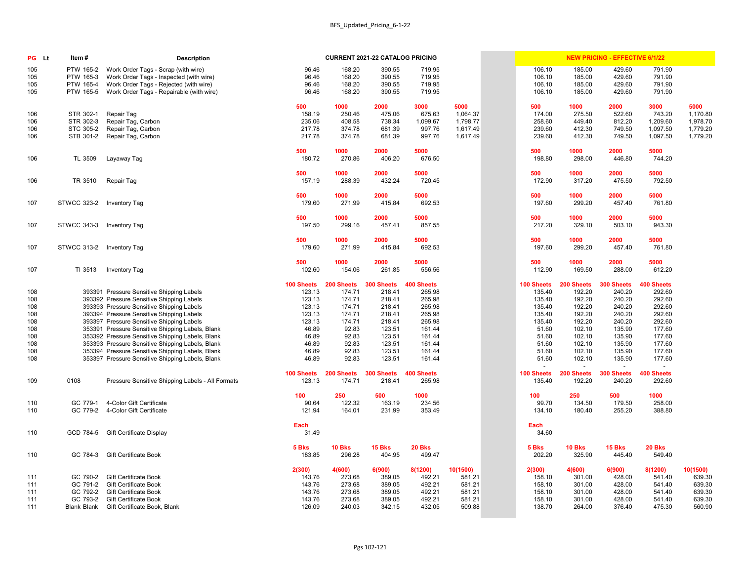| <b>PG</b> Lt | Item#                          | <b>Description</b>                                           |                   |                  | <b>CURRENT 2021-22 CATALOG PRICING</b> |                   |                  |                  |                  | <b>NEW PRICING - EFFECTIVE 6/1/22</b> |                   |                  |
|--------------|--------------------------------|--------------------------------------------------------------|-------------------|------------------|----------------------------------------|-------------------|------------------|------------------|------------------|---------------------------------------|-------------------|------------------|
| 105          | PTW 165-2                      | Work Order Tags - Scrap (with wire)                          | 96.46             | 168.20           | 390.55                                 | 719.95            |                  | 106.10           | 185.00           | 429.60                                | 791.90            |                  |
| 105          | PTW 165-3                      | Work Order Tags - Inspected (with wire)                      | 96.46             | 168.20           | 390.55                                 | 719.95            |                  | 106.10           | 185.00           | 429.60                                | 791.90            |                  |
| 105          | PTW 165-4                      | Work Order Tags - Rejected (with wire)                       | 96.46             | 168.20           | 390.55                                 | 719.95            |                  | 106.10           | 185.00           | 429.60                                | 791.90            |                  |
| 105          | PTW 165-5                      | Work Order Tags - Repairable (with wire)                     | 96.46             | 168.20           | 390.55                                 | 719.95            |                  | 106.10           | 185.00           | 429.60                                | 791.90            |                  |
|              |                                |                                                              |                   |                  |                                        |                   |                  |                  |                  |                                       |                   |                  |
| 106          | STR 302-1                      | Repair Tag                                                   | 500<br>158.19     | 1000<br>250.46   | 2000<br>475.06                         | 3000<br>675.63    | 5000<br>1,064.37 | 500<br>174.00    | 1000<br>275.50   | 2000<br>522.60                        | 3000<br>743.20    | 5000<br>1,170.80 |
| 106          | STR 302-3                      | Repair Tag, Carbon                                           | 235.06            | 408.58           | 738.34                                 | 1,099.67          | 1,798.77         | 258.60           | 449.40           | 812.20                                | 1,209.60          | 1,978.70         |
| 106          | STC 305-2                      | Repair Tag, Carbon                                           | 217.78            | 374.78           | 681.39                                 | 997.76            | 1,617.49         | 239.60           | 412.30           | 749.50                                | 1,097.50          | 1,779.20         |
| 106          | STB 301-2                      | Repair Tag, Carbon                                           | 217.78            | 374.78           | 681.39                                 | 997.76            | 1,617.49         | 239.60           | 412.30           | 749.50                                | 1,097.50          | 1,779.20         |
|              |                                |                                                              |                   |                  |                                        |                   |                  |                  |                  |                                       |                   |                  |
|              |                                |                                                              | 500               | 1000             | 2000                                   | 5000              |                  | 500              | 1000             | 2000                                  | 5000              |                  |
| 106          | TL 3509                        | Layaway Tag                                                  | 180.72            | 270.86           | 406.20                                 | 676.50            |                  | 198.80           | 298.00           | 446.80                                | 744.20            |                  |
|              |                                |                                                              | 500               | 1000             | 2000                                   | 5000              |                  | 500              | 1000             | 2000                                  | 5000              |                  |
| 106          | TR 3510                        | Repair Tag                                                   | 157.19            | 288.39           | 432.24                                 | 720.45            |                  | 172.90           | 317.20           | 475.50                                | 792.50            |                  |
|              |                                |                                                              |                   |                  |                                        |                   |                  |                  |                  |                                       |                   |                  |
|              |                                |                                                              | 500               | 1000             | 2000                                   | 5000              |                  | 500              | 1000             | 2000                                  | 5000              |                  |
| 107          | STWCC 323-2 Inventory Tag      |                                                              | 179.60            | 271.99           | 415.84                                 | 692.53            |                  | 197.60           | 299.20           | 457.40                                | 761.80            |                  |
|              |                                |                                                              | 500               | 1000             | 2000                                   | 5000              |                  | 500              | 1000             | 2000                                  | 5000              |                  |
| 107          | STWCC 343-3 Inventory Tag      |                                                              | 197.50            | 299.16           | 457.41                                 | 857.55            |                  | 217.20           | 329.10           | 503.10                                | 943.30            |                  |
|              |                                |                                                              |                   |                  |                                        |                   |                  |                  |                  |                                       |                   |                  |
|              |                                |                                                              | 500               | 1000             | 2000                                   | 5000              |                  | 500              | 1000             | 2000                                  | 5000              |                  |
| 107          | STWCC 313-2 Inventory Tag      |                                                              | 179.60            | 271.99           | 415.84                                 | 692.53            |                  | 197.60           | 299.20           | 457.40                                | 761.80            |                  |
|              |                                |                                                              | 500               | 1000             | 2000                                   | 5000              |                  | 500              | 1000             | 2000                                  | 5000              |                  |
| 107          | TI 3513                        | <b>Inventory Tag</b>                                         | 102.60            | 154.06           | 261.85                                 | 556.56            |                  | 112.90           | 169.50           | 288.00                                | 612.20            |                  |
|              |                                |                                                              |                   |                  |                                        |                   |                  |                  |                  |                                       |                   |                  |
|              |                                |                                                              | 100 Sheets        | 200 Sheets       | 300 Sheets                             | <b>400 Sheets</b> |                  | 100 Sheets       | 200 Sheets       | 300 Sheets                            | <b>400 Sheets</b> |                  |
| 108          |                                | 393391 Pressure Sensitive Shipping Labels                    | 123.13            | 174.71           | 218.41                                 | 265.98            |                  | 135.40           | 192.20           | 240.20                                | 292.60            |                  |
| 108          |                                | 393392 Pressure Sensitive Shipping Labels                    | 123.13            | 174.71           | 218.41                                 | 265.98            |                  | 135.40           | 192.20           | 240.20                                | 292.60            |                  |
| 108          |                                | 393393 Pressure Sensitive Shipping Labels                    | 123.13            | 174.71           | 218.41                                 | 265.98            |                  | 135.40           | 192.20           | 240.20                                | 292.60            |                  |
| 108          |                                | 393394 Pressure Sensitive Shipping Labels                    | 123.13            | 174.71           | 218.41                                 | 265.98            |                  | 135.40           | 192.20           | 240.20                                | 292.60            |                  |
| 108          |                                | 393397 Pressure Sensitive Shipping Labels                    | 123.13            | 174.71           | 218.41                                 | 265.98            |                  | 135.40           | 192.20           | 240.20                                | 292.60            |                  |
| 108          |                                | 353391 Pressure Sensitive Shipping Labels, Blank             | 46.89             | 92.83            | 123.51                                 | 161.44            |                  | 51.60            | 102.10           | 135.90                                | 177.60            |                  |
| 108          |                                | 353392 Pressure Sensitive Shipping Labels, Blank             | 46.89             | 92.83            | 123.51                                 | 161.44            |                  | 51.60            | 102.10           | 135.90                                | 177.60            |                  |
| 108          |                                | 353393 Pressure Sensitive Shipping Labels, Blank             | 46.89             | 92.83            | 123.51                                 | 161.44            |                  | 51.60            | 102.10           | 135.90                                | 177.60            |                  |
| 108          |                                | 353394 Pressure Sensitive Shipping Labels, Blank             | 46.89             | 92.83            | 123.51                                 | 161.44            |                  | 51.60            | 102.10           | 135.90                                | 177.60            |                  |
| 108          |                                | 353397 Pressure Sensitive Shipping Labels, Blank             | 46.89             | 92.83            | 123.51                                 | 161.44            |                  | 51.60<br>$\sim$  | 102.10           | 135.90<br>$\sim$                      | 177.60<br>$\sim$  |                  |
|              |                                |                                                              | <b>100 Sheets</b> | 200 Sheets       | 300 Sheets                             | <b>400 Sheets</b> |                  | 100 Sheets       | 200 Sheets       | 300 Sheets                            | <b>400 Sheets</b> |                  |
| 109          | 0108                           | Pressure Sensitive Shipping Labels - All Formats             | 123.13            | 174.71           | 218.41                                 | 265.98            |                  | 135.40           | 192.20           | 240.20                                | 292.60            |                  |
|              |                                |                                                              |                   | 250              | 500                                    | 1000              |                  |                  |                  | 500                                   | 1000              |                  |
| 110          | GC 779-1                       | 4-Color Gift Certificate                                     | 100<br>90.64      | 122.32           | 163.19                                 | 234.56            |                  | 100<br>99.70     | 250<br>134.50    | 179.50                                | 258.00            |                  |
| 110          |                                | GC 779-2 4-Color Gift Certificate                            | 121.94            | 164.01           | 231.99                                 | 353.49            |                  | 134.10           | 180.40           | 255.20                                | 388.80            |                  |
|              |                                |                                                              |                   |                  |                                        |                   |                  |                  |                  |                                       |                   |                  |
|              |                                |                                                              | Each              |                  |                                        |                   |                  | Each             |                  |                                       |                   |                  |
| 110          |                                | GCD 784-5 Gift Certificate Display                           | 31.49             |                  |                                        |                   |                  | 34.60            |                  |                                       |                   |                  |
|              |                                |                                                              | 5 Bks             | <b>10 Bks</b>    | <b>15 Bks</b>                          | <b>20 Bks</b>     |                  | 5 Bks            | <b>10 Bks</b>    | <b>15 Bks</b>                         | <b>20 Bks</b>     |                  |
| 110          | GC 784-3                       | <b>Gift Certificate Book</b>                                 | 183.85            | 296.28           | 404.95                                 | 499.47            |                  | 202.20           | 325.90           | 445.40                                | 549.40            |                  |
|              |                                |                                                              |                   |                  |                                        |                   |                  |                  |                  |                                       |                   |                  |
|              |                                |                                                              | 2(300)            | 4(600)           | 6(900)                                 | 8(1200)           | 10(1500)         | 2(300)           | 4(600)           | 6(900)                                | 8(1200)           | 10(1500)         |
| 111          |                                | GC 790-2 Gift Certificate Book                               | 143.76            | 273.68           | 389.05                                 | 492.21            | 581.21           | 158.10           | 301.00           | 428.00                                | 541.40            | 639.30           |
| 111          | GC 791-2                       | <b>Gift Certificate Book</b>                                 | 143.76            | 273.68           | 389.05                                 | 492.21            | 581.21           | 158.10           | 301.00           | 428.00                                | 541.40            | 639.30           |
| 111          | GC 792-2                       | <b>Gift Certificate Book</b>                                 | 143.76            | 273.68           | 389.05                                 | 492.21            | 581.21           | 158.10           | 301.00           | 428.00                                | 541.40            | 639.30           |
| 111<br>111   | GC 793-2<br><b>Blank Blank</b> | <b>Gift Certificate Book</b><br>Gift Certificate Book, Blank | 143.76<br>126.09  | 273.68<br>240.03 | 389.05<br>342.15                       | 492.21<br>432.05  | 581.21<br>509.88 | 158.10<br>138.70 | 301.00<br>264.00 | 428.00<br>376.40                      | 541.40<br>475.30  | 639.30<br>560.90 |
|              |                                |                                                              |                   |                  |                                        |                   |                  |                  |                  |                                       |                   |                  |
|              |                                |                                                              |                   |                  |                                        |                   |                  |                  |                  |                                       |                   |                  |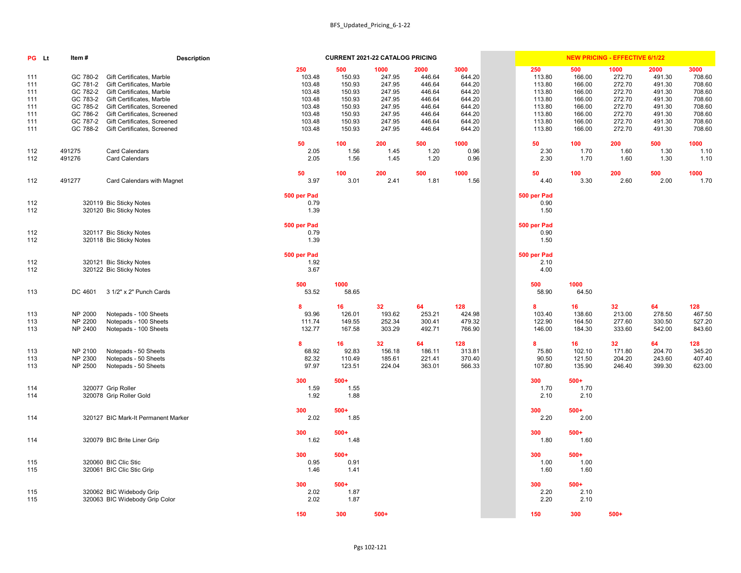| PG Lt                                                | Item#                                                                                        | <b>Description</b>                                                                                                                                                                                                                                         |                                                                                     |                                                                                     | <b>CURRENT 2021-22 CATALOG PRICING</b>                                               |                                                                                      |                                                                                      |                                                                                     |                                                                                     | <b>NEW PRICING - EFFECTIVE 6/1/22</b>                                                |                                                                                      |                                                                                      |
|------------------------------------------------------|----------------------------------------------------------------------------------------------|------------------------------------------------------------------------------------------------------------------------------------------------------------------------------------------------------------------------------------------------------------|-------------------------------------------------------------------------------------|-------------------------------------------------------------------------------------|--------------------------------------------------------------------------------------|--------------------------------------------------------------------------------------|--------------------------------------------------------------------------------------|-------------------------------------------------------------------------------------|-------------------------------------------------------------------------------------|--------------------------------------------------------------------------------------|--------------------------------------------------------------------------------------|--------------------------------------------------------------------------------------|
| 111<br>111<br>111<br>111<br>111<br>111<br>111<br>111 | GC 780-2<br>GC 781-2<br>GC 782-2<br>GC 783-2<br>GC 785-2<br>GC 786-2<br>GC 787-2<br>GC 788-2 | <b>Gift Certificates, Marble</b><br>Gift Certificates, Marble<br>Gift Certificates, Marble<br><b>Gift Certificates, Marble</b><br>Gift Certificates, Screened<br>Gift Certificates, Screened<br>Gift Certificates, Screened<br>Gift Certificates, Screened | 250<br>103.48<br>103.48<br>103.48<br>103.48<br>103.48<br>103.48<br>103.48<br>103.48 | 500<br>150.93<br>150.93<br>150.93<br>150.93<br>150.93<br>150.93<br>150.93<br>150.93 | 1000<br>247.95<br>247.95<br>247.95<br>247.95<br>247.95<br>247.95<br>247.95<br>247.95 | 2000<br>446.64<br>446.64<br>446.64<br>446.64<br>446.64<br>446.64<br>446.64<br>446.64 | 3000<br>644.20<br>644.20<br>644.20<br>644.20<br>644.20<br>644.20<br>644.20<br>644.20 | 250<br>113.80<br>113.80<br>113.80<br>113.80<br>113.80<br>113.80<br>113.80<br>113.80 | 500<br>166.00<br>166.00<br>166.00<br>166.00<br>166.00<br>166.00<br>166.00<br>166.00 | 1000<br>272.70<br>272.70<br>272.70<br>272.70<br>272.70<br>272.70<br>272.70<br>272.70 | 2000<br>491.30<br>491.30<br>491.30<br>491.30<br>491.30<br>491.30<br>491.30<br>491.30 | 3000<br>708.60<br>708.60<br>708.60<br>708.60<br>708.60<br>708.60<br>708.60<br>708.60 |
| 112<br>112                                           | 491275<br>491276                                                                             | <b>Card Calendars</b><br><b>Card Calendars</b>                                                                                                                                                                                                             | 50<br>2.05<br>2.05                                                                  | 100<br>1.56<br>1.56                                                                 | 200<br>1.45<br>1.45                                                                  | 500<br>1.20<br>1.20                                                                  | 1000<br>0.96<br>0.96                                                                 | 50<br>2.30<br>2.30                                                                  | 100<br>1.70<br>1.70                                                                 | 200<br>1.60<br>1.60                                                                  | 500<br>1.30<br>1.30                                                                  | 1000<br>1.10<br>1.10                                                                 |
| 112                                                  | 491277                                                                                       | <b>Card Calendars with Magnet</b>                                                                                                                                                                                                                          | 50<br>3.97                                                                          | 100<br>3.01                                                                         | 200<br>2.41                                                                          | 500<br>1.81                                                                          | 1000<br>1.56                                                                         | 50<br>4.40                                                                          | 100<br>3.30                                                                         | 200<br>2.60                                                                          | 500<br>2.00                                                                          | 1000<br>1.70                                                                         |
| 112<br>112                                           |                                                                                              | 320119 Bic Sticky Notes<br>320120 Bic Sticky Notes                                                                                                                                                                                                         | 500 per Pad<br>0.79<br>1.39                                                         |                                                                                     |                                                                                      |                                                                                      |                                                                                      | 500 per Pad<br>0.90<br>1.50                                                         |                                                                                     |                                                                                      |                                                                                      |                                                                                      |
| 112<br>112                                           |                                                                                              | 320117 Bic Sticky Notes<br>320118 Bic Sticky Notes                                                                                                                                                                                                         | 500 per Pad<br>0.79<br>1.39                                                         |                                                                                     |                                                                                      |                                                                                      |                                                                                      | 500 per Pad<br>0.90<br>1.50                                                         |                                                                                     |                                                                                      |                                                                                      |                                                                                      |
| 112<br>112                                           |                                                                                              | 320121 Bic Sticky Notes<br>320122 Bic Sticky Notes                                                                                                                                                                                                         | 500 per Pad<br>1.92<br>3.67                                                         |                                                                                     |                                                                                      |                                                                                      |                                                                                      | 500 per Pad<br>2.10<br>4.00                                                         |                                                                                     |                                                                                      |                                                                                      |                                                                                      |
| 113                                                  | DC 4601                                                                                      | 3 1/2" x 2" Punch Cards                                                                                                                                                                                                                                    | 500<br>53.52                                                                        | 1000<br>58.65                                                                       |                                                                                      |                                                                                      |                                                                                      | 500<br>58.90                                                                        | 1000<br>64.50                                                                       |                                                                                      |                                                                                      |                                                                                      |
| 113<br>113<br>113                                    | NP 2000<br>NP 2200<br>NP 2400                                                                | Notepads - 100 Sheets<br>Notepads - 100 Sheets<br>Notepads - 100 Sheets                                                                                                                                                                                    | 8<br>93.96<br>111.74<br>132.77                                                      | 16<br>126.01<br>149.55<br>167.58                                                    | 32<br>193.62<br>252.34<br>303.29                                                     | 64<br>253.21<br>300.41<br>492.71                                                     | 128<br>424.98<br>479.32<br>766.90                                                    | 8<br>103.40<br>122.90<br>146.00                                                     | 16<br>138.60<br>164.50<br>184.30                                                    | 32<br>213.00<br>277.60<br>333.60                                                     | 64<br>278.50<br>330.50<br>542.00                                                     | 128<br>467.50<br>527.20<br>843.60                                                    |
| 113<br>113<br>113                                    | NP 2100<br>NP 2300<br>NP 2500                                                                | Notepads - 50 Sheets<br>Notepads - 50 Sheets<br>Notepads - 50 Sheets                                                                                                                                                                                       | 8<br>68.92<br>82.32<br>97.97                                                        | 16<br>92.83<br>110.49<br>123.51                                                     | 32<br>156.18<br>185.61<br>224.04                                                     | 64<br>186.11<br>221.41<br>363.01                                                     | 128<br>313.81<br>370.40<br>566.33                                                    | 8<br>75.80<br>90.50<br>107.80                                                       | 16<br>102.10<br>121.50<br>135.90                                                    | 32 <sub>2</sub><br>171.80<br>204.20<br>246.40                                        | 64<br>204.70<br>243.60<br>399.30                                                     | 128<br>345.20<br>407.40<br>623.00                                                    |
| 114<br>114                                           |                                                                                              | 320077 Grip Roller<br>320078 Grip Roller Gold                                                                                                                                                                                                              | 300<br>1.59<br>1.92                                                                 | $500+$<br>1.55<br>1.88                                                              |                                                                                      |                                                                                      |                                                                                      | 300<br>1.70<br>2.10                                                                 | $500+$<br>1.70<br>2.10                                                              |                                                                                      |                                                                                      |                                                                                      |
| 114                                                  |                                                                                              | 320127 BIC Mark-It Permanent Marker                                                                                                                                                                                                                        | 300<br>2.02                                                                         | $500+$<br>1.85                                                                      |                                                                                      |                                                                                      |                                                                                      | 300<br>2.20                                                                         | $500+$<br>2.00                                                                      |                                                                                      |                                                                                      |                                                                                      |
| 114                                                  |                                                                                              | 320079 BIC Brite Liner Grip                                                                                                                                                                                                                                | 300<br>1.62                                                                         | $500+$<br>1.48                                                                      |                                                                                      |                                                                                      |                                                                                      | 300<br>1.80                                                                         | $500+$<br>1.60                                                                      |                                                                                      |                                                                                      |                                                                                      |
| 115<br>115                                           |                                                                                              | 320060 BIC Clic Stic<br>320061 BIC Clic Stic Grip                                                                                                                                                                                                          | 300<br>0.95<br>1.46                                                                 | $500+$<br>0.91<br>1.41                                                              |                                                                                      |                                                                                      |                                                                                      | 300<br>1.00<br>1.60                                                                 | $500+$<br>1.00<br>1.60                                                              |                                                                                      |                                                                                      |                                                                                      |
| 115<br>115                                           |                                                                                              | 320062 BIC Widebody Grip<br>320063 BIC Widebody Grip Color                                                                                                                                                                                                 | 300<br>2.02<br>2.02                                                                 | $500+$<br>1.87<br>1.87                                                              |                                                                                      |                                                                                      |                                                                                      | 300<br>2.20<br>2.20                                                                 | $500+$<br>2.10<br>2.10                                                              |                                                                                      |                                                                                      |                                                                                      |
|                                                      |                                                                                              |                                                                                                                                                                                                                                                            | 150                                                                                 | 300                                                                                 | $500+$                                                                               |                                                                                      |                                                                                      | 150                                                                                 | 300                                                                                 | $500+$                                                                               |                                                                                      |                                                                                      |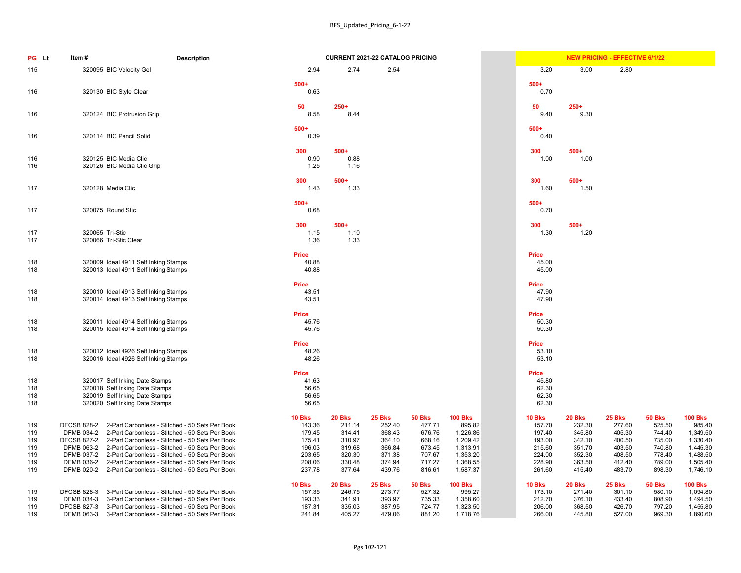| PG Lt                                         | <b>Description</b><br>Item#                                                                                                                                                                                                                                                                                                                                                                                                                                   |                                                                                     |                                                                                     | <b>CURRENT 2021-22 CATALOG PRICING</b>                                              |                                                                                     |                                                                                                  |                                                                                     |                                                                                     | <b>NEW PRICING - EFFECTIVE 6/1/22</b>                                               |                                                                                     |                                                                                                  |
|-----------------------------------------------|---------------------------------------------------------------------------------------------------------------------------------------------------------------------------------------------------------------------------------------------------------------------------------------------------------------------------------------------------------------------------------------------------------------------------------------------------------------|-------------------------------------------------------------------------------------|-------------------------------------------------------------------------------------|-------------------------------------------------------------------------------------|-------------------------------------------------------------------------------------|--------------------------------------------------------------------------------------------------|-------------------------------------------------------------------------------------|-------------------------------------------------------------------------------------|-------------------------------------------------------------------------------------|-------------------------------------------------------------------------------------|--------------------------------------------------------------------------------------------------|
| 115                                           | 320095 BIC Velocity Gel                                                                                                                                                                                                                                                                                                                                                                                                                                       | 2.94                                                                                | 2.74                                                                                | 2.54                                                                                |                                                                                     |                                                                                                  | 3.20                                                                                | 3.00                                                                                | 2.80                                                                                |                                                                                     |                                                                                                  |
| 116                                           | 320130 BIC Style Clear                                                                                                                                                                                                                                                                                                                                                                                                                                        | $500+$<br>0.63                                                                      |                                                                                     |                                                                                     |                                                                                     |                                                                                                  | $500+$<br>0.70                                                                      |                                                                                     |                                                                                     |                                                                                     |                                                                                                  |
| 116                                           | 320124 BIC Protrusion Grip                                                                                                                                                                                                                                                                                                                                                                                                                                    | 50<br>8.58                                                                          | $250+$<br>8.44                                                                      |                                                                                     |                                                                                     |                                                                                                  | 50<br>9.40                                                                          | $250+$<br>9.30                                                                      |                                                                                     |                                                                                     |                                                                                                  |
| 116                                           | 320114 BIC Pencil Solid                                                                                                                                                                                                                                                                                                                                                                                                                                       | $500+$<br>0.39                                                                      |                                                                                     |                                                                                     |                                                                                     |                                                                                                  | $500+$<br>0.40                                                                      |                                                                                     |                                                                                     |                                                                                     |                                                                                                  |
| 116<br>116                                    | 320125 BIC Media Clic<br>320126 BIC Media Clic Grip                                                                                                                                                                                                                                                                                                                                                                                                           | 300<br>0.90<br>1.25                                                                 | $500+$<br>0.88<br>1.16                                                              |                                                                                     |                                                                                     |                                                                                                  | 300<br>1.00                                                                         | $500+$<br>1.00                                                                      |                                                                                     |                                                                                     |                                                                                                  |
| 117                                           | 320128 Media Clic                                                                                                                                                                                                                                                                                                                                                                                                                                             | 300<br>1.43                                                                         | $500+$<br>1.33                                                                      |                                                                                     |                                                                                     |                                                                                                  | 300<br>1.60                                                                         | $500+$<br>1.50                                                                      |                                                                                     |                                                                                     |                                                                                                  |
| 117                                           | 320075 Round Stic                                                                                                                                                                                                                                                                                                                                                                                                                                             | $500+$<br>0.68                                                                      |                                                                                     |                                                                                     |                                                                                     |                                                                                                  | $500+$<br>0.70                                                                      |                                                                                     |                                                                                     |                                                                                     |                                                                                                  |
| 117<br>117                                    | 320065 Tri-Stic<br>320066 Tri-Stic Clear                                                                                                                                                                                                                                                                                                                                                                                                                      | 300<br>1.15<br>1.36                                                                 | $500+$<br>1.10<br>1.33                                                              |                                                                                     |                                                                                     |                                                                                                  | 300<br>1.30                                                                         | $500+$<br>1.20                                                                      |                                                                                     |                                                                                     |                                                                                                  |
| 118<br>118                                    | 320009 Ideal 4911 Self Inking Stamps<br>320013 Ideal 4911 Self Inking Stamps                                                                                                                                                                                                                                                                                                                                                                                  | <b>Price</b><br>40.88<br>40.88                                                      |                                                                                     |                                                                                     |                                                                                     |                                                                                                  | <b>Price</b><br>45.00<br>45.00                                                      |                                                                                     |                                                                                     |                                                                                     |                                                                                                  |
| 118<br>118                                    | 320010 Ideal 4913 Self Inking Stamps<br>320014 Ideal 4913 Self Inking Stamps                                                                                                                                                                                                                                                                                                                                                                                  | <b>Price</b><br>43.51<br>43.51                                                      |                                                                                     |                                                                                     |                                                                                     |                                                                                                  | <b>Price</b><br>47.90<br>47.90                                                      |                                                                                     |                                                                                     |                                                                                     |                                                                                                  |
| 118<br>118                                    | 320011 Ideal 4914 Self Inking Stamps<br>320015 Ideal 4914 Self Inking Stamps                                                                                                                                                                                                                                                                                                                                                                                  | <b>Price</b><br>45.76<br>45.76                                                      |                                                                                     |                                                                                     |                                                                                     |                                                                                                  | <b>Price</b><br>50.30<br>50.30                                                      |                                                                                     |                                                                                     |                                                                                     |                                                                                                  |
| 118<br>118                                    | 320012 Ideal 4926 Self Inking Stamps<br>320016 Ideal 4926 Self Inking Stamps                                                                                                                                                                                                                                                                                                                                                                                  | <b>Price</b><br>48.26<br>48.26                                                      |                                                                                     |                                                                                     |                                                                                     |                                                                                                  | <b>Price</b><br>53.10<br>53.10                                                      |                                                                                     |                                                                                     |                                                                                     |                                                                                                  |
| 118<br>118<br>118<br>118                      | 320017 Self Inking Date Stamps<br>320018 Self Inking Date Stamps<br>320019 Self Inking Date Stamps<br>320020 Self Inking Date Stamps                                                                                                                                                                                                                                                                                                                          | <b>Price</b><br>41.63<br>56.65<br>56.65<br>56.65                                    |                                                                                     |                                                                                     |                                                                                     |                                                                                                  | <b>Price</b><br>45.80<br>62.30<br>62.30<br>62.30                                    |                                                                                     |                                                                                     |                                                                                     |                                                                                                  |
| 119<br>119<br>119<br>119<br>119<br>119<br>119 | 2-Part Carbonless - Stitched - 50 Sets Per Book<br><b>DFCSB 828-2</b><br>DFMB 034-2 2-Part Carbonless - Stitched - 50 Sets Per Book<br>DFCSB 827-2 2-Part Carbonless - Stitched - 50 Sets Per Book<br>DFMB 063-2 2-Part Carbonless - Stitched - 50 Sets Per Book<br>DFMB 037-2 2-Part Carbonless - Stitched - 50 Sets Per Book<br>2-Part Carbonless - Stitched - 50 Sets Per Book<br>DFMB 036-2<br>DFMB 020-2 2-Part Carbonless - Stitched - 50 Sets Per Book | <b>10 Bks</b><br>143.36<br>179.45<br>175.41<br>196.03<br>203.65<br>208.06<br>237.78 | <b>20 Bks</b><br>211.14<br>314.41<br>310.97<br>319.68<br>320.30<br>330.48<br>377.64 | <b>25 Bks</b><br>252.40<br>368.43<br>364.10<br>366.84<br>371.38<br>374.94<br>439.76 | <b>50 Bks</b><br>477.71<br>676.76<br>668.16<br>673.45<br>707.67<br>717.27<br>816.61 | <b>100 Bks</b><br>895.82<br>1,226.86<br>1,209.42<br>1,313.91<br>1,353.20<br>1,368.55<br>1,587.37 | <b>10 Bks</b><br>157.70<br>197.40<br>193.00<br>215.60<br>224.00<br>228.90<br>261.60 | <b>20 Bks</b><br>232.30<br>345.80<br>342.10<br>351.70<br>352.30<br>363.50<br>415.40 | <b>25 Bks</b><br>277.60<br>405.30<br>400.50<br>403.50<br>408.50<br>412.40<br>483.70 | <b>50 Bks</b><br>525.50<br>744.40<br>735.00<br>740.80<br>778.40<br>789.00<br>898.30 | <b>100 Bks</b><br>985.40<br>1,349.50<br>1,330.40<br>1,445.30<br>1,488.50<br>1,505.40<br>1,746.10 |
| 119<br>119<br>119<br>119                      | 3-Part Carbonless - Stitched - 50 Sets Per Book<br><b>DFCSB 828-3</b><br>3-Part Carbonless - Stitched - 50 Sets Per Book<br>DFMB 034-3<br>3-Part Carbonless - Stitched - 50 Sets Per Book<br><b>DFCSB 827-3</b><br>DFMB 063-3<br>3-Part Carbonless - Stitched - 50 Sets Per Book                                                                                                                                                                              | <b>10 Bks</b><br>157.35<br>193.33<br>187.31<br>241.84                               | <b>20 Bks</b><br>246.75<br>341.91<br>335.03<br>405.27                               | <b>25 Bks</b><br>273.77<br>393.97<br>387.95<br>479.06                               | <b>50 Bks</b><br>527.32<br>735.33<br>724.77<br>881.20                               | <b>100 Bks</b><br>995.27<br>1,358.60<br>1,323.50<br>1,718.76                                     | <b>10 Bks</b><br>173.10<br>212.70<br>206.00<br>266.00                               | <b>20 Bks</b><br>271.40<br>376.10<br>368.50<br>445.80                               | <b>25 Bks</b><br>301.10<br>433.40<br>426.70<br>527.00                               | <b>50 Bks</b><br>580.10<br>808.90<br>797.20<br>969.30                               | <b>100 Bks</b><br>1,094.80<br>1,494.50<br>1,455.80<br>1,890.60                                   |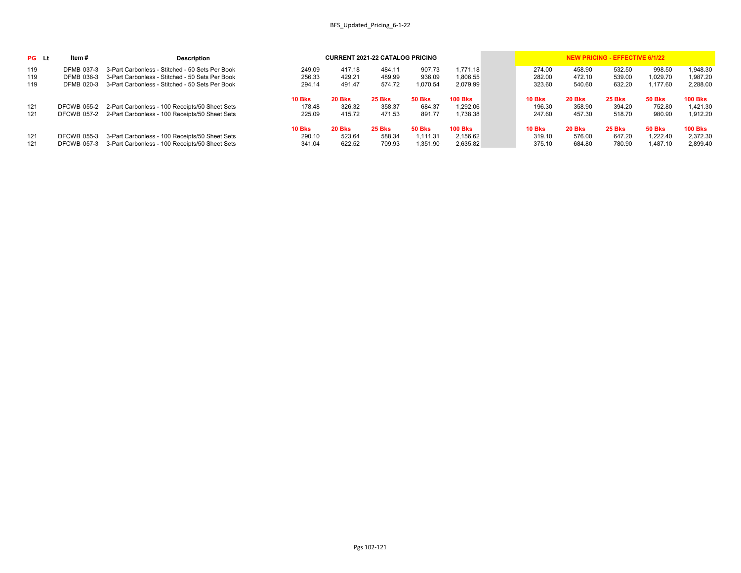| <b>PG</b> Lt | ltem #             | <b>Description</b>                                         |               |               | <b>CURRENT 2021-22 CATALOG PRICING</b> |               |                |               |               | <b>NEW PRICING - EFFECTIVE 6/1/22</b> |               |                |
|--------------|--------------------|------------------------------------------------------------|---------------|---------------|----------------------------------------|---------------|----------------|---------------|---------------|---------------------------------------|---------------|----------------|
| 119          | DFMB 037-3         | 3-Part Carbonless - Stitched - 50 Sets Per Book            | 249.09        | 417.18        | 484.11                                 | 907.73        | 1,771.18       | 274.00        | 458.90        | 532.50                                | 998.50        | 1,948.30       |
| 119          | DFMB 036-3         | 3-Part Carbonless - Stitched - 50 Sets Per Book            | 256.33        | 429.21        | 489.99                                 | 936.09        | 1,806.55       | 282.00        | 472.10        | 539.00                                | 1,029.70      | 1,987.20       |
| 119          | DFMB 020-3         | 3-Part Carbonless - Stitched - 50 Sets Per Book            | 294.14        | 491.47        | 574.72                                 | l.070.54      | 2,079.99       | 323.60        | 540.60        | 632.20                                | 1,177.60      | 2,288.00       |
|              |                    |                                                            | <b>10 Bks</b> | <b>20 Bks</b> | <b>25 Bks</b>                          | <b>50 Bks</b> | <b>100 Bks</b> | <b>10 Bks</b> | <b>20 Bks</b> | 25 Bks                                | <b>50 Bks</b> | <b>100 Bks</b> |
| 121          | DFCWB 055-2        | 2-Part Carbonless - 100 Receipts/50 Sheet Sets             | 178.48        | 326.32        | 358.37                                 | 684.37        | 1,292.06       | 196.30        | 358.90        | 394.20                                | 752.80        | 1,421.30       |
| 121          |                    | DFCWB 057-2 2-Part Carbonless - 100 Receipts/50 Sheet Sets | 225.09        | 415.72        | 471.53                                 | 891.77        | 1,738.38       | 247.60        | 457.30        | 518.70                                | 980.90        | 1,912.20       |
|              |                    |                                                            | <b>10 Bks</b> | <b>20 Bks</b> | <b>25 Bks</b>                          | <b>50 Bks</b> | <b>100 Bks</b> | <b>10 Bks</b> | <b>20 Bks</b> | <b>25 Bks</b>                         | <b>50 Bks</b> | <b>100 Bks</b> |
| 121          | <b>DFCWB 055-3</b> | 3-Part Carbonless - 100 Receipts/50 Sheet Sets             | 290.10        | 523.64        | 588.34                                 | 1,111.31      | 2,156.62       | 319.10        | 576.00        | 647.20                                | 1,222.40      | 2,372.30       |
| 121          | DFCWB 057-3        | 3-Part Carbonless - 100 Receipts/50 Sheet Sets             | 341.04        | 622.52        | 709.93                                 | 1,351.90      | 2,635.82       | 375.10        | 684.80        | 780.90                                | A87.10,       | 2,899.40       |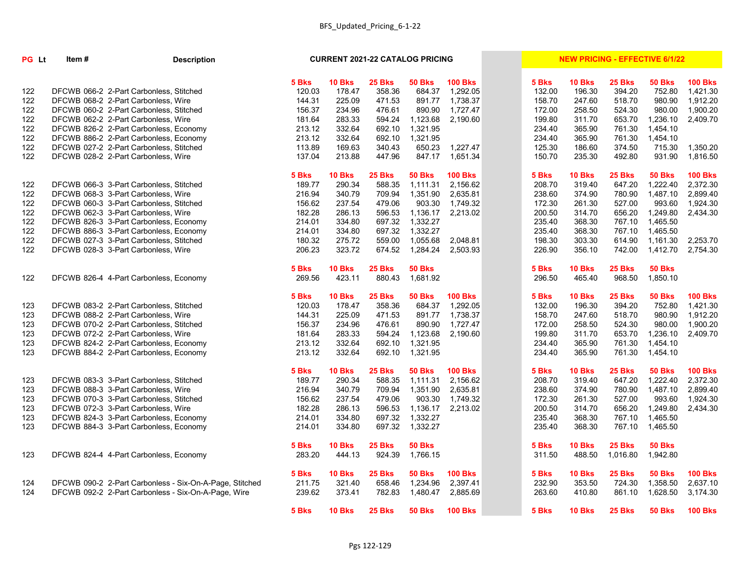| PG Lt | Item #                                                  | <b>Description</b> | <b>CURRENT 2021-22 CATALOG PRICING</b> |               |               | <b>NEW PRICING - EFFECTIVE 6/1/22</b> |                 |        |               |               |               |                 |
|-------|---------------------------------------------------------|--------------------|----------------------------------------|---------------|---------------|---------------------------------------|-----------------|--------|---------------|---------------|---------------|-----------------|
|       |                                                         |                    | 5 Bks                                  | <b>10 Bks</b> | 25 Bks        | <b>50 Bks</b>                         | <b>100 Bks</b>  | 5 Bks  | <b>10 Bks</b> | <b>25 Bks</b> | <b>50 Bks</b> | <b>100 Bks</b>  |
| 122   | DFCWB 066-2 2-Part Carbonless, Stitched                 |                    | 120.03                                 | 178.47        | 358.36        | 684.37                                | 1,292.05        | 132.00 | 196.30        | 394.20        | 752.80        | 1,421.30        |
| 122   | DFCWB 068-2 2-Part Carbonless, Wire                     |                    | 144.31                                 | 225.09        | 471.53        | 891.77                                | 1,738.37        | 158.70 | 247.60        | 518.70        | 980.90        | 1,912.20        |
| 122   | DFCWB 060-2 2-Part Carbonless, Stitched                 |                    | 156.37                                 | 234.96        | 476.61        | 890.90                                | 1,727.47        | 172.00 | 258.50        | 524.30        | 980.00        | 1,900.20        |
| 122   | DFCWB 062-2 2-Part Carbonless, Wire                     |                    | 181.64                                 | 283.33        | 594.24        | 1,123.68                              | 2,190.60        | 199.80 | 311.70        | 653.70        | 1,236.10      | 2,409.70        |
| 122   | DFCWB 826-2 2-Part Carbonless, Economy                  |                    | 213.12                                 | 332.64        | 692.10        | 1,321.95                              |                 | 234.40 | 365.90        | 761.30        | 1,454.10      |                 |
| 122   | DFCWB 886-2 2-Part Carbonless, Economy                  |                    | 213.12                                 | 332.64        | 692.10        | 1,321.95                              |                 | 234.40 | 365.90        | 761.30        | 1,454.10      |                 |
| 122   | DFCWB 027-2 2-Part Carbonless, Stitched                 |                    | 113.89                                 | 169.63        | 340.43        | 650.23                                | 1,227.47        | 125.30 | 186.60        | 374.50        | 715.30        | 1,350.20        |
| 122   | DFCWB 028-2 2-Part Carbonless, Wire                     |                    | 137.04                                 | 213.88        | 447.96        | 847.17                                | 1,651.34        | 150.70 | 235.30        | 492.80        | 931.90        | 1,816.50        |
|       |                                                         |                    | 5 Bks                                  | <b>10 Bks</b> | 25 Bks        | <b>50 Bks</b>                         | <b>100 Bks</b>  | 5 Bks  | <b>10 Bks</b> | 25 Bks        | <b>50 Bks</b> | <b>100 Bks</b>  |
| 122   | DFCWB 066-3 3-Part Carbonless, Stitched                 |                    | 189.77                                 | 290.34        | 588.35        | 1,111.31                              | 2,156.62        | 208.70 | 319.40        | 647.20        | 1,222.40      | 2,372.30        |
| 122   | DFCWB 068-3 3-Part Carbonless, Wire                     |                    | 216.94                                 | 340.79        | 709.94        | 1,351.90                              | 2,635.81        | 238.60 | 374.90        | 780.90        | 1,487.10      | 2,899.40        |
| 122   | DFCWB 060-3 3-Part Carbonless, Stitched                 |                    | 156.62                                 | 237.54        | 479.06        | 903.30                                | 1,749.32        | 172.30 | 261.30        | 527.00        | 993.60        | 1,924.30        |
| 122   | DFCWB 062-3 3-Part Carbonless, Wire                     |                    | 182.28                                 | 286.13        | 596.53        | 1,136.17                              | 2,213.02        | 200.50 | 314.70        | 656.20        | 1,249.80      | 2,434.30        |
| 122   | DFCWB 826-3 3-Part Carbonless, Economy                  |                    | 214.01                                 | 334.80        | 697.32        | 1,332.27                              |                 | 235.40 | 368.30        | 767.10        | 1,465.50      |                 |
| 122   | DFCWB 886-3 3-Part Carbonless, Economy                  |                    | 214.01                                 | 334.80        | 697.32        | 1,332.27                              |                 | 235.40 | 368.30        | 767.10        | 1,465.50      |                 |
| 122   | DFCWB 027-3 3-Part Carbonless, Stitched                 |                    | 180.32                                 | 275.72        | 559.00        | 1,055.68                              | 2,048.81        | 198.30 | 303.30        | 614.90        | 1,161.30      | 2,253.70        |
| 122   | DFCWB 028-3 3-Part Carbonless, Wire                     |                    | 206.23                                 | 323.72        | 674.52        | 1,284.24                              | 2,503.93        | 226.90 | 356.10        | 742.00        | 1,412.70      | 2,754.30        |
|       |                                                         |                    | 5 Bks                                  | <b>10 Bks</b> | 25 Bks        | <b>50 Bks</b>                         |                 | 5 Bks  | <b>10 Bks</b> | 25 Bks        | <b>50 Bks</b> |                 |
| 122   | DFCWB 826-4 4-Part Carbonless, Economy                  |                    | 269.56                                 | 423.11        | 880.43        | 1,681.92                              |                 | 296.50 | 465.40        | 968.50        | 1,850.10      |                 |
|       |                                                         |                    | 5 Bks                                  | <b>10 Bks</b> | 25 Bks        | <b>50 Bks</b>                         | <b>100 Bks</b>  | 5 Bks  | <b>10 Bks</b> | 25 Bks        | <b>50 Bks</b> | <b>100 Bks</b>  |
| 123   | DFCWB 083-2 2-Part Carbonless, Stitched                 |                    | 120.03                                 | 178.47        | 358.36        | 684.37                                | 1,292.05        | 132.00 | 196.30        | 394.20        | 752.80        | 1,421.30        |
| 123   | DFCWB 088-2 2-Part Carbonless, Wire                     |                    | 144.31                                 | 225.09        | 471.53        | 891.77                                | 1,738.37        | 158.70 | 247.60        | 518.70        | 980.90        | 1,912.20        |
| 123   | DFCWB 070-2 2-Part Carbonless, Stitched                 |                    | 156.37                                 | 234.96        | 476.61        | 890.90                                | 1,727.47        | 172.00 | 258.50        | 524.30        | 980.00        | 1,900.20        |
| 123   | DFCWB 072-2 2-Part Carbonless, Wire                     |                    | 181.64                                 | 283.33        | 594.24        | 1,123.68                              | 2,190.60        | 199.80 | 311.70        | 653.70        | 1,236.10      | 2,409.70        |
| 123   | DFCWB 824-2 2-Part Carbonless, Economy                  |                    | 213.12                                 | 332.64        | 692.10        | 1,321.95                              |                 | 234.40 | 365.90        | 761.30        | 1,454.10      |                 |
| 123   | DFCWB 884-2 2-Part Carbonless, Economy                  |                    | 213.12                                 | 332.64        | 692.10        | 1,321.95                              |                 | 234.40 | 365.90        | 761.30        | 1,454.10      |                 |
|       |                                                         |                    | 5 Bks                                  | <b>10 Bks</b> | <b>25 Bks</b> | <b>50 Bks</b>                         | <b>100 Bks</b>  | 5 Bks  | <b>10 Bks</b> | <b>25 Bks</b> | <b>50 Bks</b> | <b>100 Bks</b>  |
| 123   | DFCWB 083-3 3-Part Carbonless, Stitched                 |                    | 189.77                                 | 290.34        | 588.35        | 1,111.31                              | 2,156.62        | 208.70 | 319.40        | 647.20        | 1,222.40      | 2,372.30        |
| 123   | DFCWB 088-3 3-Part Carbonless, Wire                     |                    | 216.94                                 | 340.79        | 709.94        | 1,351.90                              | 2,635.81        | 238.60 | 374.90        | 780.90        | 1,487.10      | 2,899.40        |
| 123   | DFCWB 070-3 3-Part Carbonless, Stitched                 |                    | 156.62                                 | 237.54        | 479.06        |                                       | 903.30 1,749.32 | 172.30 | 261.30        | 527.00        |               | 993.60 1,924.30 |
| 123   | DFCWB 072-3 3-Part Carbonless, Wire                     |                    | 182.28                                 | 286.13        | 596.53        | 1,136.17                              | 2,213.02        | 200.50 | 314.70        | 656.20        | 1,249.80      | 2,434.30        |
| 123   | DFCWB 824-3 3-Part Carbonless, Economy                  |                    | 214.01                                 | 334.80        | 697.32        | 1,332.27                              |                 | 235.40 | 368.30        | 767.10        | 1,465.50      |                 |
| 123   | DFCWB 884-3 3-Part Carbonless, Economy                  |                    | 214.01                                 | 334.80        | 697.32        | 1,332.27                              |                 | 235.40 | 368.30        | 767.10        | 1,465.50      |                 |
|       |                                                         |                    | 5 Bks                                  | <b>10 Bks</b> | 25 Bks        | <b>50 Bks</b>                         |                 | 5 Bks  | <b>10 Bks</b> | <b>25 Bks</b> | <b>50 Bks</b> |                 |
| 123   | DFCWB 824-4 4-Part Carbonless, Economy                  |                    | 283.20                                 | 444.13        | 924.39        | 1,766.15                              |                 | 311.50 | 488.50        | 1,016.80      | 1,942.80      |                 |
|       |                                                         |                    | 5 Bks                                  | <b>10 Bks</b> | <b>25 Bks</b> | <b>50 Bks</b>                         | <b>100 Bks</b>  | 5 Bks  | <b>10 Bks</b> | 25 Bks        | <b>50 Bks</b> | <b>100 Bks</b>  |
| 124   | DFCWB 090-2 2-Part Carbonless - Six-On-A-Page, Stitched |                    | 211.75                                 | 321.40        | 658.46        | 1,234.96                              | 2,397.41        | 232.90 | 353.50        | 724.30        | 1,358.50      | 2,637.10        |
| 124   | DFCWB 092-2 2-Part Carbonless - Six-On-A-Page, Wire     |                    | 239.62                                 | 373.41        | 782.83        | 1,480.47                              | 2,885.69        | 263.60 | 410.80        | 861.10        | 1,628.50      | 3,174.30        |
|       |                                                         |                    | 5 Bks                                  | <b>10 Bks</b> | <b>25 Bks</b> | <b>50 Bks</b>                         | <b>100 Bks</b>  | 5 Bks  | <b>10 Bks</b> | <b>25 Bks</b> | <b>50 Bks</b> | <b>100 Bks</b>  |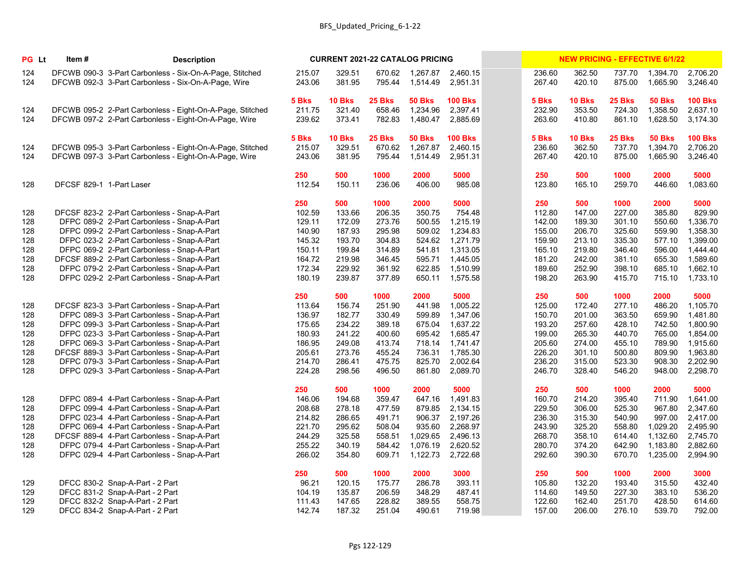| PG Lt      | Item#                    |                                                                                           | <b>Description</b>                                                                                                 |                           |                                   | <b>CURRENT 2021-22 CATALOG PRICING</b> |                                       |                                        |                           |                                   |                            | <b>NEW PRICING - EFFECTIVE 6/1/22</b> |                                        |
|------------|--------------------------|-------------------------------------------------------------------------------------------|--------------------------------------------------------------------------------------------------------------------|---------------------------|-----------------------------------|----------------------------------------|---------------------------------------|----------------------------------------|---------------------------|-----------------------------------|----------------------------|---------------------------------------|----------------------------------------|
| 124<br>124 |                          |                                                                                           | DFCWB 090-3 3-Part Carbonless - Six-On-A-Page, Stitched<br>DFCWB 092-3 3-Part Carbonless - Six-On-A-Page, Wire     | 215.07<br>243.06          | 329.51<br>381.95                  | 670.62<br>795.44                       | 1,267.87<br>1,514.49                  | 2,460.15<br>2,951.31                   | 236.60<br>267.40          | 362.50<br>420.10                  | 737.70<br>875.00           | 1,394.70<br>1,665.90                  | 2,706.20<br>3,246.40                   |
| 124<br>124 |                          |                                                                                           | DFCWB 095-2 2-Part Carbonless - Eight-On-A-Page, Stitched<br>DFCWB 097-2 2-Part Carbonless - Eight-On-A-Page, Wire | 5 Bks<br>211.75<br>239.62 | <b>10 Bks</b><br>321.40<br>373.41 | 25 Bks<br>658.46<br>782.83             | <b>50 Bks</b><br>1,234.96<br>1,480.47 | <b>100 Bks</b><br>2,397.41<br>2,885.69 | 5 Bks<br>232.90<br>263.60 | <b>10 Bks</b><br>353.50<br>410.80 | 25 Bks<br>724.30<br>861.10 | <b>50 Bks</b><br>1,358.50<br>1,628.50 | <b>100 Bks</b><br>2,637.10<br>3,174.30 |
| 124<br>124 |                          |                                                                                           | DFCWB 095-3 3-Part Carbonless - Eight-On-A-Page, Stitched<br>DFCWB 097-3 3-Part Carbonless - Eight-On-A-Page, Wire | 5 Bks<br>215.07<br>243.06 | <b>10 Bks</b><br>329.51<br>381.95 | 25 Bks<br>670.62<br>795.44             | <b>50 Bks</b><br>1,267.87<br>1,514.49 | <b>100 Bks</b><br>2,460.15<br>2,951.31 | 5 Bks<br>236.60<br>267.40 | <b>10 Bks</b><br>362.50<br>420.10 | 25 Bks<br>737.70<br>875.00 | <b>50 Bks</b><br>1,394.70<br>1,665.90 | <b>100 Bks</b><br>2,706.20<br>3,246.40 |
| 128        | DFCSF 829-1 1-Part Laser |                                                                                           |                                                                                                                    | 250<br>112.54             | 500<br>150.11                     | 1000<br>236.06                         | 2000<br>406.00                        | 5000<br>985.08                         | 250<br>123.80             | 500<br>165.10                     | 1000<br>259.70             | 2000<br>446.60                        | 5000<br>1,083.60                       |
|            |                          |                                                                                           |                                                                                                                    | 250                       | 500                               | 1000                                   | 2000                                  | 5000                                   | 250                       | 500                               | 1000                       | 2000                                  | 5000                                   |
| 128        |                          | DFCSF 823-2 2-Part Carbonless - Snap-A-Part                                               |                                                                                                                    | 102.59                    | 133.66                            | 206.35                                 | 350.75                                | 754.48                                 | 112.80                    | 147.00                            | 227.00                     | 385.80                                | 829.90                                 |
| 128        |                          | DFPC 089-2 2-Part Carbonless - Snap-A-Part                                                |                                                                                                                    | 129.11                    | 172.09                            | 273.76                                 | 500.55                                | 1,215.19                               | 142.00                    | 189.30                            | 301.10                     | 550.60                                | 1,336.70                               |
| 128        |                          | DFPC 099-2 2-Part Carbonless - Snap-A-Part                                                |                                                                                                                    | 140.90                    | 187.93                            | 295.98                                 | 509.02                                | 1,234.83                               | 155.00                    | 206.70                            | 325.60                     | 559.90                                | 1,358.30                               |
| 128        |                          | DFPC 023-2 2-Part Carbonless - Snap-A-Part                                                |                                                                                                                    | 145.32<br>150.11          | 193.70                            | 304.83<br>314.89                       | 524.62<br>541.81                      | 1,271.79<br>1,313.05                   | 159.90<br>165.10          | 213.10<br>219.80                  | 335.30<br>346.40           | 577.10                                | 1,399.00<br>1,444.40                   |
| 128<br>128 |                          | DFPC 069-2 2-Part Carbonless - Snap-A-Part<br>DFCSF 889-2 2-Part Carbonless - Snap-A-Part |                                                                                                                    | 164.72                    | 199.84<br>219.98                  | 346.45                                 | 595.71                                | 1,445.05                               | 181.20                    | 242.00                            | 381.10                     | 596.00<br>655.30                      | 1,589.60                               |
| 128        |                          | DFPC 079-2 2-Part Carbonless - Snap-A-Part                                                |                                                                                                                    | 172.34                    | 229.92                            | 361.92                                 | 622.85                                | 1,510.99                               | 189.60                    | 252.90                            | 398.10                     | 685.10                                | 1,662.10                               |
| 128        |                          | DFPC 029-2 2-Part Carbonless - Snap-A-Part                                                |                                                                                                                    | 180.19                    | 239.87                            | 377.89                                 | 650.11                                | 1,575.58                               | 198.20                    | 263.90                            | 415.70                     | 715.10                                | 1,733.10                               |
|            |                          |                                                                                           |                                                                                                                    |                           |                                   |                                        |                                       |                                        |                           |                                   |                            |                                       |                                        |
|            |                          |                                                                                           |                                                                                                                    | 250                       | 500                               | 1000                                   | 2000                                  | 5000                                   | 250                       | 500                               | 1000                       | 2000                                  | 5000                                   |
| 128        |                          | DFCSF 823-3 3-Part Carbonless - Snap-A-Part                                               |                                                                                                                    | 113.64                    | 156.74                            | 251.90                                 | 441.98                                | 1,005.22                               | 125.00                    | 172.40                            | 277.10                     | 486.20                                | 1,105.70                               |
| 128        |                          | DFPC 089-3 3-Part Carbonless - Snap-A-Part                                                |                                                                                                                    | 136.97                    | 182.77                            | 330.49                                 | 599.89                                | 1,347.06                               | 150.70                    | 201.00                            | 363.50                     | 659.90                                | 1,481.80                               |
| 128        |                          | DFPC 099-3 3-Part Carbonless - Snap-A-Part                                                |                                                                                                                    | 175.65                    | 234.22                            | 389.18                                 | 675.04                                | 1,637.22                               | 193.20                    | 257.60                            | 428.10                     | 742.50                                | 1,800.90                               |
| 128<br>128 |                          | DFPC 023-3 3-Part Carbonless - Snap-A-Part<br>DFPC 069-3 3-Part Carbonless - Snap-A-Part  |                                                                                                                    | 180.93<br>186.95          | 241.22<br>249.08                  | 400.60<br>413.74                       | 695.42<br>718.14                      | 1,685.47<br>1,741.47                   | 199.00<br>205.60          | 265.30<br>274.00                  | 440.70<br>455.10           | 765.00<br>789.90                      | 1,854.00<br>1,915.60                   |
| 128        |                          | DFCSF 889-3 3-Part Carbonless - Snap-A-Part                                               |                                                                                                                    | 205.61                    | 273.76                            | 455.24                                 | 736.31                                | 1,785.30                               | 226.20                    | 301.10                            | 500.80                     | 809.90                                | 1,963.80                               |
| 128        |                          | DFPC 079-3 3-Part Carbonless - Snap-A-Part                                                |                                                                                                                    | 214.70                    | 286.41                            | 475.75                                 | 825.70                                | 2,002.64                               | 236.20                    | 315.00                            | 523.30                     | 908.30                                | 2,202.90                               |
| 128        |                          | DFPC 029-3 3-Part Carbonless - Snap-A-Part                                                |                                                                                                                    | 224.28                    | 298.56                            | 496.50                                 | 861.80                                | 2,089.70                               | 246.70                    | 328.40                            | 546.20                     | 948.00                                | 2,298.70                               |
|            |                          |                                                                                           |                                                                                                                    |                           |                                   |                                        |                                       |                                        |                           |                                   |                            |                                       |                                        |
|            |                          |                                                                                           |                                                                                                                    | 250                       | 500                               | 1000                                   | 2000                                  | 5000                                   | 250                       | 500                               | 1000                       | 2000                                  | 5000                                   |
| 128        |                          | DFPC 089-4 4-Part Carbonless - Snap-A-Part                                                |                                                                                                                    | 146.06                    | 194.68                            | 359.47                                 |                                       | 647.16 1,491.83                        | 160.70                    | 214.20                            | 395.40                     | 711.90                                | 1,641.00                               |
| 128        |                          | DFPC 099-4 4-Part Carbonless - Snap-A-Part                                                |                                                                                                                    | 208.68                    | 278.18                            | 477.59                                 | 879.85                                | 2,134.15                               | 229.50                    | 306.00                            | 525.30                     | 967.80                                | 2,347.60                               |
| 128        |                          | DFPC 023-4 4-Part Carbonless - Snap-A-Part                                                |                                                                                                                    | 214.82                    | 286.65                            | 491.71                                 | 906.37                                | 2,197.26                               | 236.30                    | 315.30                            | 540.90                     | 997.00                                | 2,417.00                               |
| 128<br>128 |                          | DFPC 069-4 4-Part Carbonless - Snap-A-Part<br>DFCSF 889-4 4-Part Carbonless - Snap-A-Part |                                                                                                                    | 221.70<br>244.29          | 295.62<br>325.58                  | 508.04<br>558.51                       | 935.60<br>1,029.65                    | 2,268.97<br>2,496.13                   | 243.90<br>268.70          | 325.20<br>358.10                  | 558.80<br>614.40           | 1,029.20<br>1,132.60                  | 2,495.90<br>2,745.70                   |
| 128        |                          | DFPC 079-4 4-Part Carbonless - Snap-A-Part                                                |                                                                                                                    | 255.22                    | 340.19                            | 584.42                                 | 1,076.19                              | 2,620.52                               | 280.70                    | 374.20                            | 642.90                     | 1,183.80                              | 2,882.60                               |
| 128        |                          | DFPC 029-4 4-Part Carbonless - Snap-A-Part                                                |                                                                                                                    | 266.02                    | 354.80                            | 609.71                                 | 1,122.73                              | 2,722.68                               | 292.60                    | 390.30                            | 670.70                     | 1,235.00                              | 2,994.90                               |
|            |                          |                                                                                           |                                                                                                                    |                           |                                   |                                        |                                       |                                        |                           |                                   |                            |                                       |                                        |
|            |                          |                                                                                           |                                                                                                                    | 250                       | 500                               | 1000                                   | 2000                                  | 3000                                   | 250                       | 500                               | 1000                       | 2000                                  | 3000                                   |
| 129        |                          | DFCC 830-2 Snap-A-Part - 2 Part                                                           |                                                                                                                    | 96.21                     | 120.15                            | 175.77                                 | 286.78                                | 393.11                                 | 105.80                    | 132.20                            | 193.40                     | 315.50                                | 432.40                                 |
| 129        |                          | DFCC 831-2 Snap-A-Part - 2 Part                                                           |                                                                                                                    | 104.19                    | 135.87                            | 206.59                                 | 348.29                                | 487.41                                 | 114.60                    | 149.50                            | 227.30                     | 383.10                                | 536.20                                 |
| 129        |                          | DFCC 832-2 Snap-A-Part - 2 Part                                                           |                                                                                                                    | 111.43                    | 147.65                            | 228.82                                 | 389.55                                | 558.75                                 | 122.60                    | 162.40                            | 251.70                     | 428.50                                | 614.60                                 |
| 129        |                          | DFCC 834-2 Snap-A-Part - 2 Part                                                           |                                                                                                                    | 142.74                    | 187.32                            | 251.04                                 | 490.61                                | 719.98                                 | 157.00                    | 206.00                            | 276.10                     | 539.70                                | 792.00                                 |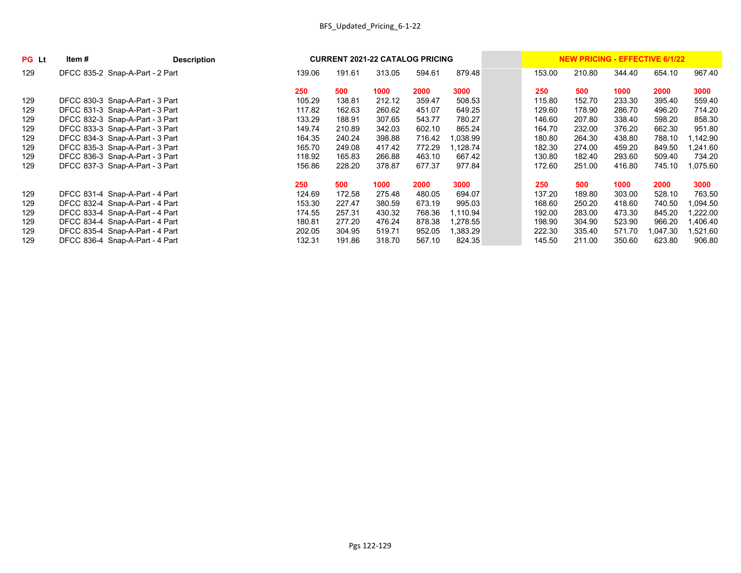| <b>PG</b> Lt | Item # | <b>Description</b>              |        | <b>CURRENT 2021-22 CATALOG PRICING</b> |        |        |          |        | <b>NEW PRICING - EFFECTIVE 6/1/22</b> |        |         |          |
|--------------|--------|---------------------------------|--------|----------------------------------------|--------|--------|----------|--------|---------------------------------------|--------|---------|----------|
| 129          |        | DFCC 835-2 Snap-A-Part - 2 Part | 139.06 | 191.61                                 | 313.05 | 594.61 | 879.48   | 153.00 | 210.80                                | 344.40 | 654.10  | 967.40   |
|              |        |                                 | 250    | 500                                    | 1000   | 2000   | 3000     | 250    | 500                                   | 1000   | 2000    | 3000     |
| 129          |        | DFCC 830-3 Snap-A-Part - 3 Part | 105.29 | 138.81                                 | 212.12 | 359.47 | 508.53   | 115.80 | 152.70                                | 233.30 | 395.40  | 559.40   |
| 129          |        | DFCC 831-3 Snap-A-Part - 3 Part | 117.82 | 162.63                                 | 260.62 | 451.07 | 649.25   | 129.60 | 178.90                                | 286.70 | 496.20  | 714.20   |
| 129          |        | DFCC 832-3 Snap-A-Part - 3 Part | 133.29 | 188.91                                 | 307.65 | 543.77 | 780.27   | 146.60 | 207.80                                | 338.40 | 598.20  | 858.30   |
| 129          |        | DFCC 833-3 Snap-A-Part - 3 Part | 149.74 | 210.89                                 | 342.03 | 602.10 | 865.24   | 164.70 | 232.00                                | 376.20 | 662.30  | 951.80   |
| 129          |        | DFCC 834-3 Snap-A-Part - 3 Part | 164.35 | 240.24                                 | 398.88 | 716.42 | 1,038.99 | 180.80 | 264.30                                | 438.80 | 788.10  | ,142.90  |
| 129          |        | DFCC 835-3 Snap-A-Part - 3 Part | 165.70 | 249.08                                 | 417.42 | 772.29 | ,128.74  | 182.30 | 274.00                                | 459.20 | 849.50  | ,241.60  |
| 129          |        | DFCC 836-3 Snap-A-Part - 3 Part | 118.92 | 165.83                                 | 266.88 | 463.10 | 667.42   | 130.80 | 182.40                                | 293.60 | 509.40  | 734.20   |
| 129          |        | DFCC 837-3 Snap-A-Part - 3 Part | 156.86 | 228.20                                 | 378.87 | 677.37 | 977.84   | 172.60 | 251.00                                | 416.80 | 745.10  | 1,075.60 |
|              |        |                                 | 250    | 500                                    | 1000   | 2000   | 3000     | 250    | 500                                   | 1000   | 2000    | 3000     |
| 129          |        | DFCC 831-4 Snap-A-Part - 4 Part | 124.69 | 172.58                                 | 275.48 | 480.05 | 694.07   | 137.20 | 189.80                                | 303.00 | 528.10  | 763.50   |
| 129          |        | DFCC 832-4 Snap-A-Part - 4 Part | 153.30 | 227.47                                 | 380.59 | 673.19 | 995.03   | 168.60 | 250.20                                | 418.60 | 740.50  | 1,094.50 |
| 129          |        | DFCC 833-4 Snap-A-Part - 4 Part | 174.55 | 257.31                                 | 430.32 | 768.36 | 1,110.94 | 192.00 | 283.00                                | 473.30 | 845.20  | ,222.00  |
| 129          |        | DFCC 834-4 Snap-A-Part - 4 Part | 180.81 | 277.20                                 | 476.24 | 878.38 | 1,278.55 | 198.90 | 304.90                                | 523.90 | 966.20  | ,406.40  |
| 129          |        | DFCC 835-4 Snap-A-Part - 4 Part | 202.05 | 304.95                                 | 519.71 | 952.05 | 1,383.29 | 222.30 | 335.40                                | 571.70 | ,047.30 | 1,521.60 |
| 129          |        | DFCC 836-4 Snap-A-Part - 4 Part | 132.31 | 191.86                                 | 318.70 | 567.10 | 824.35   | 145.50 | 211.00                                | 350.60 | 623.80  | 906.80   |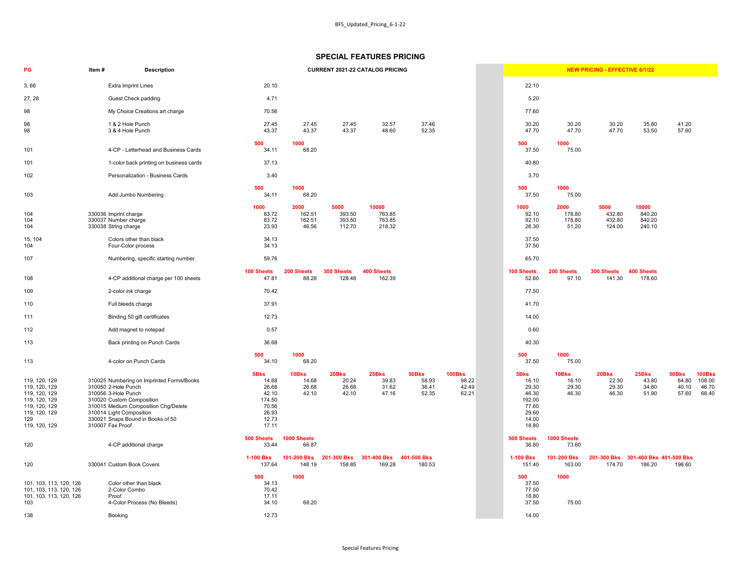|                                                                               |                                   | <b>NEW PRICING - EFFECTIVE 6/1/22</b> |                                     |                                   |                                           |
|-------------------------------------------------------------------------------|-----------------------------------|---------------------------------------|-------------------------------------|-----------------------------------|-------------------------------------------|
| 22.10                                                                         |                                   |                                       |                                     |                                   |                                           |
| 5.20                                                                          |                                   |                                       |                                     |                                   |                                           |
| 77.60                                                                         |                                   |                                       |                                     |                                   |                                           |
| 30.20<br>47.70                                                                | 30.20<br>47.70                    | 30.20<br>47.70                        | 35.80<br>53.50                      | 41.20<br>57.60                    |                                           |
| 500<br>37.50                                                                  | 1000<br>75.00                     |                                       |                                     |                                   |                                           |
| 40.80                                                                         |                                   |                                       |                                     |                                   |                                           |
| 3.70                                                                          |                                   |                                       |                                     |                                   |                                           |
| 500<br>37.50                                                                  | 1000<br>75.00                     |                                       |                                     |                                   |                                           |
| 1000<br>92.10<br>92.10<br>26.30                                               | 2000<br>178.80<br>178.80<br>51.20 | 5000<br>432.80<br>432.80<br>124.00    | 10000<br>840.20<br>840.20<br>240.10 |                                   |                                           |
| 37.50<br>37.50                                                                |                                   |                                       |                                     |                                   |                                           |
| 65.70                                                                         |                                   |                                       |                                     |                                   |                                           |
| 100 Sheets<br>52.60                                                           | 200 Sheets<br>97.10               | 300 Sheets<br>141.30                  | <b>400 Sheets</b><br>178.60         |                                   |                                           |
| 77.50                                                                         |                                   |                                       |                                     |                                   |                                           |
| 41.70                                                                         |                                   |                                       |                                     |                                   |                                           |
| 14.00                                                                         |                                   |                                       |                                     |                                   |                                           |
| 0.60                                                                          |                                   |                                       |                                     |                                   |                                           |
| 40.30                                                                         |                                   |                                       |                                     |                                   |                                           |
| 500<br>37.50                                                                  | 1000<br>75.00                     |                                       |                                     |                                   |                                           |
| 5Bks<br>16.10<br>29.30<br>46.30<br>192.00<br>77.60<br>29.60<br>14.00<br>18.80 | 10Bks<br>16.10<br>29.30<br>46.30  | 20Bks<br>22.30<br>29.30<br>46.30      | 25Bks<br>43.80<br>34.80<br>51.90    | 50Bks<br>64.80<br>40.10<br>57.60  | <b>100Bks</b><br>108.00<br>46.70<br>68.40 |
| 500 Sheets<br>36.80                                                           | 1000 Sheets<br>73.60              |                                       |                                     |                                   |                                           |
| <b>1-100 Bks</b><br>151.40                                                    | 101-200 Bks<br>163.00             | 201-300 Bks<br>174.70                 | 186.20                              | 301-400 Bks 401-500 Bks<br>198.60 |                                           |
| 500<br>37.50<br>77.50<br>18.80<br>37.50                                       | 1000<br>75.00                     |                                       |                                     |                                   |                                           |
| 14.00                                                                         |                                   |                                       |                                     |                                   |                                           |

| PG                                                                                                                         | Item# | <b>Description</b>                                                                                                                                                                                                                                |                                                                               |                                   | <b>CURRENT 2021-22 CATALOG PRICING</b> |                                     |                                  |                                          |                                                                               |                                   | <b>NEW PRICING - EFFECTIVE 6/1/22</b> |                                     |                                  |                                           |
|----------------------------------------------------------------------------------------------------------------------------|-------|---------------------------------------------------------------------------------------------------------------------------------------------------------------------------------------------------------------------------------------------------|-------------------------------------------------------------------------------|-----------------------------------|----------------------------------------|-------------------------------------|----------------------------------|------------------------------------------|-------------------------------------------------------------------------------|-----------------------------------|---------------------------------------|-------------------------------------|----------------------------------|-------------------------------------------|
| 3,66                                                                                                                       |       | <b>Extra Imprint Lines</b>                                                                                                                                                                                                                        | 20.10                                                                         |                                   |                                        |                                     |                                  |                                          | 22.10                                                                         |                                   |                                       |                                     |                                  |                                           |
| 27, 28                                                                                                                     |       | <b>Guest Check padding</b>                                                                                                                                                                                                                        | 4.71                                                                          |                                   |                                        |                                     |                                  |                                          | 5.20                                                                          |                                   |                                       |                                     |                                  |                                           |
| 98                                                                                                                         |       | My Choice Creations art charge                                                                                                                                                                                                                    | 70.56                                                                         |                                   |                                        |                                     |                                  |                                          | 77.60                                                                         |                                   |                                       |                                     |                                  |                                           |
| 98<br>98                                                                                                                   |       | 1 & 2 Hole Punch<br>3 & 4 Hole Punch                                                                                                                                                                                                              | 27.45<br>43.37                                                                | 27.45<br>43.37                    | 27.45<br>43.37                         | 32.57<br>48.60                      | 37.46<br>52.35                   |                                          | 30.20<br>47.70                                                                | 30.20<br>47.70                    | 30.20<br>47.70                        | 35.80<br>53.50                      | 41.20<br>57.60                   |                                           |
| 101                                                                                                                        |       | 4-CP - Letterhead and Business Cards                                                                                                                                                                                                              | 500<br>34.11                                                                  | 1000<br>68.20                     |                                        |                                     |                                  |                                          | 500<br>37.50                                                                  | 1000<br>75.00                     |                                       |                                     |                                  |                                           |
| 101                                                                                                                        |       | 1-color back printing on business cards                                                                                                                                                                                                           | 37.13                                                                         |                                   |                                        |                                     |                                  |                                          | 40.80                                                                         |                                   |                                       |                                     |                                  |                                           |
| 102                                                                                                                        |       | Personalization - Business Cards                                                                                                                                                                                                                  | 3.40                                                                          |                                   |                                        |                                     |                                  |                                          | 3.70                                                                          |                                   |                                       |                                     |                                  |                                           |
| 103                                                                                                                        |       | Add Jumbo Numbering                                                                                                                                                                                                                               | 500<br>34.11                                                                  | 1000<br>68.20                     |                                        |                                     |                                  |                                          | 500<br>37.50                                                                  | 1000<br>75.00                     |                                       |                                     |                                  |                                           |
| 104<br>104<br>104                                                                                                          |       | 330036 Imprint charge<br>330037 Number charge<br>330038 String charge                                                                                                                                                                             | 1000<br>83.72<br>83.72<br>23.93                                               | 2000<br>162.51<br>162.51<br>46.56 | 5000<br>393.50<br>393.50<br>112.70     | 10000<br>763.85<br>763.85<br>218.32 |                                  |                                          | 1000<br>92.10<br>92.10<br>26.30                                               | 2000<br>178.80<br>178.80<br>51.20 | 5000<br>432.80<br>432.80<br>124.00    | 10000<br>840.20<br>840.20<br>240.10 |                                  |                                           |
| 15, 104<br>104                                                                                                             |       | Colors other than black<br>Four-Color process                                                                                                                                                                                                     | 34.13<br>34.13                                                                |                                   |                                        |                                     |                                  |                                          | 37.50<br>37.50                                                                |                                   |                                       |                                     |                                  |                                           |
| 107                                                                                                                        |       | Numbering, specific starting number                                                                                                                                                                                                               | 59.76                                                                         |                                   |                                        |                                     |                                  |                                          | 65.70                                                                         |                                   |                                       |                                     |                                  |                                           |
| 108                                                                                                                        |       | 4-CP additional charge per 100 sheets                                                                                                                                                                                                             | <b>100 Sheets</b><br>47.81                                                    | 200 Sheets<br>88.28               | 300 Sheets<br>128.48                   | 400 Sheets<br>162.39                |                                  |                                          | <b>100 Sheets</b><br>52.60                                                    | 200 Sheets<br>97.10               | 300 Sheets<br>141.30                  | <b>400 Sheets</b><br>178.60         |                                  |                                           |
| 109                                                                                                                        |       | 2-color ink charge                                                                                                                                                                                                                                | 70.42                                                                         |                                   |                                        |                                     |                                  |                                          | 77.50                                                                         |                                   |                                       |                                     |                                  |                                           |
| 110                                                                                                                        |       | Full bleeds charge                                                                                                                                                                                                                                | 37.91                                                                         |                                   |                                        |                                     |                                  |                                          | 41.70                                                                         |                                   |                                       |                                     |                                  |                                           |
| 111                                                                                                                        |       | Binding 50 gift certificates                                                                                                                                                                                                                      | 12.73                                                                         |                                   |                                        |                                     |                                  |                                          | 14.00                                                                         |                                   |                                       |                                     |                                  |                                           |
| 112                                                                                                                        |       | Add magnet to notepad                                                                                                                                                                                                                             | 0.57                                                                          |                                   |                                        |                                     |                                  |                                          | 0.60                                                                          |                                   |                                       |                                     |                                  |                                           |
| 113                                                                                                                        |       | Back printing on Punch Cards                                                                                                                                                                                                                      | 36.68                                                                         |                                   |                                        |                                     |                                  |                                          | 40.30                                                                         |                                   |                                       |                                     |                                  |                                           |
| 113                                                                                                                        |       | 4-color on Punch Cards                                                                                                                                                                                                                            | 500<br>34.10                                                                  | 1000<br>68.20                     |                                        |                                     |                                  |                                          | 500<br>37.50                                                                  | 1000<br>75.00                     |                                       |                                     |                                  |                                           |
| 119, 120, 129<br>119, 120, 129<br>119, 120, 129<br>119, 120, 129<br>119, 120, 129<br>119, 120, 129<br>129<br>119, 120, 129 |       | 310025 Numbering on Imprinted Forms/Books<br>310050 2-Hole Punch<br>310056 3-Hole Punch<br>310020 Custom Composition<br>310015 Medium Composition Chg/Delete<br>310014 Light Composition<br>330021 Snaps Bound in Books of 50<br>310007 Fax Proof | 5Bks<br>14.68<br>26.68<br>42.10<br>174.50<br>70.56<br>26.93<br>12.73<br>17.11 | 10Bks<br>14.68<br>26.68<br>42.10  | 20Bks<br>20.24<br>26.68<br>42.10       | 25Bks<br>39.83<br>31.62<br>47.16    | 50Bks<br>58.93<br>36.41<br>52.35 | <b>100Bks</b><br>98.22<br>42.49<br>62.21 | 5Bks<br>16.10<br>29.30<br>46.30<br>192.00<br>77.60<br>29.60<br>14.00<br>18.80 | 10Bks<br>16.10<br>29.30<br>46.30  | 20Bks<br>22.30<br>29.30<br>46.30      | 25Bks<br>43.80<br>34.80<br>51.90    | 50Bks<br>64.80<br>40.10<br>57.60 | <b>100Bks</b><br>108.00<br>46.70<br>68.40 |
| 120                                                                                                                        |       | 4-CP additional charge                                                                                                                                                                                                                            | 500 Sheets<br>33.44                                                           | 1000 Sheets<br>66.87              |                                        |                                     |                                  |                                          | 500 Sheets<br>36.80                                                           | 1000 Sheets<br>73.60              |                                       |                                     |                                  |                                           |
| 120                                                                                                                        |       | 330041 Custom Book Covers                                                                                                                                                                                                                         | <b>1-100 Bks</b><br>137.64                                                    | 101-200 Bks<br>148.19             | 201-300 Bks<br>158.85                  | 301-400 Bks<br>169.28               | 401-500 Bks<br>180.53            |                                          | <b>1-100 Bks</b><br>151.40                                                    | 101-200 Bks<br>163.00             | 201-300 Bks<br>174.70                 | 301-400 Bks 401-500 Bks<br>186.20   | 198.60                           |                                           |
| 101, 103, 113, 120, 126<br>101, 103, 113, 120, 126<br>101, 103, 113, 120, 126<br>103                                       |       | Color other than black<br>2-Color Combo<br>Proof<br>4-Color Process (No Bleeds)                                                                                                                                                                   | 500<br>34.13<br>70.42<br>17.11<br>34.10                                       | 1000<br>68.20                     |                                        |                                     |                                  |                                          | 500<br>37.50<br>77.50<br>18.80<br>37.50                                       | 1000<br>75.00                     |                                       |                                     |                                  |                                           |
| 138                                                                                                                        |       | Booking                                                                                                                                                                                                                                           | 12.73                                                                         |                                   |                                        |                                     |                                  |                                          | 14.00                                                                         |                                   |                                       |                                     |                                  |                                           |

# **SPECIAL FEATURES PRICING**